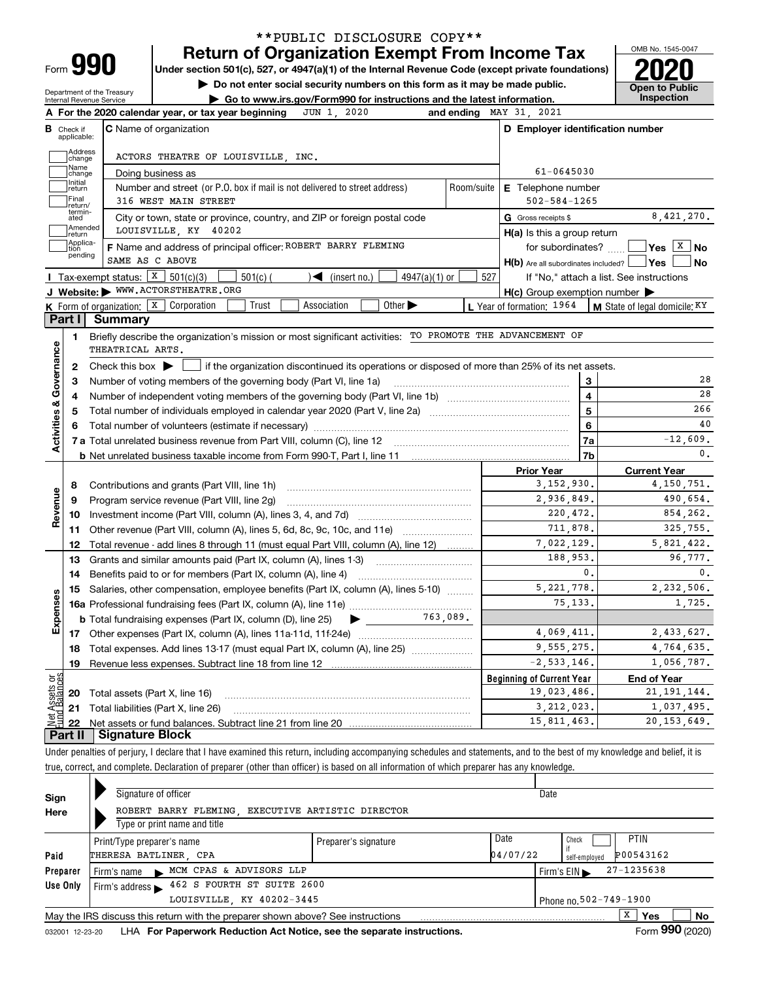| Form |  |
|------|--|

# **Return of Organization Exempt From Income Tax** \*\*PUBLIC DISCLOSURE COPY\*\*

**Under section 501(c), 527, or 4947(a)(1) of the Internal Revenue Code (except private foundations) 2020**

**| Do not enter social security numbers on this form as it may be made public.**

Department of the Treasury Internal Revenue Service

**| Go to www.irs.gov/Form990 for instructions and the latest information. Inspection**



|                           |                                  | JUN 1, 2020<br>A For the 2020 calendar year, or tax year beginning                                                                      |            | and ending MAY 31, 2021                             |                                                               |
|---------------------------|----------------------------------|-----------------------------------------------------------------------------------------------------------------------------------------|------------|-----------------------------------------------------|---------------------------------------------------------------|
|                           | <b>B</b> Check if<br>applicable: | <b>C</b> Name of organization                                                                                                           |            | D Employer identification number                    |                                                               |
|                           | Address<br>change                | ACTORS THEATRE OF LOUISVILLE, INC.                                                                                                      |            |                                                     |                                                               |
|                           | Name<br>change                   | Doing business as                                                                                                                       |            | 61-0645030                                          |                                                               |
|                           | Initial<br>return                | Number and street (or P.O. box if mail is not delivered to street address)                                                              | Room/suite | <b>E</b> Telephone number                           |                                                               |
|                           | Final<br>return/                 | 316 WEST MAIN STREET                                                                                                                    |            | $502 - 584 - 1265$                                  |                                                               |
|                           | termin-<br>ated                  | City or town, state or province, country, and ZIP or foreign postal code                                                                |            | G Gross receipts \$                                 | 8,421,270.                                                    |
|                           | Amended<br>return                | LOUISVILLE, KY 40202                                                                                                                    |            | $H(a)$ is this a group return                       |                                                               |
|                           | Applica-<br>tion                 | F Name and address of principal officer: ROBERT BARRY FLEMING                                                                           |            | for subordinates?                                   | $\sqrt{Y}$ es $X$ No                                          |
|                           | pending                          | SAME AS C ABOVE                                                                                                                         |            | H(b) Are all subordinates included?   Yes           | ∣ No                                                          |
|                           |                                  | Tax-exempt status: $X \ 501(c)(3)$<br>$501(c)$ (<br>$\blacktriangleright$ (insert no.)<br>$4947(a)(1)$ or                               | 527        |                                                     | If "No," attach a list. See instructions                      |
|                           |                                  | J Website: WWW.ACTORSTHEATRE.ORG                                                                                                        |            | $H(c)$ Group exemption number $\blacktriangleright$ |                                                               |
|                           |                                  | K Form of organization: X Corporation<br>Trust<br>Association<br>Other $\blacktriangleright$                                            |            |                                                     | L Year of formation: $1964$   M State of legal domicile: $KY$ |
|                           | Part I I                         | Summary                                                                                                                                 |            |                                                     |                                                               |
|                           | 1.                               | Briefly describe the organization's mission or most significant activities: TO PROMOTE THE ADVANCEMENT OF<br>THEATRICAL ARTS.           |            |                                                     |                                                               |
| Activities & Governance   | $\mathbf{2}$                     | Check this box $\blacktriangleright$<br>if the organization discontinued its operations or disposed of more than 25% of its net assets. |            |                                                     |                                                               |
|                           | 3                                | Number of voting members of the governing body (Part VI, line 1a)                                                                       |            | 3                                                   | 28                                                            |
|                           | 4                                |                                                                                                                                         |            | $\overline{\mathbf{4}}$                             | 28                                                            |
|                           | 5                                |                                                                                                                                         |            | 5                                                   | 266                                                           |
|                           | 6                                |                                                                                                                                         |            | 6                                                   | 40                                                            |
|                           |                                  |                                                                                                                                         |            | 7a                                                  | $-12,609.$                                                    |
|                           |                                  |                                                                                                                                         |            | 7 <sub>b</sub>                                      | 0.                                                            |
|                           |                                  |                                                                                                                                         |            | <b>Prior Year</b>                                   | <b>Current Year</b>                                           |
|                           | 8                                | Contributions and grants (Part VIII, line 1h)                                                                                           |            | 3,152,930.                                          | 4, 150, 751.                                                  |
| Revenue                   | 9                                | Program service revenue (Part VIII, line 2g)                                                                                            |            | 2,936,849.                                          | 490,654.                                                      |
|                           | 10                               |                                                                                                                                         |            | 220,472.                                            | 854,262.                                                      |
|                           |                                  | 11 Other revenue (Part VIII, column (A), lines 5, 6d, 8c, 9c, 10c, and 11e)                                                             |            | 711,878.                                            | 325,755.                                                      |
|                           | 12                               | Total revenue - add lines 8 through 11 (must equal Part VIII, column (A), line 12)                                                      |            | 7,022,129.                                          | 5,821,422.                                                    |
|                           | 13                               | Grants and similar amounts paid (Part IX, column (A), lines 1-3)                                                                        |            | 188,953.                                            | 96.777.                                                       |
|                           | 14                               |                                                                                                                                         |            | $\mathbf{0}$ .                                      | 0.                                                            |
|                           | 15                               | Salaries, other compensation, employee benefits (Part IX, column (A), lines 5-10)                                                       |            | 5, 221, 778.                                        | 2,232,506.                                                    |
| Expenses                  |                                  |                                                                                                                                         |            | 75.133.                                             | 1,725.                                                        |
|                           |                                  | 763.089.<br><b>b</b> Total fundraising expenses (Part IX, column (D), line 25)<br>$\blacktriangleright$ $\_\_$                          |            |                                                     |                                                               |
|                           |                                  |                                                                                                                                         |            | 4,069,411.                                          | 2,433,627.                                                    |
|                           | 18                               | Total expenses. Add lines 13-17 (must equal Part IX, column (A), line 25)                                                               |            | 9,555,275.                                          | 4,764,635.                                                    |
|                           |                                  |                                                                                                                                         |            | $-2, 533, 146.$                                     | 1,056,787.                                                    |
|                           | 19                               |                                                                                                                                         |            |                                                     |                                                               |
|                           |                                  |                                                                                                                                         |            | <b>Beginning of Current Year</b>                    | <b>End of Year</b>                                            |
|                           |                                  | <b>20</b> Total assets (Part X, line 16)                                                                                                |            | 19,023,486.                                         |                                                               |
| ងខ្លី<br>Assets<br>Palanc |                                  | 21 Total liabilities (Part X, line 26)                                                                                                  |            | 3, 212, 023.                                        | 21, 191, 144.<br>1,037,495.                                   |

Under penalties of perjury, I declare that I have examined this return, including accompanying schedules and statements, and to the best of my knowledge and belief, it is true, correct, and complete. Declaration of preparer (other than officer) is based on all information of which preparer has any knowledge.

| Sign     | Signature of officer                                                             |                      |          | Date                           |
|----------|----------------------------------------------------------------------------------|----------------------|----------|--------------------------------|
| Here     | ROBERT BARRY FLEMING EXECUTIVE ARTISTIC DIRECTOR<br>Type or print name and title |                      |          |                                |
|          |                                                                                  |                      |          |                                |
|          | Print/Type preparer's name                                                       | Preparer's signature | Date     | <b>PTIN</b><br>Check           |
| Paid     | THERESA BATLINER, CPA                                                            |                      | 04/07/22 | P00543162<br>self-employed     |
| Preparer | Firm's name MCM CPAS & ADVISORS LLP                                              |                      |          | $27 - 1235638$<br>Firm's $EIN$ |
| Use Only | 462 S FOURTH ST SUITE 2600<br>Firm's address $\blacktriangleright$               |                      |          |                                |
|          | LOUISVILLE, KY 40202-3445                                                        |                      |          | Phone no. 502-749-1900         |
|          | May the IRS discuss this return with the preparer shown above? See instructions  |                      |          | x<br><b>No</b><br>Yes          |
|          |                                                                                  |                      |          | $\cdots$                       |

032001 12-23-20 LHA **For Paperwork Reduction Act Notice, see the separate instructions. Form 990 (2020)**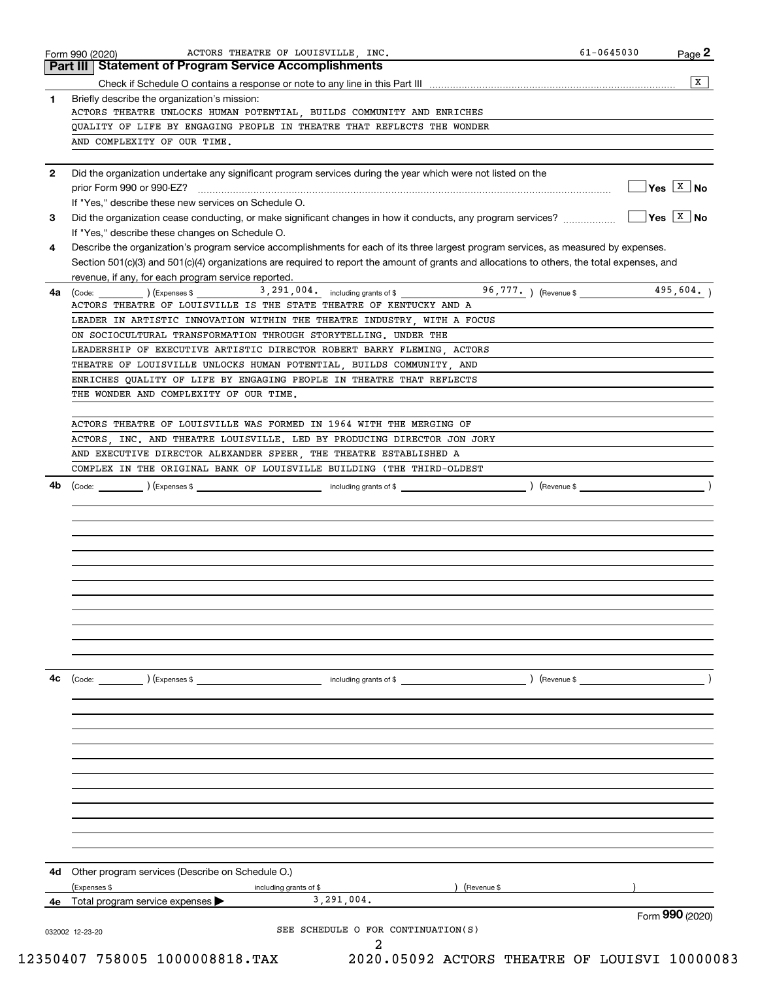|    | Part III   Statement of Program Service Accomplishments<br>x                                                                                                         |
|----|----------------------------------------------------------------------------------------------------------------------------------------------------------------------|
|    |                                                                                                                                                                      |
| 1  | Briefly describe the organization's mission:<br>ACTORS THEATRE UNLOCKS HUMAN POTENTIAL, BUILDS COMMUNITY AND ENRICHES                                                |
|    | QUALITY OF LIFE BY ENGAGING PEOPLE IN THEATRE THAT REFLECTS THE WONDER                                                                                               |
|    | AND COMPLEXITY OF OUR TIME.                                                                                                                                          |
|    |                                                                                                                                                                      |
| 2  | Did the organization undertake any significant program services during the year which were not listed on the                                                         |
|    | $\sqrt{\mathsf{Yes}}$ $\sqrt{\mathsf{X}}$ No                                                                                                                         |
|    | If "Yes," describe these new services on Schedule O.                                                                                                                 |
| 3  | $\sqrt{\mathsf{Yes}\ \ket{\mathrm{X}}\ \mathsf{No}}$<br>Did the organization cease conducting, or make significant changes in how it conducts, any program services? |
|    | If "Yes," describe these changes on Schedule O.                                                                                                                      |
| 4  | Describe the organization's program service accomplishments for each of its three largest program services, as measured by expenses.                                 |
|    | Section 501(c)(3) and 501(c)(4) organizations are required to report the amount of grants and allocations to others, the total expenses, and                         |
|    | revenue, if any, for each program service reported.                                                                                                                  |
| 4a | 96,777. ) (Revenue \$<br>495,604.<br>3, 291, 004. including grants of \$<br>(Code: ) (Expenses \$                                                                    |
|    | ACTORS THEATRE OF LOUISVILLE IS THE STATE THEATRE OF KENTUCKY AND A                                                                                                  |
|    | LEADER IN ARTISTIC INNOVATION WITHIN THE THEATRE INDUSTRY, WITH A FOCUS                                                                                              |
|    | ON SOCIOCULTURAL TRANSFORMATION THROUGH STORYTELLING. UNDER THE                                                                                                      |
|    | LEADERSHIP OF EXECUTIVE ARTISTIC DIRECTOR ROBERT BARRY FLEMING, ACTORS                                                                                               |
|    | THEATRE OF LOUISVILLE UNLOCKS HUMAN POTENTIAL, BUILDS COMMUNITY, AND                                                                                                 |
|    | ENRICHES QUALITY OF LIFE BY ENGAGING PEOPLE IN THEATRE THAT REFLECTS                                                                                                 |
|    | THE WONDER AND COMPLEXITY OF OUR TIME.                                                                                                                               |
|    | ACTORS THEATRE OF LOUISVILLE WAS FORMED IN 1964 WITH THE MERGING OF                                                                                                  |
|    | ACTORS, INC. AND THEATRE LOUISVILLE. LED BY PRODUCING DIRECTOR JON JORY                                                                                              |
|    | AND EXECUTIVE DIRECTOR ALEXANDER SPEER, THE THEATRE ESTABLISHED A                                                                                                    |
|    | COMPLEX IN THE ORIGINAL BANK OF LOUISVILLE BUILDING (THE THIRD-OLDEST                                                                                                |
| 4b | including grants of \$                                                                                                                                               |
|    | Revenue \$<br>) (Expenses \$<br>(Code:                                                                                                                               |
|    |                                                                                                                                                                      |
|    |                                                                                                                                                                      |
|    |                                                                                                                                                                      |
|    |                                                                                                                                                                      |
|    |                                                                                                                                                                      |
|    |                                                                                                                                                                      |
|    |                                                                                                                                                                      |
|    |                                                                                                                                                                      |
|    |                                                                                                                                                                      |
|    |                                                                                                                                                                      |
|    |                                                                                                                                                                      |
|    |                                                                                                                                                                      |
| 4c | (Expenses \$<br>) (Revenue \$<br>(Code:<br>including grants of \$                                                                                                    |
|    |                                                                                                                                                                      |
|    |                                                                                                                                                                      |
|    |                                                                                                                                                                      |
|    |                                                                                                                                                                      |
|    |                                                                                                                                                                      |
|    |                                                                                                                                                                      |
|    |                                                                                                                                                                      |
|    |                                                                                                                                                                      |
|    |                                                                                                                                                                      |
|    |                                                                                                                                                                      |
|    |                                                                                                                                                                      |
| 4d | Other program services (Describe on Schedule O.)                                                                                                                     |
|    | (Expenses \$<br>including grants of \$<br>(Revenue \$                                                                                                                |
|    | 3,291,004.<br>Total program service expenses                                                                                                                         |
|    |                                                                                                                                                                      |
| 4e | Form 990 (2020)                                                                                                                                                      |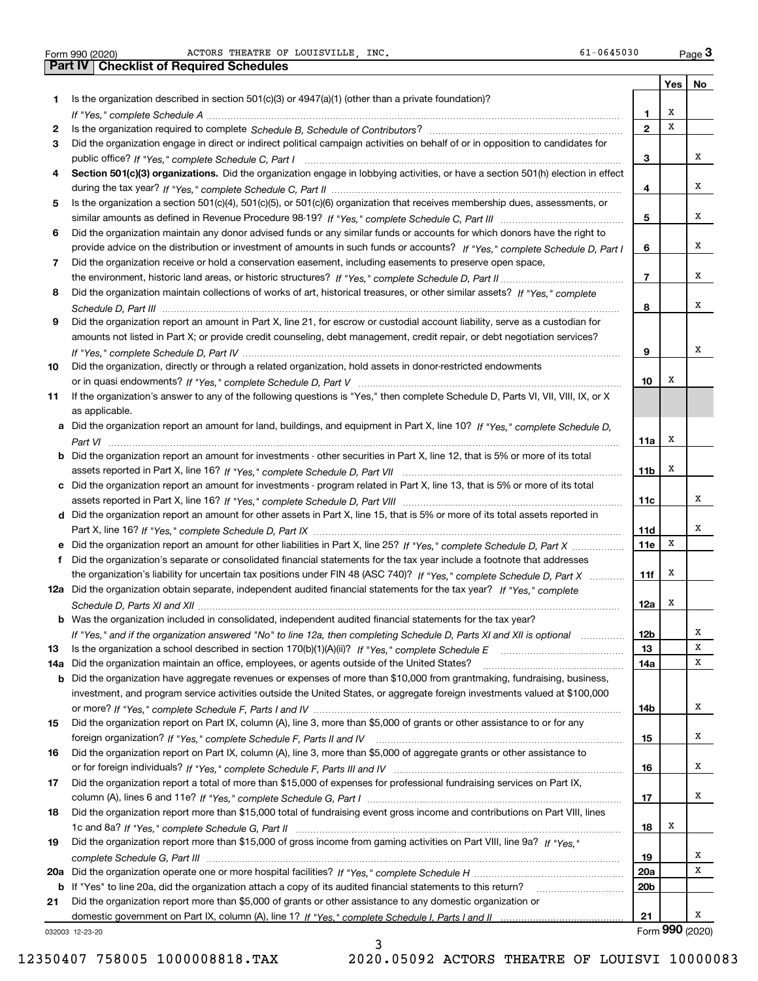**1**

**23**

**4**

**5**

**6**

**7**

**8**

**9**

**10**

Form 990 (2020) ACTORS THEATRE OF LOUISVILLE , INC. 61-0645030 Page

**Yes No 12345678Section 501(c)(3) organizations.** Did the organization engage in lobbying activities, or have a section 501(h) election in effect *If "Yes," complete Schedule A* ~~~~~~~~~~~~~~~~~~~~~~~~~~~~~~~~~~~~~~~~~~~~~~~ Is the organization required to complete Schedule B, Schedule of Contributors? …………………………………………………… *If "Yes," complete Schedule C, Part I* public office? ~~~~~~~~~~~~~~~~~~~~~~~~~~~~~~~~~~~~ *If "Yes," complete Schedule C, Part II* during the tax year? ~~~~~~~~~~~~~~~~~~~~~~~~~~~~~~~~~ *If "Yes," complete Schedule C, Part III* similar amounts as defined in Revenue Procedure 98-19? ~~~~~~~~~~~~~~ *If "Yes," complete Schedule D, Part I* provide advice on the distribution or investment of amounts in such funds or accounts? *If "Yes," complete Schedule D, Part II* the environment, historic land areas, or historic structures? ~~~~~~~~~~~~~~ *If "Yes," complete* Did the organization maintain collections of works of art, historical treasures, or other similar assets? *Schedule D, Part III* ~~~~~~~~~~~~~~~~~~~~~~~~~~~~~~~~~~~~~~~~~~~~~~~~~~~~ Is the organization described in section 501(c)(3) or 4947(a)(1) (other than a private foundation)? Did the organization engage in direct or indirect political campaign activities on behalf of or in opposition to candidates for Is the organization a section 501(c)(4), 501(c)(5), or 501(c)(6) organization that receives membership dues, assessments, or Did the organization maintain any donor advised funds or any similar funds or accounts for which donors have the right to Did the organization receive or hold a conservation easement, including easements to preserve open space, Did the organization report an amount in Part X, line 21, for escrow or custodial account liability, serve as a custodian for amounts not listed in Part X; or provide credit counseling, debt management, credit repair, or debt negotiation services? Form 990 (2020) **3 ACTORS THEATRE OF LOUISVILLE, INC.**<br> **Part IV** Checklist of Required Schedules<br> **Part IV** Checklist of Required Schedules XXXXXXXX

|     | alflourits flot iisted in Falt A, OF provide credit couriseling, dept management, credit repair, or dept negotiation services? |
|-----|--------------------------------------------------------------------------------------------------------------------------------|
|     |                                                                                                                                |
| IO. | Did the organization, directly or through a related organization, hold assets in donor-restricted endowments                   |
|     |                                                                                                                                |
|     | If the examization's enough to any of the following questions is "Ves." then complete Cohodule D. Derto VI VIII VIII IV or V.  |

| 11 If the organization's answer to any of the following questions is "Yes," then complete Schedule D, Parts VI, VII, VIII, IX, or X |
|-------------------------------------------------------------------------------------------------------------------------------------|
| as applicable.                                                                                                                      |
|                                                                                                                                     |

| a Did the organization report an amount for land, buildings, and equipment in Part X, line 10? If "Yes," complete Schedule D,  |
|--------------------------------------------------------------------------------------------------------------------------------|
|                                                                                                                                |
| b Did the organization report an amount for investments - other securities in Part X, line 12, that is 5% or more of its total |

| c Did the organization report an amount for investments - program related in Part X, line 13, that is 5% or more of its total |
|-------------------------------------------------------------------------------------------------------------------------------|

**d** Did the organization report an amount for other assets in Part X, line 15, that is 5% or more of its total assets reported in assets reported in Part X, line 16? If "Yes," c*omplete Schedule D, Part VIII* ……………………………………………………………… Part X, line 16? *If "Yes," complete Schedule D, Part IX ………………………………………………………………………*………

| e Did the organization report an amount for other liabilities in Part X, line 25? If "Yes," complete Schedule D, Part X   |
|---------------------------------------------------------------------------------------------------------------------------|
| f Did the organization's separate or consolidated financial statements for the tax year include a footnote that addresses |
| the organization's liability for uncertain tax positions under FIN 48 (ASC 740)? If "Yes," complete Schedule D, Part X    |
| 12a Did the organization obtain separate, independent audited financial statements for the tax year? If "Yes," complete   |
|                                                                                                                           |

| <b>b</b> Was the organization included in consolidated, independent audited financial statements for the tax vear?          |
|-----------------------------------------------------------------------------------------------------------------------------|
| If "Yes," and if the organization answered "No" to line 12a, then completing Schedule D, Parts XI and XII is optional       |
| 13 Is the organization a school described in section 170(b)(1)(A)(ii)? If "Yes," complete Schedule E manumerrorrorrorrorror |
| 14a Did the organization maintain an office, employees, or agents outside of the United States?                             |

Was the organization included in consolidated, independent audited financial statements for the tax year?

| <b>b</b> Did the organization have aggregate revenues or expenses of more than \$10,000 from grantmaking, fundraising, business, |
|----------------------------------------------------------------------------------------------------------------------------------|
| investment, and program service activities outside the United States, or aggregate foreign investments valued at \$100,000       |
|                                                                                                                                  |
| 15 Did the organization report on Part IX column (A) line 3 more than \$5,000 of grants or other assistance to or for any        |

| <b>15</b> Did the organization report on Part IX, column (A), line 3, more than \$5,000 of grants or other assistance to or for any |
|-------------------------------------------------------------------------------------------------------------------------------------|
|                                                                                                                                     |
| 16 Did the organization report on Part IX, column (A), line 3, more than \$5,000 of aggregate grants or other assistance to         |
| or for foreign individuals? If "Yes," complete Schedule F, Parts III and IV                                                         |

| 17 Did the organization report a total of more than \$15,000 of expenses for professional fundraising services on Part IX,                                                                               |
|----------------------------------------------------------------------------------------------------------------------------------------------------------------------------------------------------------|
|                                                                                                                                                                                                          |
| $\mathbf{A}$ . In this constrains constructed the $\mathbf{A}$ is a populated of $\mathbf{f}$ and the constructed on the construction of $\mathbf{B}$ and $\mathbf{B}$ and $\mathbf{B}$ and $\mathbf{B}$ |

| 18 Did the organization report more than \$15,000 total of fundraising event gross income and contributions on Part VIII, lines |
|---------------------------------------------------------------------------------------------------------------------------------|
|                                                                                                                                 |

| 19 | Did the organization report more than \$15,000 of gross income from gaming activities on Part VIII, line 9a? If "Yes" |                 |
|----|-----------------------------------------------------------------------------------------------------------------------|-----------------|
|    |                                                                                                                       | 19              |
|    |                                                                                                                       | <b>20a</b>      |
|    | <b>b</b> If "Yes" to line 20a, did the organization attach a copy of its audited financial statements to this return? | 20 <sub>b</sub> |
|    |                                                                                                                       |                 |

032003 12-23-20

X

**9**

**10**

X

X

X

**11a**

**11b**

**11c**

**11d11e**

**11f**

**12a**

X

X

X

X

X

X

XX

X

X

X

X

X

X

X

**12b1314a**

**14b**

**15**

**16**

**17**

**18**

X

**21**

Form (2020) **990**

12350407 758005 1000008818.TAX 2020.05092 ACTORS THEATRE OF LOUISVI 10000083

3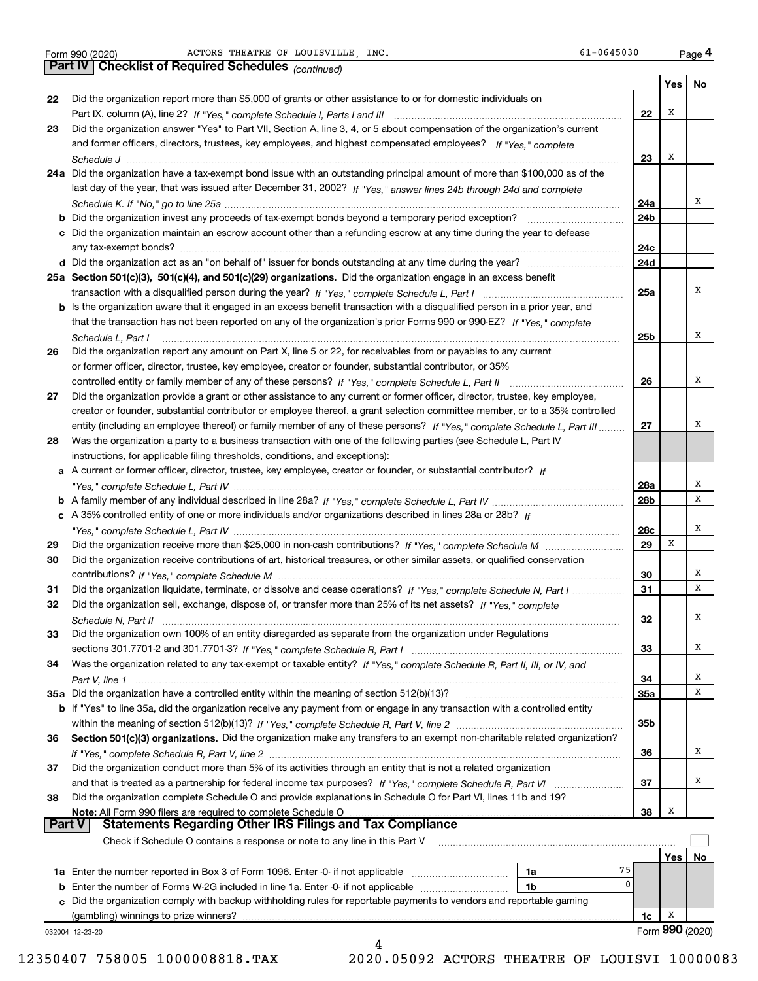|               |                                                                                                                                                                                                   |     | Yes             | No |
|---------------|---------------------------------------------------------------------------------------------------------------------------------------------------------------------------------------------------|-----|-----------------|----|
| 22            | Did the organization report more than \$5,000 of grants or other assistance to or for domestic individuals on                                                                                     |     |                 |    |
|               |                                                                                                                                                                                                   | 22  | x               |    |
| 23            | Did the organization answer "Yes" to Part VII, Section A, line 3, 4, or 5 about compensation of the organization's current                                                                        |     |                 |    |
|               | and former officers, directors, trustees, key employees, and highest compensated employees? If "Yes," complete                                                                                    |     |                 |    |
|               |                                                                                                                                                                                                   | 23  | х               |    |
|               | 24a Did the organization have a tax-exempt bond issue with an outstanding principal amount of more than \$100,000 as of the                                                                       |     |                 |    |
|               | last day of the year, that was issued after December 31, 2002? If "Yes," answer lines 24b through 24d and complete                                                                                |     |                 |    |
|               |                                                                                                                                                                                                   | 24a |                 | х  |
|               |                                                                                                                                                                                                   | 24b |                 |    |
|               | c Did the organization maintain an escrow account other than a refunding escrow at any time during the year to defease                                                                            | 24c |                 |    |
|               |                                                                                                                                                                                                   | 24d |                 |    |
|               | 25a Section 501(c)(3), 501(c)(4), and 501(c)(29) organizations. Did the organization engage in an excess benefit                                                                                  |     |                 |    |
|               |                                                                                                                                                                                                   | 25a |                 | x  |
|               | b Is the organization aware that it engaged in an excess benefit transaction with a disqualified person in a prior year, and                                                                      |     |                 |    |
|               | that the transaction has not been reported on any of the organization's prior Forms 990 or 990-EZ? If "Yes." complete                                                                             |     |                 |    |
|               | Schedule L. Part I                                                                                                                                                                                | 25b |                 | х  |
| 26            | Did the organization report any amount on Part X, line 5 or 22, for receivables from or payables to any current                                                                                   |     |                 |    |
|               | or former officer, director, trustee, key employee, creator or founder, substantial contributor, or 35%                                                                                           |     |                 |    |
|               |                                                                                                                                                                                                   | 26  |                 | х  |
| 27            | Did the organization provide a grant or other assistance to any current or former officer, director, trustee, key employee,                                                                       |     |                 |    |
|               | creator or founder, substantial contributor or employee thereof, a grant selection committee member, or to a 35% controlled                                                                       |     |                 | х  |
|               | entity (including an employee thereof) or family member of any of these persons? If "Yes," complete Schedule L, Part III                                                                          | 27  |                 |    |
| 28            | Was the organization a party to a business transaction with one of the following parties (see Schedule L, Part IV<br>instructions, for applicable filing thresholds, conditions, and exceptions): |     |                 |    |
|               | a A current or former officer, director, trustee, key employee, creator or founder, or substantial contributor? If                                                                                |     |                 |    |
|               |                                                                                                                                                                                                   | 28a |                 | х  |
|               |                                                                                                                                                                                                   | 28b |                 | х  |
|               | c A 35% controlled entity of one or more individuals and/or organizations described in lines 28a or 28b? If                                                                                       |     |                 |    |
|               |                                                                                                                                                                                                   | 28c |                 | х  |
| 29            |                                                                                                                                                                                                   | 29  | х               |    |
| 30            | Did the organization receive contributions of art, historical treasures, or other similar assets, or qualified conservation                                                                       |     |                 |    |
|               |                                                                                                                                                                                                   | 30  |                 | х  |
| 31            | Did the organization liquidate, terminate, or dissolve and cease operations? If "Yes," complete Schedule N, Part I                                                                                | 31  |                 | х  |
| 32            | Did the organization sell, exchange, dispose of, or transfer more than 25% of its net assets? If "Yes," complete                                                                                  |     |                 |    |
|               |                                                                                                                                                                                                   | 32  |                 | x  |
| 33            | Did the organization own 100% of an entity disregarded as separate from the organization under Regulations                                                                                        |     |                 |    |
|               |                                                                                                                                                                                                   | 33  |                 | х  |
| 34            | Was the organization related to any tax-exempt or taxable entity? If "Yes," complete Schedule R, Part II, III, or IV, and                                                                         |     |                 | х  |
|               | 35a Did the organization have a controlled entity within the meaning of section 512(b)(13)?                                                                                                       | 34  |                 | х  |
|               | b If "Yes" to line 35a, did the organization receive any payment from or engage in any transaction with a controlled entity                                                                       | 35a |                 |    |
|               |                                                                                                                                                                                                   | 35b |                 |    |
| 36            | Section 501(c)(3) organizations. Did the organization make any transfers to an exempt non-charitable related organization?                                                                        |     |                 |    |
|               |                                                                                                                                                                                                   | 36  |                 | х  |
| 37            | Did the organization conduct more than 5% of its activities through an entity that is not a related organization                                                                                  |     |                 |    |
|               |                                                                                                                                                                                                   | 37  |                 | х  |
| 38            | Did the organization complete Schedule O and provide explanations in Schedule O for Part VI, lines 11b and 19?                                                                                    |     |                 |    |
|               | Note: All Form 990 filers are required to complete Schedule O                                                                                                                                     | 38  | Х               |    |
| <b>Part V</b> |                                                                                                                                                                                                   |     |                 |    |
|               | Check if Schedule O contains a response or note to any line in this Part V                                                                                                                        |     |                 |    |
|               |                                                                                                                                                                                                   |     | Yes             | No |
|               | 75<br>1a<br>$\mathbf{0}$                                                                                                                                                                          |     |                 |    |
|               | 1b<br>c Did the organization comply with backup withholding rules for reportable payments to vendors and reportable gaming                                                                        |     |                 |    |
|               | (gambling) winnings to prize winners?                                                                                                                                                             | 1c  | x               |    |
|               | 032004 12-23-20                                                                                                                                                                                   |     | Form 990 (2020) |    |
|               | 4                                                                                                                                                                                                 |     |                 |    |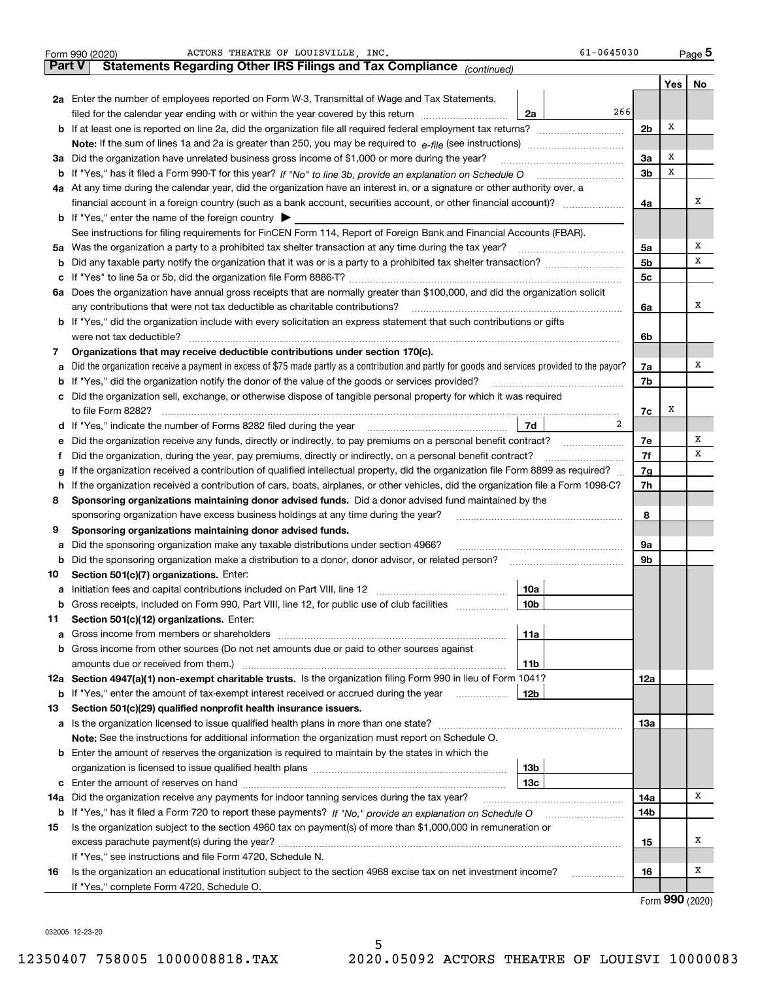|               | ACTORS THEATRE OF LOUISVILLE .INC.<br>Form 990 (2020)                                                                                           | 61-0645030      |                |     | Page 5                              |
|---------------|-------------------------------------------------------------------------------------------------------------------------------------------------|-----------------|----------------|-----|-------------------------------------|
| <b>Part V</b> | Statements Regarding Other IRS Filings and Tax Compliance (continued)                                                                           |                 |                |     |                                     |
|               |                                                                                                                                                 |                 |                | Yes | No                                  |
|               | 2a Enter the number of employees reported on Form W-3, Transmittal of Wage and Tax Statements,                                                  |                 |                |     |                                     |
|               | filed for the calendar year ending with or within the year covered by this return                                                               | 266<br>2a       |                |     |                                     |
|               |                                                                                                                                                 |                 | 2 <sub>b</sub> | х   |                                     |
|               |                                                                                                                                                 |                 |                |     |                                     |
| За            | Did the organization have unrelated business gross income of \$1,000 or more during the year?                                                   |                 | 3a             | х   |                                     |
|               |                                                                                                                                                 |                 | 3 <sub>b</sub> | х   |                                     |
|               | 4a At any time during the calendar year, did the organization have an interest in, or a signature or other authority over, a                    |                 |                |     |                                     |
|               | financial account in a foreign country (such as a bank account, securities account, or other financial account)?                                |                 | 4a             |     | х                                   |
|               | <b>b</b> If "Yes," enter the name of the foreign country $\blacktriangleright$                                                                  |                 |                |     |                                     |
|               | See instructions for filing requirements for FinCEN Form 114, Report of Foreign Bank and Financial Accounts (FBAR).                             |                 |                |     |                                     |
|               | 5a Was the organization a party to a prohibited tax shelter transaction at any time during the tax year?                                        |                 | 5a             |     | х                                   |
| b             |                                                                                                                                                 |                 | 5 <sub>b</sub> |     | х                                   |
| с             |                                                                                                                                                 |                 | 5c             |     |                                     |
|               | 6a Does the organization have annual gross receipts that are normally greater than \$100,000, and did the organization solicit                  |                 |                |     |                                     |
|               |                                                                                                                                                 |                 | 6a             |     | х                                   |
|               | <b>b</b> If "Yes," did the organization include with every solicitation an express statement that such contributions or gifts                   |                 |                |     |                                     |
|               | were not tax deductible?                                                                                                                        |                 | 6b             |     |                                     |
| 7             | Organizations that may receive deductible contributions under section 170(c).                                                                   |                 |                |     |                                     |
| a             | Did the organization receive a payment in excess of \$75 made partly as a contribution and partly for goods and services provided to the payor? |                 | 7a             |     | х                                   |
|               | <b>b</b> If "Yes," did the organization notify the donor of the value of the goods or services provided?                                        |                 | 7b             |     |                                     |
|               | c Did the organization sell, exchange, or otherwise dispose of tangible personal property for which it was required                             |                 |                |     |                                     |
|               |                                                                                                                                                 |                 | 7c             | x   |                                     |
|               |                                                                                                                                                 | 2<br>7d         |                |     |                                     |
| е             | Did the organization receive any funds, directly or indirectly, to pay premiums on a personal benefit contract?                                 |                 | 7e             |     | Х                                   |
| f             | Did the organization, during the year, pay premiums, directly or indirectly, on a personal benefit contract?                                    |                 | 7f             |     | х                                   |
| g             | If the organization received a contribution of qualified intellectual property, did the organization file Form 8899 as required?                |                 | 7g             |     |                                     |
| h.            | If the organization received a contribution of cars, boats, airplanes, or other vehicles, did the organization file a Form 1098-C?              |                 | 7h             |     |                                     |
| 8             | Sponsoring organizations maintaining donor advised funds. Did a donor advised fund maintained by the                                            |                 |                |     |                                     |
|               | sponsoring organization have excess business holdings at any time during the year?                                                              |                 | 8              |     |                                     |
| 9             | Sponsoring organizations maintaining donor advised funds.                                                                                       |                 |                |     |                                     |
| a             | Did the sponsoring organization make any taxable distributions under section 4966?                                                              |                 | 9a             |     |                                     |
| b             | Did the sponsoring organization make a distribution to a donor, donor advisor, or related person?                                               |                 | 9b             |     |                                     |
| 10            | Section 501(c)(7) organizations. Enter:                                                                                                         |                 |                |     |                                     |
|               |                                                                                                                                                 | 10a             |                |     |                                     |
|               | Gross receipts, included on Form 990, Part VIII, line 12, for public use of club facilities                                                     | 10 <sub>b</sub> |                |     |                                     |
| 11            | Section 501(c)(12) organizations. Enter:                                                                                                        |                 |                |     |                                     |
|               | <b>a</b> Gross income from members or shareholders                                                                                              | 11a             |                |     |                                     |
|               | <b>b</b> Gross income from other sources (Do not net amounts due or paid to other sources against                                               |                 |                |     |                                     |
|               |                                                                                                                                                 | 11b             |                |     |                                     |
|               | 12a Section 4947(a)(1) non-exempt charitable trusts. Is the organization filing Form 990 in lieu of Form 1041?                                  |                 | 12a            |     |                                     |
|               | <b>b</b> If "Yes," enter the amount of tax-exempt interest received or accrued during the year                                                  | 12b             |                |     |                                     |
| 13            | Section 501(c)(29) qualified nonprofit health insurance issuers.                                                                                |                 |                |     |                                     |
| a             | Is the organization licensed to issue qualified health plans in more than one state?                                                            |                 | 13а            |     |                                     |
|               | Note: See the instructions for additional information the organization must report on Schedule O.                                               |                 |                |     |                                     |
|               | <b>b</b> Enter the amount of reserves the organization is required to maintain by the states in which the                                       |                 |                |     |                                     |
|               |                                                                                                                                                 | 13b             |                |     |                                     |
|               |                                                                                                                                                 | 13с             |                |     | x                                   |
| 14a           | Did the organization receive any payments for indoor tanning services during the tax year?                                                      |                 | 14a            |     |                                     |
|               | <b>b</b> If "Yes," has it filed a Form 720 to report these payments? If "No," provide an explanation on Schedule O                              |                 | 14b            |     |                                     |
| 15            | Is the organization subject to the section 4960 tax on payment(s) of more than \$1,000,000 in remuneration or                                   |                 |                |     |                                     |
|               |                                                                                                                                                 |                 | 15             |     | х                                   |
|               | If "Yes," see instructions and file Form 4720, Schedule N.                                                                                      |                 |                |     |                                     |
| 16            | Is the organization an educational institution subject to the section 4968 excise tax on net investment income?                                 |                 | 16             |     | х                                   |
|               | If "Yes," complete Form 4720, Schedule O.                                                                                                       |                 |                |     | $T_{\text{arm}}$ QQ $\Omega$ (2020) |

Form (2020) **990**

032005 12-23-20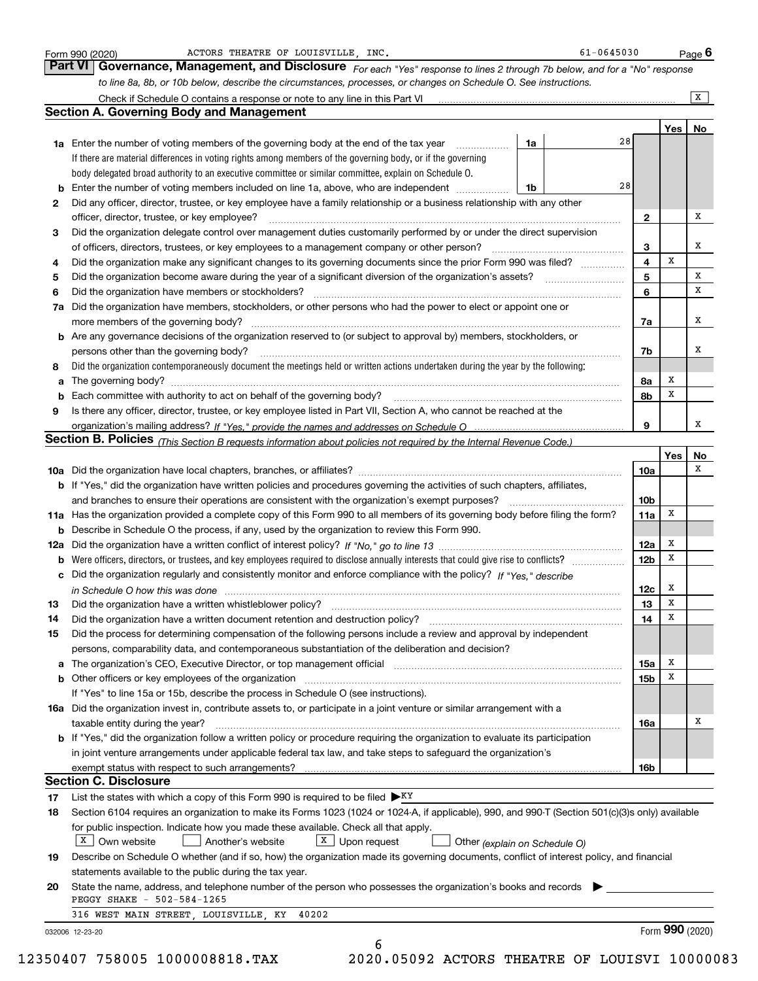|    |                                                                                                                                                                                                                                |    |    |                 |     | $\overline{X}$ |
|----|--------------------------------------------------------------------------------------------------------------------------------------------------------------------------------------------------------------------------------|----|----|-----------------|-----|----------------|
|    | <b>Section A. Governing Body and Management</b>                                                                                                                                                                                |    |    |                 |     |                |
|    |                                                                                                                                                                                                                                |    |    |                 | Yes | No             |
|    | 1a Enter the number of voting members of the governing body at the end of the tax year                                                                                                                                         | 1a | 28 |                 |     |                |
|    | If there are material differences in voting rights among members of the governing body, or if the governing                                                                                                                    |    |    |                 |     |                |
|    | body delegated broad authority to an executive committee or similar committee, explain on Schedule O.                                                                                                                          |    |    |                 |     |                |
| b  | Enter the number of voting members included on line 1a, above, who are independent <i>manumum</i>                                                                                                                              | 1b | 28 |                 |     |                |
| 2  | Did any officer, director, trustee, or key employee have a family relationship or a business relationship with any other                                                                                                       |    |    |                 |     |                |
|    | officer, director, trustee, or key employee?                                                                                                                                                                                   |    |    | 2               |     | x              |
| 3  | Did the organization delegate control over management duties customarily performed by or under the direct supervision                                                                                                          |    |    |                 |     |                |
|    | of officers, directors, trustees, or key employees to a management company or other person?                                                                                                                                    |    |    | 3               |     | x              |
| 4  | Did the organization make any significant changes to its governing documents since the prior Form 990 was filed?                                                                                                               |    |    | 4               | x   |                |
| 5  |                                                                                                                                                                                                                                |    |    | 5               |     | X              |
| 6  | Did the organization have members or stockholders?                                                                                                                                                                             |    |    | 6               |     | x              |
| 7a | Did the organization have members, stockholders, or other persons who had the power to elect or appoint one or                                                                                                                 |    |    |                 |     |                |
|    |                                                                                                                                                                                                                                |    |    | 7a              |     | x              |
| b  | Are any governance decisions of the organization reserved to (or subject to approval by) members, stockholders, or                                                                                                             |    |    |                 |     | x              |
|    | persons other than the governing body?                                                                                                                                                                                         |    |    | 7b              |     |                |
| 8  | Did the organization contemporaneously document the meetings held or written actions undertaken during the year by the following:                                                                                              |    |    |                 | x   |                |
| a  |                                                                                                                                                                                                                                |    |    | 8а              | x   |                |
| 9  | Each committee with authority to act on behalf of the governing body? [11] manufacture manufacture with authority to act on behalf of the governing body? [11] manufacture manufacture with authority of the state with an int |    |    | 8b              |     |                |
|    | Is there any officer, director, trustee, or key employee listed in Part VII, Section A, who cannot be reached at the                                                                                                           |    |    | 9               |     | x              |
|    | Section B. Policies (This Section B requests information about policies not required by the Internal Revenue Code.)                                                                                                            |    |    |                 |     |                |
|    |                                                                                                                                                                                                                                |    |    |                 | Yes | No             |
|    |                                                                                                                                                                                                                                |    |    | 10a             |     | x              |
|    | b If "Yes," did the organization have written policies and procedures governing the activities of such chapters, affiliates,                                                                                                   |    |    |                 |     |                |
|    | and branches to ensure their operations are consistent with the organization's exempt purposes?                                                                                                                                |    |    | 10 <sub>b</sub> |     |                |
|    | 11a Has the organization provided a complete copy of this Form 990 to all members of its governing body before filing the form?                                                                                                |    |    | 11a             | х   |                |
| b  | Describe in Schedule O the process, if any, used by the organization to review this Form 990.                                                                                                                                  |    |    |                 |     |                |
|    |                                                                                                                                                                                                                                |    |    | 12a             | X   |                |
| b  |                                                                                                                                                                                                                                |    |    | 12 <sub>b</sub> | х   |                |
|    | c Did the organization regularly and consistently monitor and enforce compliance with the policy? If "Yes," describe                                                                                                           |    |    |                 |     |                |
|    | in Schedule O how this was done manufactured and continuum and contact the state of the state of the state of                                                                                                                  |    |    | 12c             | х   |                |
| 13 |                                                                                                                                                                                                                                |    |    | 13              | X   |                |
| 14 | Did the organization have a written document retention and destruction policy? manufactured and the organization have a written document retention and destruction policy?                                                     |    |    | 14              | х   |                |
| 15 | Did the process for determining compensation of the following persons include a review and approval by independent                                                                                                             |    |    |                 |     |                |
|    | persons, comparability data, and contemporaneous substantiation of the deliberation and decision?                                                                                                                              |    |    |                 |     |                |
|    |                                                                                                                                                                                                                                |    |    | 15a             | x   |                |
|    | b Other officers or key employees of the organization manufactured content to content of the organization manufactured content of the organization manufactured content of the organization manufactured content of the organi |    |    | 15b             | Х   |                |
|    | If "Yes" to line 15a or 15b, describe the process in Schedule O (see instructions).                                                                                                                                            |    |    |                 |     |                |
|    | 16a Did the organization invest in, contribute assets to, or participate in a joint venture or similar arrangement with a                                                                                                      |    |    |                 |     |                |
|    | taxable entity during the year?                                                                                                                                                                                                |    |    | 16a             |     | х              |
|    | b If "Yes," did the organization follow a written policy or procedure requiring the organization to evaluate its participation                                                                                                 |    |    |                 |     |                |
|    | in joint venture arrangements under applicable federal tax law, and take steps to safeguard the organization's                                                                                                                 |    |    |                 |     |                |
|    |                                                                                                                                                                                                                                |    |    | 16b             |     |                |
|    | <b>Section C. Disclosure</b>                                                                                                                                                                                                   |    |    |                 |     |                |
| 17 | List the states with which a copy of this Form 990 is required to be filed $\blacktriangleright^{KY}$                                                                                                                          |    |    |                 |     |                |
| 18 | Section 6104 requires an organization to make its Forms 1023 (1024 or 1024-A, if applicable), 990, and 990-T (Section 501(c)(3)s only) available                                                                               |    |    |                 |     |                |
|    | for public inspection. Indicate how you made these available. Check all that apply.                                                                                                                                            |    |    |                 |     |                |
|    | $X$ Own website<br>$\boxed{\text{X}}$ Upon request<br>Another's website<br>Other (explain on Schedule O)                                                                                                                       |    |    |                 |     |                |
| 19 | Describe on Schedule O whether (and if so, how) the organization made its governing documents, conflict of interest policy, and financial                                                                                      |    |    |                 |     |                |
|    | statements available to the public during the tax year.                                                                                                                                                                        |    |    |                 |     |                |
| 20 | State the name, address, and telephone number of the person who possesses the organization's books and records<br>PEGGY SHAKE - 502-584-1265                                                                                   |    |    |                 |     |                |
|    | 316 WEST MAIN STREET, LOUISVILLE, KY<br>40202                                                                                                                                                                                  |    |    |                 |     |                |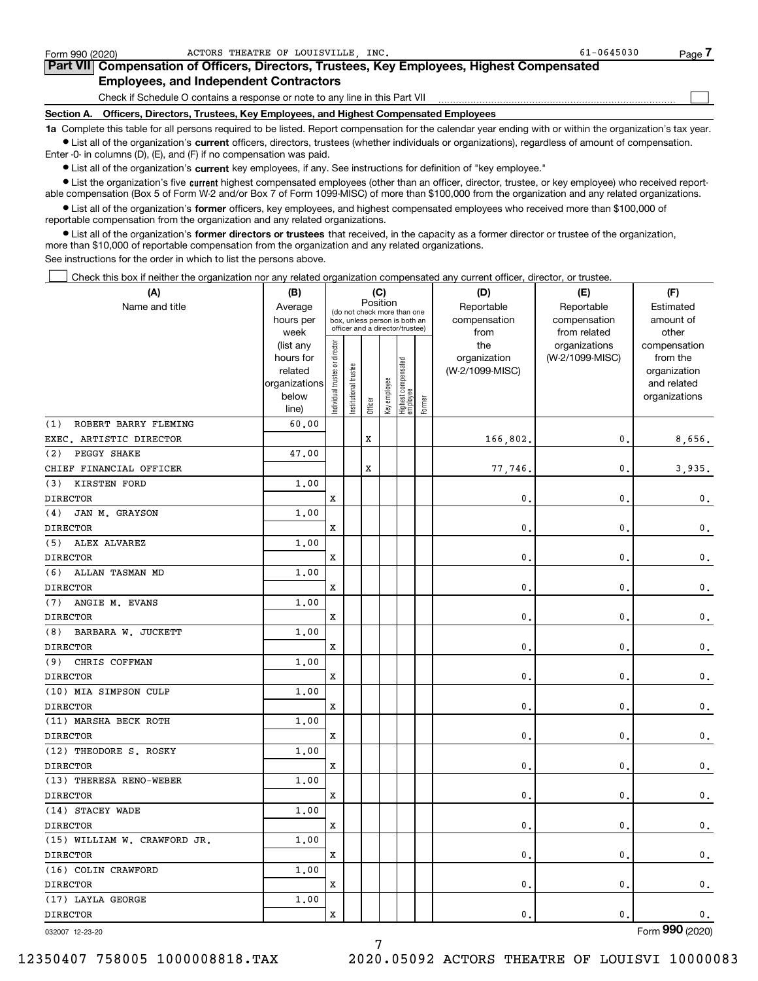| Form 990 (2020)                                                                                                                                            | ACTORS THEATRE OF LOUISVILLE INC.                                            | $61 - 0645030$<br>Page |  |  |  |  |  |  |  |  |  |  |
|------------------------------------------------------------------------------------------------------------------------------------------------------------|------------------------------------------------------------------------------|------------------------|--|--|--|--|--|--|--|--|--|--|
| Part VII Compensation of Officers, Directors, Trustees, Key Employees, Highest Compensated                                                                 |                                                                              |                        |  |  |  |  |  |  |  |  |  |  |
| <b>Employees, and Independent Contractors</b>                                                                                                              |                                                                              |                        |  |  |  |  |  |  |  |  |  |  |
|                                                                                                                                                            | Check if Schedule O contains a response or note to any line in this Part VII |                        |  |  |  |  |  |  |  |  |  |  |
| Section A. Officers, Directors, Trustees, Key Employees, and Highest Compensated Employees                                                                 |                                                                              |                        |  |  |  |  |  |  |  |  |  |  |
| 1a Complete this table for all persons required to be listed. Report compensation for the calendar year ending with or within the organization's tax year. |                                                                              |                        |  |  |  |  |  |  |  |  |  |  |

**•** List all of the organization's current officers, directors, trustees (whether individuals or organizations), regardless of amount of compensation. Enter -0- in columns (D), (E), and (F) if no compensation was paid.

 $\bullet$  List all of the organization's  $\,$ current key employees, if any. See instructions for definition of "key employee."

**•** List the organization's five current highest compensated employees (other than an officer, director, trustee, or key employee) who received reportable compensation (Box 5 of Form W-2 and/or Box 7 of Form 1099-MISC) of more than \$100,000 from the organization and any related organizations.

**•** List all of the organization's former officers, key employees, and highest compensated employees who received more than \$100,000 of reportable compensation from the organization and any related organizations.

**former directors or trustees**  ¥ List all of the organization's that received, in the capacity as a former director or trustee of the organization, more than \$10,000 of reportable compensation from the organization and any related organizations.

See instructions for the order in which to list the persons above.

Check this box if neither the organization nor any related organization compensated any current officer, director, or trustee.  $\mathcal{L}^{\text{max}}$ 

| Position<br>Name and title<br>Reportable<br>Reportable<br>Average<br>Estimated<br>(do not check more than one<br>compensation<br>compensation<br>amount of<br>hours per<br>box, unless person is both an<br>officer and a director/trustee)<br>week<br>from<br>from related<br>other<br>Individual trustee or director<br>the<br>organizations<br>(list any<br>compensation<br>(W-2/1099-MISC)<br>hours for<br>organization<br>from the<br>Highest compensated<br> employee<br>Institutional trustee<br>(W-2/1099-MISC)<br>related<br>organization<br>Key employee<br>organizations<br>and related<br>below<br>organizations<br>Former<br>Officer<br>line)<br>ROBERT BARRY FLEMING<br>60.00<br>(1)<br>X<br>EXEC. ARTISTIC DIRECTOR<br>166,802.<br>0.<br>8,656.<br>PEGGY SHAKE<br>(2)<br>47.00<br>$\mathbf x$<br>CHIEF FINANCIAL OFFICER<br>$\mathbf{0}$ .<br>3,935.<br>77,746.<br><b>KIRSTEN FORD</b><br>(3)<br>1.00<br><b>DIRECTOR</b><br>$\mathbf{0}$ .<br>x<br>$\mathbf{0}$ .<br>$\mathfrak{o}$ .<br>JAN M. GRAYSON<br>1.00<br>(4)<br>$\mathbf{0}$ .<br>$\mathbf{0}$ .<br><b>DIRECTOR</b><br>x<br>$\mathbf 0$ .<br>ALEX ALVAREZ<br>1.00<br>(5)<br>$\mathbf{0}$ .<br>$\mathbf{0}$ .<br><b>DIRECTOR</b><br>x<br>$\mathbf 0$ .<br>(6)<br>ALLAN TASMAN MD<br>1.00<br><b>DIRECTOR</b><br>x<br>0.<br>$\mathbf{0}$ .<br>$\mathbf{0}$ .<br>ANGIE M. EVANS<br>1.00<br>(7)<br><b>DIRECTOR</b><br>0.<br>$\mathbf{0}$ .<br>x<br>$\mathbf{0}$ .<br>BARBARA W. JUCKETT<br>1.00<br>(8)<br><b>DIRECTOR</b><br>x<br>$\mathbf{0}$ .<br>$\mathbf{0}$ .<br>$\mathbf 0$ .<br>(9)<br>CHRIS COFFMAN<br>1.00<br><b>DIRECTOR</b><br>x<br>0.<br>$\mathbf{0}$ .<br>$\mathbf 0$ .<br>(10) MIA SIMPSON CULP<br>1.00<br><b>DIRECTOR</b><br>x<br>$\mathbf{0}$ .<br>$\mathbf{0}$ .<br>$\mathbf{0}$ .<br>(11) MARSHA BECK ROTH<br>1.00<br><b>DIRECTOR</b><br>x<br>$\mathbf{0}$ .<br>$\mathbf{0}$ .<br>$\mathsf{0}\,.$<br>(12) THEODORE S. ROSKY<br>1.00<br><b>DIRECTOR</b><br>x<br>$\mathbf{0}$ .<br>$\mathbf{0}$ .<br>$\mathsf{0}\,.$<br>(13) THERESA RENO-WEBER<br>1.00<br><b>DIRECTOR</b><br>x<br>$\mathbf{0}$ .<br>$\mathbf{0}$ .<br>$\mathsf{0}\,.$<br>(14) STACEY WADE<br>1.00<br><b>DIRECTOR</b><br>x<br>$\mathbf{0}$ .<br>$\mathbf{0}$ .<br>$\mathbf{0}$ .<br>(15) WILLIAM W. CRAWFORD JR.<br>1.00<br><b>DIRECTOR</b><br>x<br>$\mathbf{0}$ .<br>$\mathbf{0}$ .<br>$\mathbf 0$ .<br>(16) COLIN CRAWFORD<br>1.00<br>$\mathbf{0}$ .<br><b>DIRECTOR</b><br>x<br>$\mathbf{0}$ .<br>$\mathsf{0}\,.$<br>(17) LAYLA GEORGE<br>1.00<br><b>DIRECTOR</b><br>$\mathbf{0}$ .<br>$\mathbf{0}$ .<br>x<br>$\mathbf 0$ . | (A) | (B) |  | (C) |  | (D) | (E) | (F) |  |  |
|-----------------------------------------------------------------------------------------------------------------------------------------------------------------------------------------------------------------------------------------------------------------------------------------------------------------------------------------------------------------------------------------------------------------------------------------------------------------------------------------------------------------------------------------------------------------------------------------------------------------------------------------------------------------------------------------------------------------------------------------------------------------------------------------------------------------------------------------------------------------------------------------------------------------------------------------------------------------------------------------------------------------------------------------------------------------------------------------------------------------------------------------------------------------------------------------------------------------------------------------------------------------------------------------------------------------------------------------------------------------------------------------------------------------------------------------------------------------------------------------------------------------------------------------------------------------------------------------------------------------------------------------------------------------------------------------------------------------------------------------------------------------------------------------------------------------------------------------------------------------------------------------------------------------------------------------------------------------------------------------------------------------------------------------------------------------------------------------------------------------------------------------------------------------------------------------------------------------------------------------------------------------------------------------------------------------------------------------------------------------------------------------------------------------------------------------------------------------------------------------------------------------------------------------------------------------------------------|-----|-----|--|-----|--|-----|-----|-----|--|--|
|                                                                                                                                                                                                                                                                                                                                                                                                                                                                                                                                                                                                                                                                                                                                                                                                                                                                                                                                                                                                                                                                                                                                                                                                                                                                                                                                                                                                                                                                                                                                                                                                                                                                                                                                                                                                                                                                                                                                                                                                                                                                                                                                                                                                                                                                                                                                                                                                                                                                                                                                                                                   |     |     |  |     |  |     |     |     |  |  |
|                                                                                                                                                                                                                                                                                                                                                                                                                                                                                                                                                                                                                                                                                                                                                                                                                                                                                                                                                                                                                                                                                                                                                                                                                                                                                                                                                                                                                                                                                                                                                                                                                                                                                                                                                                                                                                                                                                                                                                                                                                                                                                                                                                                                                                                                                                                                                                                                                                                                                                                                                                                   |     |     |  |     |  |     |     |     |  |  |
|                                                                                                                                                                                                                                                                                                                                                                                                                                                                                                                                                                                                                                                                                                                                                                                                                                                                                                                                                                                                                                                                                                                                                                                                                                                                                                                                                                                                                                                                                                                                                                                                                                                                                                                                                                                                                                                                                                                                                                                                                                                                                                                                                                                                                                                                                                                                                                                                                                                                                                                                                                                   |     |     |  |     |  |     |     |     |  |  |
|                                                                                                                                                                                                                                                                                                                                                                                                                                                                                                                                                                                                                                                                                                                                                                                                                                                                                                                                                                                                                                                                                                                                                                                                                                                                                                                                                                                                                                                                                                                                                                                                                                                                                                                                                                                                                                                                                                                                                                                                                                                                                                                                                                                                                                                                                                                                                                                                                                                                                                                                                                                   |     |     |  |     |  |     |     |     |  |  |
|                                                                                                                                                                                                                                                                                                                                                                                                                                                                                                                                                                                                                                                                                                                                                                                                                                                                                                                                                                                                                                                                                                                                                                                                                                                                                                                                                                                                                                                                                                                                                                                                                                                                                                                                                                                                                                                                                                                                                                                                                                                                                                                                                                                                                                                                                                                                                                                                                                                                                                                                                                                   |     |     |  |     |  |     |     |     |  |  |
|                                                                                                                                                                                                                                                                                                                                                                                                                                                                                                                                                                                                                                                                                                                                                                                                                                                                                                                                                                                                                                                                                                                                                                                                                                                                                                                                                                                                                                                                                                                                                                                                                                                                                                                                                                                                                                                                                                                                                                                                                                                                                                                                                                                                                                                                                                                                                                                                                                                                                                                                                                                   |     |     |  |     |  |     |     |     |  |  |
|                                                                                                                                                                                                                                                                                                                                                                                                                                                                                                                                                                                                                                                                                                                                                                                                                                                                                                                                                                                                                                                                                                                                                                                                                                                                                                                                                                                                                                                                                                                                                                                                                                                                                                                                                                                                                                                                                                                                                                                                                                                                                                                                                                                                                                                                                                                                                                                                                                                                                                                                                                                   |     |     |  |     |  |     |     |     |  |  |
|                                                                                                                                                                                                                                                                                                                                                                                                                                                                                                                                                                                                                                                                                                                                                                                                                                                                                                                                                                                                                                                                                                                                                                                                                                                                                                                                                                                                                                                                                                                                                                                                                                                                                                                                                                                                                                                                                                                                                                                                                                                                                                                                                                                                                                                                                                                                                                                                                                                                                                                                                                                   |     |     |  |     |  |     |     |     |  |  |
|                                                                                                                                                                                                                                                                                                                                                                                                                                                                                                                                                                                                                                                                                                                                                                                                                                                                                                                                                                                                                                                                                                                                                                                                                                                                                                                                                                                                                                                                                                                                                                                                                                                                                                                                                                                                                                                                                                                                                                                                                                                                                                                                                                                                                                                                                                                                                                                                                                                                                                                                                                                   |     |     |  |     |  |     |     |     |  |  |
|                                                                                                                                                                                                                                                                                                                                                                                                                                                                                                                                                                                                                                                                                                                                                                                                                                                                                                                                                                                                                                                                                                                                                                                                                                                                                                                                                                                                                                                                                                                                                                                                                                                                                                                                                                                                                                                                                                                                                                                                                                                                                                                                                                                                                                                                                                                                                                                                                                                                                                                                                                                   |     |     |  |     |  |     |     |     |  |  |
|                                                                                                                                                                                                                                                                                                                                                                                                                                                                                                                                                                                                                                                                                                                                                                                                                                                                                                                                                                                                                                                                                                                                                                                                                                                                                                                                                                                                                                                                                                                                                                                                                                                                                                                                                                                                                                                                                                                                                                                                                                                                                                                                                                                                                                                                                                                                                                                                                                                                                                                                                                                   |     |     |  |     |  |     |     |     |  |  |
|                                                                                                                                                                                                                                                                                                                                                                                                                                                                                                                                                                                                                                                                                                                                                                                                                                                                                                                                                                                                                                                                                                                                                                                                                                                                                                                                                                                                                                                                                                                                                                                                                                                                                                                                                                                                                                                                                                                                                                                                                                                                                                                                                                                                                                                                                                                                                                                                                                                                                                                                                                                   |     |     |  |     |  |     |     |     |  |  |
|                                                                                                                                                                                                                                                                                                                                                                                                                                                                                                                                                                                                                                                                                                                                                                                                                                                                                                                                                                                                                                                                                                                                                                                                                                                                                                                                                                                                                                                                                                                                                                                                                                                                                                                                                                                                                                                                                                                                                                                                                                                                                                                                                                                                                                                                                                                                                                                                                                                                                                                                                                                   |     |     |  |     |  |     |     |     |  |  |
|                                                                                                                                                                                                                                                                                                                                                                                                                                                                                                                                                                                                                                                                                                                                                                                                                                                                                                                                                                                                                                                                                                                                                                                                                                                                                                                                                                                                                                                                                                                                                                                                                                                                                                                                                                                                                                                                                                                                                                                                                                                                                                                                                                                                                                                                                                                                                                                                                                                                                                                                                                                   |     |     |  |     |  |     |     |     |  |  |
|                                                                                                                                                                                                                                                                                                                                                                                                                                                                                                                                                                                                                                                                                                                                                                                                                                                                                                                                                                                                                                                                                                                                                                                                                                                                                                                                                                                                                                                                                                                                                                                                                                                                                                                                                                                                                                                                                                                                                                                                                                                                                                                                                                                                                                                                                                                                                                                                                                                                                                                                                                                   |     |     |  |     |  |     |     |     |  |  |
|                                                                                                                                                                                                                                                                                                                                                                                                                                                                                                                                                                                                                                                                                                                                                                                                                                                                                                                                                                                                                                                                                                                                                                                                                                                                                                                                                                                                                                                                                                                                                                                                                                                                                                                                                                                                                                                                                                                                                                                                                                                                                                                                                                                                                                                                                                                                                                                                                                                                                                                                                                                   |     |     |  |     |  |     |     |     |  |  |
|                                                                                                                                                                                                                                                                                                                                                                                                                                                                                                                                                                                                                                                                                                                                                                                                                                                                                                                                                                                                                                                                                                                                                                                                                                                                                                                                                                                                                                                                                                                                                                                                                                                                                                                                                                                                                                                                                                                                                                                                                                                                                                                                                                                                                                                                                                                                                                                                                                                                                                                                                                                   |     |     |  |     |  |     |     |     |  |  |
|                                                                                                                                                                                                                                                                                                                                                                                                                                                                                                                                                                                                                                                                                                                                                                                                                                                                                                                                                                                                                                                                                                                                                                                                                                                                                                                                                                                                                                                                                                                                                                                                                                                                                                                                                                                                                                                                                                                                                                                                                                                                                                                                                                                                                                                                                                                                                                                                                                                                                                                                                                                   |     |     |  |     |  |     |     |     |  |  |
|                                                                                                                                                                                                                                                                                                                                                                                                                                                                                                                                                                                                                                                                                                                                                                                                                                                                                                                                                                                                                                                                                                                                                                                                                                                                                                                                                                                                                                                                                                                                                                                                                                                                                                                                                                                                                                                                                                                                                                                                                                                                                                                                                                                                                                                                                                                                                                                                                                                                                                                                                                                   |     |     |  |     |  |     |     |     |  |  |
|                                                                                                                                                                                                                                                                                                                                                                                                                                                                                                                                                                                                                                                                                                                                                                                                                                                                                                                                                                                                                                                                                                                                                                                                                                                                                                                                                                                                                                                                                                                                                                                                                                                                                                                                                                                                                                                                                                                                                                                                                                                                                                                                                                                                                                                                                                                                                                                                                                                                                                                                                                                   |     |     |  |     |  |     |     |     |  |  |
|                                                                                                                                                                                                                                                                                                                                                                                                                                                                                                                                                                                                                                                                                                                                                                                                                                                                                                                                                                                                                                                                                                                                                                                                                                                                                                                                                                                                                                                                                                                                                                                                                                                                                                                                                                                                                                                                                                                                                                                                                                                                                                                                                                                                                                                                                                                                                                                                                                                                                                                                                                                   |     |     |  |     |  |     |     |     |  |  |
|                                                                                                                                                                                                                                                                                                                                                                                                                                                                                                                                                                                                                                                                                                                                                                                                                                                                                                                                                                                                                                                                                                                                                                                                                                                                                                                                                                                                                                                                                                                                                                                                                                                                                                                                                                                                                                                                                                                                                                                                                                                                                                                                                                                                                                                                                                                                                                                                                                                                                                                                                                                   |     |     |  |     |  |     |     |     |  |  |
|                                                                                                                                                                                                                                                                                                                                                                                                                                                                                                                                                                                                                                                                                                                                                                                                                                                                                                                                                                                                                                                                                                                                                                                                                                                                                                                                                                                                                                                                                                                                                                                                                                                                                                                                                                                                                                                                                                                                                                                                                                                                                                                                                                                                                                                                                                                                                                                                                                                                                                                                                                                   |     |     |  |     |  |     |     |     |  |  |
|                                                                                                                                                                                                                                                                                                                                                                                                                                                                                                                                                                                                                                                                                                                                                                                                                                                                                                                                                                                                                                                                                                                                                                                                                                                                                                                                                                                                                                                                                                                                                                                                                                                                                                                                                                                                                                                                                                                                                                                                                                                                                                                                                                                                                                                                                                                                                                                                                                                                                                                                                                                   |     |     |  |     |  |     |     |     |  |  |
|                                                                                                                                                                                                                                                                                                                                                                                                                                                                                                                                                                                                                                                                                                                                                                                                                                                                                                                                                                                                                                                                                                                                                                                                                                                                                                                                                                                                                                                                                                                                                                                                                                                                                                                                                                                                                                                                                                                                                                                                                                                                                                                                                                                                                                                                                                                                                                                                                                                                                                                                                                                   |     |     |  |     |  |     |     |     |  |  |
|                                                                                                                                                                                                                                                                                                                                                                                                                                                                                                                                                                                                                                                                                                                                                                                                                                                                                                                                                                                                                                                                                                                                                                                                                                                                                                                                                                                                                                                                                                                                                                                                                                                                                                                                                                                                                                                                                                                                                                                                                                                                                                                                                                                                                                                                                                                                                                                                                                                                                                                                                                                   |     |     |  |     |  |     |     |     |  |  |
|                                                                                                                                                                                                                                                                                                                                                                                                                                                                                                                                                                                                                                                                                                                                                                                                                                                                                                                                                                                                                                                                                                                                                                                                                                                                                                                                                                                                                                                                                                                                                                                                                                                                                                                                                                                                                                                                                                                                                                                                                                                                                                                                                                                                                                                                                                                                                                                                                                                                                                                                                                                   |     |     |  |     |  |     |     |     |  |  |
|                                                                                                                                                                                                                                                                                                                                                                                                                                                                                                                                                                                                                                                                                                                                                                                                                                                                                                                                                                                                                                                                                                                                                                                                                                                                                                                                                                                                                                                                                                                                                                                                                                                                                                                                                                                                                                                                                                                                                                                                                                                                                                                                                                                                                                                                                                                                                                                                                                                                                                                                                                                   |     |     |  |     |  |     |     |     |  |  |
|                                                                                                                                                                                                                                                                                                                                                                                                                                                                                                                                                                                                                                                                                                                                                                                                                                                                                                                                                                                                                                                                                                                                                                                                                                                                                                                                                                                                                                                                                                                                                                                                                                                                                                                                                                                                                                                                                                                                                                                                                                                                                                                                                                                                                                                                                                                                                                                                                                                                                                                                                                                   |     |     |  |     |  |     |     |     |  |  |
|                                                                                                                                                                                                                                                                                                                                                                                                                                                                                                                                                                                                                                                                                                                                                                                                                                                                                                                                                                                                                                                                                                                                                                                                                                                                                                                                                                                                                                                                                                                                                                                                                                                                                                                                                                                                                                                                                                                                                                                                                                                                                                                                                                                                                                                                                                                                                                                                                                                                                                                                                                                   |     |     |  |     |  |     |     |     |  |  |
|                                                                                                                                                                                                                                                                                                                                                                                                                                                                                                                                                                                                                                                                                                                                                                                                                                                                                                                                                                                                                                                                                                                                                                                                                                                                                                                                                                                                                                                                                                                                                                                                                                                                                                                                                                                                                                                                                                                                                                                                                                                                                                                                                                                                                                                                                                                                                                                                                                                                                                                                                                                   |     |     |  |     |  |     |     |     |  |  |
|                                                                                                                                                                                                                                                                                                                                                                                                                                                                                                                                                                                                                                                                                                                                                                                                                                                                                                                                                                                                                                                                                                                                                                                                                                                                                                                                                                                                                                                                                                                                                                                                                                                                                                                                                                                                                                                                                                                                                                                                                                                                                                                                                                                                                                                                                                                                                                                                                                                                                                                                                                                   |     |     |  |     |  |     |     |     |  |  |
|                                                                                                                                                                                                                                                                                                                                                                                                                                                                                                                                                                                                                                                                                                                                                                                                                                                                                                                                                                                                                                                                                                                                                                                                                                                                                                                                                                                                                                                                                                                                                                                                                                                                                                                                                                                                                                                                                                                                                                                                                                                                                                                                                                                                                                                                                                                                                                                                                                                                                                                                                                                   |     |     |  |     |  |     |     |     |  |  |
|                                                                                                                                                                                                                                                                                                                                                                                                                                                                                                                                                                                                                                                                                                                                                                                                                                                                                                                                                                                                                                                                                                                                                                                                                                                                                                                                                                                                                                                                                                                                                                                                                                                                                                                                                                                                                                                                                                                                                                                                                                                                                                                                                                                                                                                                                                                                                                                                                                                                                                                                                                                   |     |     |  |     |  |     |     |     |  |  |
|                                                                                                                                                                                                                                                                                                                                                                                                                                                                                                                                                                                                                                                                                                                                                                                                                                                                                                                                                                                                                                                                                                                                                                                                                                                                                                                                                                                                                                                                                                                                                                                                                                                                                                                                                                                                                                                                                                                                                                                                                                                                                                                                                                                                                                                                                                                                                                                                                                                                                                                                                                                   |     |     |  |     |  |     |     |     |  |  |
|                                                                                                                                                                                                                                                                                                                                                                                                                                                                                                                                                                                                                                                                                                                                                                                                                                                                                                                                                                                                                                                                                                                                                                                                                                                                                                                                                                                                                                                                                                                                                                                                                                                                                                                                                                                                                                                                                                                                                                                                                                                                                                                                                                                                                                                                                                                                                                                                                                                                                                                                                                                   |     |     |  |     |  |     |     |     |  |  |
|                                                                                                                                                                                                                                                                                                                                                                                                                                                                                                                                                                                                                                                                                                                                                                                                                                                                                                                                                                                                                                                                                                                                                                                                                                                                                                                                                                                                                                                                                                                                                                                                                                                                                                                                                                                                                                                                                                                                                                                                                                                                                                                                                                                                                                                                                                                                                                                                                                                                                                                                                                                   |     |     |  |     |  |     |     |     |  |  |
|                                                                                                                                                                                                                                                                                                                                                                                                                                                                                                                                                                                                                                                                                                                                                                                                                                                                                                                                                                                                                                                                                                                                                                                                                                                                                                                                                                                                                                                                                                                                                                                                                                                                                                                                                                                                                                                                                                                                                                                                                                                                                                                                                                                                                                                                                                                                                                                                                                                                                                                                                                                   |     |     |  |     |  |     |     |     |  |  |

7

032007 12-23-20

Form (2020) **990**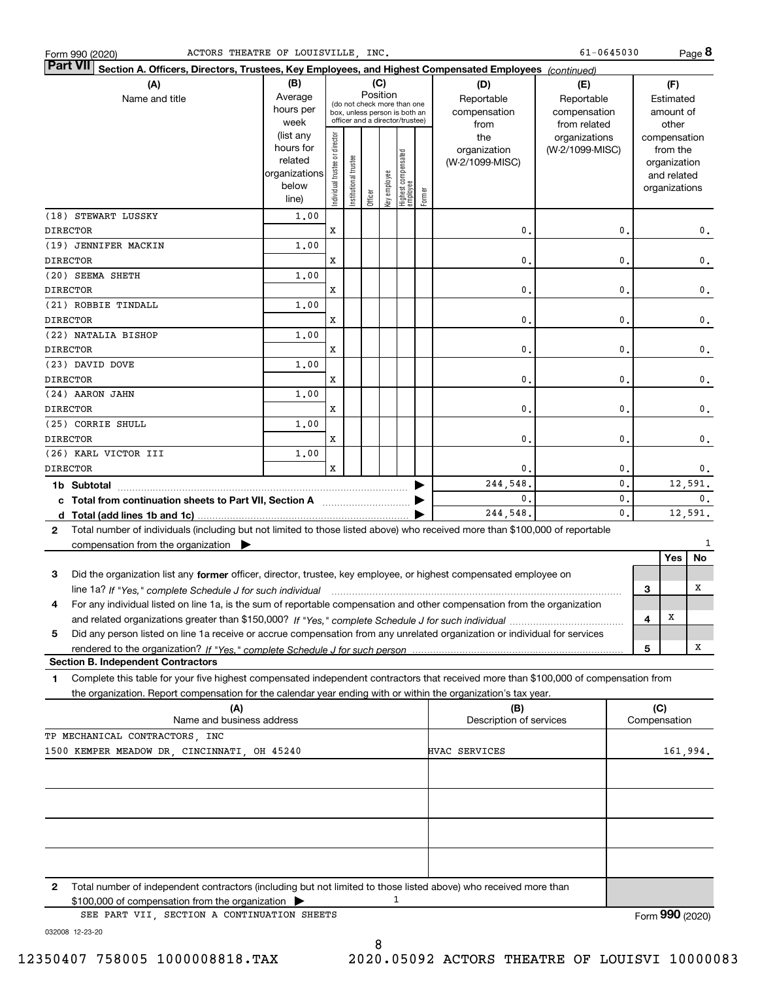| Form 990 (2020)                                                                                                                                                                                                                                                   | ACTORS THEATRE OF LOUISVILLE INC.                                    |                                                                                                             |                        |         |              |                                   |        |                                           | 61-0645030                                        |              |                                         | Page 8                        |
|-------------------------------------------------------------------------------------------------------------------------------------------------------------------------------------------------------------------------------------------------------------------|----------------------------------------------------------------------|-------------------------------------------------------------------------------------------------------------|------------------------|---------|--------------|-----------------------------------|--------|-------------------------------------------|---------------------------------------------------|--------------|-----------------------------------------|-------------------------------|
| <b>Part VII</b><br>Section A. Officers, Directors, Trustees, Key Employees, and Highest Compensated Employees (continued)                                                                                                                                         |                                                                      |                                                                                                             |                        |         |              |                                   |        |                                           |                                                   |              |                                         |                               |
| (A)<br>Name and title                                                                                                                                                                                                                                             | (B)<br>Average<br>hours per<br>week                                  | Position<br>(do not check more than one<br>box, unless person is both an<br>officer and a director/trustee) |                        |         |              |                                   |        | (D)<br>Reportable<br>compensation<br>from | (E)<br>Reportable<br>compensation<br>from related |              | (F)<br>Estimated<br>amount of<br>other  |                               |
|                                                                                                                                                                                                                                                                   | (list any<br>hours for<br>related<br>organizations<br>below<br>line) | Individual trustee or director                                                                              | In stitutional trustee | Officer | key employee | Highest compensated<br>  employee | Former | the<br>organization<br>(W-2/1099-MISC)    | organizations<br>(W-2/1099-MISC)                  |              | from the<br>organization<br>and related | compensation<br>organizations |
| (18) STEWART LUSSKY<br><b>DIRECTOR</b>                                                                                                                                                                                                                            | 1,00                                                                 | x                                                                                                           |                        |         |              |                                   |        | $\mathbf{0}$                              | 0.                                                |              |                                         | 0.                            |
| (19) JENNIFER MACKIN                                                                                                                                                                                                                                              | 1,00                                                                 |                                                                                                             |                        |         |              |                                   |        |                                           |                                                   |              |                                         |                               |
| <b>DIRECTOR</b><br>(20) SEEMA SHETH                                                                                                                                                                                                                               | 1,00                                                                 | x                                                                                                           |                        |         |              |                                   |        | 0.                                        | 0.                                                |              |                                         | 0.                            |
| <b>DIRECTOR</b>                                                                                                                                                                                                                                                   |                                                                      | x                                                                                                           |                        |         |              |                                   |        | 0.                                        | 0.                                                |              |                                         | 0.                            |
| (21) ROBBIE TINDALL<br><b>DIRECTOR</b>                                                                                                                                                                                                                            | 1,00                                                                 | x                                                                                                           |                        |         |              |                                   |        | 0.                                        | 0.                                                |              |                                         | 0.                            |
| (22) NATALIA BISHOP                                                                                                                                                                                                                                               | 1,00                                                                 |                                                                                                             |                        |         |              |                                   |        |                                           |                                                   |              |                                         |                               |
| <b>DIRECTOR</b><br>(23) DAVID DOVE                                                                                                                                                                                                                                | 1,00                                                                 | x                                                                                                           |                        |         |              |                                   |        | 0.                                        | 0.                                                |              |                                         | 0.                            |
| <b>DIRECTOR</b>                                                                                                                                                                                                                                                   |                                                                      | x                                                                                                           |                        |         |              |                                   |        | 0.                                        | 0.                                                |              |                                         | 0.                            |
| (24) AARON JAHN<br><b>DIRECTOR</b>                                                                                                                                                                                                                                | 1,00                                                                 | x                                                                                                           |                        |         |              |                                   |        | 0.                                        | 0.                                                |              |                                         | 0.                            |
| (25) CORRIE SHULL<br><b>DIRECTOR</b>                                                                                                                                                                                                                              | 1,00                                                                 | x                                                                                                           |                        |         |              |                                   |        | $\mathbf{0}$                              | 0.                                                |              |                                         | 0.                            |
| (26) KARL VICTOR III                                                                                                                                                                                                                                              | 1,00                                                                 |                                                                                                             |                        |         |              |                                   |        |                                           |                                                   |              |                                         |                               |
| <b>DIRECTOR</b><br>1b Subtotal                                                                                                                                                                                                                                    |                                                                      | X                                                                                                           |                        |         |              |                                   |        | 0.<br>244,548                             | 0.<br>0.                                          |              |                                         | 0.<br>12,591.                 |
| c Total from continuation sheets to Part VII, Section A manufactured and response to Total and Total and Total                                                                                                                                                    |                                                                      |                                                                                                             |                        |         |              |                                   |        | $\mathbf{0}$                              | 0.                                                |              |                                         | 0.                            |
|                                                                                                                                                                                                                                                                   |                                                                      |                                                                                                             |                        |         |              |                                   |        | 244,548                                   | $\mathbf 0$ .                                     |              |                                         | 12,591.                       |
| Total number of individuals (including but not limited to those listed above) who received more than \$100,000 of reportable<br>2<br>compensation from the organization $\blacktriangleright$                                                                     |                                                                      |                                                                                                             |                        |         |              |                                   |        |                                           |                                                   |              |                                         | 1                             |
|                                                                                                                                                                                                                                                                   |                                                                      |                                                                                                             |                        |         |              |                                   |        |                                           |                                                   |              | Yes                                     | No                            |
| Did the organization list any former officer, director, trustee, key employee, or highest compensated employee on<br>3<br>line 1a? If "Yes," complete Schedule J for such individual manufactured contained and the Ves," complete Schedule J for such individual |                                                                      |                                                                                                             |                        |         |              |                                   |        |                                           |                                                   | 3            |                                         | х                             |
| For any individual listed on line 1a, is the sum of reportable compensation and other compensation from the organization<br>4                                                                                                                                     |                                                                      |                                                                                                             |                        |         |              |                                   |        |                                           |                                                   | 4            | Х                                       |                               |
| Did any person listed on line 1a receive or accrue compensation from any unrelated organization or individual for services<br>5                                                                                                                                   |                                                                      |                                                                                                             |                        |         |              |                                   |        |                                           |                                                   |              |                                         |                               |
| <b>Section B. Independent Contractors</b>                                                                                                                                                                                                                         |                                                                      |                                                                                                             |                        |         |              |                                   |        |                                           |                                                   | 5            |                                         | х                             |
| Complete this table for your five highest compensated independent contractors that received more than \$100,000 of compensation from<br>1                                                                                                                         |                                                                      |                                                                                                             |                        |         |              |                                   |        |                                           |                                                   |              |                                         |                               |
| the organization. Report compensation for the calendar year ending with or within the organization's tax year.<br>(A)                                                                                                                                             |                                                                      |                                                                                                             |                        |         |              |                                   |        | (B)                                       |                                                   | (C)          |                                         |                               |
| Name and business address                                                                                                                                                                                                                                         |                                                                      |                                                                                                             |                        |         |              |                                   |        | Description of services                   |                                                   | Compensation |                                         |                               |
| TP MECHANICAL CONTRACTORS, INC                                                                                                                                                                                                                                    |                                                                      |                                                                                                             |                        |         |              |                                   |        | HVAC SERVICES                             |                                                   |              |                                         |                               |
| 1500 KEMPER MEADOW DR, CINCINNATI, OH 45240                                                                                                                                                                                                                       |                                                                      |                                                                                                             |                        |         |              |                                   |        |                                           |                                                   |              |                                         | 161,994.                      |
|                                                                                                                                                                                                                                                                   |                                                                      |                                                                                                             |                        |         |              |                                   |        |                                           |                                                   |              |                                         |                               |
|                                                                                                                                                                                                                                                                   |                                                                      |                                                                                                             |                        |         |              |                                   |        |                                           |                                                   |              |                                         |                               |
| 2<br>Total number of independent contractors (including but not limited to those listed above) who received more than<br>\$100,000 of compensation from the organization                                                                                          |                                                                      |                                                                                                             |                        |         | 1            |                                   |        |                                           |                                                   |              |                                         |                               |
| SEE PART VII, SECTION A CONTINUATION SHEETS<br>032008 12-23-20                                                                                                                                                                                                    |                                                                      |                                                                                                             |                        |         |              |                                   |        |                                           |                                                   |              |                                         | Form 990 (2020)               |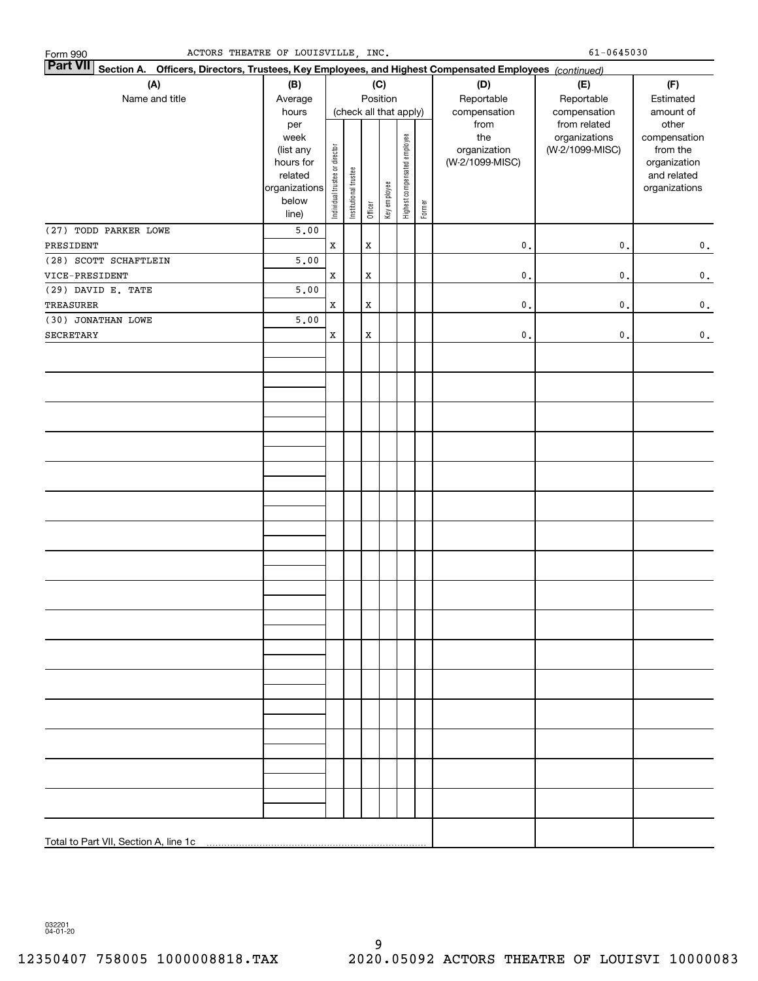| Form 990              | ACTORS THEATRE OF LOUISVILLE, INC.                                                                     |                                |                       |             |                        |                              |        |                     | 61-0645030                       |                          |
|-----------------------|--------------------------------------------------------------------------------------------------------|--------------------------------|-----------------------|-------------|------------------------|------------------------------|--------|---------------------|----------------------------------|--------------------------|
| <b>Part VII</b>       | Section A. Officers, Directors, Trustees, Key Employees, and Highest Compensated Employees (continued) |                                |                       |             |                        |                              |        |                     |                                  |                          |
| (A)                   | (B)                                                                                                    |                                |                       |             | (C)                    |                              |        | (D)                 | (E)                              | (F)                      |
| Name and title        | Average                                                                                                |                                |                       |             | Position               |                              |        | Reportable          | Reportable                       | Estimated                |
|                       | hours                                                                                                  |                                |                       |             | (check all that apply) |                              |        | compensation        | compensation                     | amount of                |
|                       | per                                                                                                    |                                |                       |             |                        |                              |        | from                | from related                     | other                    |
|                       | week<br>(list any                                                                                      |                                |                       |             |                        |                              |        | the<br>organization | organizations<br>(W-2/1099-MISC) | compensation<br>from the |
|                       | hours for                                                                                              |                                |                       |             |                        |                              |        | (W-2/1099-MISC)     |                                  | organization             |
|                       | related                                                                                                |                                |                       |             |                        |                              |        |                     |                                  | and related              |
|                       | organizations                                                                                          | Individual trustee or director | Institutional trustee |             |                        | Highest compensated employee |        |                     |                                  | organizations            |
|                       | below                                                                                                  |                                |                       |             | Key employee           |                              | Former |                     |                                  |                          |
|                       | line)                                                                                                  |                                |                       | Officer     |                        |                              |        |                     |                                  |                          |
| (27) TODD PARKER LOWE | 5.00                                                                                                   |                                |                       |             |                        |                              |        |                     |                                  |                          |
| PRESIDENT             |                                                                                                        | $\mathbf x$                    |                       | $\mathbf X$ |                        |                              |        | $\mathbf{0}$ .      | $\mathfrak o$ .                  | $\mathbf 0$ .            |
| (28) SCOTT SCHAFTLEIN | 5.00                                                                                                   |                                |                       |             |                        |                              |        |                     |                                  |                          |
| VICE-PRESIDENT        |                                                                                                        | $\mathbf x$                    |                       | $\mathbf X$ |                        |                              |        | $\mathbf{0}$ .      | $\mathfrak o$ .                  | $\mathbf 0$ .            |
| (29) DAVID E. TATE    | 5.00                                                                                                   |                                |                       |             |                        |                              |        |                     |                                  |                          |
| <b>TREASURER</b>      |                                                                                                        | $\mathbf X$                    |                       | $\mathbf X$ |                        |                              |        | $\mathbf{0}$ .      | $\mathfrak o$ .                  | $\mathbf 0$ .            |
| (30) JONATHAN LOWE    | 5.00                                                                                                   |                                |                       |             |                        |                              |        |                     |                                  |                          |
| <b>SECRETARY</b>      |                                                                                                        | $\mathbf X$                    |                       | $\mathbf X$ |                        |                              |        | $\mathsf{0}\,.$     | $\mathfrak o$ .                  | $\mathbf 0$ .            |
|                       |                                                                                                        |                                |                       |             |                        |                              |        |                     |                                  |                          |
|                       |                                                                                                        |                                |                       |             |                        |                              |        |                     |                                  |                          |
|                       |                                                                                                        |                                |                       |             |                        |                              |        |                     |                                  |                          |
|                       |                                                                                                        |                                |                       |             |                        |                              |        |                     |                                  |                          |
|                       |                                                                                                        |                                |                       |             |                        |                              |        |                     |                                  |                          |
|                       |                                                                                                        |                                |                       |             |                        |                              |        |                     |                                  |                          |
|                       |                                                                                                        |                                |                       |             |                        |                              |        |                     |                                  |                          |
|                       |                                                                                                        |                                |                       |             |                        |                              |        |                     |                                  |                          |
|                       |                                                                                                        |                                |                       |             |                        |                              |        |                     |                                  |                          |
|                       |                                                                                                        |                                |                       |             |                        |                              |        |                     |                                  |                          |
|                       |                                                                                                        |                                |                       |             |                        |                              |        |                     |                                  |                          |
|                       |                                                                                                        |                                |                       |             |                        |                              |        |                     |                                  |                          |
|                       |                                                                                                        |                                |                       |             |                        |                              |        |                     |                                  |                          |
|                       |                                                                                                        |                                |                       |             |                        |                              |        |                     |                                  |                          |
|                       |                                                                                                        |                                |                       |             |                        |                              |        |                     |                                  |                          |
|                       |                                                                                                        |                                |                       |             |                        |                              |        |                     |                                  |                          |
|                       |                                                                                                        |                                |                       |             |                        |                              |        |                     |                                  |                          |
|                       |                                                                                                        |                                |                       |             |                        |                              |        |                     |                                  |                          |
|                       |                                                                                                        |                                |                       |             |                        |                              |        |                     |                                  |                          |
|                       |                                                                                                        |                                |                       |             |                        |                              |        |                     |                                  |                          |
|                       |                                                                                                        |                                |                       |             |                        |                              |        |                     |                                  |                          |
|                       |                                                                                                        |                                |                       |             |                        |                              |        |                     |                                  |                          |
|                       |                                                                                                        |                                |                       |             |                        |                              |        |                     |                                  |                          |
|                       |                                                                                                        |                                |                       |             |                        |                              |        |                     |                                  |                          |
|                       |                                                                                                        |                                |                       |             |                        |                              |        |                     |                                  |                          |
|                       |                                                                                                        |                                |                       |             |                        |                              |        |                     |                                  |                          |
|                       |                                                                                                        |                                |                       |             |                        |                              |        |                     |                                  |                          |
|                       |                                                                                                        |                                |                       |             |                        |                              |        |                     |                                  |                          |
|                       |                                                                                                        |                                |                       |             |                        |                              |        |                     |                                  |                          |
|                       |                                                                                                        |                                |                       |             |                        |                              |        |                     |                                  |                          |
|                       |                                                                                                        |                                |                       |             |                        |                              |        |                     |                                  |                          |
|                       |                                                                                                        |                                |                       |             |                        |                              |        |                     |                                  |                          |

032201 04-01-20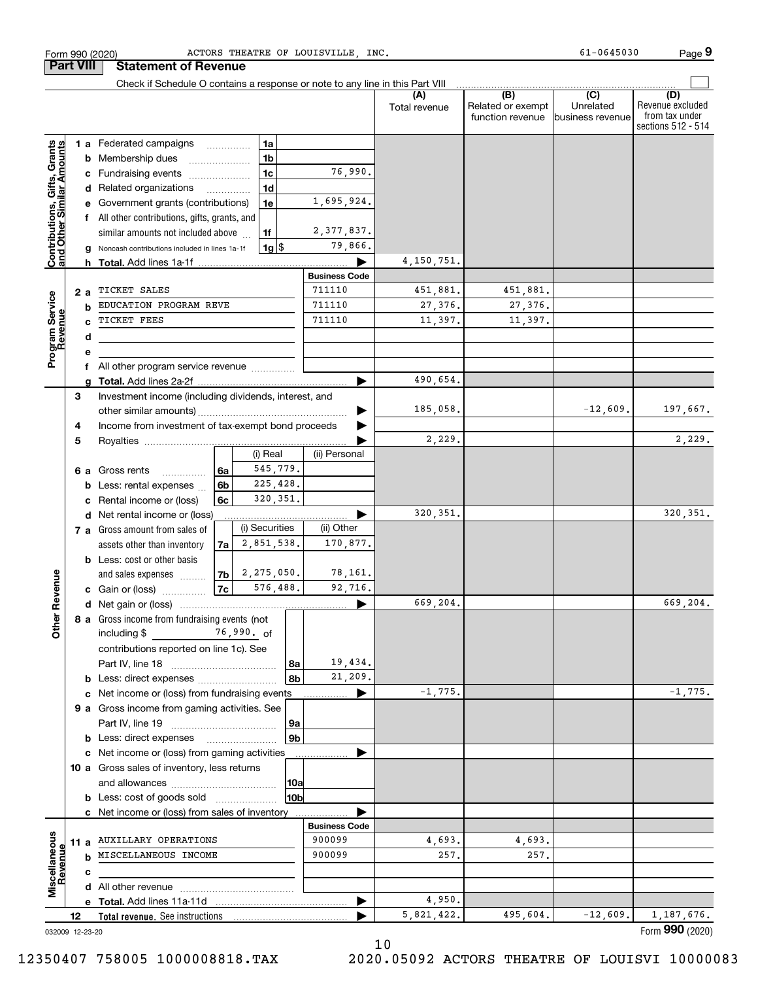|                                                           |    | Check if Schedule O contains a response or note to any line in this Part VIII |      |                    |                |                      |               |                                              |                                       |                                                                 |
|-----------------------------------------------------------|----|-------------------------------------------------------------------------------|------|--------------------|----------------|----------------------|---------------|----------------------------------------------|---------------------------------------|-----------------------------------------------------------------|
|                                                           |    |                                                                               |      |                    |                |                      | Total revenue | (B)<br>Related or exempt<br>function revenue | (C)<br>Unrelated<br> business revenue | (D)<br>Revenue excluded<br>from tax under<br>sections 512 - 514 |
|                                                           |    | 1 a Federated campaigns                                                       |      | 1a                 |                |                      |               |                                              |                                       |                                                                 |
|                                                           |    | <b>b</b> Membership dues                                                      |      | 1 <sub>b</sub>     |                |                      |               |                                              |                                       |                                                                 |
|                                                           |    | c Fundraising events                                                          |      | 1 <sub>c</sub>     |                | 76,990.              |               |                                              |                                       |                                                                 |
|                                                           |    | d Related organizations                                                       |      | 1d                 |                |                      |               |                                              |                                       |                                                                 |
| Contributions, Gifts, Grants<br>and Other Similar Amounts |    | e Government grants (contributions)                                           |      | 1e                 |                | 1,695,924.           |               |                                              |                                       |                                                                 |
|                                                           |    | f All other contributions, gifts, grants, and                                 |      |                    |                |                      |               |                                              |                                       |                                                                 |
|                                                           |    | similar amounts not included above                                            |      | 1f                 |                | 2, 377, 837.         |               |                                              |                                       |                                                                 |
|                                                           | g  | Noncash contributions included in lines 1a-1f                                 |      | $1g$ $\frac{1}{3}$ |                | 79,866.              |               |                                              |                                       |                                                                 |
|                                                           |    |                                                                               |      |                    |                |                      | 4,150,751.    |                                              |                                       |                                                                 |
|                                                           |    |                                                                               |      |                    |                | <b>Business Code</b> |               |                                              |                                       |                                                                 |
|                                                           | 2a | TICKET SALES                                                                  |      |                    |                | 711110               | 451,881.      | 451,881.                                     |                                       |                                                                 |
|                                                           | b  | EDUCATION PROGRAM REVE                                                        |      |                    |                | 711110               | 27,376.       | 27,376.                                      |                                       |                                                                 |
| Program Service<br>Revenue                                | c  | TICKET FEES                                                                   |      |                    |                | 711110               | 11,397.       | 11,397.                                      |                                       |                                                                 |
|                                                           | d  |                                                                               |      |                    |                |                      |               |                                              |                                       |                                                                 |
|                                                           | е  |                                                                               |      |                    |                |                      |               |                                              |                                       |                                                                 |
|                                                           | f  | All other program service revenue                                             |      |                    |                |                      |               |                                              |                                       |                                                                 |
|                                                           |    |                                                                               |      |                    |                |                      | 490.654.      |                                              |                                       |                                                                 |
|                                                           | 3  | Investment income (including dividends, interest, and                         |      |                    |                |                      |               |                                              |                                       |                                                                 |
|                                                           |    |                                                                               |      |                    |                | 185,058.             |               | $-12,609.$                                   | 197,667.                              |                                                                 |
|                                                           | 4  | Income from investment of tax-exempt bond proceeds                            |      |                    |                |                      |               |                                              |                                       |                                                                 |
|                                                           | 5  |                                                                               |      |                    |                |                      | 2,229.        |                                              |                                       | 2,229.                                                          |
|                                                           |    |                                                                               |      | (i) Real           |                | (ii) Personal        |               |                                              |                                       |                                                                 |
|                                                           |    | 6 a Gross rents<br>$\frac{1}{2}$                                              | 6a   | 545,779.           |                |                      |               |                                              |                                       |                                                                 |
|                                                           |    | <b>b</b> Less: rental expenses                                                | 6b   | 225,428.           |                |                      |               |                                              |                                       |                                                                 |
|                                                           | c  | Rental income or (loss)                                                       | 6c   | 320, 351.          |                |                      |               |                                              |                                       |                                                                 |
|                                                           |    | d Net rental income or (loss)                                                 |      |                    |                |                      | 320, 351.     |                                              |                                       | 320, 351.                                                       |
|                                                           |    | 7 a Gross amount from sales of                                                |      | (i) Securities     |                | (ii) Other           |               |                                              |                                       |                                                                 |
|                                                           |    | assets other than inventory                                                   | 7a l | 2,851,538.         |                | 170,877.             |               |                                              |                                       |                                                                 |
|                                                           |    | <b>b</b> Less: cost or other basis                                            |      |                    |                |                      |               |                                              |                                       |                                                                 |
|                                                           |    | and sales expenses                                                            | 7b   | 2,275,050.         |                | 78,161.              |               |                                              |                                       |                                                                 |
|                                                           |    | <b>c</b> Gain or (loss) $\ldots$                                              | 7c   | 576,488.           |                | 92,716.              |               |                                              |                                       |                                                                 |
|                                                           |    |                                                                               |      |                    |                |                      | 669,204.      |                                              |                                       | 669,204.                                                        |
| ther Revenue<br>O                                         |    | 8 a Gross income from fundraising events (not                                 |      |                    |                |                      |               |                                              |                                       |                                                                 |
|                                                           |    | contributions reported on line 1c). See                                       |      |                    |                |                      |               |                                              |                                       |                                                                 |
|                                                           |    |                                                                               |      |                    | 8а             | 19,434.              |               |                                              |                                       |                                                                 |
|                                                           |    | <b>b</b> Less: direct expenses <i>manually contained</i>                      |      |                    | 8b             | 21,209.              |               |                                              |                                       |                                                                 |
|                                                           |    | c Net income or (loss) from fundraising events                                |      |                    |                |                      | $-1,775.$     |                                              |                                       | $-1,775.$                                                       |
|                                                           |    | 9 a Gross income from gaming activities. See                                  |      |                    |                |                      |               |                                              |                                       |                                                                 |
|                                                           |    |                                                                               |      |                    | 9а             |                      |               |                                              |                                       |                                                                 |
|                                                           |    | <b>b</b> Less: direct expenses                                                |      |                    | 9 <sub>b</sub> |                      |               |                                              |                                       |                                                                 |
|                                                           |    | c Net income or (loss) from gaming activities                                 |      |                    |                |                      |               |                                              |                                       |                                                                 |
|                                                           |    | 10 a Gross sales of inventory, less returns                                   |      |                    |                |                      |               |                                              |                                       |                                                                 |
|                                                           |    |                                                                               |      |                    | 10a            |                      |               |                                              |                                       |                                                                 |
|                                                           |    | <b>b</b> Less: cost of goods sold                                             |      |                    | 10bl           |                      |               |                                              |                                       |                                                                 |
|                                                           |    | c Net income or (loss) from sales of inventory                                |      |                    |                |                      |               |                                              |                                       |                                                                 |
|                                                           |    |                                                                               |      |                    |                | <b>Business Code</b> |               |                                              |                                       |                                                                 |
|                                                           |    | 11 a AUXILLARY OPERATIONS                                                     |      |                    |                | 900099               | 4,693.        | 4,693.                                       |                                       |                                                                 |
|                                                           |    | <b>b</b> MISCELLANEOUS INCOME                                                 |      |                    |                | 900099               | 257.          | 257.                                         |                                       |                                                                 |
| Revenue                                                   | c  |                                                                               |      |                    |                |                      |               |                                              |                                       |                                                                 |
| Miscellaneous                                             |    |                                                                               |      |                    |                |                      |               |                                              |                                       |                                                                 |
|                                                           |    |                                                                               |      |                    |                |                      | 4,950.        |                                              |                                       |                                                                 |
|                                                           | 12 |                                                                               |      |                    |                |                      | 5,821,422.    | 495,604.                                     | $-12,609.$                            | 1,187,676.                                                      |

Form 990 (2020) Page ACTORS THEATRE OF LOUISVILLE, INC. 61-0645030

032009 12-23-20

**Part VIII Statement of Revenue**

12350407 758005 1000008818.TAX 2020.05092 ACTORS THEATRE OF LOUISVI 10000083

Form (2020) **990**

**9**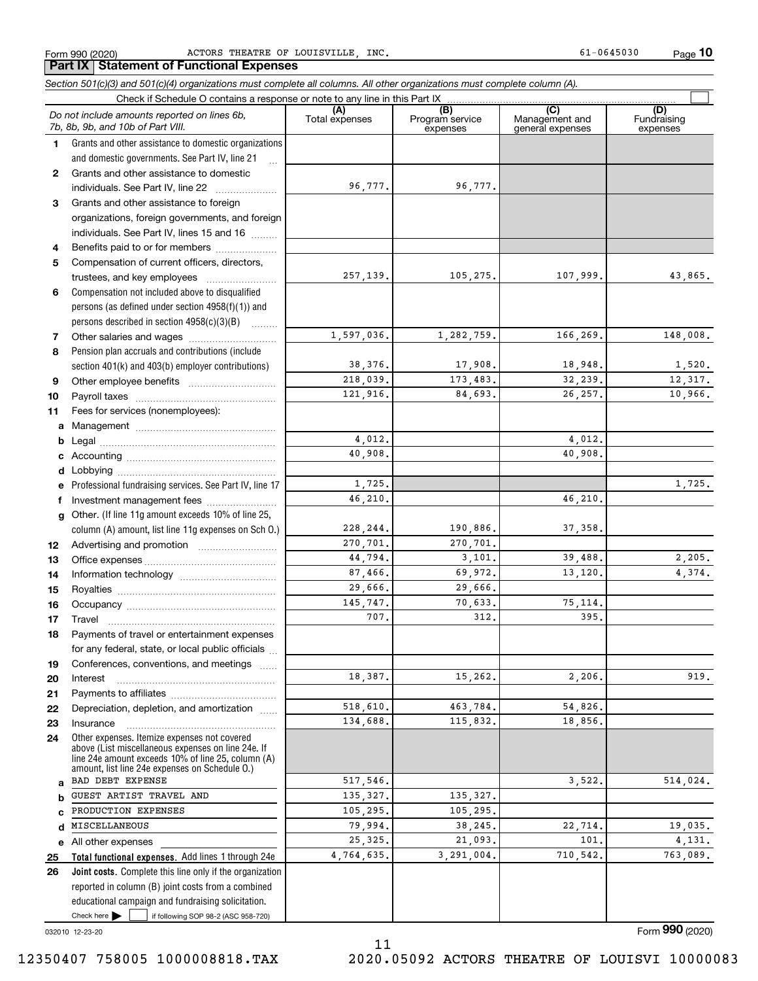Form 990 (2020) ACTORS THEATRE OF LOUISVILLE , INC. 61-0645030 Page

**10**

### Check here  $\begin{array}{|c|c|c|c|c|}\hline \text{ } & \text{ if following SOP 98-2 (ASC 958-720)} \hline \end{array}$ **Total functional expenses.**  Add lines 1 through 24e **Joint costs.** Complete this line only if the organization **(A)**<br>Total expenses **(B) (C) (D) 1234567891011abcdefg12131415161718192021222324abcde2526***Section 501(c)(3) and 501(c)(4) organizations must complete all columns. All other organizations must complete column (A).* Grants and other assistance to domestic organizations and domestic governments. See Part IV, line 21 Compensation not included above to disqualified persons (as defined under section 4958(f)(1)) and persons described in section 4958(c)(3)(B) Pension plan accruals and contributions (include section 401(k) and 403(b) employer contributions) Professional fundraising services. See Part IV, line 17 Other. (If line 11g amount exceeds 10% of line 25, column (A) amount, list line 11g expenses on Sch O.) Other expenses. Itemize expenses not covered above (List miscellaneous expenses on line 24e. If line 24e amount exceeds 10% of line 25, column (A) amount, list line 24e expenses on Schedule O.) reported in column (B) joint costs from a combined educational campaign and fundraising solicitation. Check if Schedule O contains a response or note to any line in this Part IX (C) (C) (C) (C) (C) (C) Program service expensesManagement and general expenses Fundraising expensesGrants and other assistance to domestic individuals. See Part IV, line 22 ..................... Grants and other assistance to foreign organizations, foreign governments, and foreign individuals. See Part IV, lines 15 and 16  $\ldots$ Benefits paid to or for members ..................... Compensation of current officers, directors, trustees, and key employees  $\ldots$   $\ldots$   $\ldots$   $\ldots$   $\ldots$   $\ldots$ Other salaries and wages ~~~~~~~~~~ Other employee benefits ~~~~~~~~~~ Payroll taxes ~~~~~~~~~~~~~~~~ Fees for services (nonemployees): Management ~~~~~~~~~~~~~~~~ Legal ~~~~~~~~~~~~~~~~~~~~Accounting ~~~~~~~~~~~~~~~~~ Lobbying ~~~~~~~~~~~~~~~~~~ lnvestment management fees ....................... Advertising and promotion www.communication Office expenses ~~~~~~~~~~~~~~~ Information technology ~~~~~~~~~~~ Royalties ~~~~~~~~~~~~~~~~~~ Occupancy ~~~~~~~~~~~~~~~~~ Travel ……………………………………………… Payments of travel or entertainment expenses for any federal, state, or local public officials ... Conferences, conventions, and meetings InterestPayments to affiliates ~~~~~~~~~~~~ ~~~~~~~~~~~~~~~~~~Depreciation, depletion, and amortization  $\,\,\ldots\,\,$ Insurance~~~~~~~~~~~~~~~~~All other expenses  $Check here$ *Do not include amounts reported on lines 6b, 7b, 8b, 9b, and 10b of Part VIII.*  $\mathcal{L}^{\text{max}}$ 96,777. 257,139. 1,597,036. 38,376. 218,039. 121,916. 4,012. 40,908. 1,725. 228,244. 270,701. 44,794. 87,466. 29,666. 145,747. 707.18,387. 518,610. 134,688. 517,546. 135,327. 105,295. 79,994. 25,325. 4,764,635. 46,210. 96,777. 105,275. 107,999. 43,865. 1,282,759. 166,269. 148,008. 17,908. 18,948. 1,520. 173,483. 32,239. 12,317. 84,693. 26,257. 10,966. 4,012. 40,908. 1,725. 46,210. 190,886. 37,358. 270,701. 3,101. 39,488. 2,205. 69,972. 13,120. 4,374. 29,666. 70,633. 75,114. 312. 395. 15,262. 2,206. 919. 463,784. 54,826. 115,832. 18,856.  $3,522.$   $514.024.$ 135,327. 105,295. 38,245. 22,714. 19,035. 21,093. 101. 4,131. 3,291,004. 710,542. 763,089. BAD DEBT EXPENSE GUEST ARTIST TRAVEL AND PRODUCTION EXPENSES MISCELLANEOUS

032010 12-23-20

Form (2020) **990**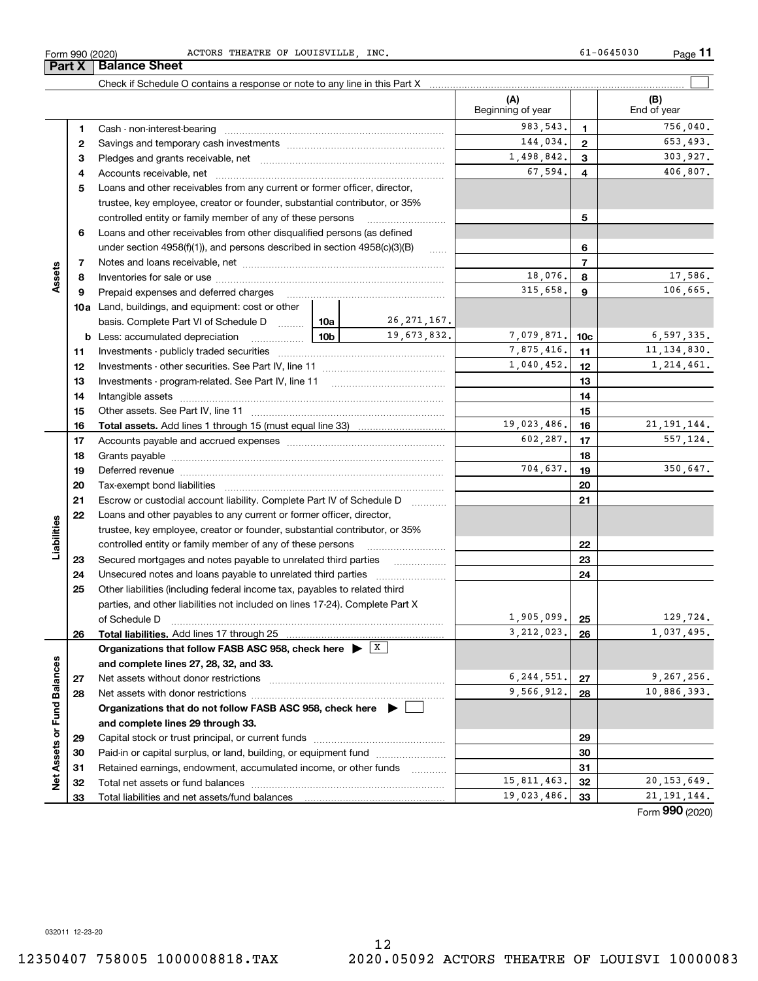**26**

**Liabilities**

iabilities

**2728**

**Net Assets or Fund Balances**

Net Assets or Fund Balances

**6**Loans and other receivables from other disqualified persons (as defined **78910a**Land, buildings, and equipment: cost or other **1112131415161718192021222324255678910c111213141516171819202122232425b** Less: accumulated depreciation  $\ldots$  **10b** basis. Complete Part VI of Schedule D will aller **Total assets.**  Add lines 1 through 15 (must equal line 33) trustee, key employee, creator or founder, substantial contributor, or 35% controlled entity or family member of any of these persons ............................ under section  $4958(f)(1)$ , and persons described in section  $4958(c)(3)(B)$ Notes and loans receivable, net ~~~~~~~~~~~~~~~~~~~~~~~Inventories for sale or use ~~~~~~~~~~~~~~~~~~~~~~~~~~ Prepaid expenses and deferred charges ~~~~~~~~~~~~~~~~~~ Investments - publicly traded securities ~~~~~~~~~~~~~~~~~~~ Investments - other securities. See Part IV, line 11 ~~~~~~~~~~~~~~ Investments - program-related. See Part IV, line 11 [2010] [2010] [2010] [2010] [2010] [2010] [2010] [2010] [2 Intangible assets ~~~~~~~~~~~~~~~~~~~~~~~~~~~~~~ Other assets. See Part IV, line 11 ~~~~~~~~~~~~~~~~~~~~~~ Accounts payable and accrued expenses ~~~~~~~~~~~~~~~~~~ Grants payable ~~~~~~~~~~~~~~~~~~~~~~~~~~~~~~~ Deferred revenue ~~~~~~~~~~~~~~~~~~~~~~~~~~~~~~ Tax-exempt bond liabilities …………………………………………………………… Escrow or custodial account liability. Complete Part IV of Schedule D Loans and other payables to any current or former officer, director, trustee, key employee, creator or founder, substantial contributor, or 35% controlled entity or family member of any of these persons ~~~~~~~~~Secured mortgages and notes payable to unrelated third parties Unsecured notes and loans payable to unrelated third parties ~~~~~~~~ Other liabilities (including federal income tax, payables to related third parties, and other liabilities not included on lines 17-24). Complete Part X of Schedule D ~~~~~~~~~~~~~~~~~~~~~~~~~~~~~~~ 18,076. 8 17,586.  $315,658$ ,  $9$  106,665. 7,875,416. 11, 11, 134,830. 26,271,167. 19,673,832. 7,079,871. 10c 6,597,335. 19,023,486. 16 21,191,144.  $602, 287.$   $17$  557, 124. 704,637. 19 350,647.  $1,905,099.$  |  $25$  |  $129,724.$  $1,040,452.$  1,214,461.

Form 990 (2020) ACTORS THEATRE OF LOUISVILLE , INC. 61-0645030 Page

**3** Pledges and grants receivable, net  $\ldots$  **multimes contained and grants receivable**, net **multimes contained and grants receivable**, net **multimes contained and grants receivable 4**Accounts receivable, net ~~~~~~~~~~~~~~~~~~~~~~~~~~ **5**Loans and other receivables from any current or former officer, director,

Cash - non-interest-bearing ~~~~~~~~~~~~~~~~~~~~~~~~~ Savings and temporary cash investments ~~~~~~~~~~~~~~~~~~

Check if Schedule O contains a response or note to any line in this Part X

**Total liabilities.**  Add lines 17 through 25

Net assets without donor restrictions ~~~~~~~~~~~~~~~~~~~~ Net assets with donor restrictions ~~~~~~~~~~~~~~~~~~~~~~

Capital stock or trust principal, or current funds ~~~~~~~~~~~~~~~ Paid-in or capital surplus, or land, building, or equipment fund www.commun.com Retained earnings, endowment, accumulated income, or other funds www.com Total net assets or fund balances ~~~~~~~~~~~~~~~~~~~~~~

**Organizations that do not follow FASB ASC 958, check here** |

**Organizations that follow FASB ASC 958, check here** | X

**and complete lines 27, 28, 32, and 33.**

**and complete lines 29 through 33.**

Total liabilities and net assets/fund balances

**(A) (B)**

Beginning of year | | End of year

983,543. 1 756,040.

144.034. 2 653.493.

67,594. 406,807. 1,498,842. 303.927.

**26**

 $3,212,023$ ,  $26$  1,037,495.

 $6,244,551$ .  $27$  9.267.256. 9,566,912. 28 10,886,393.

15,811,463. 32 20,153,649. 19,023,486. 33 21,191,144.

**2728**

Form (2020) **990**

**11**

 $\mathcal{L}^{\text{max}}$ 

**Part X** Balance Sheet

**12**

**Assets**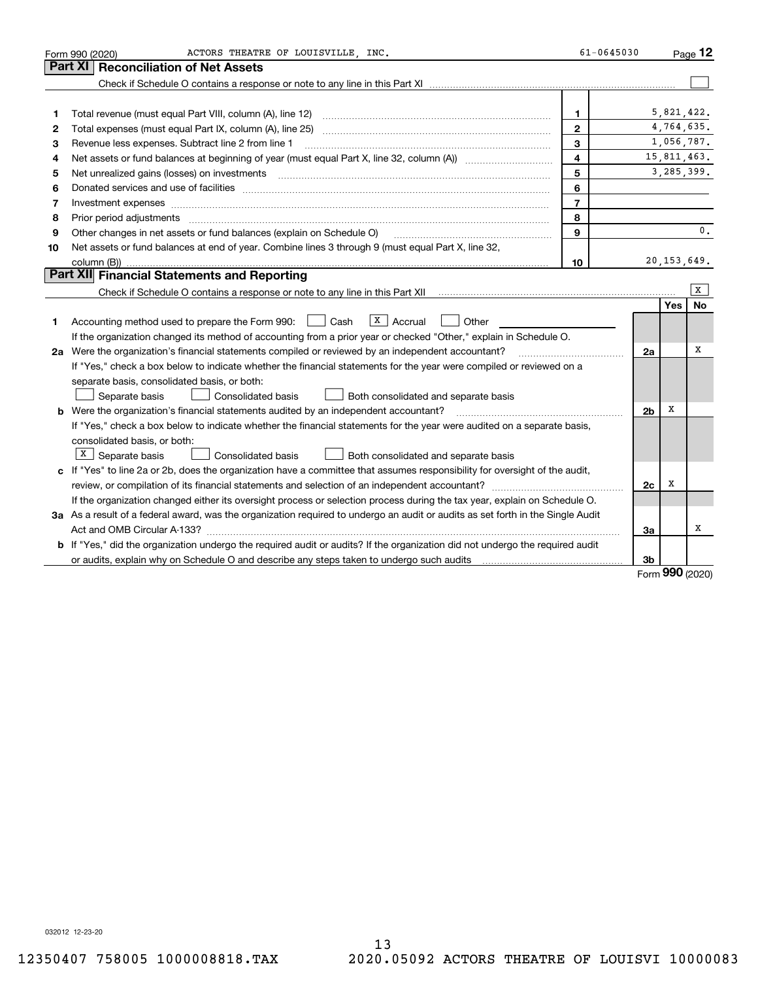|    | ACTORS THEATRE OF LOUISVILLE, INC.<br>Form 990 (2020)                                                                                                                                                                          | $61 - 0645030$ |                |            | Page $12$     |
|----|--------------------------------------------------------------------------------------------------------------------------------------------------------------------------------------------------------------------------------|----------------|----------------|------------|---------------|
|    | Part XI<br><b>Reconciliation of Net Assets</b>                                                                                                                                                                                 |                |                |            |               |
|    |                                                                                                                                                                                                                                |                |                |            |               |
|    |                                                                                                                                                                                                                                |                |                |            |               |
| 1  | Total revenue (must equal Part VIII, column (A), line 12)                                                                                                                                                                      | 1.             |                |            | 5,821,422.    |
| 2  |                                                                                                                                                                                                                                | $\mathbf{2}$   |                |            | 4,764,635.    |
| 3  | Revenue less expenses. Subtract line 2 from line 1                                                                                                                                                                             | 3              |                |            | 1,056,787.    |
| 4  |                                                                                                                                                                                                                                | $\overline{4}$ |                |            | 15,811,463.   |
| 5  | Net unrealized gains (losses) on investments                                                                                                                                                                                   | 5              |                |            | 3,285,399.    |
| 6  | Donated services and use of facilities [111] Donated and the service of facilities [11] Donated services and use of facilities [11] Donated and the service of the service of the service of the service of the service of the | 6              |                |            |               |
| 7  | Investment expenses www.communication.com/www.communication.com/www.communication.com/www.com                                                                                                                                  | $\overline{7}$ |                |            |               |
| 8  | Prior period adjustments                                                                                                                                                                                                       | 8              |                |            |               |
| 9  | Other changes in net assets or fund balances (explain on Schedule O)                                                                                                                                                           | 9              |                |            | 0.            |
| 10 | Net assets or fund balances at end of year. Combine lines 3 through 9 (must equal Part X, line 32,                                                                                                                             |                |                |            |               |
|    |                                                                                                                                                                                                                                | 10             |                |            | 20, 153, 649. |
|    | Part XII Financial Statements and Reporting                                                                                                                                                                                    |                |                |            |               |
|    |                                                                                                                                                                                                                                |                |                |            | x             |
|    |                                                                                                                                                                                                                                |                |                | Yes        | <b>No</b>     |
| 1  | $\vert X \vert$ Accrual<br>Accounting method used to prepare the Form 990: <u>I</u> Cash<br>Other                                                                                                                              |                |                |            |               |
|    | If the organization changed its method of accounting from a prior year or checked "Other," explain in Schedule O.                                                                                                              |                |                |            |               |
|    | 2a Were the organization's financial statements compiled or reviewed by an independent accountant?                                                                                                                             |                | 2a             |            | х             |
|    | If "Yes," check a box below to indicate whether the financial statements for the year were compiled or reviewed on a                                                                                                           |                |                |            |               |
|    | separate basis, consolidated basis, or both:                                                                                                                                                                                   |                |                |            |               |
|    | Separate basis<br>Consolidated basis<br>Both consolidated and separate basis                                                                                                                                                   |                |                |            |               |
|    | <b>b</b> Were the organization's financial statements audited by an independent accountant?                                                                                                                                    |                | 2 <sub>b</sub> | х          |               |
|    | If "Yes," check a box below to indicate whether the financial statements for the year were audited on a separate basis,                                                                                                        |                |                |            |               |
|    | consolidated basis, or both:                                                                                                                                                                                                   |                |                |            |               |
|    | $X$ Separate basis<br>Consolidated basis<br>Both consolidated and separate basis                                                                                                                                               |                |                |            |               |
|    | c If "Yes" to line 2a or 2b, does the organization have a committee that assumes responsibility for oversight of the audit,                                                                                                    |                |                |            |               |
|    | review, or compilation of its financial statements and selection of an independent accountant?                                                                                                                                 |                | 2c             | х          |               |
|    | If the organization changed either its oversight process or selection process during the tax year, explain on Schedule O.                                                                                                      |                |                |            |               |
|    | 3a As a result of a federal award, was the organization required to undergo an audit or audits as set forth in the Single Audit                                                                                                |                |                |            |               |
|    |                                                                                                                                                                                                                                |                | 3a             |            | x             |
|    | b If "Yes," did the organization undergo the required audit or audits? If the organization did not undergo the required audit                                                                                                  |                |                |            |               |
|    |                                                                                                                                                                                                                                |                | 3b             | <u>nnn</u> |               |

Form (2020) **990**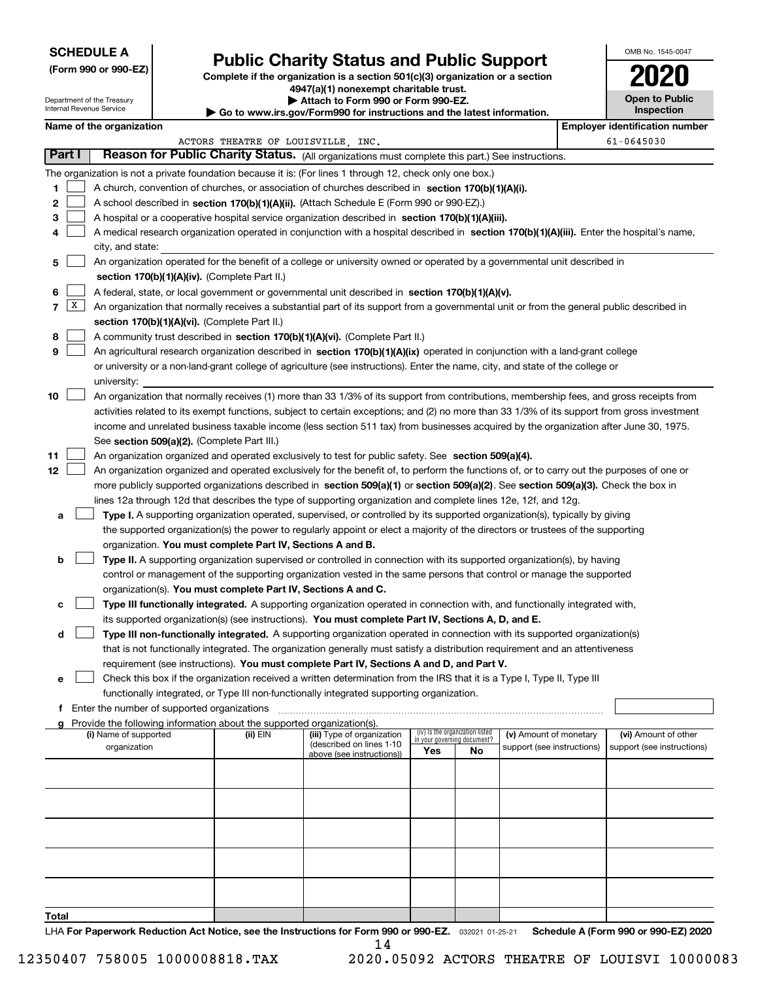Department of the Treasury Internal Revenue Service

**(Form 990 or 990-EZ)**

# **Public Charity Status and Public Support**

**Complete if the organization is a section 501(c)(3) organization or a section 4947(a)(1) nonexempt charitable trust. | Attach to Form 990 or Form 990-EZ.** 

| $\blacksquare$                                                           |
|--------------------------------------------------------------------------|
| ▶ Go to www.irs.gov/Form990 for instructions and the latest information. |

| 2020                                |
|-------------------------------------|
| <b>Open to Public</b><br>Inspection |

OMB No. 1545-0047

|                   | Name of the organization                                                                                                                                                                      |                                    |                                                        |     |                                                                |                            |  | <b>Employer identification number</b>              |  |  |  |
|-------------------|-----------------------------------------------------------------------------------------------------------------------------------------------------------------------------------------------|------------------------------------|--------------------------------------------------------|-----|----------------------------------------------------------------|----------------------------|--|----------------------------------------------------|--|--|--|
|                   |                                                                                                                                                                                               | ACTORS THEATRE OF LOUISVILLE, INC. |                                                        |     |                                                                |                            |  | $61 - 0645030$                                     |  |  |  |
| <b>Part I</b>     | Reason for Public Charity Status. (All organizations must complete this part.) See instructions.                                                                                              |                                    |                                                        |     |                                                                |                            |  |                                                    |  |  |  |
|                   | The organization is not a private foundation because it is: (For lines 1 through 12, check only one box.)                                                                                     |                                    |                                                        |     |                                                                |                            |  |                                                    |  |  |  |
| 1                 | A church, convention of churches, or association of churches described in section 170(b)(1)(A)(i).                                                                                            |                                    |                                                        |     |                                                                |                            |  |                                                    |  |  |  |
| 2                 | A school described in section 170(b)(1)(A)(ii). (Attach Schedule E (Form 990 or 990-EZ).)                                                                                                     |                                    |                                                        |     |                                                                |                            |  |                                                    |  |  |  |
| з                 | A hospital or a cooperative hospital service organization described in section 170(b)(1)(A)(iii).                                                                                             |                                    |                                                        |     |                                                                |                            |  |                                                    |  |  |  |
| 4                 | A medical research organization operated in conjunction with a hospital described in section 170(b)(1)(A)(iii). Enter the hospital's name,                                                    |                                    |                                                        |     |                                                                |                            |  |                                                    |  |  |  |
|                   | city, and state:                                                                                                                                                                              |                                    |                                                        |     |                                                                |                            |  |                                                    |  |  |  |
| 5                 | An organization operated for the benefit of a college or university owned or operated by a governmental unit described in                                                                     |                                    |                                                        |     |                                                                |                            |  |                                                    |  |  |  |
|                   | section 170(b)(1)(A)(iv). (Complete Part II.)<br>A federal, state, or local government or governmental unit described in section 170(b)(1)(A)(v).                                             |                                    |                                                        |     |                                                                |                            |  |                                                    |  |  |  |
| 6                 |                                                                                                                                                                                               |                                    |                                                        |     |                                                                |                            |  |                                                    |  |  |  |
| $\mathbf{X}$<br>7 | An organization that normally receives a substantial part of its support from a governmental unit or from the general public described in                                                     |                                    |                                                        |     |                                                                |                            |  |                                                    |  |  |  |
|                   | section 170(b)(1)(A)(vi). (Complete Part II.)                                                                                                                                                 |                                    |                                                        |     |                                                                |                            |  |                                                    |  |  |  |
| 8                 | A community trust described in section 170(b)(1)(A)(vi). (Complete Part II.)                                                                                                                  |                                    |                                                        |     |                                                                |                            |  |                                                    |  |  |  |
| 9                 | An agricultural research organization described in section 170(b)(1)(A)(ix) operated in conjunction with a land-grant college                                                                 |                                    |                                                        |     |                                                                |                            |  |                                                    |  |  |  |
|                   | or university or a non-land-grant college of agriculture (see instructions). Enter the name, city, and state of the college or                                                                |                                    |                                                        |     |                                                                |                            |  |                                                    |  |  |  |
|                   | university:                                                                                                                                                                                   |                                    |                                                        |     |                                                                |                            |  |                                                    |  |  |  |
| 10                | An organization that normally receives (1) more than 33 1/3% of its support from contributions, membership fees, and gross receipts from                                                      |                                    |                                                        |     |                                                                |                            |  |                                                    |  |  |  |
|                   | activities related to its exempt functions, subject to certain exceptions; and (2) no more than 33 1/3% of its support from gross investment                                                  |                                    |                                                        |     |                                                                |                            |  |                                                    |  |  |  |
|                   | income and unrelated business taxable income (less section 511 tax) from businesses acquired by the organization after June 30, 1975.                                                         |                                    |                                                        |     |                                                                |                            |  |                                                    |  |  |  |
|                   | See section 509(a)(2). (Complete Part III.)                                                                                                                                                   |                                    |                                                        |     |                                                                |                            |  |                                                    |  |  |  |
| 11                | An organization organized and operated exclusively to test for public safety. See section 509(a)(4).                                                                                          |                                    |                                                        |     |                                                                |                            |  |                                                    |  |  |  |
| 12                | An organization organized and operated exclusively for the benefit of, to perform the functions of, or to carry out the purposes of one or                                                    |                                    |                                                        |     |                                                                |                            |  |                                                    |  |  |  |
|                   | more publicly supported organizations described in section 509(a)(1) or section 509(a)(2). See section 509(a)(3). Check the box in                                                            |                                    |                                                        |     |                                                                |                            |  |                                                    |  |  |  |
|                   | lines 12a through 12d that describes the type of supporting organization and complete lines 12e, 12f, and 12g.                                                                                |                                    |                                                        |     |                                                                |                            |  |                                                    |  |  |  |
| а                 | Type I. A supporting organization operated, supervised, or controlled by its supported organization(s), typically by giving                                                                   |                                    |                                                        |     |                                                                |                            |  |                                                    |  |  |  |
|                   | the supported organization(s) the power to regularly appoint or elect a majority of the directors or trustees of the supporting<br>organization. You must complete Part IV, Sections A and B. |                                    |                                                        |     |                                                                |                            |  |                                                    |  |  |  |
| b                 | Type II. A supporting organization supervised or controlled in connection with its supported organization(s), by having                                                                       |                                    |                                                        |     |                                                                |                            |  |                                                    |  |  |  |
|                   | control or management of the supporting organization vested in the same persons that control or manage the supported                                                                          |                                    |                                                        |     |                                                                |                            |  |                                                    |  |  |  |
|                   | organization(s). You must complete Part IV, Sections A and C.                                                                                                                                 |                                    |                                                        |     |                                                                |                            |  |                                                    |  |  |  |
| c                 | Type III functionally integrated. A supporting organization operated in connection with, and functionally integrated with,                                                                    |                                    |                                                        |     |                                                                |                            |  |                                                    |  |  |  |
|                   | its supported organization(s) (see instructions). You must complete Part IV, Sections A, D, and E.                                                                                            |                                    |                                                        |     |                                                                |                            |  |                                                    |  |  |  |
| d                 | Type III non-functionally integrated. A supporting organization operated in connection with its supported organization(s)                                                                     |                                    |                                                        |     |                                                                |                            |  |                                                    |  |  |  |
|                   | that is not functionally integrated. The organization generally must satisfy a distribution requirement and an attentiveness                                                                  |                                    |                                                        |     |                                                                |                            |  |                                                    |  |  |  |
|                   | requirement (see instructions). You must complete Part IV, Sections A and D, and Part V.                                                                                                      |                                    |                                                        |     |                                                                |                            |  |                                                    |  |  |  |
| е                 | Check this box if the organization received a written determination from the IRS that it is a Type I, Type II, Type III                                                                       |                                    |                                                        |     |                                                                |                            |  |                                                    |  |  |  |
|                   | functionally integrated, or Type III non-functionally integrated supporting organization.                                                                                                     |                                    |                                                        |     |                                                                |                            |  |                                                    |  |  |  |
|                   | f Enter the number of supported organizations                                                                                                                                                 |                                    |                                                        |     |                                                                |                            |  |                                                    |  |  |  |
|                   | Provide the following information about the supported organization(s).                                                                                                                        |                                    |                                                        |     |                                                                |                            |  |                                                    |  |  |  |
|                   | (i) Name of supported                                                                                                                                                                         | (ii) EIN                           | (iii) Type of organization<br>(described on lines 1-10 |     | (iv) Is the organization listed<br>in your governing document? | (v) Amount of monetary     |  | (vi) Amount of other<br>support (see instructions) |  |  |  |
|                   | organization                                                                                                                                                                                  |                                    | above (see instructions))                              | Yes | No                                                             | support (see instructions) |  |                                                    |  |  |  |
|                   |                                                                                                                                                                                               |                                    |                                                        |     |                                                                |                            |  |                                                    |  |  |  |
|                   |                                                                                                                                                                                               |                                    |                                                        |     |                                                                |                            |  |                                                    |  |  |  |
|                   |                                                                                                                                                                                               |                                    |                                                        |     |                                                                |                            |  |                                                    |  |  |  |
|                   |                                                                                                                                                                                               |                                    |                                                        |     |                                                                |                            |  |                                                    |  |  |  |
|                   |                                                                                                                                                                                               |                                    |                                                        |     |                                                                |                            |  |                                                    |  |  |  |
|                   |                                                                                                                                                                                               |                                    |                                                        |     |                                                                |                            |  |                                                    |  |  |  |
|                   |                                                                                                                                                                                               |                                    |                                                        |     |                                                                |                            |  |                                                    |  |  |  |
|                   |                                                                                                                                                                                               |                                    |                                                        |     |                                                                |                            |  |                                                    |  |  |  |
|                   |                                                                                                                                                                                               |                                    |                                                        |     |                                                                |                            |  |                                                    |  |  |  |
| Total             |                                                                                                                                                                                               |                                    |                                                        |     |                                                                |                            |  |                                                    |  |  |  |
|                   |                                                                                                                                                                                               |                                    |                                                        |     |                                                                |                            |  |                                                    |  |  |  |

LHA For Paperwork Reduction Act Notice, see the Instructions for Form 990 or 990-EZ. <sub>032021</sub> o1-25-21 Schedule A (Form 990 or 990-EZ) 2020 14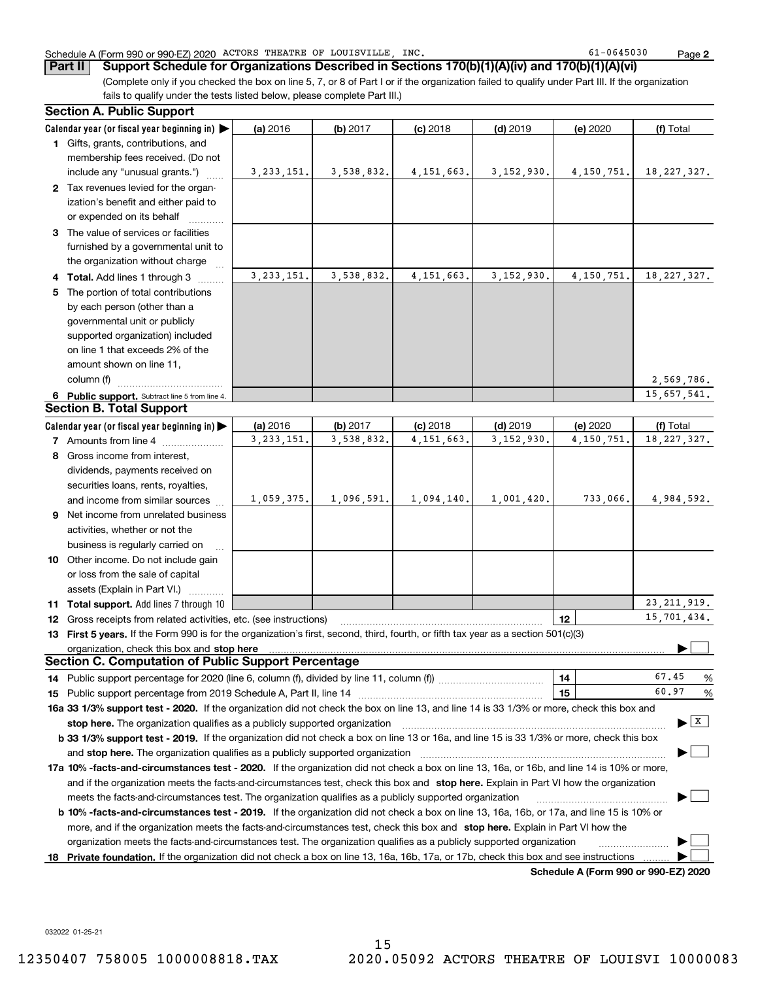**Part II Support Schedule for Organizations Described in Sections 170(b)(1)(A)(iv) and 170(b)(1)(A)(vi)**

(Complete only if you checked the box on line 5, 7, or 8 of Part I or if the organization failed to qualify under Part III. If the organization fails to qualify under the tests listed below, please complete Part III.)

|    | <b>Section A. Public Support</b>                                                                                                                                                                                                                           |              |            |              |              |                                      |                                      |
|----|------------------------------------------------------------------------------------------------------------------------------------------------------------------------------------------------------------------------------------------------------------|--------------|------------|--------------|--------------|--------------------------------------|--------------------------------------|
|    | Calendar year (or fiscal year beginning in)                                                                                                                                                                                                                | (a) 2016     | (b) 2017   | $(c)$ 2018   | $(d)$ 2019   | (e) 2020                             | (f) Total                            |
|    | 1 Gifts, grants, contributions, and                                                                                                                                                                                                                        |              |            |              |              |                                      |                                      |
|    | membership fees received. (Do not                                                                                                                                                                                                                          |              |            |              |              |                                      |                                      |
|    | include any "unusual grants.")                                                                                                                                                                                                                             | 3, 233, 151. | 3,538,832. | 4, 151, 663. | 3, 152, 930. | 4, 150, 751.                         | 18, 227, 327.                        |
|    | 2 Tax revenues levied for the organ-                                                                                                                                                                                                                       |              |            |              |              |                                      |                                      |
|    | ization's benefit and either paid to                                                                                                                                                                                                                       |              |            |              |              |                                      |                                      |
|    | or expended on its behalf                                                                                                                                                                                                                                  |              |            |              |              |                                      |                                      |
|    | 3 The value of services or facilities                                                                                                                                                                                                                      |              |            |              |              |                                      |                                      |
|    | furnished by a governmental unit to                                                                                                                                                                                                                        |              |            |              |              |                                      |                                      |
|    | the organization without charge                                                                                                                                                                                                                            |              |            |              |              |                                      |                                      |
|    | 4 Total. Add lines 1 through 3                                                                                                                                                                                                                             | 3, 233, 151. | 3,538,832. | 4, 151, 663. | 3, 152, 930. | 4, 150, 751.                         | 18, 227, 327.                        |
|    | 5 The portion of total contributions                                                                                                                                                                                                                       |              |            |              |              |                                      |                                      |
|    | by each person (other than a                                                                                                                                                                                                                               |              |            |              |              |                                      |                                      |
|    | governmental unit or publicly                                                                                                                                                                                                                              |              |            |              |              |                                      |                                      |
|    | supported organization) included                                                                                                                                                                                                                           |              |            |              |              |                                      |                                      |
|    | on line 1 that exceeds 2% of the                                                                                                                                                                                                                           |              |            |              |              |                                      |                                      |
|    | amount shown on line 11,                                                                                                                                                                                                                                   |              |            |              |              |                                      |                                      |
|    | column (f)                                                                                                                                                                                                                                                 |              |            |              |              |                                      | 2,569,786.                           |
|    | 6 Public support. Subtract line 5 from line 4.                                                                                                                                                                                                             |              |            |              |              |                                      | 15,657,541.                          |
|    | <b>Section B. Total Support</b>                                                                                                                                                                                                                            |              |            |              |              |                                      |                                      |
|    | Calendar year (or fiscal year beginning in)                                                                                                                                                                                                                | (a) 2016     | (b) 2017   | $(c)$ 2018   | $(d)$ 2019   | (e) 2020                             | (f) Total                            |
|    | 7 Amounts from line 4                                                                                                                                                                                                                                      | 3, 233, 151. | 3,538,832. | 4, 151, 663. | 3, 152, 930. | 4, 150, 751.                         | 18, 227, 327.                        |
|    | 8 Gross income from interest,                                                                                                                                                                                                                              |              |            |              |              |                                      |                                      |
|    | dividends, payments received on                                                                                                                                                                                                                            |              |            |              |              |                                      |                                      |
|    | securities loans, rents, royalties,                                                                                                                                                                                                                        |              |            |              |              |                                      |                                      |
|    | and income from similar sources                                                                                                                                                                                                                            | 1,059,375.   | 1,096,591. | 1,094,140.   | 1,001,420.   | 733,066.                             | 4,984,592.                           |
|    | 9 Net income from unrelated business                                                                                                                                                                                                                       |              |            |              |              |                                      |                                      |
|    | activities, whether or not the                                                                                                                                                                                                                             |              |            |              |              |                                      |                                      |
|    | business is regularly carried on                                                                                                                                                                                                                           |              |            |              |              |                                      |                                      |
|    | 10 Other income. Do not include gain                                                                                                                                                                                                                       |              |            |              |              |                                      |                                      |
|    | or loss from the sale of capital                                                                                                                                                                                                                           |              |            |              |              |                                      |                                      |
|    | assets (Explain in Part VI.)                                                                                                                                                                                                                               |              |            |              |              |                                      |                                      |
|    | 11 Total support. Add lines 7 through 10                                                                                                                                                                                                                   |              |            |              |              |                                      | 23, 211, 919.                        |
|    | <b>12</b> Gross receipts from related activities, etc. (see instructions)                                                                                                                                                                                  |              |            |              |              | 12                                   | 15,701,434.                          |
|    | 13 First 5 years. If the Form 990 is for the organization's first, second, third, fourth, or fifth tax year as a section 501(c)(3)                                                                                                                         |              |            |              |              |                                      |                                      |
|    | organization, check this box and stop here<br><b>Section C. Computation of Public Support Percentage</b>                                                                                                                                                   |              |            |              |              |                                      |                                      |
|    |                                                                                                                                                                                                                                                            |              |            |              |              |                                      | 67.45                                |
|    | 14 Public support percentage for 2020 (line 6, column (f), divided by line 11, column (f) <i>mummumumum</i>                                                                                                                                                |              |            |              |              | 14<br>15                             | %<br>60.97<br>%                      |
|    | 16a 33 1/3% support test - 2020. If the organization did not check the box on line 13, and line 14 is 33 1/3% or more, check this box and                                                                                                                  |              |            |              |              |                                      |                                      |
|    |                                                                                                                                                                                                                                                            |              |            |              |              |                                      | $\blacktriangleright$ $\overline{X}$ |
|    | stop here. The organization qualifies as a publicly supported organization<br>b 33 1/3% support test - 2019. If the organization did not check a box on line 13 or 16a, and line 15 is 33 1/3% or more, check this box                                     |              |            |              |              |                                      |                                      |
|    | and stop here. The organization qualifies as a publicly supported organization                                                                                                                                                                             |              |            |              |              |                                      |                                      |
|    |                                                                                                                                                                                                                                                            |              |            |              |              |                                      |                                      |
|    | 17a 10% -facts-and-circumstances test - 2020. If the organization did not check a box on line 13, 16a, or 16b, and line 14 is 10% or more,                                                                                                                 |              |            |              |              |                                      |                                      |
|    | and if the organization meets the facts-and-circumstances test, check this box and stop here. Explain in Part VI how the organization                                                                                                                      |              |            |              |              |                                      |                                      |
|    | meets the facts-and-circumstances test. The organization qualifies as a publicly supported organization                                                                                                                                                    |              |            |              |              |                                      |                                      |
|    | <b>b 10% -facts-and-circumstances test - 2019.</b> If the organization did not check a box on line 13, 16a, 16b, or 17a, and line 15 is 10% or                                                                                                             |              |            |              |              |                                      |                                      |
|    | more, and if the organization meets the facts-and-circumstances test, check this box and stop here. Explain in Part VI how the                                                                                                                             |              |            |              |              |                                      |                                      |
| 18 | organization meets the facts-and-circumstances test. The organization qualifies as a publicly supported organization<br>Private foundation. If the organization did not check a box on line 13, 16a, 16b, 17a, or 17b, check this box and see instructions |              |            |              |              |                                      |                                      |
|    |                                                                                                                                                                                                                                                            |              |            |              |              | Schodule A (Form 000 or 000 F7) 2020 |                                      |

**Schedule A (Form 990 or 990-EZ) 2020**

032022 01-25-21

15 12350407 758005 1000008818.TAX 2020.05092 ACTORS THEATRE OF LOUISVI 10000083

# Schedule A (Form 990 or 990-EZ) 2020 Page ACTORS THEATRE OF LOUISVILLE, INC. 61-0645030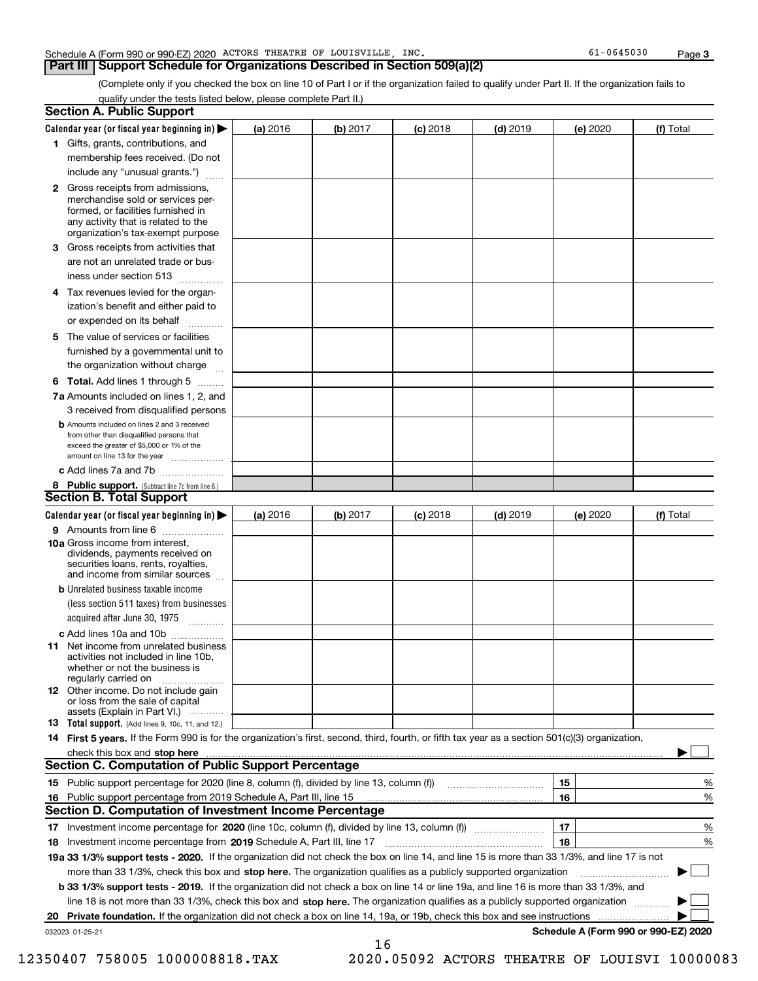### Schedule A (Form 990 or 990-EZ) 2020 Page ACTORS THEATRE OF LOUISVILLE, INC. 61-0645030

### **Part III Support Schedule for Organizations Described in Section 509(a)(2)**

(Complete only if you checked the box on line 10 of Part I or if the organization failed to qualify under Part II. If the organization fails to qualify under the tests listed below, please complete Part II.)

|    | <b>Section A. Public Support</b>                                                                                                                                                                                                    |          |          |            |            |          |                                      |
|----|-------------------------------------------------------------------------------------------------------------------------------------------------------------------------------------------------------------------------------------|----------|----------|------------|------------|----------|--------------------------------------|
|    | Calendar year (or fiscal year beginning in) $\blacktriangleright$                                                                                                                                                                   | (a) 2016 | (b) 2017 | $(c)$ 2018 | $(d)$ 2019 | (e) 2020 | (f) Total                            |
|    | 1 Gifts, grants, contributions, and                                                                                                                                                                                                 |          |          |            |            |          |                                      |
|    | membership fees received. (Do not                                                                                                                                                                                                   |          |          |            |            |          |                                      |
|    | include any "unusual grants.")                                                                                                                                                                                                      |          |          |            |            |          |                                      |
|    | <b>2</b> Gross receipts from admissions,<br>merchandise sold or services per-<br>formed, or facilities furnished in<br>any activity that is related to the<br>organization's tax-exempt purpose                                     |          |          |            |            |          |                                      |
|    | 3 Gross receipts from activities that<br>are not an unrelated trade or bus-                                                                                                                                                         |          |          |            |            |          |                                      |
|    | iness under section 513                                                                                                                                                                                                             |          |          |            |            |          |                                      |
|    | 4 Tax revenues levied for the organ-<br>ization's benefit and either paid to                                                                                                                                                        |          |          |            |            |          |                                      |
|    | or expended on its behalf                                                                                                                                                                                                           |          |          |            |            |          |                                      |
|    | 5 The value of services or facilities<br>furnished by a governmental unit to                                                                                                                                                        |          |          |            |            |          |                                      |
|    | the organization without charge                                                                                                                                                                                                     |          |          |            |            |          |                                      |
|    | <b>6 Total.</b> Add lines 1 through 5                                                                                                                                                                                               |          |          |            |            |          |                                      |
|    | 7a Amounts included on lines 1, 2, and<br>3 received from disqualified persons                                                                                                                                                      |          |          |            |            |          |                                      |
|    | <b>b</b> Amounts included on lines 2 and 3 received<br>from other than disqualified persons that<br>exceed the greater of \$5,000 or 1% of the<br>amount on line 13 for the year                                                    |          |          |            |            |          |                                      |
|    | c Add lines 7a and 7b                                                                                                                                                                                                               |          |          |            |            |          |                                      |
|    | 8 Public support. (Subtract line 7c from line 6.)<br><b>Section B. Total Support</b>                                                                                                                                                |          |          |            |            |          |                                      |
|    | Calendar year (or fiscal year beginning in)                                                                                                                                                                                         | (a) 2016 | (b) 2017 | $(c)$ 2018 | $(d)$ 2019 | (e) 2020 | (f) Total                            |
|    | 9 Amounts from line 6                                                                                                                                                                                                               |          |          |            |            |          |                                      |
|    | <b>10a</b> Gross income from interest,<br>dividends, payments received on<br>securities loans, rents, royalties,<br>and income from similar sources                                                                                 |          |          |            |            |          |                                      |
|    | <b>b</b> Unrelated business taxable income<br>(less section 511 taxes) from businesses                                                                                                                                              |          |          |            |            |          |                                      |
|    | acquired after June 30, 1975                                                                                                                                                                                                        |          |          |            |            |          |                                      |
|    | c Add lines 10a and 10b<br>11 Net income from unrelated business<br>activities not included in line 10b,<br>whether or not the business is<br>regularly carried on                                                                  |          |          |            |            |          |                                      |
|    | <b>12</b> Other income. Do not include gain<br>or loss from the sale of capital<br>assets (Explain in Part VI.)                                                                                                                     |          |          |            |            |          |                                      |
|    | 13 Total support. (Add lines 9, 10c, 11, and 12.)                                                                                                                                                                                   |          |          |            |            |          |                                      |
|    | 14 First 5 years. If the Form 990 is for the organization's first, second, third, fourth, or fifth tax year as a section 501(c)(3) organization,                                                                                    |          |          |            |            |          |                                      |
|    | check this box and <b>stop here</b> with the continuum continuum continuum continuum continuum continuum continuum continuum continuum continuum continuum continuum continuum continuum continuum continuum continuum continuum co |          |          |            |            |          |                                      |
|    | <b>Section C. Computation of Public Support Percentage</b>                                                                                                                                                                          |          |          |            |            |          |                                      |
|    |                                                                                                                                                                                                                                     |          |          |            |            | 15       | %                                    |
| 16 | Public support percentage from 2019 Schedule A, Part III, line 15                                                                                                                                                                   |          |          |            |            | 16       | %                                    |
|    | Section D. Computation of Investment Income Percentage                                                                                                                                                                              |          |          |            |            |          |                                      |
|    | 17 Investment income percentage for 2020 (line 10c, column (f), divided by line 13, column (f))<br>18 Investment income percentage from 2019 Schedule A, Part III, line 17                                                          |          |          |            |            | 17<br>18 | %<br>%                               |
|    | 19a 33 1/3% support tests - 2020. If the organization did not check the box on line 14, and line 15 is more than 33 1/3%, and line 17 is not                                                                                        |          |          |            |            |          |                                      |
|    | more than 33 1/3%, check this box and stop here. The organization qualifies as a publicly supported organization                                                                                                                    |          |          |            |            |          |                                      |
|    | b 33 1/3% support tests - 2019. If the organization did not check a box on line 14 or line 19a, and line 16 is more than 33 1/3%, and                                                                                               |          |          |            |            |          |                                      |
|    | line 18 is not more than 33 1/3%, check this box and stop here. The organization qualifies as a publicly supported organization                                                                                                     |          |          |            |            |          |                                      |
| 20 | <b>Private foundation.</b> If the organization did not check a box on line 14, 19a, or 19b, check this box and see instructions                                                                                                     |          |          |            |            |          | .                                    |
|    | 032023 01-25-21                                                                                                                                                                                                                     |          |          |            |            |          | Schedule A (Form 990 or 990-EZ) 2020 |
|    |                                                                                                                                                                                                                                     |          | 16       |            |            |          |                                      |

- 
- 12350407 758005 1000008818.TAX 2020.05092 ACTORS THEATRE OF LOUISVI 10000083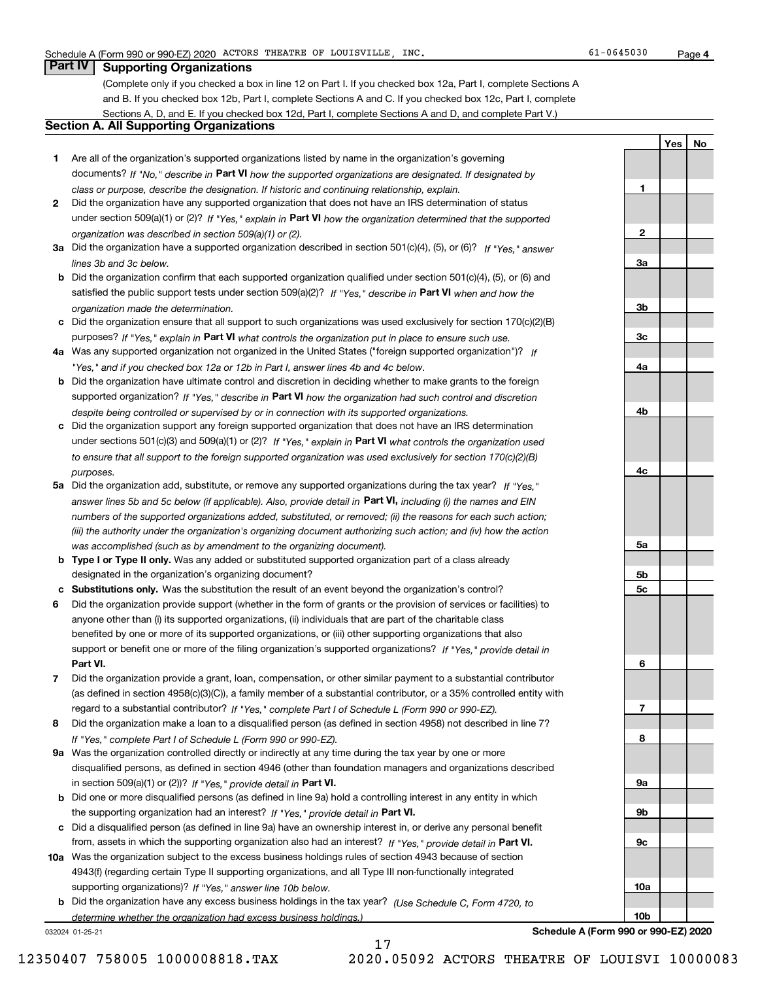**1**

**2**

**3a**

**3b**

**3c**

**4a**

**4b**

**4c**

**5a**

**5b5c**

**6**

**7**

**8**

**9a**

**9b**

**9c**

**10a**

**10b**

**YesNo**

# **Part IV Supporting Organizations**

(Complete only if you checked a box in line 12 on Part I. If you checked box 12a, Part I, complete Sections A and B. If you checked box 12b, Part I, complete Sections A and C. If you checked box 12c, Part I, complete Sections A, D, and E. If you checked box 12d, Part I, complete Sections A and D, and complete Part V.)

## **Section A. All Supporting Organizations**

- **1** Are all of the organization's supported organizations listed by name in the organization's governing documents? If "No," describe in **Part VI** how the supported organizations are designated. If designated by *class or purpose, describe the designation. If historic and continuing relationship, explain.*
- **2** Did the organization have any supported organization that does not have an IRS determination of status under section 509(a)(1) or (2)? If "Yes," explain in Part VI how the organization determined that the supported *organization was described in section 509(a)(1) or (2).*
- **3a** Did the organization have a supported organization described in section 501(c)(4), (5), or (6)? If "Yes," answer *lines 3b and 3c below.*
- **b** Did the organization confirm that each supported organization qualified under section 501(c)(4), (5), or (6) and satisfied the public support tests under section 509(a)(2)? If "Yes," describe in **Part VI** when and how the *organization made the determination.*
- **c**Did the organization ensure that all support to such organizations was used exclusively for section 170(c)(2)(B) purposes? If "Yes," explain in **Part VI** what controls the organization put in place to ensure such use.
- **4a***If* Was any supported organization not organized in the United States ("foreign supported organization")? *"Yes," and if you checked box 12a or 12b in Part I, answer lines 4b and 4c below.*
- **b** Did the organization have ultimate control and discretion in deciding whether to make grants to the foreign supported organization? If "Yes," describe in **Part VI** how the organization had such control and discretion *despite being controlled or supervised by or in connection with its supported organizations.*
- **c** Did the organization support any foreign supported organization that does not have an IRS determination under sections 501(c)(3) and 509(a)(1) or (2)? If "Yes," explain in **Part VI** what controls the organization used *to ensure that all support to the foreign supported organization was used exclusively for section 170(c)(2)(B) purposes.*
- **5a** Did the organization add, substitute, or remove any supported organizations during the tax year? If "Yes," answer lines 5b and 5c below (if applicable). Also, provide detail in **Part VI,** including (i) the names and EIN *numbers of the supported organizations added, substituted, or removed; (ii) the reasons for each such action; (iii) the authority under the organization's organizing document authorizing such action; and (iv) how the action was accomplished (such as by amendment to the organizing document).*
- **b** Type I or Type II only. Was any added or substituted supported organization part of a class already designated in the organization's organizing document?
- **cSubstitutions only.**  Was the substitution the result of an event beyond the organization's control?
- **6** Did the organization provide support (whether in the form of grants or the provision of services or facilities) to **Part VI.** *If "Yes," provide detail in* support or benefit one or more of the filing organization's supported organizations? anyone other than (i) its supported organizations, (ii) individuals that are part of the charitable class benefited by one or more of its supported organizations, or (iii) other supporting organizations that also
- **7**Did the organization provide a grant, loan, compensation, or other similar payment to a substantial contributor *If "Yes," complete Part I of Schedule L (Form 990 or 990-EZ).* regard to a substantial contributor? (as defined in section 4958(c)(3)(C)), a family member of a substantial contributor, or a 35% controlled entity with
- **8** Did the organization make a loan to a disqualified person (as defined in section 4958) not described in line 7? *If "Yes," complete Part I of Schedule L (Form 990 or 990-EZ).*
- **9a** Was the organization controlled directly or indirectly at any time during the tax year by one or more in section 509(a)(1) or (2))? If "Yes," *provide detail in* <code>Part VI.</code> disqualified persons, as defined in section 4946 (other than foundation managers and organizations described
- **b** Did one or more disqualified persons (as defined in line 9a) hold a controlling interest in any entity in which the supporting organization had an interest? If "Yes," provide detail in P**art VI**.
- **c**Did a disqualified person (as defined in line 9a) have an ownership interest in, or derive any personal benefit from, assets in which the supporting organization also had an interest? If "Yes," provide detail in P**art VI.**
- **10a** Was the organization subject to the excess business holdings rules of section 4943 because of section supporting organizations)? If "Yes," answer line 10b below. 4943(f) (regarding certain Type II supporting organizations, and all Type III non-functionally integrated
- **b** Did the organization have any excess business holdings in the tax year? (Use Schedule C, Form 4720, to *determine whether the organization had excess business holdings.)*

17

032024 01-25-21

**Schedule A (Form 990 or 990-EZ) 2020**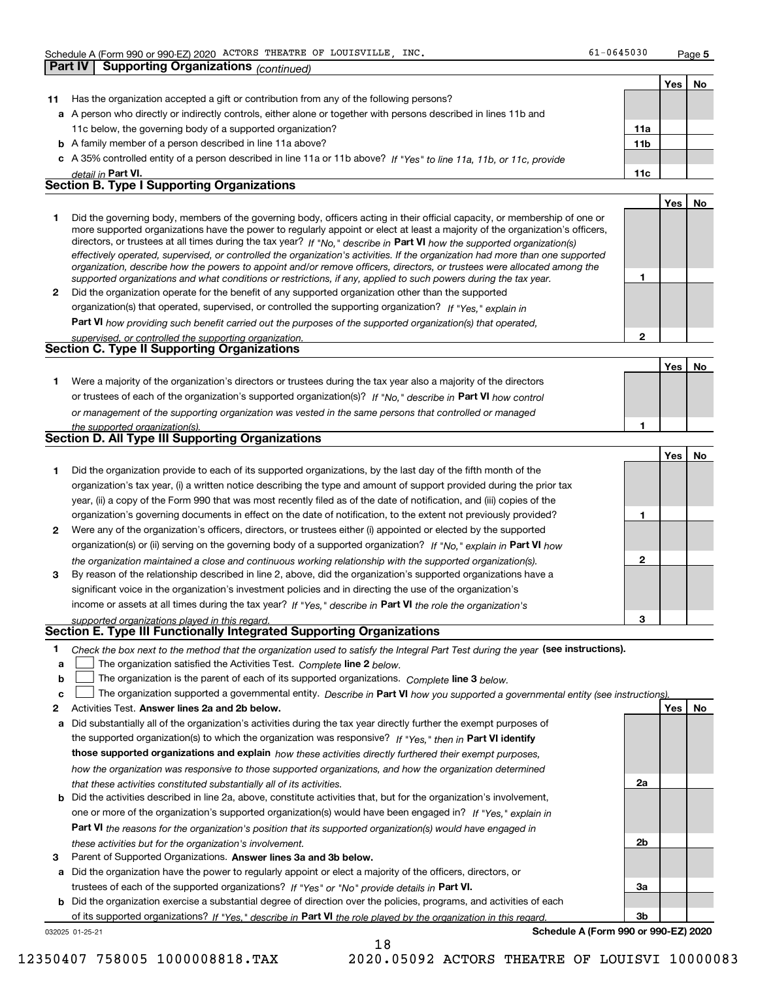**Part IV Supporting Organizations** *(continued)*

**1**

**2**

**1**

**YesNo**

|    |                                                                                                                                          |                 | Yes |  |
|----|------------------------------------------------------------------------------------------------------------------------------------------|-----------------|-----|--|
| 11 | Has the organization accepted a gift or contribution from any of the following persons?                                                  |                 |     |  |
|    | a A person who directly or indirectly controls, either alone or together with persons described in lines 11b and                         |                 |     |  |
|    | 11c below, the governing body of a supported organization?                                                                               | 11a             |     |  |
|    | <b>b</b> A family member of a person described in line 11a above?                                                                        | 11 <sub>b</sub> |     |  |
|    | c A 35% controlled entity of a person described in line 11a or 11b above? If "Yes" to line 11a, 11b, or 11c, provide                     |                 |     |  |
|    | detail in Part VI.                                                                                                                       | 11c             |     |  |
|    | <b>Section B. Type I Supporting Organizations</b>                                                                                        |                 |     |  |
|    |                                                                                                                                          |                 | Yes |  |
|    | Did the accounts a health meandern of the accounts a health officers exting in their efficial concertain accounts and include a constant |                 |     |  |

|              | Did the governing body, members of the governing body, officers acting in their official capacity, or membership of one or     |  |
|--------------|--------------------------------------------------------------------------------------------------------------------------------|--|
|              | more supported organizations have the power to regularly appoint or elect at least a majority of the organization's officers,  |  |
|              | directors, or trustees at all times during the tax year? If "No," describe in Part VI how the supported organization(s)        |  |
|              | effectively operated, supervised, or controlled the organization's activities. If the organization had more than one supported |  |
|              | organization, describe how the powers to appoint and/or remove officers, directors, or trustees were allocated among the       |  |
|              | supported organizations and what conditions or restrictions, if any, applied to such powers during the tax year.               |  |
| $\mathbf{2}$ | Did the organization operate for the benefit of any supported organization other than the supported                            |  |
|              | organization(s) that operated, supervised, or controlled the supporting organization? If "Yes," explain in                     |  |

**Part VI**  *how providing such benefit carried out the purposes of the supported organization(s) that operated,*

| supervised, or controlled the supporting organization. |  |
|--------------------------------------------------------|--|
| Section C. Type II Supporting Organizations            |  |
|                                                        |  |

**1**or trustees of each of the organization's supported organization(s)? If "No," describe in **Part VI** how control *or management of the supporting organization was vested in the same persons that controlled or managed the supported organization(s).* Were a majority of the organization's directors or trustees during the tax year also a majority of the directors

|  |  |  | <b>Section D. All Type III Supporting Organizations</b> |
|--|--|--|---------------------------------------------------------|
|--|--|--|---------------------------------------------------------|

|              |                                                                                                                        |   | Yes |  |
|--------------|------------------------------------------------------------------------------------------------------------------------|---|-----|--|
|              | Did the organization provide to each of its supported organizations, by the last day of the fifth month of the         |   |     |  |
|              | organization's tax year, (i) a written notice describing the type and amount of support provided during the prior tax  |   |     |  |
|              | year, (ii) a copy of the Form 990 that was most recently filed as of the date of notification, and (iii) copies of the |   |     |  |
|              | organization's governing documents in effect on the date of notification, to the extent not previously provided?       |   |     |  |
| $\mathbf{2}$ | Were any of the organization's officers, directors, or trustees either (i) appointed or elected by the supported       |   |     |  |
|              | organization(s) or (ii) serving on the governing body of a supported organization? If "No," explain in Part VI how     |   |     |  |
|              | the organization maintained a close and continuous working relationship with the supported organization(s).            | 2 |     |  |
| 3            | By reason of the relationship described in line 2, above, did the organization's supported organizations have a        |   |     |  |
|              | significant voice in the organization's investment policies and in directing the use of the organization's             |   |     |  |
|              | income or assets at all times during the tax year? If "Yes," describe in Part VI the role the organization's           |   |     |  |
|              | supported organizations played in this regard                                                                          | 3 |     |  |

# *supported organizations played in this regard.* **Section E. Type III Functionally Integrated Supporting Organizations**

- **1**Check the box next to the method that the organization used to satisfy the Integral Part Test during the year (see instructions).
- **alinupy** The organization satisfied the Activities Test. Complete line 2 below.
- **b**The organization is the parent of each of its supported organizations. *Complete* line 3 *below.*  $\mathcal{L}^{\text{max}}$

|  |  | The organization supported a governmental entity. Describe in Part VI how you supported a governmental entity (see instructions) |  |  |  |  |  |  |  |  |
|--|--|----------------------------------------------------------------------------------------------------------------------------------|--|--|--|--|--|--|--|--|
|--|--|----------------------------------------------------------------------------------------------------------------------------------|--|--|--|--|--|--|--|--|

- **2Answer lines 2a and 2b below. Yes No** Activities Test.
- **a** Did substantially all of the organization's activities during the tax year directly further the exempt purposes of the supported organization(s) to which the organization was responsive? If "Yes," then in **Part VI identify those supported organizations and explain**  *how these activities directly furthered their exempt purposes, how the organization was responsive to those supported organizations, and how the organization determined that these activities constituted substantially all of its activities.*
- **b** Did the activities described in line 2a, above, constitute activities that, but for the organization's involvement, **Part VI**  *the reasons for the organization's position that its supported organization(s) would have engaged in* one or more of the organization's supported organization(s) would have been engaged in? If "Yes," e*xplain in these activities but for the organization's involvement.*
- **3** Parent of Supported Organizations. Answer lines 3a and 3b below.
- **a** Did the organization have the power to regularly appoint or elect a majority of the officers, directors, or trustees of each of the supported organizations? If "Yes" or "No" provide details in P**art VI.**

**b** Did the organization exercise a substantial degree of direction over the policies, programs, and activities of each of its supported organizations? If "Yes," describe in Part VI the role played by the organization in this regard.

032025 01-25-21

**Schedule A (Form 990 or 990-EZ) 2020**

**2a**

**2b**

**3a**

**3b**

18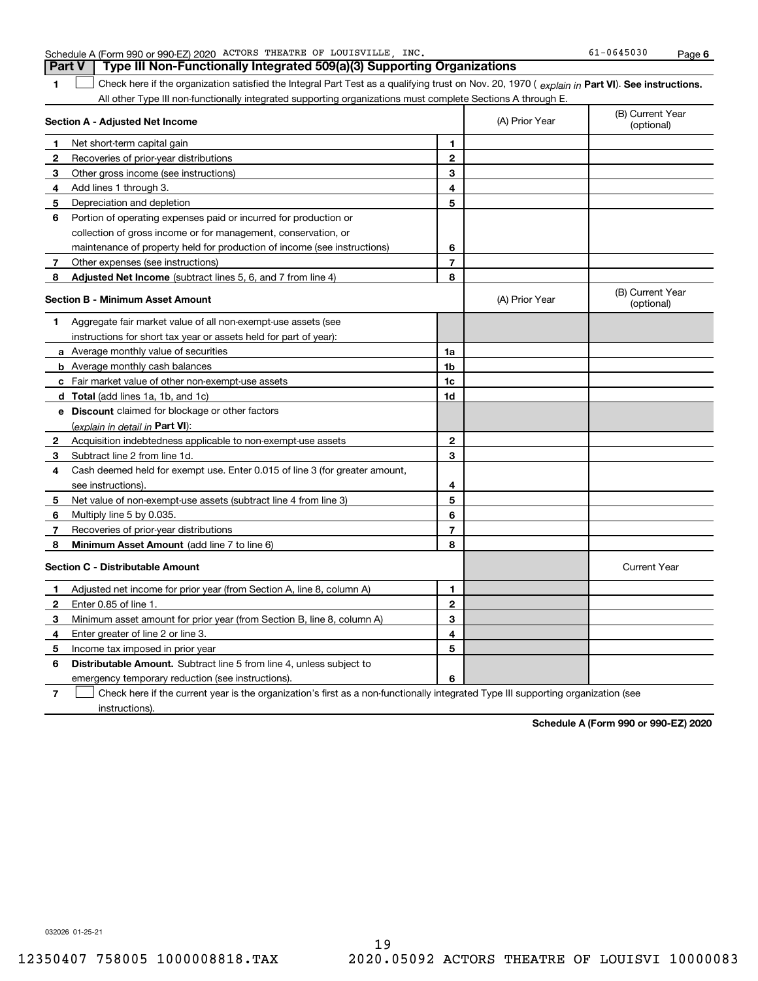| 1<br>$\overline{2}$<br>3<br>4<br>5<br>6<br>$\overline{7}$<br>8 | All other Type III non-functionally integrated supporting organizations must complete Sections A through E.<br>(A) Prior Year | (B) Current Year<br>(optional)                                                                                                    |
|----------------------------------------------------------------|-------------------------------------------------------------------------------------------------------------------------------|-----------------------------------------------------------------------------------------------------------------------------------|
|                                                                |                                                                                                                               |                                                                                                                                   |
|                                                                |                                                                                                                               |                                                                                                                                   |
|                                                                |                                                                                                                               |                                                                                                                                   |
|                                                                |                                                                                                                               |                                                                                                                                   |
|                                                                |                                                                                                                               |                                                                                                                                   |
|                                                                |                                                                                                                               |                                                                                                                                   |
|                                                                |                                                                                                                               |                                                                                                                                   |
|                                                                |                                                                                                                               |                                                                                                                                   |
|                                                                |                                                                                                                               |                                                                                                                                   |
|                                                                |                                                                                                                               |                                                                                                                                   |
|                                                                |                                                                                                                               |                                                                                                                                   |
|                                                                | (A) Prior Year                                                                                                                | (B) Current Year<br>(optional)                                                                                                    |
|                                                                |                                                                                                                               |                                                                                                                                   |
|                                                                |                                                                                                                               |                                                                                                                                   |
| 1a                                                             |                                                                                                                               |                                                                                                                                   |
| 1b                                                             |                                                                                                                               |                                                                                                                                   |
| 1c                                                             |                                                                                                                               |                                                                                                                                   |
| 1d                                                             |                                                                                                                               |                                                                                                                                   |
|                                                                |                                                                                                                               |                                                                                                                                   |
|                                                                |                                                                                                                               |                                                                                                                                   |
| $\mathbf{2}$                                                   |                                                                                                                               |                                                                                                                                   |
| 3                                                              |                                                                                                                               |                                                                                                                                   |
|                                                                |                                                                                                                               |                                                                                                                                   |
| 4                                                              |                                                                                                                               |                                                                                                                                   |
| 5                                                              |                                                                                                                               |                                                                                                                                   |
| 6                                                              |                                                                                                                               |                                                                                                                                   |
| $\overline{7}$                                                 |                                                                                                                               |                                                                                                                                   |
| 8                                                              |                                                                                                                               |                                                                                                                                   |
|                                                                |                                                                                                                               | <b>Current Year</b>                                                                                                               |
| 1                                                              |                                                                                                                               |                                                                                                                                   |
| $\mathbf{2}$                                                   |                                                                                                                               |                                                                                                                                   |
| 3                                                              |                                                                                                                               |                                                                                                                                   |
| 4                                                              |                                                                                                                               |                                                                                                                                   |
| 5                                                              |                                                                                                                               |                                                                                                                                   |
|                                                                |                                                                                                                               |                                                                                                                                   |
| 6                                                              |                                                                                                                               |                                                                                                                                   |
|                                                                |                                                                                                                               | Check here if the current year is the organization's first as a non-functionally integrated Type III supporting organization (see |

Schedule A (Form 990 or 990-EZ) 2020 ACTORS THEATRE OF LOUISVILLE,INC. 61-0645030 Page **Part V Type III Non-Functionally Integrated 509(a)(3) Supporting Organizations** 

032026 01-25-21

instructions).

**Schedule A (Form 990 or 990-EZ) 2020**

| Schedule A (Form 990 or 990-EZ) 2020 ACTORS THEATRE OF LOUISVILLE, INC. |  |  |  |
|-------------------------------------------------------------------------|--|--|--|
|                                                                         |  |  |  |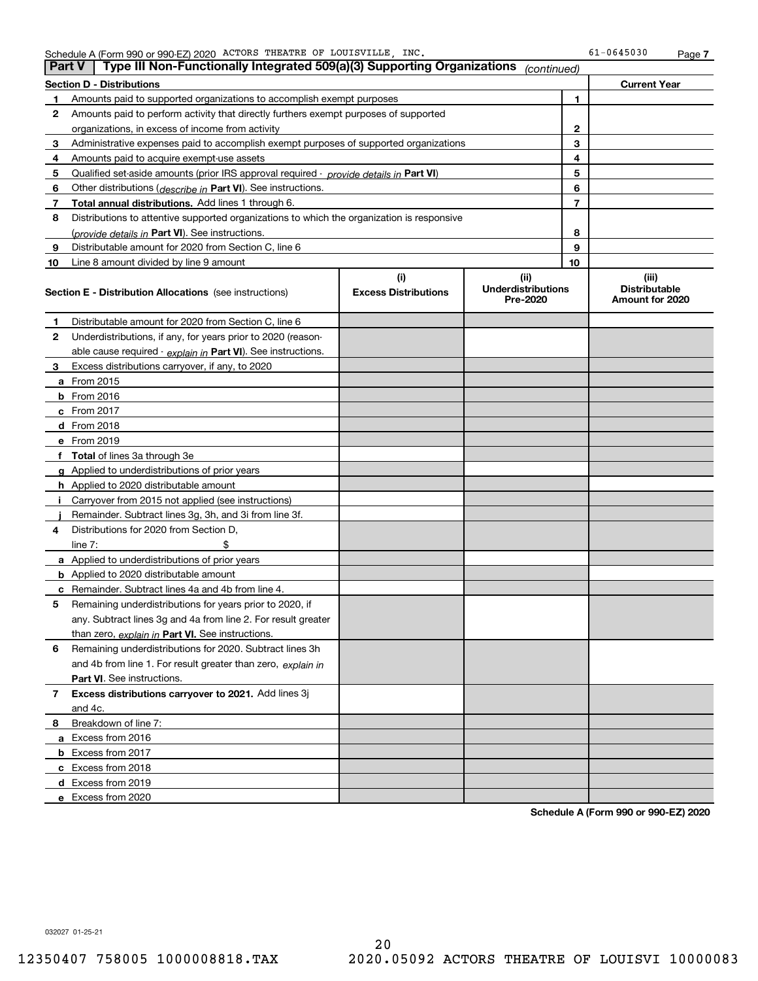| <b>Part V</b> | Type III Non-Functionally Integrated 509(a)(3) Supporting Organizations $ _{\text{continued}}\rangle$ |                             |                                       |                |                                         |
|---------------|-------------------------------------------------------------------------------------------------------|-----------------------------|---------------------------------------|----------------|-----------------------------------------|
|               | <b>Section D - Distributions</b>                                                                      |                             |                                       |                | <b>Current Year</b>                     |
| 1             | Amounts paid to supported organizations to accomplish exempt purposes                                 |                             | 1                                     |                |                                         |
| 2             | Amounts paid to perform activity that directly furthers exempt purposes of supported                  |                             |                                       |                |                                         |
|               | organizations, in excess of income from activity                                                      |                             |                                       | 2              |                                         |
| 3             | Administrative expenses paid to accomplish exempt purposes of supported organizations                 |                             |                                       | 3              |                                         |
| 4             | Amounts paid to acquire exempt-use assets                                                             |                             |                                       | 4              |                                         |
| 5             | Qualified set-aside amounts (prior IRS approval required - <i>provide details in</i> Part VI)         |                             |                                       | 5              |                                         |
| 6             | Other distributions ( <i>describe in</i> Part VI). See instructions.                                  |                             |                                       | 6              |                                         |
| 7             | Total annual distributions. Add lines 1 through 6.                                                    |                             |                                       | $\overline{7}$ |                                         |
| 8             | Distributions to attentive supported organizations to which the organization is responsive            |                             |                                       |                |                                         |
|               | (provide details in Part VI). See instructions.                                                       |                             |                                       | 8              |                                         |
| 9             | Distributable amount for 2020 from Section C, line 6                                                  |                             |                                       | 9              |                                         |
| 10            | Line 8 amount divided by line 9 amount                                                                |                             |                                       | 10             |                                         |
|               |                                                                                                       | (i)                         | (ii)                                  |                | (iii)                                   |
|               | <b>Section E - Distribution Allocations</b> (see instructions)                                        | <b>Excess Distributions</b> | <b>Underdistributions</b><br>Pre-2020 |                | <b>Distributable</b><br>Amount for 2020 |
| 1             | Distributable amount for 2020 from Section C, line 6                                                  |                             |                                       |                |                                         |
| 2             | Underdistributions, if any, for years prior to 2020 (reason-                                          |                             |                                       |                |                                         |
|               | able cause required - explain in Part VI). See instructions.                                          |                             |                                       |                |                                         |
| 3             | Excess distributions carryover, if any, to 2020                                                       |                             |                                       |                |                                         |
|               | a From 2015                                                                                           |                             |                                       |                |                                         |
|               | <b>b</b> From 2016                                                                                    |                             |                                       |                |                                         |
|               | $c$ From 2017                                                                                         |                             |                                       |                |                                         |
|               | d From 2018                                                                                           |                             |                                       |                |                                         |
|               | e From 2019                                                                                           |                             |                                       |                |                                         |
|               | f Total of lines 3a through 3e                                                                        |                             |                                       |                |                                         |
|               | g Applied to underdistributions of prior years                                                        |                             |                                       |                |                                         |
|               | <b>h</b> Applied to 2020 distributable amount                                                         |                             |                                       |                |                                         |
|               | Carryover from 2015 not applied (see instructions)                                                    |                             |                                       |                |                                         |
|               | Remainder. Subtract lines 3g, 3h, and 3i from line 3f.                                                |                             |                                       |                |                                         |
| 4             | Distributions for 2020 from Section D,                                                                |                             |                                       |                |                                         |
|               | line $7:$                                                                                             |                             |                                       |                |                                         |
|               | a Applied to underdistributions of prior years                                                        |                             |                                       |                |                                         |
|               | <b>b</b> Applied to 2020 distributable amount                                                         |                             |                                       |                |                                         |
|               | c Remainder. Subtract lines 4a and 4b from line 4.                                                    |                             |                                       |                |                                         |
| 5.            | Remaining underdistributions for years prior to 2020, if                                              |                             |                                       |                |                                         |
|               | any. Subtract lines 3g and 4a from line 2. For result greater                                         |                             |                                       |                |                                         |
|               | than zero, explain in Part VI. See instructions.                                                      |                             |                                       |                |                                         |
| 6             | Remaining underdistributions for 2020. Subtract lines 3h                                              |                             |                                       |                |                                         |
|               | and 4b from line 1. For result greater than zero, explain in                                          |                             |                                       |                |                                         |
|               | Part VI. See instructions.                                                                            |                             |                                       |                |                                         |
| 7             | Excess distributions carryover to 2021. Add lines 3j                                                  |                             |                                       |                |                                         |
|               | and 4c.                                                                                               |                             |                                       |                |                                         |
| 8             | Breakdown of line 7:                                                                                  |                             |                                       |                |                                         |
|               | a Excess from 2016                                                                                    |                             |                                       |                |                                         |
|               | <b>b</b> Excess from 2017                                                                             |                             |                                       |                |                                         |
|               | c Excess from 2018                                                                                    |                             |                                       |                |                                         |
|               | d Excess from 2019                                                                                    |                             |                                       |                |                                         |
|               | e Excess from 2020                                                                                    |                             |                                       |                |                                         |

**Schedule A (Form 990 or 990-EZ) 2020**

032027 01-25-21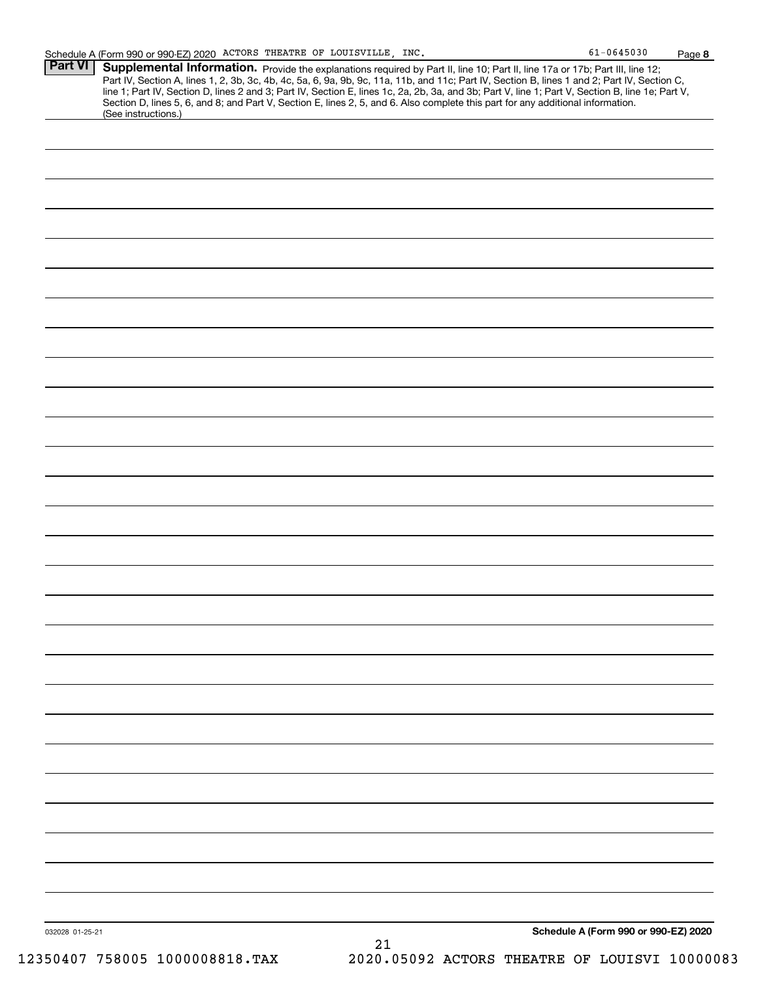| Part VI | Supplemental Information. Provide the explanations required by Part II, line 10; Part II, line 17a or 17b; Part III, line 12;<br>Part IV, Section A, lines 1, 2, 3b, 3c, 4b, 4c, 5a, 6, 9a, 9b, 9c, 11a, 11b, and 11c; Part IV, Section B, lines 1 and 2; Part IV, Section C,<br>line 1; Part IV, Section D, lines 2 and 3; Part IV, Section E, lines 1c, 2a, 2b, 3a, and 3b; Part V, line 1; Part V, Section B, line 1e; Part V,<br>Section D, lines 5, 6, and 8; and Part V, Section E, lines 2, 5, and 6. Also complete this part for any additional information.<br>(See instructions.) |
|---------|---------------------------------------------------------------------------------------------------------------------------------------------------------------------------------------------------------------------------------------------------------------------------------------------------------------------------------------------------------------------------------------------------------------------------------------------------------------------------------------------------------------------------------------------------------------------------------------------|
|         |                                                                                                                                                                                                                                                                                                                                                                                                                                                                                                                                                                                             |
|         |                                                                                                                                                                                                                                                                                                                                                                                                                                                                                                                                                                                             |
|         |                                                                                                                                                                                                                                                                                                                                                                                                                                                                                                                                                                                             |
|         |                                                                                                                                                                                                                                                                                                                                                                                                                                                                                                                                                                                             |
|         |                                                                                                                                                                                                                                                                                                                                                                                                                                                                                                                                                                                             |
|         |                                                                                                                                                                                                                                                                                                                                                                                                                                                                                                                                                                                             |
|         |                                                                                                                                                                                                                                                                                                                                                                                                                                                                                                                                                                                             |
|         |                                                                                                                                                                                                                                                                                                                                                                                                                                                                                                                                                                                             |
|         |                                                                                                                                                                                                                                                                                                                                                                                                                                                                                                                                                                                             |
|         |                                                                                                                                                                                                                                                                                                                                                                                                                                                                                                                                                                                             |
|         |                                                                                                                                                                                                                                                                                                                                                                                                                                                                                                                                                                                             |
|         |                                                                                                                                                                                                                                                                                                                                                                                                                                                                                                                                                                                             |
|         |                                                                                                                                                                                                                                                                                                                                                                                                                                                                                                                                                                                             |
|         |                                                                                                                                                                                                                                                                                                                                                                                                                                                                                                                                                                                             |
|         |                                                                                                                                                                                                                                                                                                                                                                                                                                                                                                                                                                                             |
|         |                                                                                                                                                                                                                                                                                                                                                                                                                                                                                                                                                                                             |
|         |                                                                                                                                                                                                                                                                                                                                                                                                                                                                                                                                                                                             |
|         |                                                                                                                                                                                                                                                                                                                                                                                                                                                                                                                                                                                             |
|         |                                                                                                                                                                                                                                                                                                                                                                                                                                                                                                                                                                                             |
|         |                                                                                                                                                                                                                                                                                                                                                                                                                                                                                                                                                                                             |
|         |                                                                                                                                                                                                                                                                                                                                                                                                                                                                                                                                                                                             |
|         |                                                                                                                                                                                                                                                                                                                                                                                                                                                                                                                                                                                             |
|         |                                                                                                                                                                                                                                                                                                                                                                                                                                                                                                                                                                                             |
|         |                                                                                                                                                                                                                                                                                                                                                                                                                                                                                                                                                                                             |
|         |                                                                                                                                                                                                                                                                                                                                                                                                                                                                                                                                                                                             |
|         |                                                                                                                                                                                                                                                                                                                                                                                                                                                                                                                                                                                             |
|         |                                                                                                                                                                                                                                                                                                                                                                                                                                                                                                                                                                                             |
|         |                                                                                                                                                                                                                                                                                                                                                                                                                                                                                                                                                                                             |
|         |                                                                                                                                                                                                                                                                                                                                                                                                                                                                                                                                                                                             |
|         |                                                                                                                                                                                                                                                                                                                                                                                                                                                                                                                                                                                             |
|         |                                                                                                                                                                                                                                                                                                                                                                                                                                                                                                                                                                                             |
|         |                                                                                                                                                                                                                                                                                                                                                                                                                                                                                                                                                                                             |
|         |                                                                                                                                                                                                                                                                                                                                                                                                                                                                                                                                                                                             |
|         |                                                                                                                                                                                                                                                                                                                                                                                                                                                                                                                                                                                             |
|         |                                                                                                                                                                                                                                                                                                                                                                                                                                                                                                                                                                                             |
|         |                                                                                                                                                                                                                                                                                                                                                                                                                                                                                                                                                                                             |
|         |                                                                                                                                                                                                                                                                                                                                                                                                                                                                                                                                                                                             |
|         | Schedule A (Form 990 or 990-EZ) 2020<br>032028 01-25-21                                                                                                                                                                                                                                                                                                                                                                                                                                                                                                                                     |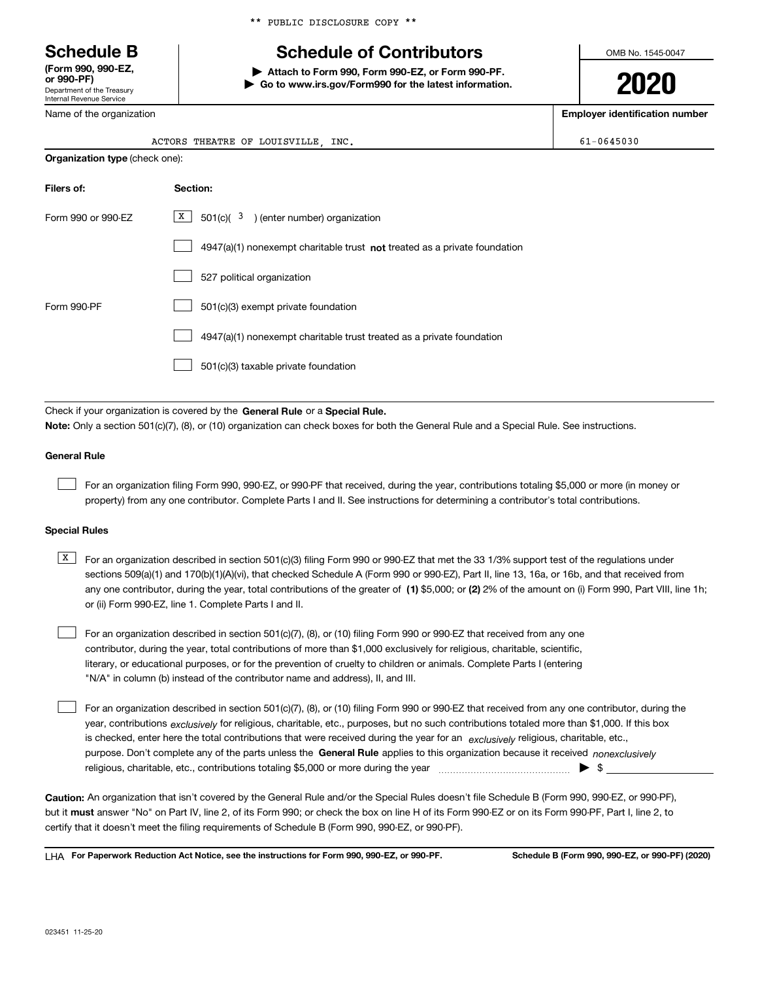Department of the Treasury Internal Revenue Service **(Form 990, 990-EZ, or 990-PF)**

Name of the organization

|  |  | ** PUBLIC DISCLOSURE COPY ** |  |  |
|--|--|------------------------------|--|--|
|--|--|------------------------------|--|--|

# **Schedule B Schedule of Contributors**

**| Attach to Form 990, Form 990-EZ, or Form 990-PF. | Go to www.irs.gov/Form990 for the latest information.** OMB No. 1545-0047

**2020**

**Employer identification number**

|  | 61-0645030 |  |  |  |  |
|--|------------|--|--|--|--|
|  |            |  |  |  |  |

| ACTORS THEATRE OF LOUISVILLE | INC. | $-0645030$ |
|------------------------------|------|------------|
|                              |      |            |

| <b>Organization type (check one):</b> |                                                                                    |  |  |  |  |
|---------------------------------------|------------------------------------------------------------------------------------|--|--|--|--|
| Filers of:                            | Section:                                                                           |  |  |  |  |
| Form 990 or 990-EZ                    | $\boxed{\text{X}}$ 501(c)( 3) (enter number) organization                          |  |  |  |  |
|                                       | $4947(a)(1)$ nonexempt charitable trust <b>not</b> treated as a private foundation |  |  |  |  |
|                                       | 527 political organization                                                         |  |  |  |  |
| Form 990-PF                           | 501(c)(3) exempt private foundation                                                |  |  |  |  |
|                                       | 4947(a)(1) nonexempt charitable trust treated as a private foundation              |  |  |  |  |
|                                       | 501(c)(3) taxable private foundation                                               |  |  |  |  |

Check if your organization is covered by the **General Rule** or a **Special Rule. Note:**  Only a section 501(c)(7), (8), or (10) organization can check boxes for both the General Rule and a Special Rule. See instructions.

### **General Rule**

 $\mathcal{L}^{\text{max}}$ 

For an organization filing Form 990, 990-EZ, or 990-PF that received, during the year, contributions totaling \$5,000 or more (in money or property) from any one contributor. Complete Parts I and II. See instructions for determining a contributor's total contributions.

### **Special Rules**

any one contributor, during the year, total contributions of the greater of  $\,$  (1) \$5,000; or **(2)** 2% of the amount on (i) Form 990, Part VIII, line 1h;  $\overline{X}$  For an organization described in section 501(c)(3) filing Form 990 or 990-EZ that met the 33 1/3% support test of the regulations under sections 509(a)(1) and 170(b)(1)(A)(vi), that checked Schedule A (Form 990 or 990-EZ), Part II, line 13, 16a, or 16b, and that received from or (ii) Form 990-EZ, line 1. Complete Parts I and II.

For an organization described in section 501(c)(7), (8), or (10) filing Form 990 or 990-EZ that received from any one contributor, during the year, total contributions of more than \$1,000 exclusively for religious, charitable, scientific, literary, or educational purposes, or for the prevention of cruelty to children or animals. Complete Parts I (entering "N/A" in column (b) instead of the contributor name and address), II, and III.  $\mathcal{L}^{\text{max}}$ 

purpose. Don't complete any of the parts unless the **General Rule** applies to this organization because it received *nonexclusively* year, contributions <sub>exclusively</sub> for religious, charitable, etc., purposes, but no such contributions totaled more than \$1,000. If this box is checked, enter here the total contributions that were received during the year for an  $\;$ exclusively religious, charitable, etc., For an organization described in section 501(c)(7), (8), or (10) filing Form 990 or 990-EZ that received from any one contributor, during the religious, charitable, etc., contributions totaling \$5,000 or more during the year  $\Box$ — $\Box$   $\Box$   $\Box$  $\mathcal{L}^{\text{max}}$ 

**Caution:**  An organization that isn't covered by the General Rule and/or the Special Rules doesn't file Schedule B (Form 990, 990-EZ, or 990-PF),  **must** but it answer "No" on Part IV, line 2, of its Form 990; or check the box on line H of its Form 990-EZ or on its Form 990-PF, Part I, line 2, to certify that it doesn't meet the filing requirements of Schedule B (Form 990, 990-EZ, or 990-PF).

**For Paperwork Reduction Act Notice, see the instructions for Form 990, 990-EZ, or 990-PF. Schedule B (Form 990, 990-EZ, or 990-PF) (2020)** LHA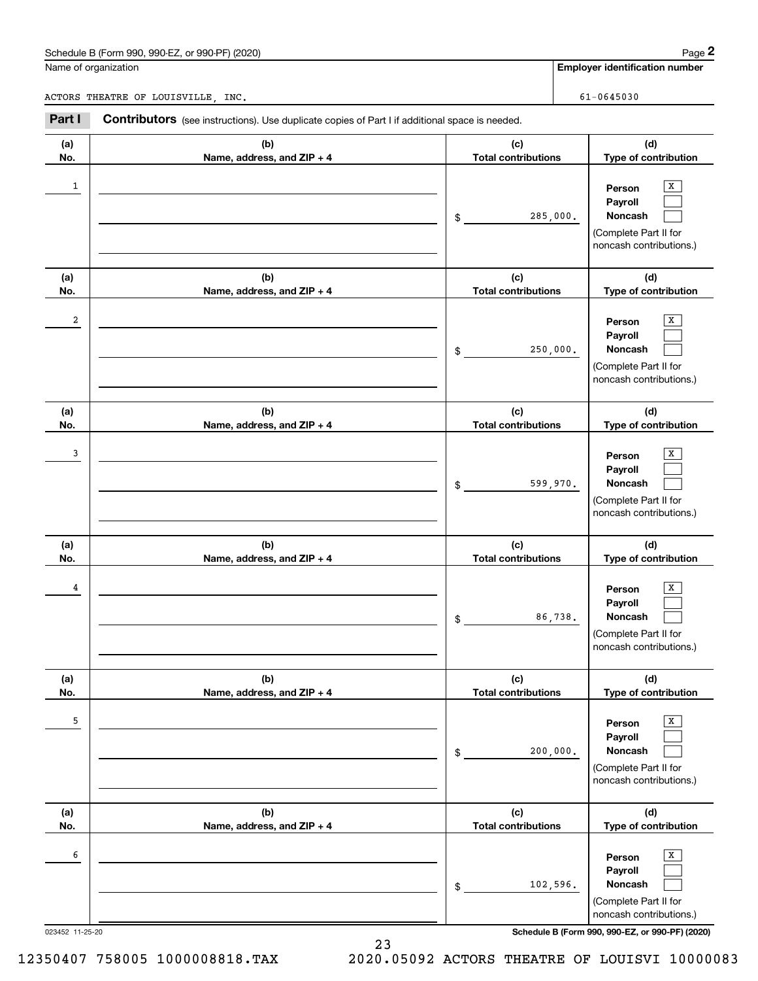# Schedule B (Form 990, 990-EZ, or 990-PF) (2020) Page 2

|                | Schedule B (Form 990, 990-EZ, or 990-PF) (2020)                                                       |                                   | Page 2                                                                                            |
|----------------|-------------------------------------------------------------------------------------------------------|-----------------------------------|---------------------------------------------------------------------------------------------------|
|                | Name of organization                                                                                  |                                   | <b>Employer identification number</b>                                                             |
|                | ACTORS THEATRE OF LOUISVILLE, INC.                                                                    |                                   | $61 - 0645030$                                                                                    |
| Part I         | <b>Contributors</b> (see instructions). Use duplicate copies of Part I if additional space is needed. |                                   |                                                                                                   |
| (a)<br>No.     | (b)<br>Name, address, and ZIP + 4                                                                     | (c)<br><b>Total contributions</b> | (d)<br>Type of contribution                                                                       |
| 1              |                                                                                                       | \$                                | X<br>Person<br>Payroll<br>Noncash<br>285,000.<br>(Complete Part II for<br>noncash contributions.) |
| (a)<br>No.     | (b)<br>Name, address, and ZIP + 4                                                                     | (c)<br><b>Total contributions</b> | (d)<br>Type of contribution                                                                       |
| $\overline{a}$ |                                                                                                       | \$                                | X<br>Person<br>Payroll<br>Noncash<br>250,000.<br>(Complete Part II for<br>noncash contributions.) |
| (a)<br>No.     | (b)<br>Name, address, and ZIP + 4                                                                     | (c)<br><b>Total contributions</b> | (d)<br>Type of contribution                                                                       |
| 3              |                                                                                                       | \$                                | X<br>Person<br>Payroll<br>599,970.<br>Noncash<br>(Complete Part II for<br>noncash contributions.) |
| (a)<br>No.     | (b)<br>Name, address, and ZIP + 4                                                                     | (c)<br><b>Total contributions</b> | (d)<br>Type of contribution                                                                       |
| 4              |                                                                                                       | \$                                | х<br>Person<br>Payroll<br>86,738.<br>Noncash<br>(Complete Part II for<br>noncash contributions.)  |
| (a)<br>No.     | (b)<br>Name, address, and ZIP + 4                                                                     | (c)<br><b>Total contributions</b> | (d)<br>Type of contribution                                                                       |
| 5              |                                                                                                       | \$                                | Х<br>Person<br>Payroll<br>Noncash<br>200,000.<br>(Complete Part II for<br>noncash contributions.) |
| (a)<br>No.     | (b)<br>Name, address, and ZIP + 4                                                                     | (c)<br><b>Total contributions</b> | (d)<br>Type of contribution                                                                       |
| 6              |                                                                                                       | \$                                | X<br>Person<br>Payroll<br>Noncash<br>102,596.<br>(Complete Part II for<br>noncash contributions.) |

023452 11-25-20 **Schedule B (Form 990, 990-EZ, or 990-PF) (2020)**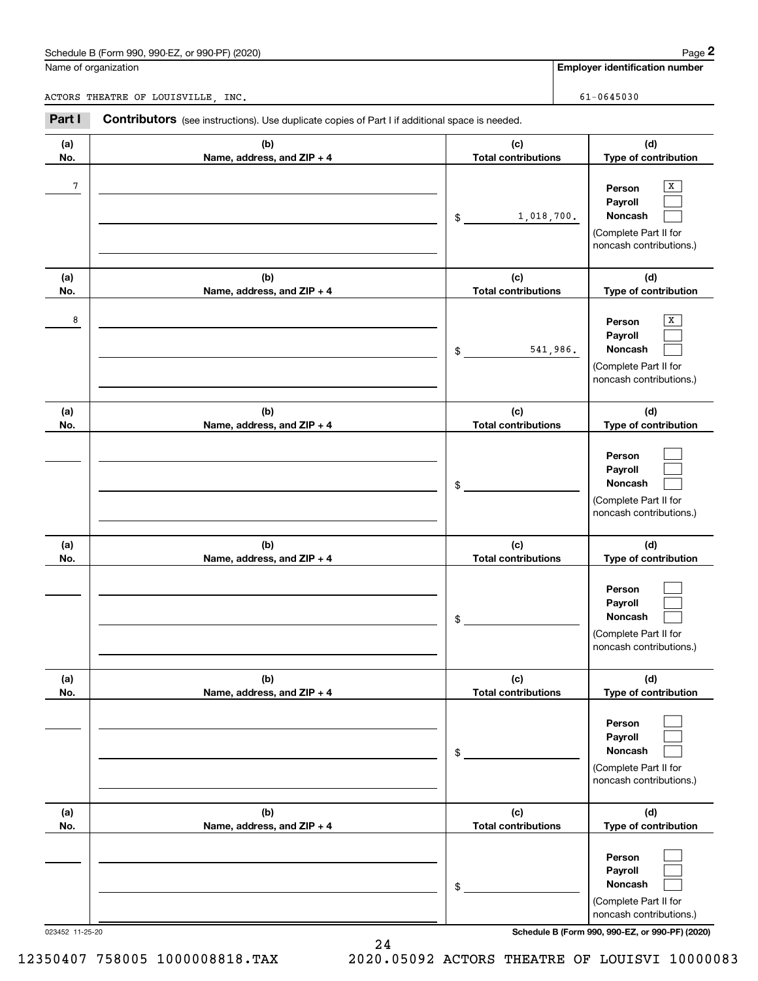# Schedule B (Form 990, 990-EZ, or 990-PF) (2020) Page 2

|            | Schedule B (Form 990, 990-EZ, or 990-PF) (2020)                                                       |                                   | Page 2                                                                                |
|------------|-------------------------------------------------------------------------------------------------------|-----------------------------------|---------------------------------------------------------------------------------------|
|            | Name of organization                                                                                  |                                   | <b>Employer identification number</b>                                                 |
|            | ACTORS THEATRE OF LOUISVILLE, INC.                                                                    |                                   | $61 - 0645030$                                                                        |
| Part I     | <b>Contributors</b> (see instructions). Use duplicate copies of Part I if additional space is needed. |                                   |                                                                                       |
| (a)<br>No. | (b)<br>Name, address, and ZIP + 4                                                                     | (c)<br><b>Total contributions</b> | (d)<br>Type of contribution                                                           |
| $\sqrt{7}$ |                                                                                                       | 1,018,700.<br>\$                  | X<br>Person<br>Payroll<br>Noncash<br>(Complete Part II for<br>noncash contributions.) |
| (a)<br>No. | (b)<br>Name, address, and ZIP + 4                                                                     | (c)<br><b>Total contributions</b> | (d)<br>Type of contribution                                                           |
| 8          |                                                                                                       | 541,986.<br>\$                    | X<br>Person<br>Payroll<br>Noncash<br>(Complete Part II for<br>noncash contributions.) |
| (a)<br>No. | (b)<br>Name, address, and ZIP + 4                                                                     | (c)<br><b>Total contributions</b> | (d)<br>Type of contribution                                                           |
|            |                                                                                                       | \$                                | Person<br>Payroll<br>Noncash<br>(Complete Part II for<br>noncash contributions.)      |
| (a)<br>No. | (b)<br>Name, address, and ZIP + 4                                                                     | (c)<br><b>Total contributions</b> | (d)<br>Type of contribution                                                           |
|            |                                                                                                       | \$                                | Person<br>Payroll<br>Noncash<br>(Complete Part II for<br>noncash contributions.)      |
| (a)<br>No. | (b)<br>Name, address, and ZIP + 4                                                                     | (c)<br><b>Total contributions</b> | (d)<br>Type of contribution                                                           |
|            |                                                                                                       | \$                                | Person<br>Payroll<br>Noncash<br>(Complete Part II for<br>noncash contributions.)      |
| (a)<br>No. | (b)<br>Name, address, and ZIP + 4                                                                     | (c)<br><b>Total contributions</b> | (d)<br>Type of contribution                                                           |
|            |                                                                                                       | \$                                | Person<br>Payroll<br>Noncash<br>(Complete Part II for<br>noncash contributions.)      |

023452 11-25-20 **Schedule B (Form 990, 990-EZ, or 990-PF) (2020)**

24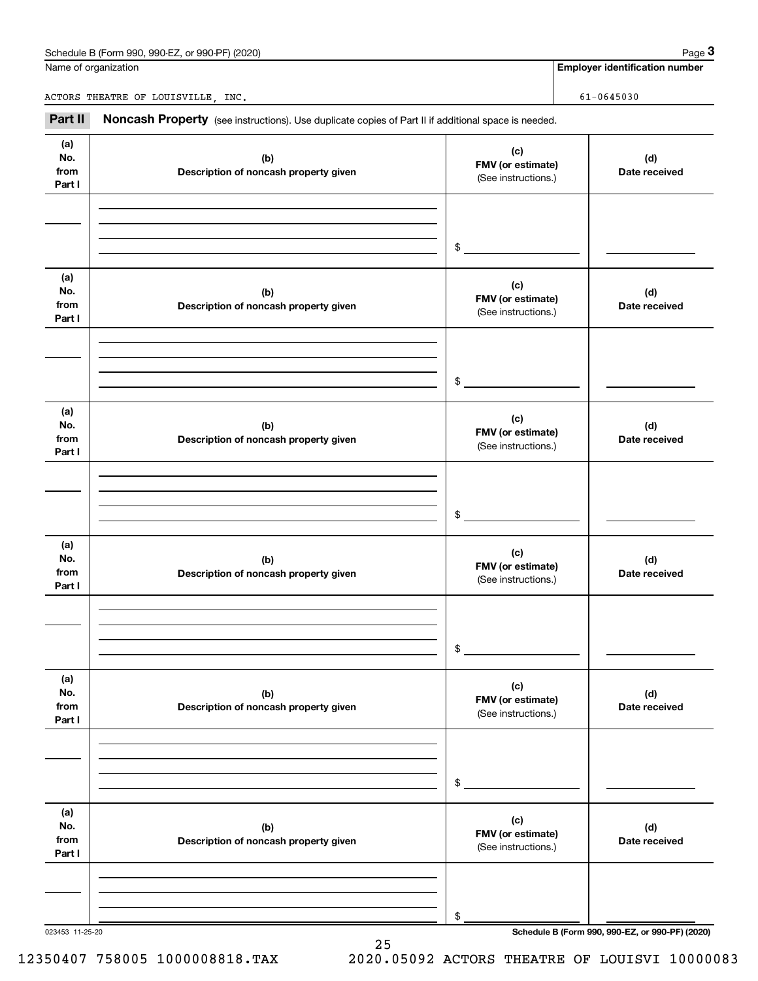## Schedule B (Form 990, 990-EZ, or 990-PF) (2020) **Page 3** Page 3

|                              | Schedule B (Form 990, 990-EZ, or 990-PF) (2020)                                                     |                                                 | Page 3                                |
|------------------------------|-----------------------------------------------------------------------------------------------------|-------------------------------------------------|---------------------------------------|
|                              | Name of organization                                                                                |                                                 | <b>Employer identification number</b> |
|                              | ACTORS THEATRE OF LOUISVILLE, INC.                                                                  |                                                 | $61 - 0645030$                        |
| Part II                      | Noncash Property (see instructions). Use duplicate copies of Part II if additional space is needed. |                                                 |                                       |
| (a)<br>No.<br>from<br>Part I | (b)<br>Description of noncash property given                                                        | (c)<br>FMV (or estimate)<br>(See instructions.) | (d)<br>Date received                  |
|                              |                                                                                                     | \$                                              |                                       |
| (a)<br>No.<br>from<br>Part I | (b)<br>Description of noncash property given                                                        | (c)<br>FMV (or estimate)<br>(See instructions.) | (d)<br>Date received                  |
|                              |                                                                                                     | \$                                              |                                       |
| (a)<br>No.<br>from<br>Part I | (b)<br>Description of noncash property given                                                        | (c)<br>FMV (or estimate)<br>(See instructions.) | (d)<br>Date received                  |
|                              |                                                                                                     | \$                                              |                                       |
| (a)<br>No.<br>from<br>Part I | (b)<br>Description of noncash property given                                                        | (c)<br>FMV (or estimate)<br>(See instructions.) | (d)<br>Date received                  |
|                              |                                                                                                     | \$                                              |                                       |
| (a)<br>No.<br>from<br>Part I | (b)<br>Description of noncash property given                                                        | (c)<br>FMV (or estimate)<br>(See instructions.) | (d)<br>Date received                  |
|                              |                                                                                                     | \$                                              |                                       |
| (a)<br>No.<br>from<br>Part I | (b)<br>Description of noncash property given                                                        | (c)<br>FMV (or estimate)<br>(See instructions.) | (d)<br>Date received                  |
|                              |                                                                                                     | \$                                              |                                       |

25

023453 11-25-20 **Schedule B (Form 990, 990-EZ, or 990-PF) (2020)**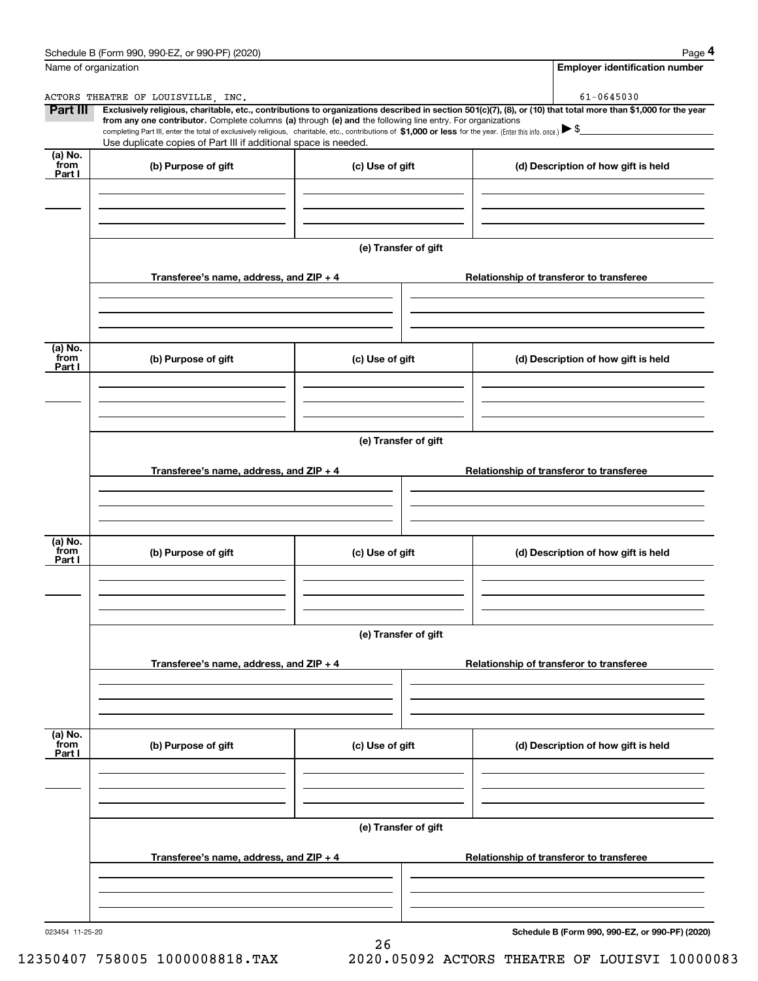|                           | Schedule B (Form 990, 990-EZ, or 990-PF) (2020)                                                                                                                                                                                                                                                 |                      | Page 4                                                                                                                                                         |  |  |  |  |
|---------------------------|-------------------------------------------------------------------------------------------------------------------------------------------------------------------------------------------------------------------------------------------------------------------------------------------------|----------------------|----------------------------------------------------------------------------------------------------------------------------------------------------------------|--|--|--|--|
| Name of organization      |                                                                                                                                                                                                                                                                                                 |                      | <b>Employer identification number</b>                                                                                                                          |  |  |  |  |
|                           | ACTORS THEATRE OF LOUISVILLE, INC.                                                                                                                                                                                                                                                              |                      | 61-0645030                                                                                                                                                     |  |  |  |  |
| <b>Part III</b>           | from any one contributor. Complete columns (a) through (e) and the following line entry. For organizations<br>completing Part III, enter the total of exclusively religious, charitable, etc., contributions of \$1,000 or less for the year. (Enter this info. once.) $\blacktriangleright$ \$ |                      | Exclusively religious, charitable, etc., contributions to organizations described in section 501(c)(7), (8), or (10) that total more than \$1,000 for the year |  |  |  |  |
|                           | Use duplicate copies of Part III if additional space is needed.                                                                                                                                                                                                                                 |                      |                                                                                                                                                                |  |  |  |  |
| (a) No.<br>from<br>Part I | (b) Purpose of gift                                                                                                                                                                                                                                                                             | (c) Use of gift      | (d) Description of how gift is held                                                                                                                            |  |  |  |  |
|                           |                                                                                                                                                                                                                                                                                                 |                      |                                                                                                                                                                |  |  |  |  |
|                           |                                                                                                                                                                                                                                                                                                 |                      |                                                                                                                                                                |  |  |  |  |
|                           |                                                                                                                                                                                                                                                                                                 | (e) Transfer of gift |                                                                                                                                                                |  |  |  |  |
|                           | Transferee's name, address, and ZIP + 4                                                                                                                                                                                                                                                         |                      | Relationship of transferor to transferee                                                                                                                       |  |  |  |  |
|                           |                                                                                                                                                                                                                                                                                                 |                      |                                                                                                                                                                |  |  |  |  |
| (a) No.<br>from<br>Part I | (b) Purpose of gift                                                                                                                                                                                                                                                                             | (c) Use of gift      | (d) Description of how gift is held                                                                                                                            |  |  |  |  |
|                           |                                                                                                                                                                                                                                                                                                 |                      |                                                                                                                                                                |  |  |  |  |
|                           | (e) Transfer of gift                                                                                                                                                                                                                                                                            |                      |                                                                                                                                                                |  |  |  |  |
|                           |                                                                                                                                                                                                                                                                                                 |                      |                                                                                                                                                                |  |  |  |  |
|                           | Transferee's name, address, and ZIP + 4                                                                                                                                                                                                                                                         |                      | Relationship of transferor to transferee                                                                                                                       |  |  |  |  |
|                           |                                                                                                                                                                                                                                                                                                 |                      |                                                                                                                                                                |  |  |  |  |
| (a) No.<br>from<br>Part I | (b) Purpose of gift                                                                                                                                                                                                                                                                             | (c) Use of gift      | (d) Description of how gift is held                                                                                                                            |  |  |  |  |
|                           |                                                                                                                                                                                                                                                                                                 |                      |                                                                                                                                                                |  |  |  |  |
|                           |                                                                                                                                                                                                                                                                                                 | (e) Transfer of gift |                                                                                                                                                                |  |  |  |  |
|                           | Transferee's name, address, and ZIP + 4                                                                                                                                                                                                                                                         |                      | Relationship of transferor to transferee                                                                                                                       |  |  |  |  |
|                           |                                                                                                                                                                                                                                                                                                 |                      |                                                                                                                                                                |  |  |  |  |
| (a) No.<br>from<br>Part I | (b) Purpose of gift                                                                                                                                                                                                                                                                             | (c) Use of gift      | (d) Description of how gift is held                                                                                                                            |  |  |  |  |
|                           |                                                                                                                                                                                                                                                                                                 |                      |                                                                                                                                                                |  |  |  |  |
|                           |                                                                                                                                                                                                                                                                                                 | (e) Transfer of gift |                                                                                                                                                                |  |  |  |  |
|                           | Transferee's name, address, and $ZIP + 4$                                                                                                                                                                                                                                                       |                      | Relationship of transferor to transferee                                                                                                                       |  |  |  |  |
|                           |                                                                                                                                                                                                                                                                                                 |                      |                                                                                                                                                                |  |  |  |  |
|                           |                                                                                                                                                                                                                                                                                                 |                      |                                                                                                                                                                |  |  |  |  |

26

023454 11-25-20

**Schedule B (Form 990, 990-EZ, or 990-PF) (2020)**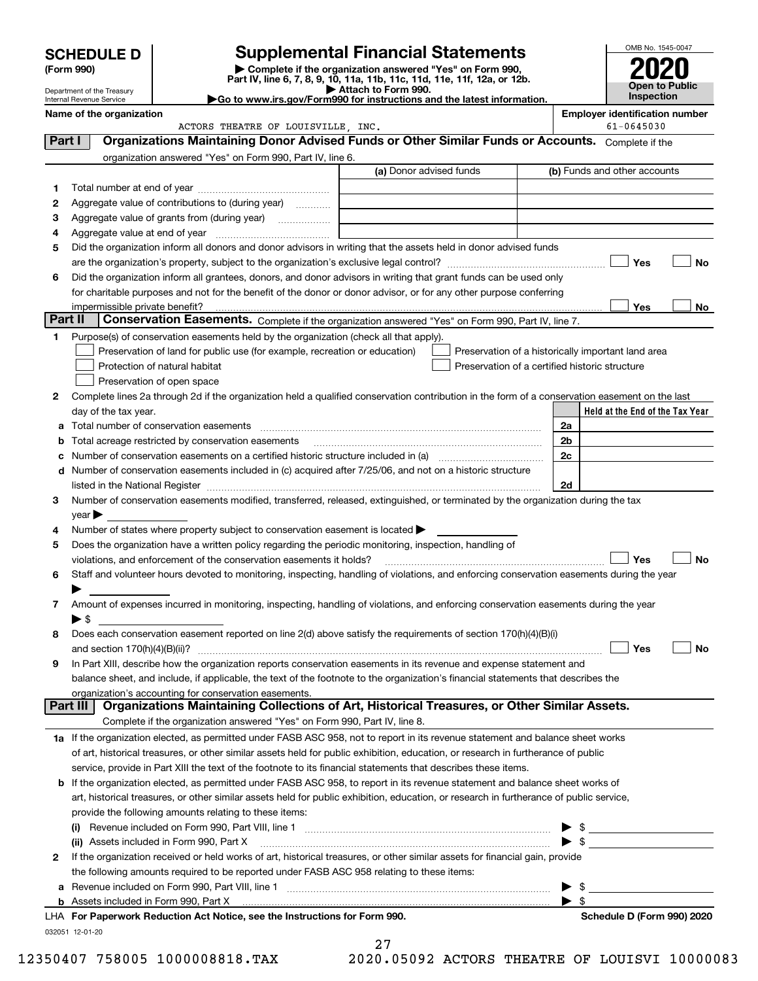|         | <b>SCHEDULE D</b>                                                                                                                                                                                                             |                                                                                                   |  | <b>Supplemental Financial Statements</b> |  |                     |                         |                                                                          | OMB No. 1545-0047                                  |                |               |                                                     |           |
|---------|-------------------------------------------------------------------------------------------------------------------------------------------------------------------------------------------------------------------------------|---------------------------------------------------------------------------------------------------|--|------------------------------------------|--|---------------------|-------------------------|--------------------------------------------------------------------------|----------------------------------------------------|----------------|---------------|-----------------------------------------------------|-----------|
|         | (Form 990)                                                                                                                                                                                                                    |                                                                                                   |  |                                          |  |                     |                         | Complete if the organization answered "Yes" on Form 990,                 |                                                    |                |               |                                                     |           |
|         | Department of the Treasury                                                                                                                                                                                                    |                                                                                                   |  |                                          |  | Attach to Form 990. |                         | Part IV, line 6, 7, 8, 9, 10, 11a, 11b, 11c, 11d, 11e, 11f, 12a, or 12b. |                                                    |                |               | Open to Public                                      |           |
|         | Go to www.irs.gov/Form990 for instructions and the latest information.<br>Internal Revenue Service                                                                                                                            |                                                                                                   |  |                                          |  |                     |                         |                                                                          |                                                    |                |               | Inspection                                          |           |
|         | Name of the organization                                                                                                                                                                                                      |                                                                                                   |  | ACTORS THEATRE OF LOUISVILLE, INC.       |  |                     |                         |                                                                          |                                                    |                |               | <b>Employer identification number</b><br>61-0645030 |           |
| Part I  |                                                                                                                                                                                                                               | Organizations Maintaining Donor Advised Funds or Other Similar Funds or Accounts. Complete if the |  |                                          |  |                     |                         |                                                                          |                                                    |                |               |                                                     |           |
|         |                                                                                                                                                                                                                               | organization answered "Yes" on Form 990, Part IV, line 6.                                         |  |                                          |  |                     |                         |                                                                          |                                                    |                |               |                                                     |           |
|         |                                                                                                                                                                                                                               |                                                                                                   |  |                                          |  |                     | (a) Donor advised funds |                                                                          |                                                    |                |               | (b) Funds and other accounts                        |           |
| 1       |                                                                                                                                                                                                                               |                                                                                                   |  |                                          |  |                     |                         |                                                                          |                                                    |                |               |                                                     |           |
| 2       | Aggregate value of contributions to (during year)                                                                                                                                                                             |                                                                                                   |  |                                          |  |                     |                         |                                                                          |                                                    |                |               |                                                     |           |
| 3       | Aggregate value of grants from (during year)                                                                                                                                                                                  |                                                                                                   |  |                                          |  |                     |                         |                                                                          |                                                    |                |               |                                                     |           |
| 4       |                                                                                                                                                                                                                               |                                                                                                   |  |                                          |  |                     |                         |                                                                          |                                                    |                |               |                                                     |           |
| 5       | Did the organization inform all donors and donor advisors in writing that the assets held in donor advised funds                                                                                                              |                                                                                                   |  |                                          |  |                     |                         |                                                                          |                                                    |                |               |                                                     |           |
|         |                                                                                                                                                                                                                               |                                                                                                   |  |                                          |  |                     |                         |                                                                          |                                                    |                |               | Yes                                                 | <b>No</b> |
| 6       | Did the organization inform all grantees, donors, and donor advisors in writing that grant funds can be used only                                                                                                             |                                                                                                   |  |                                          |  |                     |                         |                                                                          |                                                    |                |               |                                                     |           |
|         | for charitable purposes and not for the benefit of the donor or donor advisor, or for any other purpose conferring<br>impermissible private benefit?                                                                          |                                                                                                   |  |                                          |  |                     |                         |                                                                          |                                                    |                |               | Yes                                                 | No        |
| Part II |                                                                                                                                                                                                                               | Conservation Easements. Complete if the organization answered "Yes" on Form 990, Part IV, line 7. |  |                                          |  |                     |                         |                                                                          |                                                    |                |               |                                                     |           |
| 1       | Purpose(s) of conservation easements held by the organization (check all that apply).                                                                                                                                         |                                                                                                   |  |                                          |  |                     |                         |                                                                          |                                                    |                |               |                                                     |           |
|         |                                                                                                                                                                                                                               | Preservation of land for public use (for example, recreation or education)                        |  |                                          |  |                     |                         |                                                                          | Preservation of a historically important land area |                |               |                                                     |           |
|         |                                                                                                                                                                                                                               | Protection of natural habitat                                                                     |  |                                          |  |                     |                         |                                                                          | Preservation of a certified historic structure     |                |               |                                                     |           |
|         |                                                                                                                                                                                                                               | Preservation of open space                                                                        |  |                                          |  |                     |                         |                                                                          |                                                    |                |               |                                                     |           |
| 2       | Complete lines 2a through 2d if the organization held a qualified conservation contribution in the form of a conservation easement on the last                                                                                |                                                                                                   |  |                                          |  |                     |                         |                                                                          |                                                    |                |               |                                                     |           |
|         | day of the tax year.                                                                                                                                                                                                          |                                                                                                   |  |                                          |  |                     |                         |                                                                          |                                                    |                |               | Held at the End of the Tax Year                     |           |
| a       | Total number of conservation easements                                                                                                                                                                                        |                                                                                                   |  |                                          |  |                     |                         |                                                                          |                                                    | 2a             |               |                                                     |           |
| b       | Total acreage restricted by conservation easements                                                                                                                                                                            |                                                                                                   |  |                                          |  |                     |                         |                                                                          |                                                    | 2b             |               |                                                     |           |
|         | Number of conservation easements on a certified historic structure included in (a) manufacture included in (a)                                                                                                                |                                                                                                   |  |                                          |  |                     |                         |                                                                          |                                                    | 2 <sub>c</sub> |               |                                                     |           |
|         | d Number of conservation easements included in (c) acquired after 7/25/06, and not on a historic structure                                                                                                                    |                                                                                                   |  |                                          |  |                     |                         |                                                                          |                                                    |                |               |                                                     |           |
|         | listed in the National Register [[11] matter contract the state of the state of the National Register [11] matter state in the National Register [11] matter state in the National Register [11] matter state in the state of |                                                                                                   |  |                                          |  |                     |                         |                                                                          |                                                    | 2d             |               |                                                     |           |
| 3       | Number of conservation easements modified, transferred, released, extinguished, or terminated by the organization during the tax                                                                                              |                                                                                                   |  |                                          |  |                     |                         |                                                                          |                                                    |                |               |                                                     |           |
|         | $year \blacktriangleright$                                                                                                                                                                                                    |                                                                                                   |  |                                          |  |                     |                         |                                                                          |                                                    |                |               |                                                     |           |
| 4       | Number of states where property subject to conservation easement is located $\blacktriangleright$                                                                                                                             |                                                                                                   |  |                                          |  |                     |                         |                                                                          |                                                    |                |               |                                                     |           |
| 5       | Does the organization have a written policy regarding the periodic monitoring, inspection, handling of                                                                                                                        |                                                                                                   |  |                                          |  |                     |                         |                                                                          |                                                    |                |               |                                                     |           |
|         | violations, and enforcement of the conservation easements it holds?                                                                                                                                                           |                                                                                                   |  |                                          |  |                     |                         |                                                                          |                                                    |                |               | Yes                                                 | <b>No</b> |
| 6       | Staff and volunteer hours devoted to monitoring, inspecting, handling of violations, and enforcing conservation easements during the year                                                                                     |                                                                                                   |  |                                          |  |                     |                         |                                                                          |                                                    |                |               |                                                     |           |
|         |                                                                                                                                                                                                                               |                                                                                                   |  |                                          |  |                     |                         |                                                                          |                                                    |                |               |                                                     |           |
| 7       | Amount of expenses incurred in monitoring, inspecting, handling of violations, and enforcing conservation easements during the year                                                                                           |                                                                                                   |  |                                          |  |                     |                         |                                                                          |                                                    |                |               |                                                     |           |
|         | $\blacktriangleright$ \$                                                                                                                                                                                                      |                                                                                                   |  |                                          |  |                     |                         |                                                                          |                                                    |                |               |                                                     |           |
| 8       | Does each conservation easement reported on line 2(d) above satisfy the requirements of section 170(h)(4)(B)(i)                                                                                                               |                                                                                                   |  |                                          |  |                     |                         |                                                                          |                                                    |                |               |                                                     |           |
|         | In Part XIII, describe how the organization reports conservation easements in its revenue and expense statement and                                                                                                           |                                                                                                   |  |                                          |  |                     |                         |                                                                          |                                                    |                |               | Yes                                                 | No        |
| 9       | balance sheet, and include, if applicable, the text of the footnote to the organization's financial statements that describes the                                                                                             |                                                                                                   |  |                                          |  |                     |                         |                                                                          |                                                    |                |               |                                                     |           |
|         | organization's accounting for conservation easements.                                                                                                                                                                         |                                                                                                   |  |                                          |  |                     |                         |                                                                          |                                                    |                |               |                                                     |           |
|         | Part III                                                                                                                                                                                                                      | Organizations Maintaining Collections of Art, Historical Treasures, or Other Similar Assets.      |  |                                          |  |                     |                         |                                                                          |                                                    |                |               |                                                     |           |
|         |                                                                                                                                                                                                                               | Complete if the organization answered "Yes" on Form 990, Part IV, line 8.                         |  |                                          |  |                     |                         |                                                                          |                                                    |                |               |                                                     |           |
|         | 1a If the organization elected, as permitted under FASB ASC 958, not to report in its revenue statement and balance sheet works                                                                                               |                                                                                                   |  |                                          |  |                     |                         |                                                                          |                                                    |                |               |                                                     |           |
|         | of art, historical treasures, or other similar assets held for public exhibition, education, or research in furtherance of public                                                                                             |                                                                                                   |  |                                          |  |                     |                         |                                                                          |                                                    |                |               |                                                     |           |
|         | service, provide in Part XIII the text of the footnote to its financial statements that describes these items.                                                                                                                |                                                                                                   |  |                                          |  |                     |                         |                                                                          |                                                    |                |               |                                                     |           |
| b       | If the organization elected, as permitted under FASB ASC 958, to report in its revenue statement and balance sheet works of                                                                                                   |                                                                                                   |  |                                          |  |                     |                         |                                                                          |                                                    |                |               |                                                     |           |
|         | art, historical treasures, or other similar assets held for public exhibition, education, or research in furtherance of public service,                                                                                       |                                                                                                   |  |                                          |  |                     |                         |                                                                          |                                                    |                |               |                                                     |           |
|         | provide the following amounts relating to these items:                                                                                                                                                                        |                                                                                                   |  |                                          |  |                     |                         |                                                                          |                                                    |                |               |                                                     |           |
|         |                                                                                                                                                                                                                               |                                                                                                   |  |                                          |  |                     |                         |                                                                          |                                                    |                | $\frac{1}{2}$ |                                                     |           |
|         | (ii) Assets included in Form 990, Part X                                                                                                                                                                                      |                                                                                                   |  |                                          |  |                     |                         |                                                                          |                                                    |                |               |                                                     |           |
| 2       | If the organization received or held works of art, historical treasures, or other similar assets for financial gain, provide                                                                                                  |                                                                                                   |  |                                          |  |                     |                         |                                                                          |                                                    |                |               |                                                     |           |
|         | the following amounts required to be reported under FASB ASC 958 relating to these items:                                                                                                                                     |                                                                                                   |  |                                          |  |                     |                         |                                                                          |                                                    |                |               |                                                     |           |
| а       |                                                                                                                                                                                                                               |                                                                                                   |  |                                          |  |                     |                         |                                                                          |                                                    |                |               |                                                     |           |
|         |                                                                                                                                                                                                                               |                                                                                                   |  |                                          |  |                     |                         |                                                                          |                                                    |                |               |                                                     |           |

032051 12-01-20 **For Paperwork Reduction Act Notice, see the Instructions for Form 990. Schedule D (Form 990) 2020** LHA

27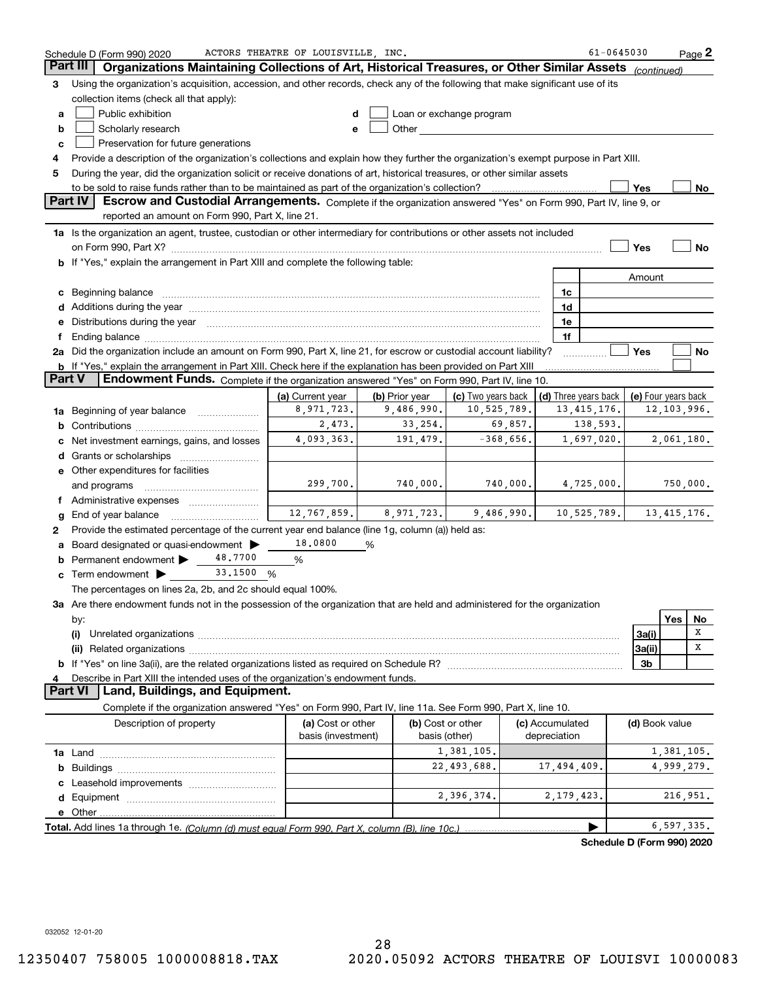|               | Schedule D (Form 990) 2020                                                                                                                                                                                                     | ACTORS THEATRE OF LOUISVILLE, INC. |                        |                                                                                                                                                                                                                                |                 | 61-0645030                                 |                |               | Page 2      |
|---------------|--------------------------------------------------------------------------------------------------------------------------------------------------------------------------------------------------------------------------------|------------------------------------|------------------------|--------------------------------------------------------------------------------------------------------------------------------------------------------------------------------------------------------------------------------|-----------------|--------------------------------------------|----------------|---------------|-------------|
|               | Part III<br>Organizations Maintaining Collections of Art, Historical Treasures, or Other Similar Assets (continued)                                                                                                            |                                    |                        |                                                                                                                                                                                                                                |                 |                                            |                |               |             |
| 3             | Using the organization's acquisition, accession, and other records, check any of the following that make significant use of its                                                                                                |                                    |                        |                                                                                                                                                                                                                                |                 |                                            |                |               |             |
|               | collection items (check all that apply):                                                                                                                                                                                       |                                    |                        |                                                                                                                                                                                                                                |                 |                                            |                |               |             |
| a             | Public exhibition                                                                                                                                                                                                              |                                    |                        | Loan or exchange program                                                                                                                                                                                                       |                 |                                            |                |               |             |
| b             | Scholarly research                                                                                                                                                                                                             | e                                  |                        | Other and the control of the control of the control of the control of the control of the control of the control of the control of the control of the control of the control of the control of the control of the control of th |                 |                                            |                |               |             |
| c             | Preservation for future generations                                                                                                                                                                                            |                                    |                        |                                                                                                                                                                                                                                |                 |                                            |                |               |             |
| 4             | Provide a description of the organization's collections and explain how they further the organization's exempt purpose in Part XIII.                                                                                           |                                    |                        |                                                                                                                                                                                                                                |                 |                                            |                |               |             |
| 5             | During the year, did the organization solicit or receive donations of art, historical treasures, or other similar assets                                                                                                       |                                    |                        |                                                                                                                                                                                                                                |                 |                                            |                |               |             |
|               |                                                                                                                                                                                                                                |                                    |                        |                                                                                                                                                                                                                                |                 |                                            | Yes            |               | No          |
|               | Part IV<br>Escrow and Custodial Arrangements. Complete if the organization answered "Yes" on Form 990, Part IV, line 9, or                                                                                                     |                                    |                        |                                                                                                                                                                                                                                |                 |                                            |                |               |             |
|               | reported an amount on Form 990, Part X, line 21.                                                                                                                                                                               |                                    |                        |                                                                                                                                                                                                                                |                 |                                            |                |               |             |
|               | 1a Is the organization an agent, trustee, custodian or other intermediary for contributions or other assets not included                                                                                                       |                                    |                        |                                                                                                                                                                                                                                |                 |                                            |                |               |             |
|               | on Form 990, Part X? [11] matter and the contract of the contract of the contract of the contract of the contract of the contract of the contract of the contract of the contract of the contract of the contract of the contr |                                    |                        |                                                                                                                                                                                                                                |                 |                                            | Yes            |               | No          |
|               | b If "Yes," explain the arrangement in Part XIII and complete the following table:                                                                                                                                             |                                    |                        |                                                                                                                                                                                                                                |                 |                                            |                |               |             |
|               |                                                                                                                                                                                                                                |                                    |                        |                                                                                                                                                                                                                                |                 |                                            |                |               |             |
|               |                                                                                                                                                                                                                                |                                    |                        |                                                                                                                                                                                                                                |                 |                                            | Amount         |               |             |
|               | c Beginning balance                                                                                                                                                                                                            |                                    |                        |                                                                                                                                                                                                                                | 1c              |                                            |                |               |             |
|               | d Additions during the year measurements are all an according to the year.                                                                                                                                                     |                                    |                        |                                                                                                                                                                                                                                | 1d              |                                            |                |               |             |
|               | e Distributions during the year manufactured and contained and contained and contained and contained and contained and contained and contained and contained and contained and contained and contained and contained and conta |                                    |                        |                                                                                                                                                                                                                                | 1e              |                                            |                |               |             |
| f             |                                                                                                                                                                                                                                |                                    |                        |                                                                                                                                                                                                                                | 1f              |                                            |                |               |             |
|               | 2a Did the organization include an amount on Form 990, Part X, line 21, for escrow or custodial account liability?                                                                                                             |                                    |                        |                                                                                                                                                                                                                                |                 |                                            | Yes            |               | No          |
|               | b If "Yes," explain the arrangement in Part XIII. Check here if the explanation has been provided on Part XIII                                                                                                                 |                                    |                        |                                                                                                                                                                                                                                |                 |                                            |                |               |             |
| <b>Part V</b> | Endowment Funds. Complete if the organization answered "Yes" on Form 990, Part IV, line 10.                                                                                                                                    |                                    |                        |                                                                                                                                                                                                                                |                 |                                            |                |               |             |
|               |                                                                                                                                                                                                                                | (a) Current year                   | (b) Prior year $\vert$ | (c) Two years back                                                                                                                                                                                                             |                 | (d) Three years back   (e) Four years back |                |               |             |
|               | <b>1a</b> Beginning of year balance <i>manument</i>                                                                                                                                                                            | 8,971,723.                         | 9,486,990.             | 10,525,789.                                                                                                                                                                                                                    |                 | 13, 415, 176.                              |                | 12, 103, 996. |             |
|               |                                                                                                                                                                                                                                | 2,473.                             | 33, 254.               | 69,857.                                                                                                                                                                                                                        |                 | 138,593.                                   |                |               |             |
| с             | Net investment earnings, gains, and losses                                                                                                                                                                                     | 4,093,363.                         | 191,479.               | $-368,656.$                                                                                                                                                                                                                    |                 | 1,697,020.                                 |                |               | 2,061,180.  |
|               |                                                                                                                                                                                                                                |                                    |                        |                                                                                                                                                                                                                                |                 |                                            |                |               |             |
|               | e Other expenditures for facilities                                                                                                                                                                                            |                                    |                        |                                                                                                                                                                                                                                |                 |                                            |                |               |             |
|               | and programs                                                                                                                                                                                                                   | 299,700.                           | 740,000.               | 740,000.                                                                                                                                                                                                                       |                 | 4,725,000.                                 |                |               | 750,000.    |
|               | f Administrative expenses                                                                                                                                                                                                      |                                    |                        |                                                                                                                                                                                                                                |                 |                                            |                |               |             |
| g             | End of year balance                                                                                                                                                                                                            | 12,767,859.                        | 8,971,723.             | $9,486,990.$ 10,525,789.                                                                                                                                                                                                       |                 |                                            |                |               | 13,415,176. |
| 2             | Provide the estimated percentage of the current year end balance (line 1g, column (a)) held as:                                                                                                                                |                                    |                        |                                                                                                                                                                                                                                |                 |                                            |                |               |             |
|               | a Board designated or quasi-endowment >                                                                                                                                                                                        | 18,0800                            | %                      |                                                                                                                                                                                                                                |                 |                                            |                |               |             |
|               | 48.7700<br><b>b</b> Permanent endowment $\blacktriangleright$                                                                                                                                                                  | %                                  |                        |                                                                                                                                                                                                                                |                 |                                            |                |               |             |
|               | <b>c</b> Term endowment $\triangleright$ 33.1500 %                                                                                                                                                                             |                                    |                        |                                                                                                                                                                                                                                |                 |                                            |                |               |             |
|               | The percentages on lines 2a, 2b, and 2c should equal 100%.                                                                                                                                                                     |                                    |                        |                                                                                                                                                                                                                                |                 |                                            |                |               |             |
|               | 3a Are there endowment funds not in the possession of the organization that are held and administered for the organization                                                                                                     |                                    |                        |                                                                                                                                                                                                                                |                 |                                            |                |               |             |
|               | by:                                                                                                                                                                                                                            |                                    |                        |                                                                                                                                                                                                                                |                 |                                            |                | Yes           | No          |
|               | (i)                                                                                                                                                                                                                            |                                    |                        |                                                                                                                                                                                                                                |                 |                                            | 3a(i)          |               | X           |
|               |                                                                                                                                                                                                                                |                                    |                        |                                                                                                                                                                                                                                |                 |                                            | 3a(ii)         |               | x           |
|               |                                                                                                                                                                                                                                |                                    |                        |                                                                                                                                                                                                                                |                 |                                            | 3b             |               |             |
|               | Describe in Part XIII the intended uses of the organization's endowment funds.                                                                                                                                                 |                                    |                        |                                                                                                                                                                                                                                |                 |                                            |                |               |             |
|               | Land, Buildings, and Equipment.<br><b>Part VI</b>                                                                                                                                                                              |                                    |                        |                                                                                                                                                                                                                                |                 |                                            |                |               |             |
|               | Complete if the organization answered "Yes" on Form 990, Part IV, line 11a. See Form 990, Part X, line 10.                                                                                                                     |                                    |                        |                                                                                                                                                                                                                                |                 |                                            |                |               |             |
|               | Description of property                                                                                                                                                                                                        | (a) Cost or other                  |                        | (b) Cost or other                                                                                                                                                                                                              | (c) Accumulated |                                            | (d) Book value |               |             |
|               |                                                                                                                                                                                                                                | basis (investment)                 |                        | basis (other)                                                                                                                                                                                                                  | depreciation    |                                            |                |               |             |
|               |                                                                                                                                                                                                                                |                                    |                        | 1,381,105.                                                                                                                                                                                                                     |                 |                                            |                |               | 1,381,105.  |
|               |                                                                                                                                                                                                                                |                                    |                        | 22,493,688.                                                                                                                                                                                                                    | 17,494,409.     |                                            |                | 4,999,279.    |             |
|               |                                                                                                                                                                                                                                |                                    |                        |                                                                                                                                                                                                                                |                 |                                            |                |               |             |
|               |                                                                                                                                                                                                                                |                                    |                        | 2,396,374.                                                                                                                                                                                                                     |                 | 2, 179, 423.                               |                | 216,951.      |             |
|               |                                                                                                                                                                                                                                |                                    |                        |                                                                                                                                                                                                                                |                 |                                            |                |               |             |
|               |                                                                                                                                                                                                                                |                                    |                        |                                                                                                                                                                                                                                |                 |                                            |                |               |             |
|               |                                                                                                                                                                                                                                |                                    |                        |                                                                                                                                                                                                                                |                 |                                            |                | 6, 597, 335.  |             |
|               |                                                                                                                                                                                                                                |                                    |                        |                                                                                                                                                                                                                                |                 | Schedule D (Form 990) 2020                 |                |               |             |

**Schedule D (Form 990) 2020**

032052 12-01-20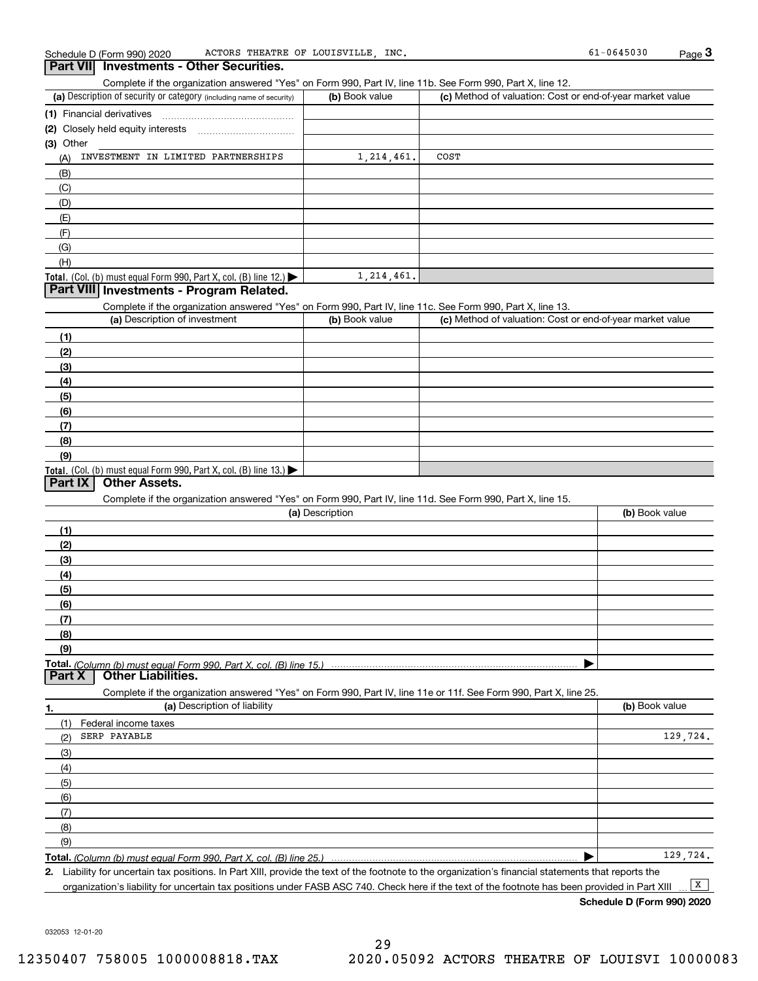Complete if the organization answered "Yes" on Form 990, Part IV, line 11b. See Form 990, Part X, line 12.

| (a) Description of security or category (including name of security) | (b) Book value | (c) Method of valuation: Cost or end-of-year market value |
|----------------------------------------------------------------------|----------------|-----------------------------------------------------------|
| (1) Financial derivatives                                            |                |                                                           |
| (2) Closely held equity interests                                    |                |                                                           |
| (3) Other                                                            |                |                                                           |
| INVESTMENT IN LIMITED PARTNERSHIPS<br>(A)                            | 1, 214, 461.   | COST                                                      |
| (B)                                                                  |                |                                                           |
| (C)                                                                  |                |                                                           |
| (D)                                                                  |                |                                                           |
| (E)                                                                  |                |                                                           |
| (F)                                                                  |                |                                                           |
| (G)                                                                  |                |                                                           |
| (H)                                                                  |                |                                                           |
| Total. (Col. (b) must equal Form 990, Part X, col. (B) line $12$ .)  | 1, 214, 461.   |                                                           |

### **Part VIII Investments - Program Related.**

Complete if the organization answered "Yes" on Form 990, Part IV, line 11c. See Form 990, Part X, line 13.

| (a) Description of investment                                       | (b) Book value | (c) Method of valuation: Cost or end-of-year market value |
|---------------------------------------------------------------------|----------------|-----------------------------------------------------------|
| (1)                                                                 |                |                                                           |
| (2)                                                                 |                |                                                           |
| $\frac{1}{2}$                                                       |                |                                                           |
| (4)                                                                 |                |                                                           |
| (5)                                                                 |                |                                                           |
| (6)                                                                 |                |                                                           |
| (7)                                                                 |                |                                                           |
| (8)                                                                 |                |                                                           |
| (9)                                                                 |                |                                                           |
| Total. (Col. (b) must equal Form 990, Part X, col. (B) line $13.$ ) |                |                                                           |

### **Part IX Other Assets.**

Complete if the organization answered "Yes" on Form 990, Part IV, line 11d. See Form 990, Part X, line 15.

| (a) Description | (b) Book value |
|-----------------|----------------|
| (1)             |                |
| (2)             |                |
| (3)             |                |
| (4)             |                |
| (5)             |                |
| (6)             |                |
| (7)             |                |
| (8)             |                |
| (9)             |                |
|                 |                |
|                 |                |

|     | Complete if the organization answered "Yes" on Form 990, Part IV, line 11e or 11f. See Form 990, Part X, line 25. |                |
|-----|-------------------------------------------------------------------------------------------------------------------|----------------|
| 1.  | (a) Description of liability                                                                                      | (b) Book value |
|     | Federal income taxes                                                                                              |                |
| (2) | SERP PAYABLE                                                                                                      | 129,724.       |
| (3) |                                                                                                                   |                |
| (4) |                                                                                                                   |                |
| (5) |                                                                                                                   |                |
| (6) |                                                                                                                   |                |
| (7) |                                                                                                                   |                |
| (8) |                                                                                                                   |                |
| (9) |                                                                                                                   |                |
|     |                                                                                                                   | 129,724.       |

*(Column (b) must equal Form 990, Part X, col. (B) line 25.)* 

**2.**Liability for uncertain tax positions. In Part XIII, provide the text of the footnote to the organization's financial statements that reports the organization's liability for uncertain tax positions under FASB ASC 740. Check here if the text of the footnote has been provided in Part XIII  $\boxed{\mathbf{X}}$ 

**Schedule D (Form 990) 2020**

032053 12-01-20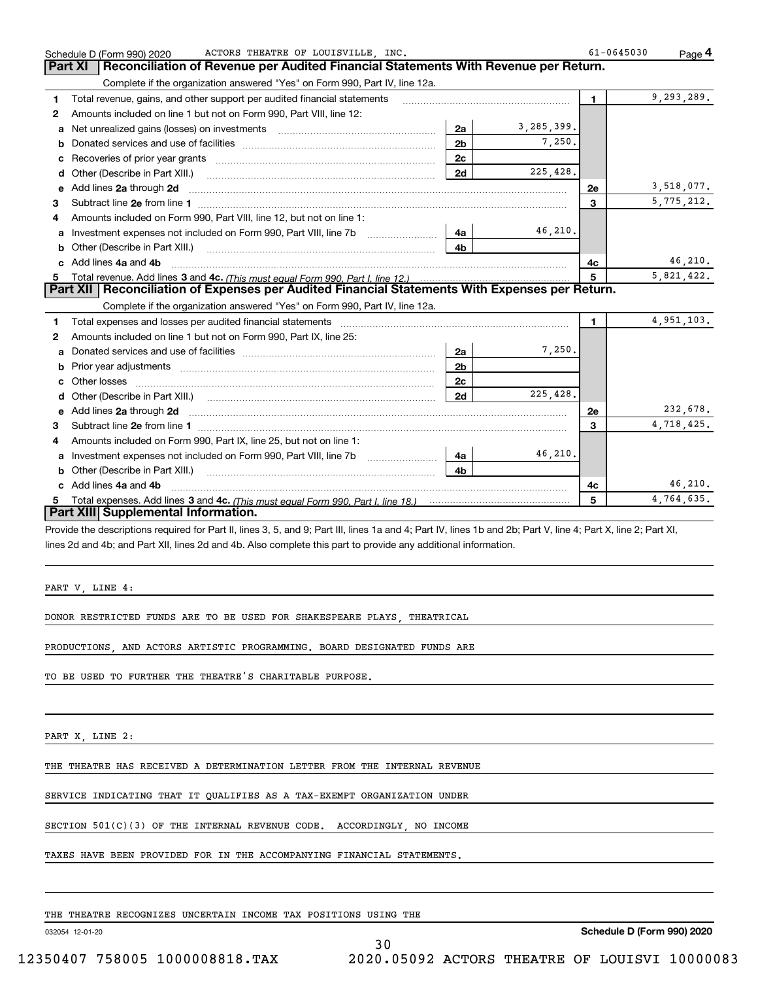|    | ACTORS THEATRE OF LOUISVILLE, INC.<br>Schedule D (Form 990) 2020                                                                                                                                                                    |                |            | $61 - 0645030$ | Page <sup>4</sup> |
|----|-------------------------------------------------------------------------------------------------------------------------------------------------------------------------------------------------------------------------------------|----------------|------------|----------------|-------------------|
|    | Reconciliation of Revenue per Audited Financial Statements With Revenue per Return.<br>Part XI                                                                                                                                      |                |            |                |                   |
|    | Complete if the organization answered "Yes" on Form 990, Part IV, line 12a.                                                                                                                                                         |                |            |                |                   |
| 1  | Total revenue, gains, and other support per audited financial statements                                                                                                                                                            |                |            | $\mathbf{1}$   | 9, 293, 289.      |
| 2  | Amounts included on line 1 but not on Form 990, Part VIII, line 12:                                                                                                                                                                 |                |            |                |                   |
| a  |                                                                                                                                                                                                                                     | 2a             | 3,285,399. |                |                   |
| b  |                                                                                                                                                                                                                                     | 2 <sub>b</sub> | 7,250.     |                |                   |
| c  |                                                                                                                                                                                                                                     | 2c             |            |                |                   |
| d  |                                                                                                                                                                                                                                     | 2d             | 225,428.   |                |                   |
| е  | Add lines 2a through 2d                                                                                                                                                                                                             |                |            | <b>2e</b>      | 3,518,077.        |
| 3  |                                                                                                                                                                                                                                     |                |            | $\mathbf{3}$   | 5,775,212.        |
| 4  | Amounts included on Form 990, Part VIII, line 12, but not on line 1:                                                                                                                                                                |                |            |                |                   |
| a  |                                                                                                                                                                                                                                     | 4a             | 46,210.    |                |                   |
| b  | Other (Describe in Part XIII.) <b>Construction Contract Construction</b> Chemical Construction Chemical Chemical Chemical Chemical Chemical Chemical Chemical Chemical Chemical Chemical Chemical Chemical Chemical Chemical Chemic | 4 <sub>b</sub> |            |                |                   |
| c. | Add lines 4a and 4b                                                                                                                                                                                                                 |                |            | 4c             | 46,210.           |
|    |                                                                                                                                                                                                                                     |                |            | 5              | 5,821,422.        |
|    | Part XII   Reconciliation of Expenses per Audited Financial Statements With Expenses per Return.                                                                                                                                    |                |            |                |                   |
|    | Complete if the organization answered "Yes" on Form 990, Part IV, line 12a.                                                                                                                                                         |                |            |                |                   |
| 1  | Total expenses and losses per audited financial statements [11] [12] manuscription and statements [13] Total expenses and losses per audited financial statements [13] manuscription and the statements [13] manuscription and      |                |            | $\mathbf{1}$   | 4,951,103.        |
| 2  | Amounts included on line 1 but not on Form 990, Part IX, line 25:                                                                                                                                                                   |                |            |                |                   |
| a  |                                                                                                                                                                                                                                     | 2a             | 7,250.     |                |                   |
| b  |                                                                                                                                                                                                                                     | 2 <sub>b</sub> |            |                |                   |
| c  |                                                                                                                                                                                                                                     | 2c             |            |                |                   |
| d  |                                                                                                                                                                                                                                     | 2d             | 225.428.   |                |                   |
| е  | Add lines 2a through 2d <b>contained a contained a contained a contained a</b> contained a contact the set of the set of the set of the set of the set of the set of the set of the set of the set of the set of the set of the set |                |            | <b>2e</b>      | 232,678.          |
| 3  |                                                                                                                                                                                                                                     |                |            | 3              | 4,718,425.        |
| 4  | Amounts included on Form 990, Part IX, line 25, but not on line 1:                                                                                                                                                                  |                |            |                |                   |
| a  |                                                                                                                                                                                                                                     | 4a l           | 46,210.    |                |                   |
| b  | Other (Describe in Part XIII.) <b>Construction Contract Construction</b> Chemistry Chemistry Chemistry Chemistry Chemistry                                                                                                          | 4b.            |            |                |                   |
|    | Add lines 4a and 4b                                                                                                                                                                                                                 |                |            | 4c             | 46, 210.          |
| 5  |                                                                                                                                                                                                                                     |                |            | 5              | 4,764,635.        |
|    | Part XIII Supplemental Information.                                                                                                                                                                                                 |                |            |                |                   |

Provide the descriptions required for Part II, lines 3, 5, and 9; Part III, lines 1a and 4; Part IV, lines 1b and 2b; Part V, line 4; Part X, line 2; Part XI, lines 2d and 4b; and Part XII, lines 2d and 4b. Also complete this part to provide any additional information.

30

PART V, LINE 4:

DONOR RESTRICTED FUNDS ARE TO BE USED FOR SHAKESPEARE PLAYS, THEATRICAL

PRODUCTIONS, AND ACTORS ARTISTIC PROGRAMMING. BOARD DESIGNATED FUNDS ARE

TO BE USED TO FURTHER THE THEATRE'S CHARITABLE PURPOSE.

PART X, LINE 2:

THE THEATRE HAS RECEIVED A DETERMINATION LETTER FROM THE INTERNAL REVENUE

SERVICE INDICATING THAT IT QUALIFIES AS A TAX-EXEMPT ORGANIZATION UNDER

SECTION 501(C)(3) OF THE INTERNAL REVENUE CODE. ACCORDINGLY, NO INCOME

TAXES HAVE BEEN PROVIDED FOR IN THE ACCOMPANYING FINANCIAL STATEMENTS.

THE THEATRE RECOGNIZES UNCERTAIN INCOME TAX POSITIONS USING THE

032054 12-01-20

**Schedule D (Form 990) 2020**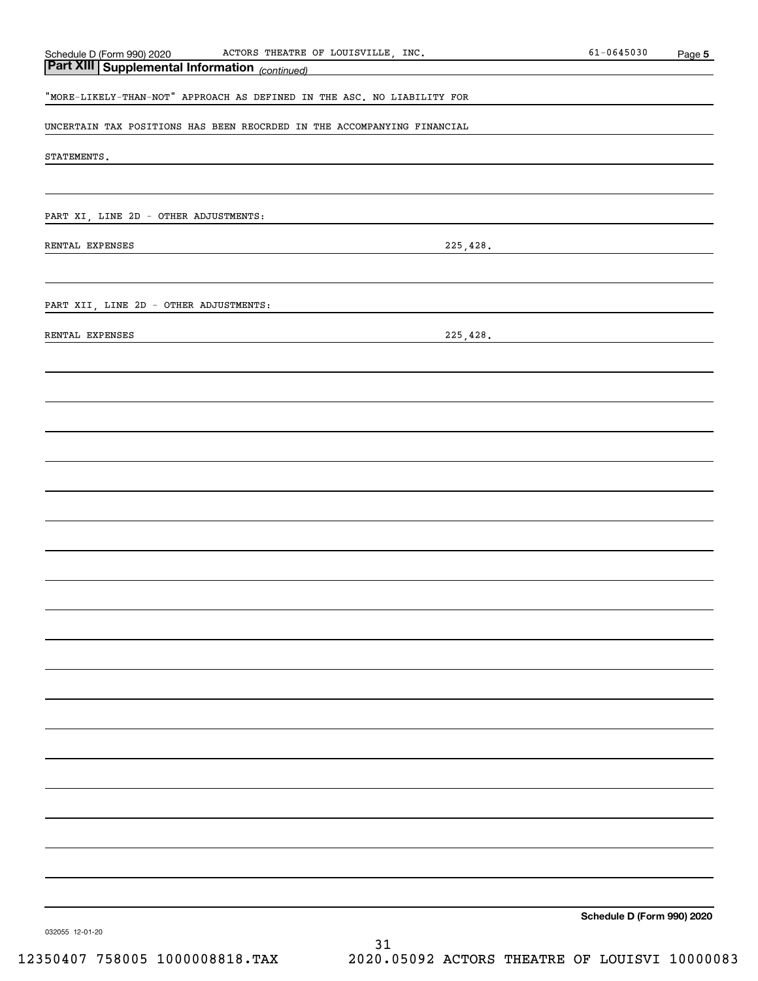| Schedule D (Form 990) 2020 |
|----------------------------|
|----------------------------|

| "MORE-LIKELY-THAN-NOT" APPROACH AS DEFINED IN THE ASC. NO LIABILITY FOR |  |  |  |  |  |
|-------------------------------------------------------------------------|--|--|--|--|--|

UNCERTAIN TAX POSITIONS HAS BEEN REOCRDED IN THE ACCOMPANYING FINANCIAL

STATEMENTS.

PART XI, LINE 2D - OTHER ADJUSTMENTS:

*(continued)* **Part XIII Supplemental Information** 

RENTAL EXPENSES 225,428.

PART XII, LINE 2D - OTHER ADJUSTMENTS:

RENTAL EXPENSES 225,428.

**Schedule D (Form 990) 2020**

032055 12-01-20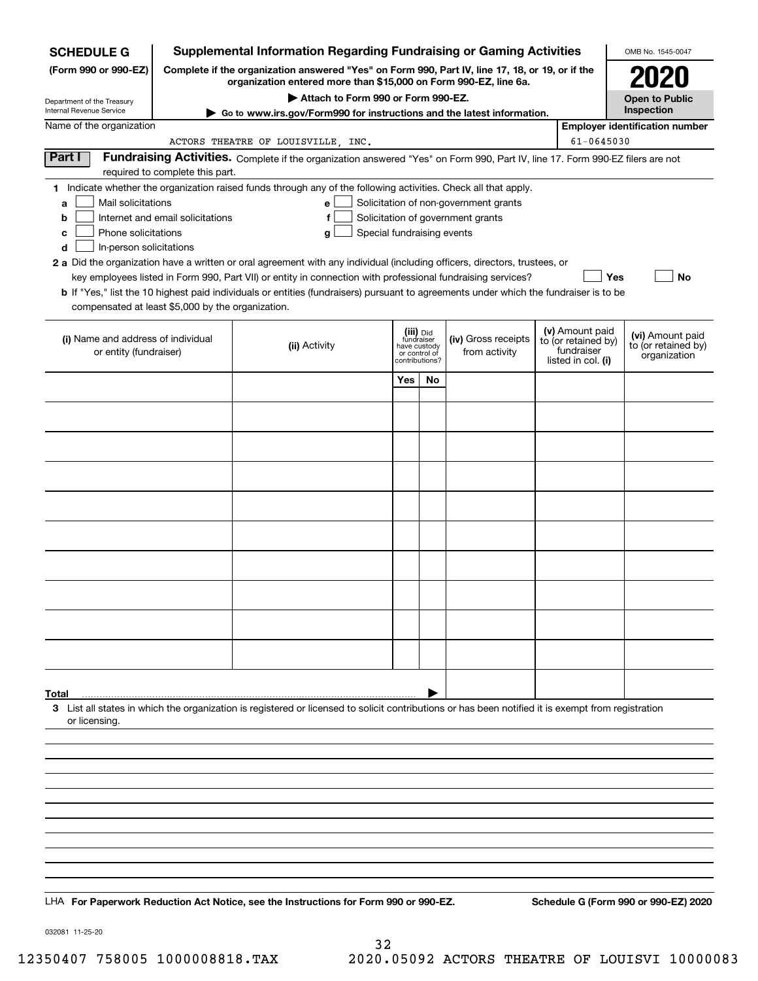| <b>SCHEDULE G</b>                                                                                                                             |                                                                                                                                                                     | <b>Supplemental Information Regarding Fundraising or Gaming Activities</b>                                                                                                                                                                                                                                                                                                                                                                                                                                                                                |                                                                            |    |                                                                            |  |                                                                            | OMB No. 1545-0047                                       |
|-----------------------------------------------------------------------------------------------------------------------------------------------|---------------------------------------------------------------------------------------------------------------------------------------------------------------------|-----------------------------------------------------------------------------------------------------------------------------------------------------------------------------------------------------------------------------------------------------------------------------------------------------------------------------------------------------------------------------------------------------------------------------------------------------------------------------------------------------------------------------------------------------------|----------------------------------------------------------------------------|----|----------------------------------------------------------------------------|--|----------------------------------------------------------------------------|---------------------------------------------------------|
| (Form 990 or 990-EZ)                                                                                                                          | Complete if the organization answered "Yes" on Form 990, Part IV, line 17, 18, or 19, or if the<br>organization entered more than \$15,000 on Form 990-EZ, line 6a. |                                                                                                                                                                                                                                                                                                                                                                                                                                                                                                                                                           | 2020                                                                       |    |                                                                            |  |                                                                            |                                                         |
| Department of the Treasury<br>Internal Revenue Service                                                                                        |                                                                                                                                                                     | Attach to Form 990 or Form 990-EZ.                                                                                                                                                                                                                                                                                                                                                                                                                                                                                                                        |                                                                            |    |                                                                            |  |                                                                            | <b>Open to Public</b><br>Inspection                     |
| Name of the organization                                                                                                                      |                                                                                                                                                                     | Go to www.irs.gov/Form990 for instructions and the latest information.                                                                                                                                                                                                                                                                                                                                                                                                                                                                                    |                                                                            |    |                                                                            |  |                                                                            | <b>Employer identification number</b>                   |
|                                                                                                                                               |                                                                                                                                                                     | ACTORS THEATRE OF LOUISVILLE, INC.                                                                                                                                                                                                                                                                                                                                                                                                                                                                                                                        |                                                                            |    |                                                                            |  | 61-0645030                                                                 |                                                         |
| Part I                                                                                                                                        | required to complete this part.                                                                                                                                     | Fundraising Activities. Complete if the organization answered "Yes" on Form 990, Part IV, line 17. Form 990-EZ filers are not                                                                                                                                                                                                                                                                                                                                                                                                                             |                                                                            |    |                                                                            |  |                                                                            |                                                         |
| Mail solicitations<br>a<br>b<br>Phone solicitations<br>c<br>In-person solicitations<br>d<br>compensated at least \$5,000 by the organization. | Internet and email solicitations                                                                                                                                    | 1 Indicate whether the organization raised funds through any of the following activities. Check all that apply.<br>е<br>f<br>Special fundraising events<br>g<br>2 a Did the organization have a written or oral agreement with any individual (including officers, directors, trustees, or<br>key employees listed in Form 990, Part VII) or entity in connection with professional fundraising services?<br><b>b</b> If "Yes," list the 10 highest paid individuals or entities (fundraisers) pursuant to agreements under which the fundraiser is to be |                                                                            |    | Solicitation of non-government grants<br>Solicitation of government grants |  | Yes                                                                        | No                                                      |
|                                                                                                                                               |                                                                                                                                                                     |                                                                                                                                                                                                                                                                                                                                                                                                                                                                                                                                                           |                                                                            |    |                                                                            |  |                                                                            |                                                         |
| (i) Name and address of individual<br>or entity (fundraiser)                                                                                  |                                                                                                                                                                     | (ii) Activity                                                                                                                                                                                                                                                                                                                                                                                                                                                                                                                                             | (iii) Did<br>fundraiser<br>have custody<br>or control of<br>contributions? |    | (iv) Gross receipts<br>from activity                                       |  | (v) Amount paid<br>to (or retained by)<br>fundraiser<br>listed in col. (i) | (vi) Amount paid<br>to (or retained by)<br>organization |
|                                                                                                                                               |                                                                                                                                                                     |                                                                                                                                                                                                                                                                                                                                                                                                                                                                                                                                                           | Yes                                                                        | No |                                                                            |  |                                                                            |                                                         |
|                                                                                                                                               |                                                                                                                                                                     |                                                                                                                                                                                                                                                                                                                                                                                                                                                                                                                                                           |                                                                            |    |                                                                            |  |                                                                            |                                                         |
|                                                                                                                                               |                                                                                                                                                                     |                                                                                                                                                                                                                                                                                                                                                                                                                                                                                                                                                           |                                                                            |    |                                                                            |  |                                                                            |                                                         |
|                                                                                                                                               |                                                                                                                                                                     |                                                                                                                                                                                                                                                                                                                                                                                                                                                                                                                                                           |                                                                            |    |                                                                            |  |                                                                            |                                                         |
|                                                                                                                                               |                                                                                                                                                                     |                                                                                                                                                                                                                                                                                                                                                                                                                                                                                                                                                           |                                                                            |    |                                                                            |  |                                                                            |                                                         |
|                                                                                                                                               |                                                                                                                                                                     |                                                                                                                                                                                                                                                                                                                                                                                                                                                                                                                                                           |                                                                            |    |                                                                            |  |                                                                            |                                                         |
|                                                                                                                                               |                                                                                                                                                                     |                                                                                                                                                                                                                                                                                                                                                                                                                                                                                                                                                           |                                                                            |    |                                                                            |  |                                                                            |                                                         |
|                                                                                                                                               |                                                                                                                                                                     |                                                                                                                                                                                                                                                                                                                                                                                                                                                                                                                                                           |                                                                            |    |                                                                            |  |                                                                            |                                                         |
|                                                                                                                                               |                                                                                                                                                                     |                                                                                                                                                                                                                                                                                                                                                                                                                                                                                                                                                           |                                                                            |    |                                                                            |  |                                                                            |                                                         |
|                                                                                                                                               |                                                                                                                                                                     |                                                                                                                                                                                                                                                                                                                                                                                                                                                                                                                                                           |                                                                            |    |                                                                            |  |                                                                            |                                                         |
|                                                                                                                                               |                                                                                                                                                                     |                                                                                                                                                                                                                                                                                                                                                                                                                                                                                                                                                           |                                                                            |    |                                                                            |  |                                                                            |                                                         |
| Total<br>or licensing.                                                                                                                        |                                                                                                                                                                     | 3 List all states in which the organization is registered or licensed to solicit contributions or has been notified it is exempt from registration                                                                                                                                                                                                                                                                                                                                                                                                        |                                                                            |    |                                                                            |  |                                                                            |                                                         |
|                                                                                                                                               |                                                                                                                                                                     |                                                                                                                                                                                                                                                                                                                                                                                                                                                                                                                                                           |                                                                            |    |                                                                            |  |                                                                            |                                                         |
|                                                                                                                                               |                                                                                                                                                                     |                                                                                                                                                                                                                                                                                                                                                                                                                                                                                                                                                           |                                                                            |    |                                                                            |  |                                                                            |                                                         |
|                                                                                                                                               |                                                                                                                                                                     |                                                                                                                                                                                                                                                                                                                                                                                                                                                                                                                                                           |                                                                            |    |                                                                            |  |                                                                            |                                                         |
|                                                                                                                                               |                                                                                                                                                                     |                                                                                                                                                                                                                                                                                                                                                                                                                                                                                                                                                           |                                                                            |    |                                                                            |  |                                                                            |                                                         |
|                                                                                                                                               |                                                                                                                                                                     |                                                                                                                                                                                                                                                                                                                                                                                                                                                                                                                                                           |                                                                            |    |                                                                            |  |                                                                            |                                                         |
|                                                                                                                                               |                                                                                                                                                                     | LHA For Paperwork Reduction Act Notice, see the Instructions for Form 990 or 990-EZ.                                                                                                                                                                                                                                                                                                                                                                                                                                                                      |                                                                            |    |                                                                            |  |                                                                            | Schedule G (Form 990 or 990-EZ) 2020                    |
|                                                                                                                                               |                                                                                                                                                                     |                                                                                                                                                                                                                                                                                                                                                                                                                                                                                                                                                           |                                                                            |    |                                                                            |  |                                                                            |                                                         |

032081 11-25-20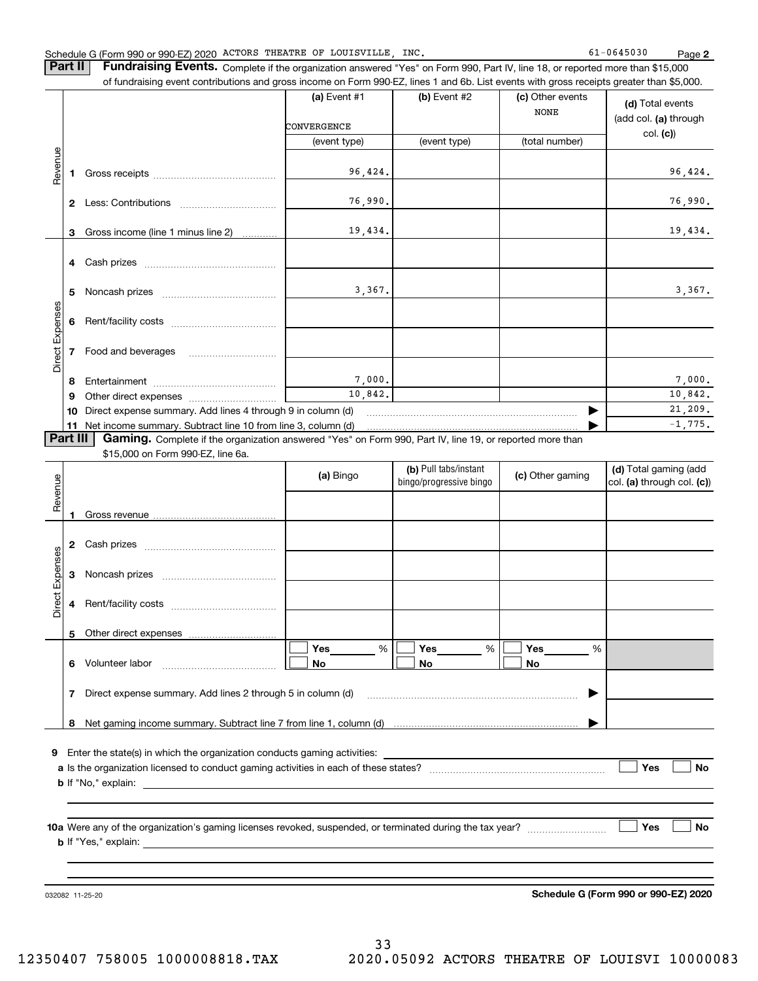### Schedule G (Form 990 or 990-EZ) 2020 ACTORS THEATRE OF LOUISVILLE,INC. 61-0645030 Page

**2**

**Part II** | Fundraising Events. Complete if the organization answered "Yes" on Form 990, Part IV, line 18, or reported more than \$15,000 of fundraising event contributions and gross income on Form 990-EZ, lines 1 and 6b. List events with gross receipts greater than \$5,000.

|                 |                | of fundraising event contributions and gross income on Form 990-EZ, lines T and 6D. List events with gross receipts greater than \$5,000. |                             |                                                  |                                 |                                                     |
|-----------------|----------------|-------------------------------------------------------------------------------------------------------------------------------------------|-----------------------------|--------------------------------------------------|---------------------------------|-----------------------------------------------------|
|                 |                |                                                                                                                                           | (a) Event #1<br>CONVERGENCE | $(b)$ Event #2                                   | (c) Other events<br><b>NONE</b> | (d) Total events<br>(add col. (a) through           |
|                 |                |                                                                                                                                           | (event type)                | (event type)                                     | (total number)                  | col. (c)                                            |
|                 |                |                                                                                                                                           |                             |                                                  |                                 |                                                     |
| Revenue         | 1.             |                                                                                                                                           | 96,424.                     |                                                  |                                 | 96,424.                                             |
|                 |                |                                                                                                                                           | 76,990.                     |                                                  |                                 | 76,990.                                             |
|                 | 3              | Gross income (line 1 minus line 2)                                                                                                        | 19,434.                     |                                                  |                                 | 19,434.                                             |
|                 |                |                                                                                                                                           |                             |                                                  |                                 |                                                     |
|                 | 5              |                                                                                                                                           | 3,367.                      |                                                  |                                 | 3,367.                                              |
|                 | 6              |                                                                                                                                           |                             |                                                  |                                 |                                                     |
| Direct Expenses | $\overline{7}$ | Food and beverages                                                                                                                        |                             |                                                  |                                 |                                                     |
|                 | 8              |                                                                                                                                           | 7,000.                      |                                                  |                                 | 7,000.                                              |
|                 | 9              |                                                                                                                                           | 10,842.                     |                                                  |                                 | 10,842.                                             |
|                 | 10             | Direct expense summary. Add lines 4 through 9 in column (d)                                                                               |                             |                                                  | 21,209.                         |                                                     |
|                 |                |                                                                                                                                           |                             |                                                  |                                 | $-1,775.$                                           |
| Part III        |                | Gaming. Complete if the organization answered "Yes" on Form 990, Part IV, line 19, or reported more than                                  |                             |                                                  |                                 |                                                     |
|                 |                | \$15,000 on Form 990-EZ, line 6a.                                                                                                         |                             |                                                  |                                 |                                                     |
| Revenue         |                |                                                                                                                                           | (a) Bingo                   | (b) Pull tabs/instant<br>bingo/progressive bingo | (c) Other gaming                | (d) Total gaming (add<br>col. (a) through col. (c)) |
|                 | 1              |                                                                                                                                           |                             |                                                  |                                 |                                                     |
|                 |                |                                                                                                                                           |                             |                                                  |                                 |                                                     |
|                 |                |                                                                                                                                           |                             |                                                  |                                 |                                                     |
|                 | 3              |                                                                                                                                           |                             |                                                  |                                 |                                                     |
| Direct Expenses |                |                                                                                                                                           |                             |                                                  |                                 |                                                     |
|                 |                |                                                                                                                                           |                             |                                                  |                                 |                                                     |

**a**Is the organization licensed to conduct gaming activities in each of these states? ~~~~~~~~~~~~~~~~~~~~**b**If "No," explain:

**5**

**10a** Were any of the organization's gaming licenses revoked, suspended, or terminated during the tax year? \_\_\_\_\_\_\_\_\_\_\_\_\_\_\_\_\_ **b** If "Yes," explain: **Yes**

**Yes**

 $\mathcal{L}^{\text{max}}$ 

 $\mathcal{L}^{\text{max}}$ 

**No**

032082 11-25-20

**Schedule G (Form 990 or 990-EZ) 2020**

 $\blacktriangleright$ 

…… ▶

**Yes**

 $\mathcal{L}^{\text{max}}$ 

**No**

**No**

**Yes\_\_\_\_\_\_\_\_ %** | ■ Yes

% %

**No No**

~~~~~~~~~~~~~~~~~~~~~~~~

%

 $\boxed{\Box}$  Yes \_\_\_\_\_\_\_ %  $\boxed{\Box}$  Yes \_\_\_\_\_\_\_ %  $\boxed{\Box}$ 

**6** Volunteer labor  $\ldots$   $\ldots$   $\ldots$   $\ldots$   $\ldots$   $\ldots$   $\ldots$   $\ldots$ 

Other direct expenses

**7**Direct expense summary. Add lines 2 through 5 in column (d)

**9**Enter the state(s) in which the organization conducts gaming activities:

**8**Net gaming income summary. Subtract line 7 from line 1, column (d)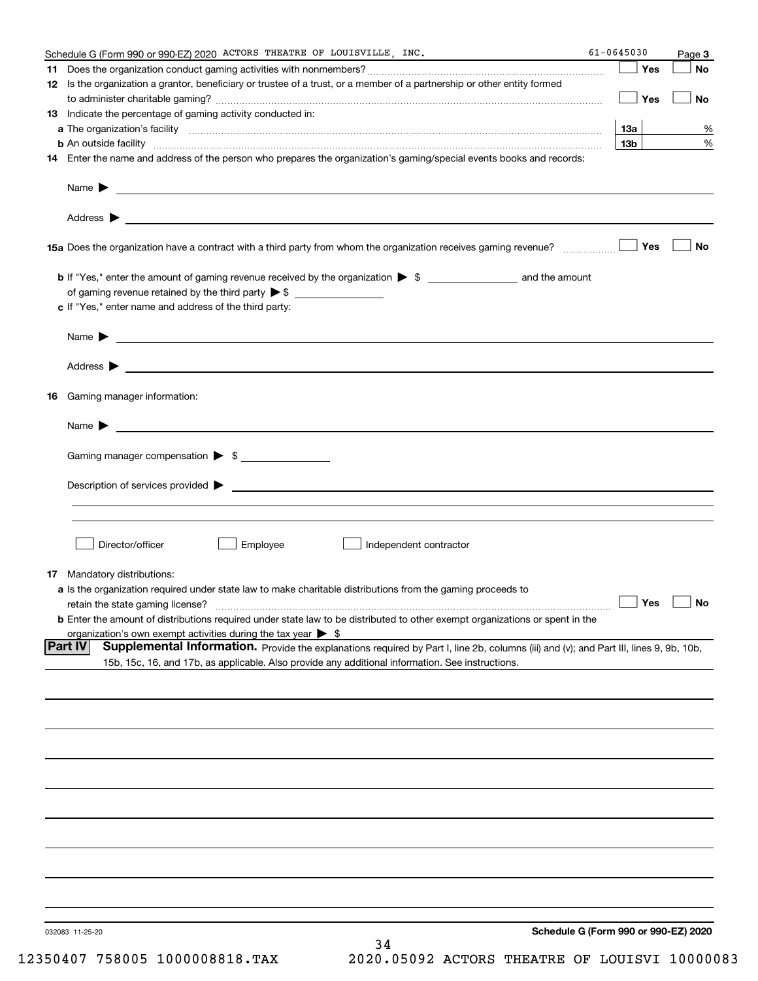|     | Schedule G (Form 990 or 990-EZ) 2020 ACTORS THEATRE OF LOUISVILLE, INC.                                                                                                                                                                                                                                                                                                                                                                                                            | 61-0645030      |     | Page 3               |
|-----|------------------------------------------------------------------------------------------------------------------------------------------------------------------------------------------------------------------------------------------------------------------------------------------------------------------------------------------------------------------------------------------------------------------------------------------------------------------------------------|-----------------|-----|----------------------|
| 11. |                                                                                                                                                                                                                                                                                                                                                                                                                                                                                    |                 | Yes | No                   |
|     | 12 Is the organization a grantor, beneficiary or trustee of a trust, or a member of a partnership or other entity formed                                                                                                                                                                                                                                                                                                                                                           |                 | Yes | No                   |
|     | <b>13</b> Indicate the percentage of gaming activity conducted in:                                                                                                                                                                                                                                                                                                                                                                                                                 |                 |     |                      |
|     |                                                                                                                                                                                                                                                                                                                                                                                                                                                                                    | 13a             |     | %                    |
|     | <b>b</b> An outside facility <b>contained an according to the contract of the contract of the contract of the contract of the contract of the contract of the contract of the contract of the contract of the contract of the contrac</b>                                                                                                                                                                                                                                          | 13 <sub>b</sub> |     | %                    |
|     | 14 Enter the name and address of the person who prepares the organization's gaming/special events books and records:                                                                                                                                                                                                                                                                                                                                                               |                 |     |                      |
|     |                                                                                                                                                                                                                                                                                                                                                                                                                                                                                    |                 |     |                      |
|     |                                                                                                                                                                                                                                                                                                                                                                                                                                                                                    |                 |     |                      |
|     |                                                                                                                                                                                                                                                                                                                                                                                                                                                                                    |                 |     | No                   |
|     |                                                                                                                                                                                                                                                                                                                                                                                                                                                                                    |                 |     |                      |
|     |                                                                                                                                                                                                                                                                                                                                                                                                                                                                                    |                 |     |                      |
|     | c If "Yes," enter name and address of the third party:                                                                                                                                                                                                                                                                                                                                                                                                                             |                 |     |                      |
|     | Name $\blacktriangleright$ $\bot$                                                                                                                                                                                                                                                                                                                                                                                                                                                  |                 |     |                      |
|     |                                                                                                                                                                                                                                                                                                                                                                                                                                                                                    |                 |     |                      |
|     | 16 Gaming manager information:                                                                                                                                                                                                                                                                                                                                                                                                                                                     |                 |     |                      |
|     | Name $\blacktriangleright$ $\frac{1}{\sqrt{1-\frac{1}{2}}\left(1-\frac{1}{2}\right)}$                                                                                                                                                                                                                                                                                                                                                                                              |                 |     |                      |
|     | Gaming manager compensation > \$                                                                                                                                                                                                                                                                                                                                                                                                                                                   |                 |     |                      |
|     |                                                                                                                                                                                                                                                                                                                                                                                                                                                                                    |                 |     |                      |
|     |                                                                                                                                                                                                                                                                                                                                                                                                                                                                                    |                 |     |                      |
|     |                                                                                                                                                                                                                                                                                                                                                                                                                                                                                    |                 |     |                      |
|     | Employee<br>Director/officer<br>Independent contractor                                                                                                                                                                                                                                                                                                                                                                                                                             |                 |     |                      |
|     | <b>17</b> Mandatory distributions:                                                                                                                                                                                                                                                                                                                                                                                                                                                 |                 |     |                      |
|     | a Is the organization required under state law to make charitable distributions from the gaming proceeds to                                                                                                                                                                                                                                                                                                                                                                        |                 |     |                      |
|     | retain the state gaming license?                                                                                                                                                                                                                                                                                                                                                                                                                                                   |                 |     | $\Box$ Yes $\Box$ No |
|     | <b>b</b> Enter the amount of distributions required under state law to be distributed to other exempt organizations or spent in the                                                                                                                                                                                                                                                                                                                                                |                 |     |                      |
|     | organization's own exempt activities during the tax year $\triangleright$ \$                                                                                                                                                                                                                                                                                                                                                                                                       |                 |     |                      |
|     | Part IV<br>Supplemental Information. Provide the explanations required by Part I, line 2b, columns (iii) and (v); and Part III, lines 9, 9b, 10b,<br>15b, 15c, 16, and 17b, as applicable. Also provide any additional information. See instructions.                                                                                                                                                                                                                              |                 |     |                      |
|     |                                                                                                                                                                                                                                                                                                                                                                                                                                                                                    |                 |     |                      |
|     |                                                                                                                                                                                                                                                                                                                                                                                                                                                                                    |                 |     |                      |
|     |                                                                                                                                                                                                                                                                                                                                                                                                                                                                                    |                 |     |                      |
|     |                                                                                                                                                                                                                                                                                                                                                                                                                                                                                    |                 |     |                      |
|     |                                                                                                                                                                                                                                                                                                                                                                                                                                                                                    |                 |     |                      |
|     |                                                                                                                                                                                                                                                                                                                                                                                                                                                                                    |                 |     |                      |
|     |                                                                                                                                                                                                                                                                                                                                                                                                                                                                                    |                 |     |                      |
|     |                                                                                                                                                                                                                                                                                                                                                                                                                                                                                    |                 |     |                      |
|     |                                                                                                                                                                                                                                                                                                                                                                                                                                                                                    |                 |     |                      |
|     |                                                                                                                                                                                                                                                                                                                                                                                                                                                                                    |                 |     |                      |
|     | Schedule G (Form 990 or 990-EZ) 2020<br>032083 11-25-20<br>34<br>$\overline{P}$ $\overline{P}$ $\overline{P}$ $\overline{P}$ $\overline{P}$ $\overline{P}$ $\overline{P}$ $\overline{P}$ $\overline{P}$ $\overline{P}$ $\overline{P}$ $\overline{P}$ $\overline{P}$ $\overline{P}$ $\overline{P}$ $\overline{P}$ $\overline{P}$ $\overline{P}$ $\overline{P}$ $\overline{P}$ $\overline{P}$ $\overline{P}$ $\overline{P}$ $\overline{P}$ $\overline{$<br>$100000$ minimum<br>0.000 |                 |     |                      |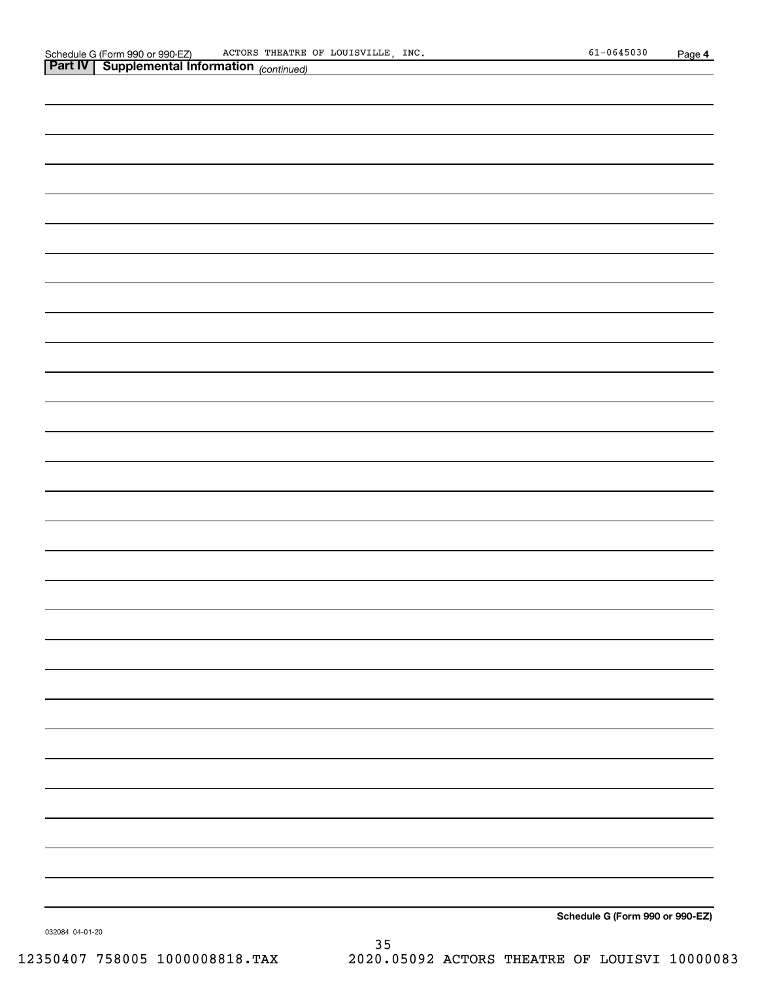| <b>Part IV Supplemental Information</b> (continued) |                                 |
|-----------------------------------------------------|---------------------------------|
|                                                     |                                 |
|                                                     |                                 |
|                                                     |                                 |
|                                                     |                                 |
|                                                     |                                 |
|                                                     |                                 |
|                                                     |                                 |
|                                                     |                                 |
|                                                     |                                 |
|                                                     |                                 |
|                                                     |                                 |
|                                                     |                                 |
|                                                     |                                 |
|                                                     |                                 |
|                                                     |                                 |
|                                                     |                                 |
|                                                     |                                 |
|                                                     |                                 |
|                                                     |                                 |
|                                                     |                                 |
|                                                     |                                 |
|                                                     |                                 |
|                                                     |                                 |
|                                                     |                                 |
|                                                     |                                 |
|                                                     |                                 |
|                                                     |                                 |
|                                                     |                                 |
|                                                     |                                 |
|                                                     |                                 |
|                                                     | Schedule G (Form 990 or 990-EZ) |

032084 04-01-20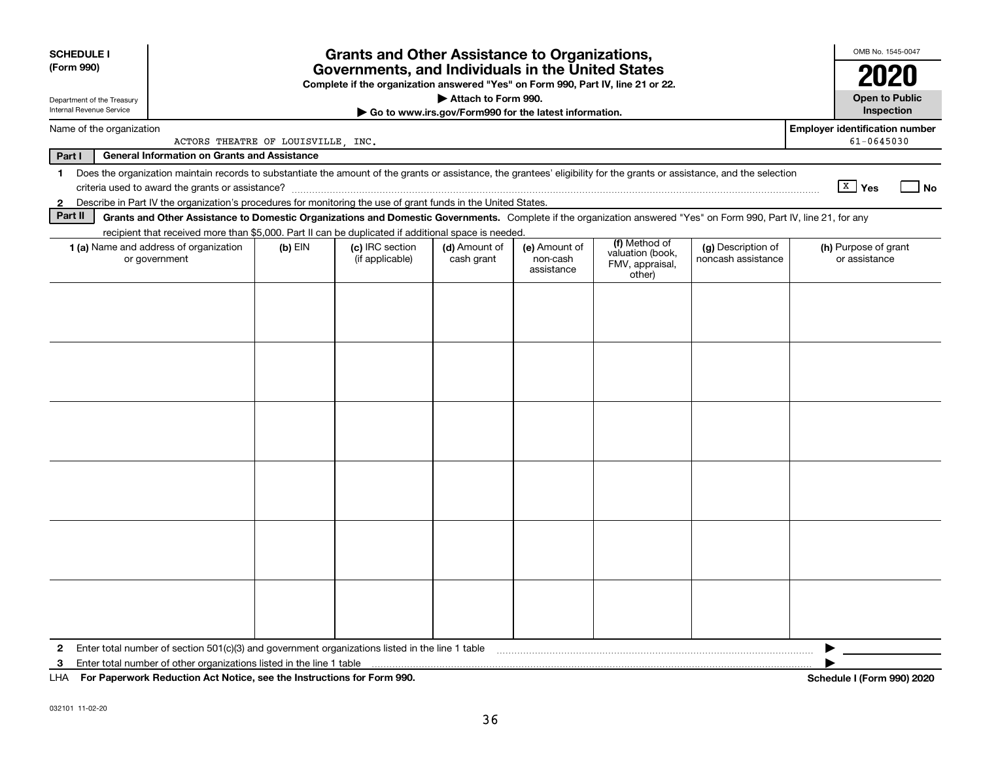| <b>SCHEDULE I</b><br>(Form 990)                        |                                                                                                                                                                                                                              |           | <b>Grants and Other Assistance to Organizations,</b><br>Governments, and Individuals in the United States<br>Complete if the organization answered "Yes" on Form 990, Part IV, line 21 or 22. |                             |                                                       |                                                                |                                          | OMB No. 1545-0047                                   |
|--------------------------------------------------------|------------------------------------------------------------------------------------------------------------------------------------------------------------------------------------------------------------------------------|-----------|-----------------------------------------------------------------------------------------------------------------------------------------------------------------------------------------------|-----------------------------|-------------------------------------------------------|----------------------------------------------------------------|------------------------------------------|-----------------------------------------------------|
| Department of the Treasury<br>Internal Revenue Service |                                                                                                                                                                                                                              |           |                                                                                                                                                                                               | Attach to Form 990.         |                                                       |                                                                |                                          | <b>Open to Public</b>                               |
|                                                        |                                                                                                                                                                                                                              |           |                                                                                                                                                                                               |                             | Go to www.irs.gov/Form990 for the latest information. |                                                                |                                          | Inspection                                          |
| Name of the organization                               | ACTORS THEATRE OF LOUISVILLE, INC.                                                                                                                                                                                           |           |                                                                                                                                                                                               |                             |                                                       |                                                                |                                          | <b>Employer identification number</b><br>61-0645030 |
| Part I                                                 | <b>General Information on Grants and Assistance</b>                                                                                                                                                                          |           |                                                                                                                                                                                               |                             |                                                       |                                                                |                                          |                                                     |
| $\blacksquare$                                         | Does the organization maintain records to substantiate the amount of the grants or assistance, the grantees' eligibility for the grants or assistance, and the selection<br>criteria used to award the grants or assistance? |           |                                                                                                                                                                                               |                             |                                                       |                                                                |                                          | $\sqrt{\frac{X}{X}}$ Yes<br>No                      |
| 2                                                      | Describe in Part IV the organization's procedures for monitoring the use of grant funds in the United States.                                                                                                                |           |                                                                                                                                                                                               |                             |                                                       |                                                                |                                          |                                                     |
| Part II                                                | Grants and Other Assistance to Domestic Organizations and Domestic Governments. Complete if the organization answered "Yes" on Form 990, Part IV, line 21, for any                                                           |           |                                                                                                                                                                                               |                             |                                                       |                                                                |                                          |                                                     |
|                                                        | recipient that received more than \$5,000. Part II can be duplicated if additional space is needed.                                                                                                                          |           |                                                                                                                                                                                               |                             |                                                       |                                                                |                                          |                                                     |
|                                                        | 1 (a) Name and address of organization<br>or government                                                                                                                                                                      | $(b)$ EIN | (c) IRC section<br>(if applicable)                                                                                                                                                            | (d) Amount of<br>cash grant | (e) Amount of<br>non-cash<br>assistance               | (f) Method of<br>valuation (book,<br>FMV, appraisal,<br>other) | (g) Description of<br>noncash assistance | (h) Purpose of grant<br>or assistance               |
|                                                        |                                                                                                                                                                                                                              |           |                                                                                                                                                                                               |                             |                                                       |                                                                |                                          |                                                     |
|                                                        |                                                                                                                                                                                                                              |           |                                                                                                                                                                                               |                             |                                                       |                                                                |                                          |                                                     |
|                                                        |                                                                                                                                                                                                                              |           |                                                                                                                                                                                               |                             |                                                       |                                                                |                                          |                                                     |
|                                                        |                                                                                                                                                                                                                              |           |                                                                                                                                                                                               |                             |                                                       |                                                                |                                          |                                                     |
| 2                                                      | Enter total number of section 501(c)(3) and government organizations listed in the line 1 table                                                                                                                              |           |                                                                                                                                                                                               |                             |                                                       |                                                                |                                          |                                                     |
| 3                                                      | Enter total number of other organizations listed in the line 1 table                                                                                                                                                         |           |                                                                                                                                                                                               |                             |                                                       |                                                                |                                          |                                                     |
| LHA                                                    | For Paperwork Reduction Act Notice, see the Instructions for Form 990.                                                                                                                                                       |           |                                                                                                                                                                                               |                             |                                                       |                                                                |                                          | Schedule I (Form 990) 2020                          |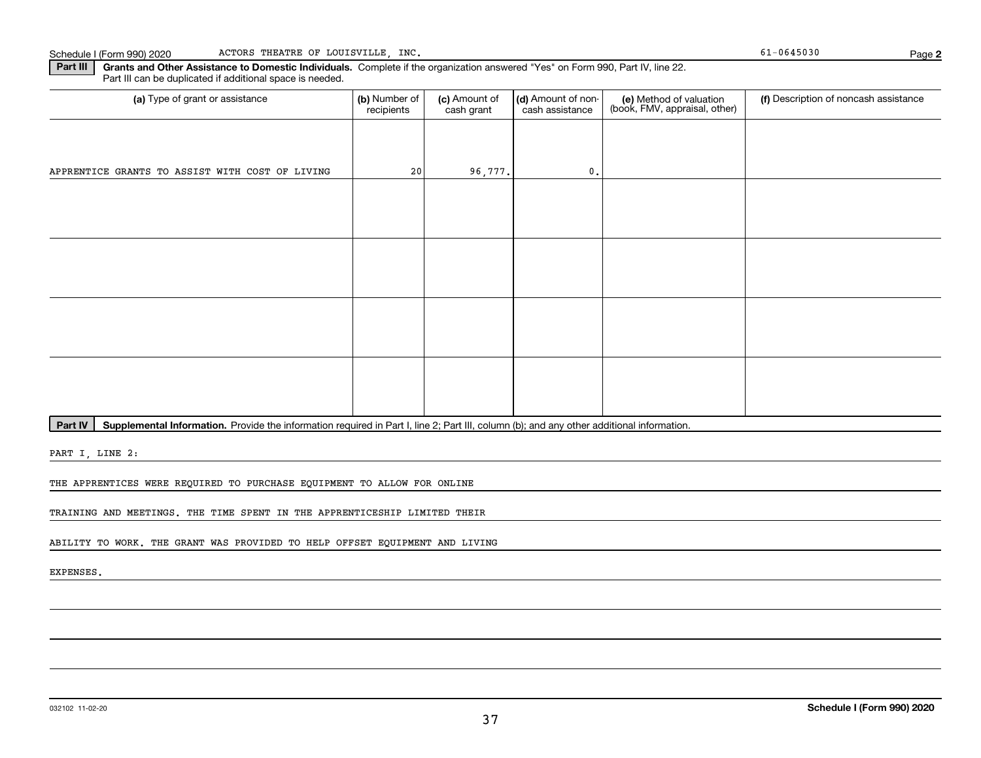**2**

**Part III | Grants and Other Assistance to Domestic Individuals. Complete if the organization answered "Yes" on Form 990, Part IV, line 22.** Part III can be duplicated if additional space is needed.

| (a) Type of grant or assistance                 | (b) Number of<br>recipients | (c) Amount of<br>cash grant | (d) Amount of non-<br>cash assistance | (e) Method of valuation<br>(book, FMV, appraisal, other) | (f) Description of noncash assistance |
|-------------------------------------------------|-----------------------------|-----------------------------|---------------------------------------|----------------------------------------------------------|---------------------------------------|
|                                                 |                             |                             |                                       |                                                          |                                       |
| APPRENTICE GRANTS TO ASSIST WITH COST OF LIVING | 20                          | 96,777.                     | $\mathbf{0}$ .                        |                                                          |                                       |
|                                                 |                             |                             |                                       |                                                          |                                       |
|                                                 |                             |                             |                                       |                                                          |                                       |
|                                                 |                             |                             |                                       |                                                          |                                       |
|                                                 |                             |                             |                                       |                                                          |                                       |
|                                                 |                             |                             |                                       |                                                          |                                       |
|                                                 |                             |                             |                                       |                                                          |                                       |
|                                                 |                             |                             |                                       |                                                          |                                       |
|                                                 |                             |                             |                                       |                                                          |                                       |

Part IV | Supplemental Information. Provide the information required in Part I, line 2; Part III, column (b); and any other additional information.

PART I, LINE 2:

THE APPRENTICES WERE REQUIRED TO PURCHASE EQUIPMENT TO ALLOW FOR ONLINE

TRAINING AND MEETINGS. THE TIME SPENT IN THE APPRENTICESHIP LIMITED THEIR

ABILITY TO WORK. THE GRANT WAS PROVIDED TO HELP OFFSET EQUIPMENT AND LIVING

EXPENSES.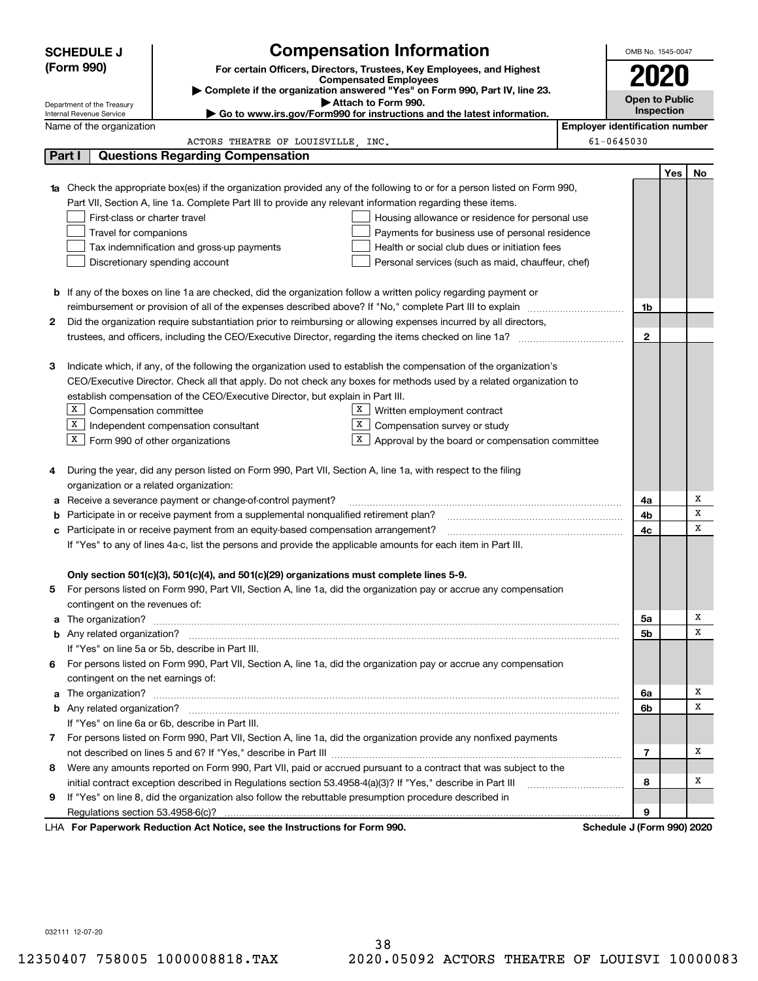|    | <b>SCHEDULE J</b>                                      |                                                                                                                                  | <b>Compensation Information</b>                                                                 |                                       | OMB No. 1545-0047     |            |    |
|----|--------------------------------------------------------|----------------------------------------------------------------------------------------------------------------------------------|-------------------------------------------------------------------------------------------------|---------------------------------------|-----------------------|------------|----|
|    | (Form 990)                                             |                                                                                                                                  | For certain Officers, Directors, Trustees, Key Employees, and Highest                           |                                       |                       |            |    |
|    |                                                        |                                                                                                                                  | <b>Compensated Employees</b>                                                                    |                                       | 2020                  |            |    |
|    |                                                        |                                                                                                                                  | Complete if the organization answered "Yes" on Form 990, Part IV, line 23.                      |                                       | <b>Open to Public</b> |            |    |
|    | Department of the Treasury<br>Internal Revenue Service |                                                                                                                                  | Attach to Form 990.<br>► Go to www.irs.gov/Form990 for instructions and the latest information. |                                       |                       | Inspection |    |
|    | Name of the organization                               |                                                                                                                                  |                                                                                                 | <b>Employer identification number</b> |                       |            |    |
|    |                                                        | ACTORS THEATRE OF LOUISVILLE, INC.                                                                                               |                                                                                                 | 61-0645030                            |                       |            |    |
|    | Part I                                                 | <b>Questions Regarding Compensation</b>                                                                                          |                                                                                                 |                                       |                       |            |    |
|    |                                                        |                                                                                                                                  |                                                                                                 |                                       |                       | Yes        | No |
|    |                                                        | <b>1a</b> Check the appropriate box(es) if the organization provided any of the following to or for a person listed on Form 990, |                                                                                                 |                                       |                       |            |    |
|    |                                                        | Part VII, Section A, line 1a. Complete Part III to provide any relevant information regarding these items.                       |                                                                                                 |                                       |                       |            |    |
|    | First-class or charter travel                          |                                                                                                                                  | Housing allowance or residence for personal use                                                 |                                       |                       |            |    |
|    | Travel for companions                                  |                                                                                                                                  | Payments for business use of personal residence                                                 |                                       |                       |            |    |
|    |                                                        | Tax indemnification and gross-up payments                                                                                        | Health or social club dues or initiation fees                                                   |                                       |                       |            |    |
|    |                                                        | Discretionary spending account                                                                                                   | Personal services (such as maid, chauffeur, chef)                                               |                                       |                       |            |    |
|    |                                                        |                                                                                                                                  |                                                                                                 |                                       |                       |            |    |
|    |                                                        | <b>b</b> If any of the boxes on line 1a are checked, did the organization follow a written policy regarding payment or           |                                                                                                 |                                       |                       |            |    |
|    |                                                        | reimbursement or provision of all of the expenses described above? If "No," complete Part III to explain                         |                                                                                                 |                                       | 1b                    |            |    |
| 2  |                                                        | Did the organization require substantiation prior to reimbursing or allowing expenses incurred by all directors,                 |                                                                                                 |                                       |                       |            |    |
|    |                                                        |                                                                                                                                  |                                                                                                 |                                       | 2                     |            |    |
|    |                                                        |                                                                                                                                  |                                                                                                 |                                       |                       |            |    |
| з  |                                                        | Indicate which, if any, of the following the organization used to establish the compensation of the organization's               |                                                                                                 |                                       |                       |            |    |
|    |                                                        | CEO/Executive Director. Check all that apply. Do not check any boxes for methods used by a related organization to               |                                                                                                 |                                       |                       |            |    |
|    |                                                        | establish compensation of the CEO/Executive Director, but explain in Part III.                                                   |                                                                                                 |                                       |                       |            |    |
|    | X  <br>Compensation committee                          | $\mathbf{x}$                                                                                                                     | Written employment contract                                                                     |                                       |                       |            |    |
|    | X                                                      | x<br>Independent compensation consultant                                                                                         | Compensation survey or study                                                                    |                                       |                       |            |    |
|    | $X$ Form 990 of other organizations                    | X                                                                                                                                | Approval by the board or compensation committee                                                 |                                       |                       |            |    |
|    |                                                        | During the year, did any person listed on Form 990, Part VII, Section A, line 1a, with respect to the filing                     |                                                                                                 |                                       |                       |            |    |
| 4  | organization or a related organization:                |                                                                                                                                  |                                                                                                 |                                       |                       |            |    |
| a  |                                                        | Receive a severance payment or change-of-control payment?                                                                        |                                                                                                 |                                       | 4a                    |            | X  |
| b  |                                                        | Participate in or receive payment from a supplemental nonqualified retirement plan?                                              |                                                                                                 |                                       | 4b                    |            | x  |
| с  |                                                        | Participate in or receive payment from an equity-based compensation arrangement?                                                 |                                                                                                 |                                       | 4c                    |            | х  |
|    |                                                        | If "Yes" to any of lines 4a-c, list the persons and provide the applicable amounts for each item in Part III.                    |                                                                                                 |                                       |                       |            |    |
|    |                                                        |                                                                                                                                  |                                                                                                 |                                       |                       |            |    |
|    |                                                        | Only section 501(c)(3), 501(c)(4), and 501(c)(29) organizations must complete lines 5-9.                                         |                                                                                                 |                                       |                       |            |    |
|    |                                                        | For persons listed on Form 990, Part VII, Section A, line 1a, did the organization pay or accrue any compensation                |                                                                                                 |                                       |                       |            |    |
|    | contingent on the revenues of:                         |                                                                                                                                  |                                                                                                 |                                       |                       |            |    |
|    |                                                        |                                                                                                                                  |                                                                                                 |                                       | 5a                    |            | х  |
|    |                                                        |                                                                                                                                  |                                                                                                 |                                       | 5b                    |            | х  |
|    |                                                        | If "Yes" on line 5a or 5b, describe in Part III.                                                                                 |                                                                                                 |                                       |                       |            |    |
| 6. |                                                        | For persons listed on Form 990, Part VII, Section A, line 1a, did the organization pay or accrue any compensation                |                                                                                                 |                                       |                       |            |    |
|    | contingent on the net earnings of:                     |                                                                                                                                  |                                                                                                 |                                       |                       |            |    |
|    |                                                        |                                                                                                                                  |                                                                                                 |                                       | 6a                    |            | х  |
|    |                                                        |                                                                                                                                  |                                                                                                 |                                       | 6b                    |            | x  |
|    |                                                        | If "Yes" on line 6a or 6b, describe in Part III.                                                                                 |                                                                                                 |                                       |                       |            |    |
|    |                                                        | 7 For persons listed on Form 990, Part VII, Section A, line 1a, did the organization provide any nonfixed payments               |                                                                                                 |                                       |                       |            |    |
|    |                                                        |                                                                                                                                  |                                                                                                 |                                       | 7                     |            | х  |
| 8  |                                                        | Were any amounts reported on Form 990, Part VII, paid or accrued pursuant to a contract that was subject to the                  |                                                                                                 |                                       |                       |            |    |
|    |                                                        | initial contract exception described in Regulations section 53.4958-4(a)(3)? If "Yes," describe in Part III                      |                                                                                                 |                                       | 8                     |            | x  |
| 9  |                                                        | If "Yes" on line 8, did the organization also follow the rebuttable presumption procedure described in                           |                                                                                                 |                                       |                       |            |    |
|    |                                                        |                                                                                                                                  |                                                                                                 |                                       | 9                     |            |    |
|    |                                                        | LHA For Paperwork Reduction Act Notice, see the Instructions for Form 990.                                                       |                                                                                                 | Schedule J (Form 990) 2020            |                       |            |    |

032111 12-07-20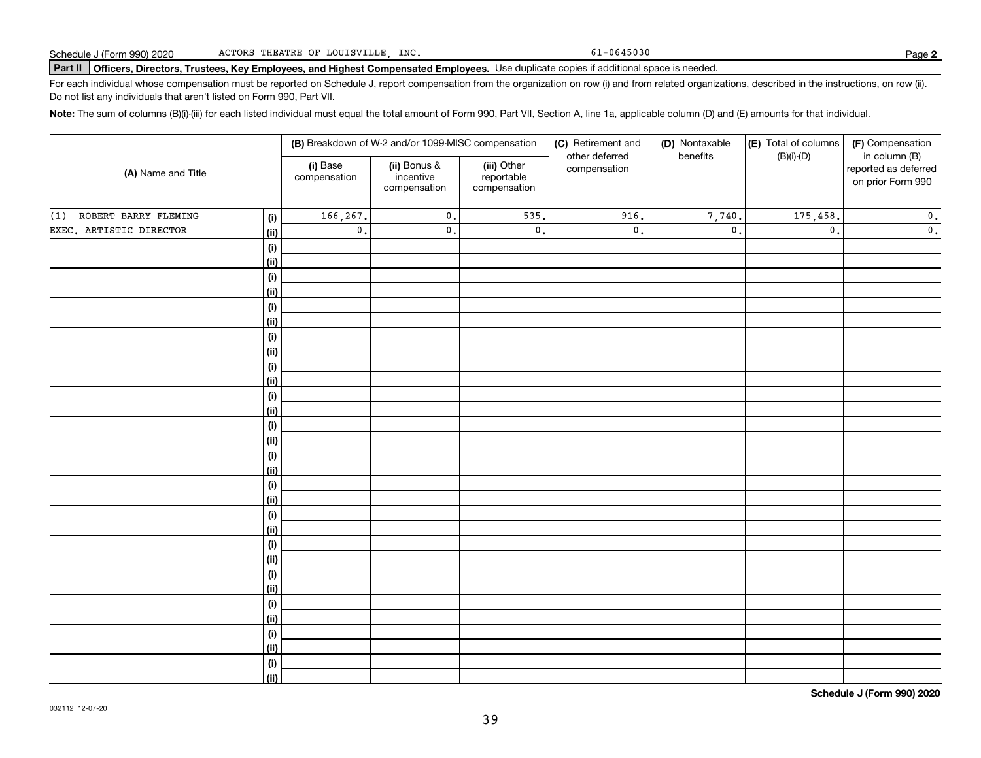61-0645030

# **Part II Officers, Directors, Trustees, Key Employees, and Highest Compensated Employees.**  Schedule J (Form 990) 2020 Page Use duplicate copies if additional space is needed.

For each individual whose compensation must be reported on Schedule J, report compensation from the organization on row (i) and from related organizations, described in the instructions, on row (ii). Do not list any individuals that aren't listed on Form 990, Part VII.

**Note:**  The sum of columns (B)(i)-(iii) for each listed individual must equal the total amount of Form 990, Part VII, Section A, line 1a, applicable column (D) and (E) amounts for that individual.

|                             |                    |                          | (B) Breakdown of W-2 and/or 1099-MISC compensation |                                           | (C) Retirement and             | (D) Nontaxable  | (E) Total of columns | (F) Compensation                                           |
|-----------------------------|--------------------|--------------------------|----------------------------------------------------|-------------------------------------------|--------------------------------|-----------------|----------------------|------------------------------------------------------------|
| (A) Name and Title          |                    | (i) Base<br>compensation | (ii) Bonus &<br>incentive<br>compensation          | (iii) Other<br>reportable<br>compensation | other deferred<br>compensation | benefits        | $(B)(i)-(D)$         | in column (B)<br>reported as deferred<br>on prior Form 990 |
| ROBERT BARRY FLEMING<br>(1) | (i)                | 166,267.                 | $\mathsf{0}$ .                                     | 535                                       | 916.                           | 7,740.          | 175,458.             | $\mathbf 0$ .                                              |
| EXEC. ARTISTIC DIRECTOR     | <u>(ii)</u>        | $\mathbf 0$ .            | $\mathsf{0}$ .                                     | $\mathfrak o$ .                           | $\mathsf{0}$ .                 | $\mathfrak o$ . | $\mathfrak o$ .      | $\mathbf 0$ .                                              |
|                             | (i)                |                          |                                                    |                                           |                                |                 |                      |                                                            |
|                             | <u>(ii)</u>        |                          |                                                    |                                           |                                |                 |                      |                                                            |
|                             | (i)                |                          |                                                    |                                           |                                |                 |                      |                                                            |
|                             | <u>(ii)</u>        |                          |                                                    |                                           |                                |                 |                      |                                                            |
|                             | (i)                |                          |                                                    |                                           |                                |                 |                      |                                                            |
|                             | <u>(ii)</u>        |                          |                                                    |                                           |                                |                 |                      |                                                            |
|                             | (i)                |                          |                                                    |                                           |                                |                 |                      |                                                            |
|                             | <u>(ii)</u>        |                          |                                                    |                                           |                                |                 |                      |                                                            |
|                             | (i)                |                          |                                                    |                                           |                                |                 |                      |                                                            |
|                             | <u>(ii)</u>        |                          |                                                    |                                           |                                |                 |                      |                                                            |
|                             | (i)                |                          |                                                    |                                           |                                |                 |                      |                                                            |
|                             | <u>(ii)</u>        |                          |                                                    |                                           |                                |                 |                      |                                                            |
|                             | (i)                |                          |                                                    |                                           |                                |                 |                      |                                                            |
|                             | <u>(ii)</u>        |                          |                                                    |                                           |                                |                 |                      |                                                            |
|                             | (i)<br><u>(ii)</u> |                          |                                                    |                                           |                                |                 |                      |                                                            |
|                             | (i)                |                          |                                                    |                                           |                                |                 |                      |                                                            |
|                             | <u>(ii)</u>        |                          |                                                    |                                           |                                |                 |                      |                                                            |
|                             | (i)                |                          |                                                    |                                           |                                |                 |                      |                                                            |
|                             | <u>(ii)</u>        |                          |                                                    |                                           |                                |                 |                      |                                                            |
|                             | (i)                |                          |                                                    |                                           |                                |                 |                      |                                                            |
|                             | <u>(ii)</u>        |                          |                                                    |                                           |                                |                 |                      |                                                            |
|                             | (i)                |                          |                                                    |                                           |                                |                 |                      |                                                            |
|                             | <u>(ii)</u>        |                          |                                                    |                                           |                                |                 |                      |                                                            |
|                             | (i)                |                          |                                                    |                                           |                                |                 |                      |                                                            |
|                             | <u>(ii)</u>        |                          |                                                    |                                           |                                |                 |                      |                                                            |
|                             | (i)                |                          |                                                    |                                           |                                |                 |                      |                                                            |
|                             | <u>(ii)</u>        |                          |                                                    |                                           |                                |                 |                      |                                                            |
|                             | (i)                |                          |                                                    |                                           |                                |                 |                      |                                                            |
|                             | $\overline{}}$     |                          |                                                    |                                           |                                |                 |                      |                                                            |

**Schedule J (Form 990) 2020**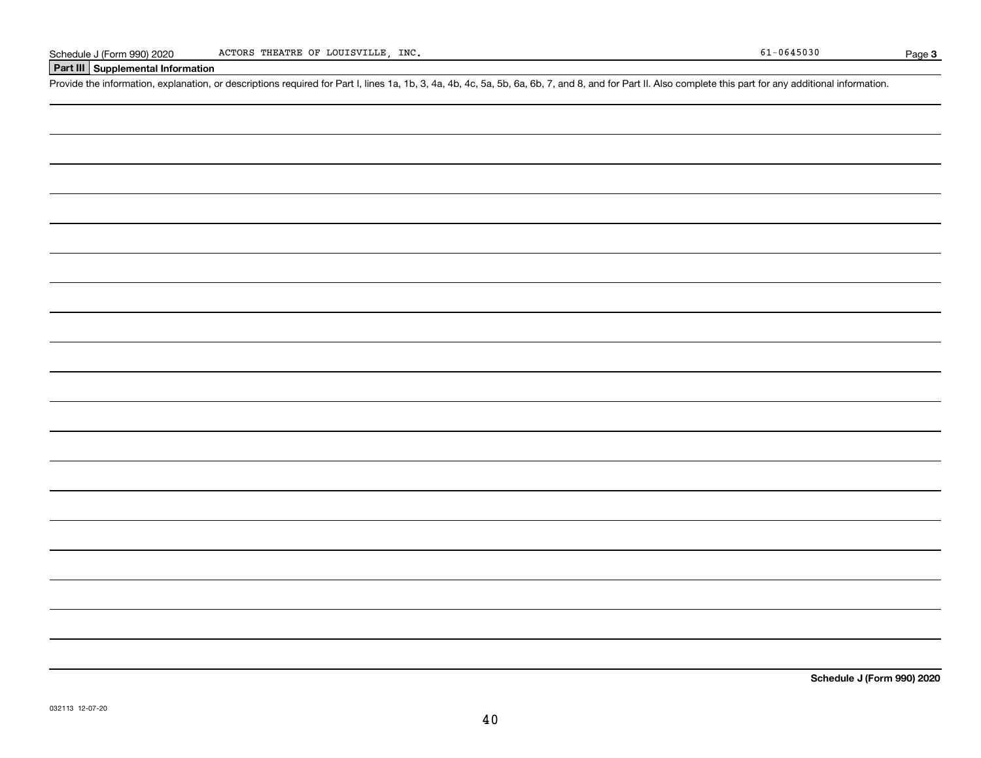## **Part III Supplemental Information**

Schedule J (Form 990) 2020 ACTORS THEATRE OF LOUISVILLE, INC.<br>Part III Supplemental Information<br>Provide the information, explanation, or descriptions required for Part I, lines 1a, 1b, 3, 4a, 4b, 4c, 5a, 5b, 6a, 6b, 7, and

**Schedule J (Form 990) 2020**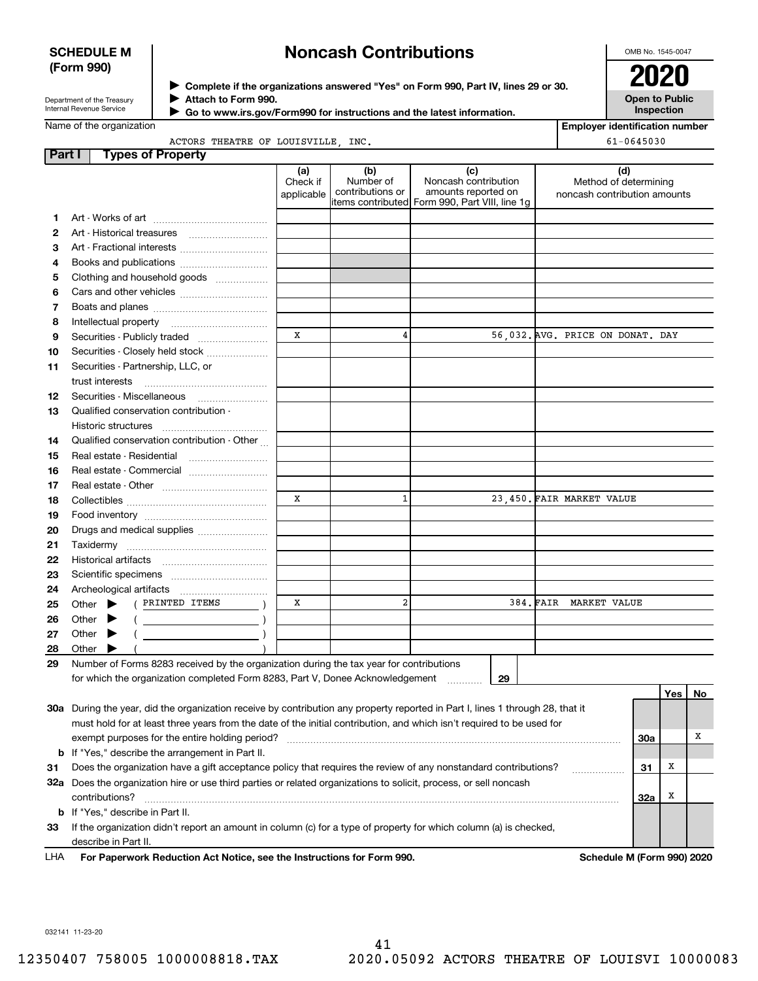## **SCHEDULE M (Form 990)**

# **Noncash Contributions**

OMB No. 1545-0047

| Department of the Treasury |
|----------------------------|
| Internal Revenue Service   |

**Complete if the organizations answered "Yes" on Form 990, Part IV, lines 29 or 30.** <sup>J</sup>**2020 Attach to Form 990.** J

**Open to Public Inspection**

|  |  |  | Name of the organization |
|--|--|--|--------------------------|
|--|--|--|--------------------------|

 **Go to www.irs.gov/Form990 for instructions and the latest information.** J

|                         |  | ACTORS THEATRE OF LOUISVILLE INC. |  |
|-------------------------|--|-----------------------------------|--|
| ame of the organization |  |                                   |  |

| <b>Employer identification number</b> |  |
|---------------------------------------|--|

| $61 - 0645030$ |
|----------------|
|----------------|

| <b>Part I</b> | <b>Types of Property</b>                                                                                                                                                                                                                                                                                                                                                                                                                                                                                                                                                                                          |                               |                                      |                                                                                                      |                                                              |     |     |    |
|---------------|-------------------------------------------------------------------------------------------------------------------------------------------------------------------------------------------------------------------------------------------------------------------------------------------------------------------------------------------------------------------------------------------------------------------------------------------------------------------------------------------------------------------------------------------------------------------------------------------------------------------|-------------------------------|--------------------------------------|------------------------------------------------------------------------------------------------------|--------------------------------------------------------------|-----|-----|----|
|               |                                                                                                                                                                                                                                                                                                                                                                                                                                                                                                                                                                                                                   | (a)<br>Check if<br>applicable | (b)<br>Number of<br>contributions or | (c)<br>Noncash contribution<br>amounts reported on<br>items contributed Form 990, Part VIII, line 1g | (d)<br>Method of determining<br>noncash contribution amounts |     |     |    |
| 1             |                                                                                                                                                                                                                                                                                                                                                                                                                                                                                                                                                                                                                   |                               |                                      |                                                                                                      |                                                              |     |     |    |
| 2             |                                                                                                                                                                                                                                                                                                                                                                                                                                                                                                                                                                                                                   |                               |                                      |                                                                                                      |                                                              |     |     |    |
| З             | Art - Fractional interests                                                                                                                                                                                                                                                                                                                                                                                                                                                                                                                                                                                        |                               |                                      |                                                                                                      |                                                              |     |     |    |
| 4             | Books and publications                                                                                                                                                                                                                                                                                                                                                                                                                                                                                                                                                                                            |                               |                                      |                                                                                                      |                                                              |     |     |    |
| 5             | Clothing and household goods                                                                                                                                                                                                                                                                                                                                                                                                                                                                                                                                                                                      |                               |                                      |                                                                                                      |                                                              |     |     |    |
| 6             |                                                                                                                                                                                                                                                                                                                                                                                                                                                                                                                                                                                                                   |                               |                                      |                                                                                                      |                                                              |     |     |    |
| 7             |                                                                                                                                                                                                                                                                                                                                                                                                                                                                                                                                                                                                                   |                               |                                      |                                                                                                      |                                                              |     |     |    |
| 8             |                                                                                                                                                                                                                                                                                                                                                                                                                                                                                                                                                                                                                   |                               |                                      |                                                                                                      |                                                              |     |     |    |
| 9             |                                                                                                                                                                                                                                                                                                                                                                                                                                                                                                                                                                                                                   | X                             | 4                                    |                                                                                                      | 56,032. AVG. PRICE ON DONAT. DAY                             |     |     |    |
| 10            | Securities - Closely held stock                                                                                                                                                                                                                                                                                                                                                                                                                                                                                                                                                                                   |                               |                                      |                                                                                                      |                                                              |     |     |    |
| 11            | Securities - Partnership, LLC, or                                                                                                                                                                                                                                                                                                                                                                                                                                                                                                                                                                                 |                               |                                      |                                                                                                      |                                                              |     |     |    |
|               | trust interests                                                                                                                                                                                                                                                                                                                                                                                                                                                                                                                                                                                                   |                               |                                      |                                                                                                      |                                                              |     |     |    |
| 12            | Securities - Miscellaneous                                                                                                                                                                                                                                                                                                                                                                                                                                                                                                                                                                                        |                               |                                      |                                                                                                      |                                                              |     |     |    |
| 13            | Qualified conservation contribution -                                                                                                                                                                                                                                                                                                                                                                                                                                                                                                                                                                             |                               |                                      |                                                                                                      |                                                              |     |     |    |
|               | Historic structures<br>                                                                                                                                                                                                                                                                                                                                                                                                                                                                                                                                                                                           |                               |                                      |                                                                                                      |                                                              |     |     |    |
| 14            | Qualified conservation contribution - Other                                                                                                                                                                                                                                                                                                                                                                                                                                                                                                                                                                       |                               |                                      |                                                                                                      |                                                              |     |     |    |
| 15            | Real estate - Residential                                                                                                                                                                                                                                                                                                                                                                                                                                                                                                                                                                                         |                               |                                      |                                                                                                      |                                                              |     |     |    |
| 16            | Real estate - Commercial                                                                                                                                                                                                                                                                                                                                                                                                                                                                                                                                                                                          |                               |                                      |                                                                                                      |                                                              |     |     |    |
| 17            |                                                                                                                                                                                                                                                                                                                                                                                                                                                                                                                                                                                                                   |                               |                                      |                                                                                                      |                                                              |     |     |    |
| 18            |                                                                                                                                                                                                                                                                                                                                                                                                                                                                                                                                                                                                                   | X                             | $\mathbf{1}$                         |                                                                                                      | 23.450. FAIR MARKET VALUE                                    |     |     |    |
| 19            |                                                                                                                                                                                                                                                                                                                                                                                                                                                                                                                                                                                                                   |                               |                                      |                                                                                                      |                                                              |     |     |    |
| 20            | Drugs and medical supplies                                                                                                                                                                                                                                                                                                                                                                                                                                                                                                                                                                                        |                               |                                      |                                                                                                      |                                                              |     |     |    |
| 21            | Taxidermy                                                                                                                                                                                                                                                                                                                                                                                                                                                                                                                                                                                                         |                               |                                      |                                                                                                      |                                                              |     |     |    |
| 22            |                                                                                                                                                                                                                                                                                                                                                                                                                                                                                                                                                                                                                   |                               |                                      |                                                                                                      |                                                              |     |     |    |
| 23            |                                                                                                                                                                                                                                                                                                                                                                                                                                                                                                                                                                                                                   |                               |                                      |                                                                                                      |                                                              |     |     |    |
| 24            |                                                                                                                                                                                                                                                                                                                                                                                                                                                                                                                                                                                                                   |                               |                                      |                                                                                                      |                                                              |     |     |    |
| 25            | ( PRINTED ITEMS<br>Other $\blacktriangleright$                                                                                                                                                                                                                                                                                                                                                                                                                                                                                                                                                                    | х                             | $\overline{a}$                       |                                                                                                      | 384. FAIR MARKET VALUE                                       |     |     |    |
| 26            | Other $\blacktriangleright$<br>$\left(\begin{array}{ccc} \begin{array}{ccc} \end{array} & \begin{array}{ccc} \end{array} & \begin{array}{ccc} \end{array} & \begin{array}{ccc} \end{array} & \begin{array}{ccc} \end{array} & \begin{array}{ccc} \end{array} & \begin{array}{ccc} \end{array} & \begin{array}{ccc} \end{array} & \begin{array}{ccc} \end{array} & \begin{array}{ccc} \end{array} & \begin{array}{ccc} \end{array} & \begin{array}{ccc} \end{array} & \begin{array}{ccc} \end{array} & \begin{array}{ccc} \end{array} & \begin{array}{ccc} \end{array} & \begin{array}{ccc} \end{array} & \begin{$ |                               |                                      |                                                                                                      |                                                              |     |     |    |
| 27            | Other $\blacktriangleright$                                                                                                                                                                                                                                                                                                                                                                                                                                                                                                                                                                                       |                               |                                      |                                                                                                      |                                                              |     |     |    |
| 28            | Other <b>D</b>                                                                                                                                                                                                                                                                                                                                                                                                                                                                                                                                                                                                    |                               |                                      |                                                                                                      |                                                              |     |     |    |
| 29            | Number of Forms 8283 received by the organization during the tax year for contributions                                                                                                                                                                                                                                                                                                                                                                                                                                                                                                                           |                               |                                      |                                                                                                      |                                                              |     |     |    |
|               | for which the organization completed Form 8283, Part V, Donee Acknowledgement                                                                                                                                                                                                                                                                                                                                                                                                                                                                                                                                     |                               |                                      | 29                                                                                                   |                                                              |     |     |    |
|               |                                                                                                                                                                                                                                                                                                                                                                                                                                                                                                                                                                                                                   |                               |                                      |                                                                                                      |                                                              |     | Yes | No |
|               | 30a During the year, did the organization receive by contribution any property reported in Part I, lines 1 through 28, that it                                                                                                                                                                                                                                                                                                                                                                                                                                                                                    |                               |                                      |                                                                                                      |                                                              |     |     |    |
|               | must hold for at least three years from the date of the initial contribution, and which isn't required to be used for                                                                                                                                                                                                                                                                                                                                                                                                                                                                                             |                               |                                      |                                                                                                      |                                                              |     |     |    |
|               | exempt purposes for the entire holding period?                                                                                                                                                                                                                                                                                                                                                                                                                                                                                                                                                                    |                               |                                      |                                                                                                      |                                                              | 30a |     | x  |
|               | <b>b</b> If "Yes," describe the arrangement in Part II.                                                                                                                                                                                                                                                                                                                                                                                                                                                                                                                                                           |                               |                                      |                                                                                                      |                                                              |     |     |    |
| 31            | Does the organization have a gift acceptance policy that requires the review of any nonstandard contributions?                                                                                                                                                                                                                                                                                                                                                                                                                                                                                                    |                               |                                      |                                                                                                      |                                                              | 31  | х   |    |
|               | 32a Does the organization hire or use third parties or related organizations to solicit, process, or sell noncash                                                                                                                                                                                                                                                                                                                                                                                                                                                                                                 |                               |                                      |                                                                                                      |                                                              |     |     |    |
|               | contributions?                                                                                                                                                                                                                                                                                                                                                                                                                                                                                                                                                                                                    |                               |                                      |                                                                                                      |                                                              | 32a | x   |    |
|               | <b>b</b> If "Yes," describe in Part II.                                                                                                                                                                                                                                                                                                                                                                                                                                                                                                                                                                           |                               |                                      |                                                                                                      |                                                              |     |     |    |
| 33            | If the organization didn't report an amount in column (c) for a type of property for which column (a) is checked,                                                                                                                                                                                                                                                                                                                                                                                                                                                                                                 |                               |                                      |                                                                                                      |                                                              |     |     |    |

For Paperwork Reduction Act Notice, see the Instructions for Form 990. **Schedule M** (Form 990) 2020 LHA

032141 11-23-20

describe in Part II.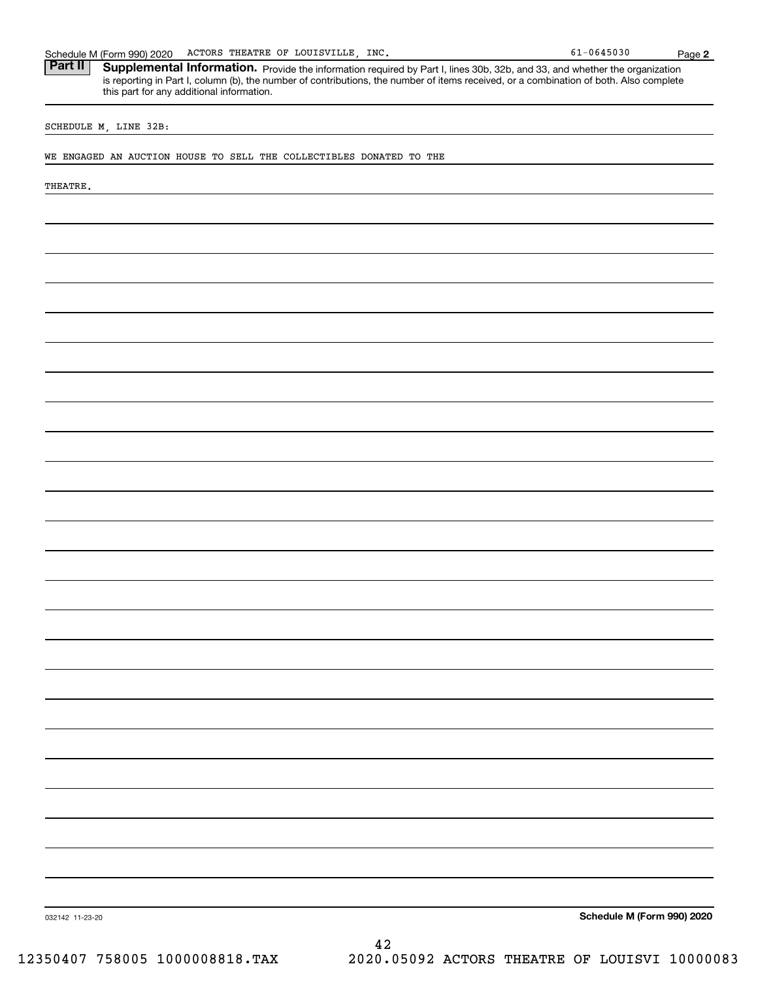| SCHEDULE M, LINE 32B:                                               |                                                     |                            |
|---------------------------------------------------------------------|-----------------------------------------------------|----------------------------|
| WE ENGAGED AN AUCTION HOUSE TO SELL THE COLLECTIBLES DONATED TO THE |                                                     |                            |
|                                                                     |                                                     |                            |
| THEATRE.                                                            |                                                     |                            |
|                                                                     |                                                     |                            |
|                                                                     |                                                     |                            |
|                                                                     |                                                     |                            |
|                                                                     |                                                     |                            |
|                                                                     |                                                     |                            |
|                                                                     |                                                     |                            |
|                                                                     |                                                     |                            |
|                                                                     |                                                     |                            |
|                                                                     |                                                     |                            |
|                                                                     |                                                     |                            |
|                                                                     |                                                     |                            |
|                                                                     |                                                     |                            |
|                                                                     |                                                     |                            |
|                                                                     |                                                     |                            |
|                                                                     |                                                     |                            |
|                                                                     |                                                     |                            |
|                                                                     |                                                     |                            |
|                                                                     |                                                     |                            |
|                                                                     |                                                     |                            |
|                                                                     |                                                     |                            |
|                                                                     |                                                     |                            |
|                                                                     |                                                     |                            |
|                                                                     |                                                     |                            |
|                                                                     |                                                     |                            |
|                                                                     |                                                     |                            |
|                                                                     |                                                     |                            |
|                                                                     |                                                     |                            |
|                                                                     |                                                     |                            |
|                                                                     |                                                     |                            |
|                                                                     |                                                     |                            |
| 032142 11-23-20                                                     |                                                     | Schedule M (Form 990) 2020 |
| 12350407 758005 1000008818.TAX                                      | 42<br>2020.05092 ACTORS THEATRE OF LOUISVI 10000083 |                            |

Schedule M (Form 990) 2020 ACTORS THEATRE OF LOUISVILLE, INC. Page Part II | Supplemental Information. Provide the information required by Part I, lines 30b, 32b, and 33, and whether the organization

**2**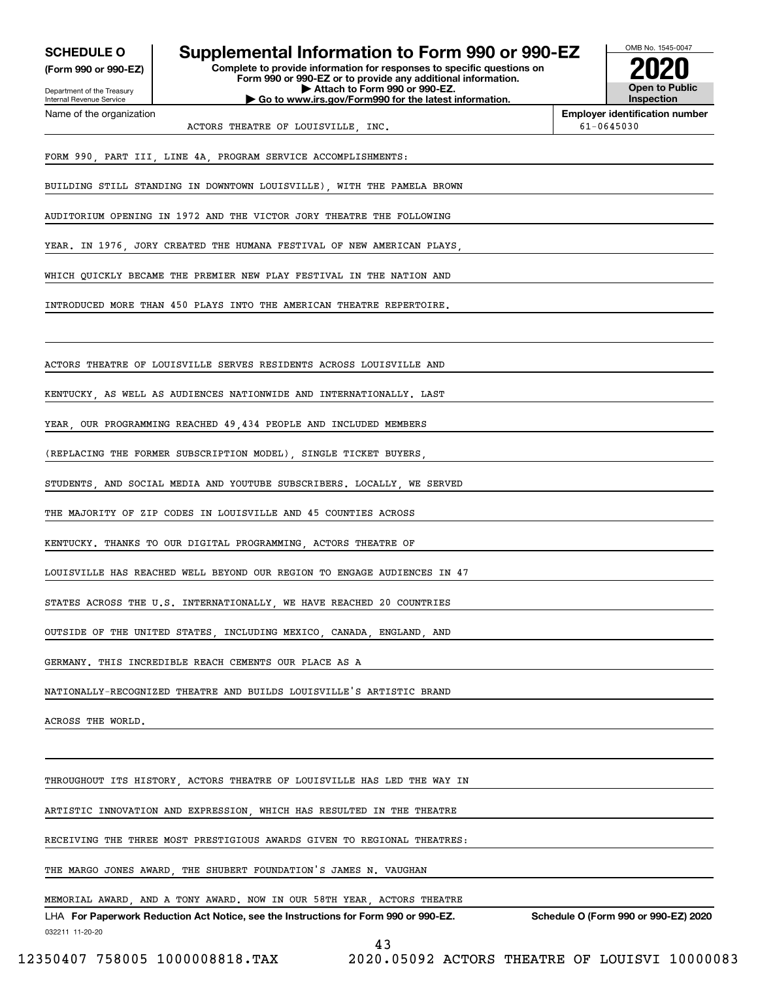| <b>SCHEDULE O</b>          | Supplemental Information to Form 990 or 990-EZ                                                                                         |                       | OMB No. 1545-0047                                       |  |
|----------------------------|----------------------------------------------------------------------------------------------------------------------------------------|-----------------------|---------------------------------------------------------|--|
| (Form 990 or 990-EZ)       | Complete to provide information for responses to specific questions on<br>Form 990 or 990-EZ or to provide any additional information. |                       |                                                         |  |
| Department of the Treasury |                                                                                                                                        | <b>Open to Public</b> |                                                         |  |
| Internal Revenue Service   | Go to www.irs.gov/Form990 for the latest information.                                                                                  |                       | Inspection                                              |  |
| Name of the organization   | ACTORS THEATRE OF LOUISVILLE, INC.                                                                                                     |                       | <b>Employer identification number</b><br>$61 - 0645030$ |  |
|                            | FORM 990, PART III, LINE 4A, PROGRAM SERVICE ACCOMPLISHMENTS:                                                                          |                       |                                                         |  |
|                            | BUILDING STILL STANDING IN DOWNTOWN LOUISVILLE), WITH THE PAMELA BROWN                                                                 |                       |                                                         |  |
|                            | AUDITORIUM OPENING IN 1972 AND THE VICTOR JORY THEATRE THE FOLLOWING                                                                   |                       |                                                         |  |
|                            | YEAR. IN 1976, JORY CREATED THE HUMANA FESTIVAL OF NEW AMERICAN PLAYS,                                                                 |                       |                                                         |  |
|                            | WHICH QUICKLY BECAME THE PREMIER NEW PLAY FESTIVAL IN THE NATION AND                                                                   |                       |                                                         |  |
|                            | INTRODUCED MORE THAN 450 PLAYS INTO THE AMERICAN THEATRE REPERTOIRE.                                                                   |                       |                                                         |  |
|                            |                                                                                                                                        |                       |                                                         |  |
|                            | ACTORS THEATRE OF LOUISVILLE SERVES RESIDENTS ACROSS LOUISVILLE AND                                                                    |                       |                                                         |  |
|                            | KENTUCKY, AS WELL AS AUDIENCES NATIONWIDE AND INTERNATIONALLY. LAST                                                                    |                       |                                                         |  |
|                            | YEAR, OUR PROGRAMMING REACHED 49,434 PEOPLE AND INCLUDED MEMBERS                                                                       |                       |                                                         |  |
|                            | (REPLACING THE FORMER SUBSCRIPTION MODEL), SINGLE TICKET BUYERS,                                                                       |                       |                                                         |  |
|                            | STUDENTS, AND SOCIAL MEDIA AND YOUTUBE SUBSCRIBERS. LOCALLY, WE SERVED                                                                 |                       |                                                         |  |
|                            | THE MAJORITY OF ZIP CODES IN LOUISVILLE AND 45 COUNTIES ACROSS                                                                         |                       |                                                         |  |
|                            | KENTUCKY. THANKS TO OUR DIGITAL PROGRAMMING, ACTORS THEATRE OF                                                                         |                       |                                                         |  |
|                            | LOUISVILLE HAS REACHED WELL BEYOND OUR REGION TO ENGAGE AUDIENCES IN 47                                                                |                       |                                                         |  |
|                            | STATES ACROSS THE U.S. INTERNATIONALLY, WE HAVE REACHED 20 COUNTRIES                                                                   |                       |                                                         |  |
|                            | OUTSIDE OF THE UNITED STATES, INCLUDING MEXICO, CANADA, ENGLAND, AND                                                                   |                       |                                                         |  |
|                            | GERMANY. THIS INCREDIBLE REACH CEMENTS OUR PLACE AS A                                                                                  |                       |                                                         |  |
|                            | NATIONALLY-RECOGNIZED THEATRE AND BUILDS LOUISVILLE'S ARTISTIC BRAND                                                                   |                       |                                                         |  |
| ACROSS THE WORLD.          |                                                                                                                                        |                       |                                                         |  |
|                            |                                                                                                                                        |                       |                                                         |  |
|                            | THROUGHOUT ITS HISTORY, ACTORS THEATRE OF LOUISVILLE HAS LED THE WAY IN                                                                |                       |                                                         |  |
|                            | ARTISTIC INNOVATION AND EXPRESSION, WHICH HAS RESULTED IN THE THEATRE                                                                  |                       |                                                         |  |
|                            | RECEIVING THE THREE MOST PRESTIGIOUS AWARDS GIVEN TO REGIONAL THEATRES:                                                                |                       |                                                         |  |
|                            | THE MARGO JONES AWARD, THE SHUBERT FOUNDATION'S JAMES N. VAUGHAN                                                                       |                       |                                                         |  |
|                            |                                                                                                                                        |                       |                                                         |  |

MEMORIAL AWARD, AND A TONY AWARD. NOW IN OUR 58TH YEAR, ACTORS THEATRE

032211 11-20-20 LHA For Paperwork Reduction Act Notice, see the Instructions for Form 990 or 990-EZ. Schedule O (Form 990 or 990-EZ) 2020

43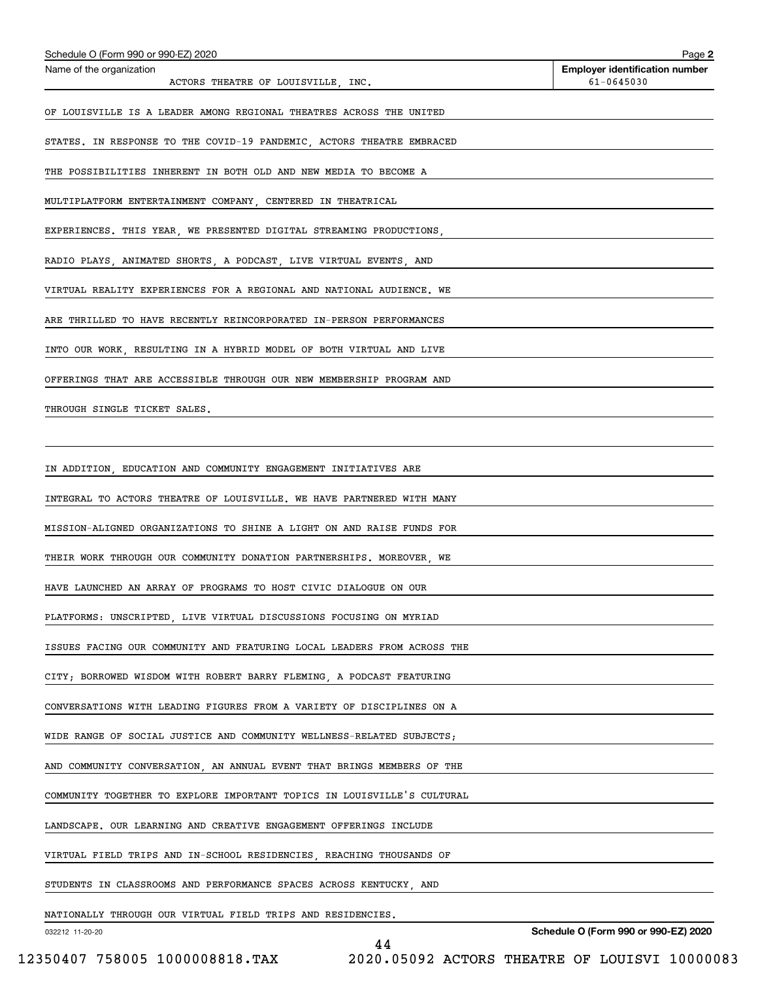| Schedule O (Form 990 or 990-EZ) 2020                                    | Page 2                                              |
|-------------------------------------------------------------------------|-----------------------------------------------------|
| Name of the organization<br>ACTORS THEATRE OF LOUISVILLE, INC.          | <b>Employer identification number</b><br>61-0645030 |
| OF LOUISVILLE IS A LEADER AMONG REGIONAL THEATRES ACROSS THE UNITED     |                                                     |
| STATES. IN RESPONSE TO THE COVID-19 PANDEMIC, ACTORS THEATRE EMBRACED   |                                                     |
| THE POSSIBILITIES INHERENT IN BOTH OLD AND NEW MEDIA TO BECOME A        |                                                     |
| MULTIPLATFORM ENTERTAINMENT COMPANY, CENTERED IN THEATRICAL             |                                                     |
| EXPERIENCES. THIS YEAR, WE PRESENTED DIGITAL STREAMING PRODUCTIONS,     |                                                     |
| RADIO PLAYS, ANIMATED SHORTS, A PODCAST, LIVE VIRTUAL EVENTS, AND       |                                                     |
| VIRTUAL REALITY EXPERIENCES FOR A REGIONAL AND NATIONAL AUDIENCE. WE    |                                                     |
| ARE THRILLED TO HAVE RECENTLY REINCORPORATED IN-PERSON PERFORMANCES     |                                                     |
| INTO OUR WORK, RESULTING IN A HYBRID MODEL OF BOTH VIRTUAL AND LIVE     |                                                     |
| OFFERINGS THAT ARE ACCESSIBLE THROUGH OUR NEW MEMBERSHIP PROGRAM AND    |                                                     |
| THROUGH SINGLE TICKET SALES.                                            |                                                     |
|                                                                         |                                                     |
| IN ADDITION, EDUCATION AND COMMUNITY ENGAGEMENT INITIATIVES ARE         |                                                     |
| INTEGRAL TO ACTORS THEATRE OF LOUISVILLE. WE HAVE PARTNERED WITH MANY   |                                                     |
| MISSION-ALIGNED ORGANIZATIONS TO SHINE A LIGHT ON AND RAISE FUNDS FOR   |                                                     |
| THEIR WORK THROUGH OUR COMMUNITY DONATION PARTNERSHIPS. MOREOVER, WE    |                                                     |
| HAVE LAUNCHED AN ARRAY OF PROGRAMS TO HOST CIVIC DIALOGUE ON OUR        |                                                     |
| PLATFORMS: UNSCRIPTED, LIVE VIRTUAL DISCUSSIONS FOCUSING ON MYRIAD      |                                                     |
| ISSUES FACING OUR COMMUNITY AND FEATURING LOCAL LEADERS FROM ACROSS THE |                                                     |
| CITY; BORROWED WISDOM WITH ROBERT BARRY FLEMING, A PODCAST FEATURING    |                                                     |
| CONVERSATIONS WITH LEADING FIGURES FROM A VARIETY OF DISCIPLINES ON A   |                                                     |
| WIDE RANGE OF SOCIAL JUSTICE AND COMMUNITY WELLNESS-RELATED SUBJECTS;   |                                                     |
| AND COMMUNITY CONVERSATION, AN ANNUAL EVENT THAT BRINGS MEMBERS OF THE  |                                                     |
| COMMUNITY TOGETHER TO EXPLORE IMPORTANT TOPICS IN LOUISVILLE'S CULTURAL |                                                     |
| LANDSCAPE. OUR LEARNING AND CREATIVE ENGAGEMENT OFFERINGS INCLUDE       |                                                     |
| VIRTUAL FIELD TRIPS AND IN-SCHOOL RESIDENCIES, REACHING THOUSANDS OF    |                                                     |
| STUDENTS IN CLASSROOMS AND PERFORMANCE SPACES ACROSS KENTUCKY, AND      |                                                     |
| NATIONALLY THROUGH OUR VIRTUAL FIELD TRIPS AND RESIDENCIES.             |                                                     |

44

032212 11-20-20

**Schedule O (Form 990 or 990-EZ) 2020**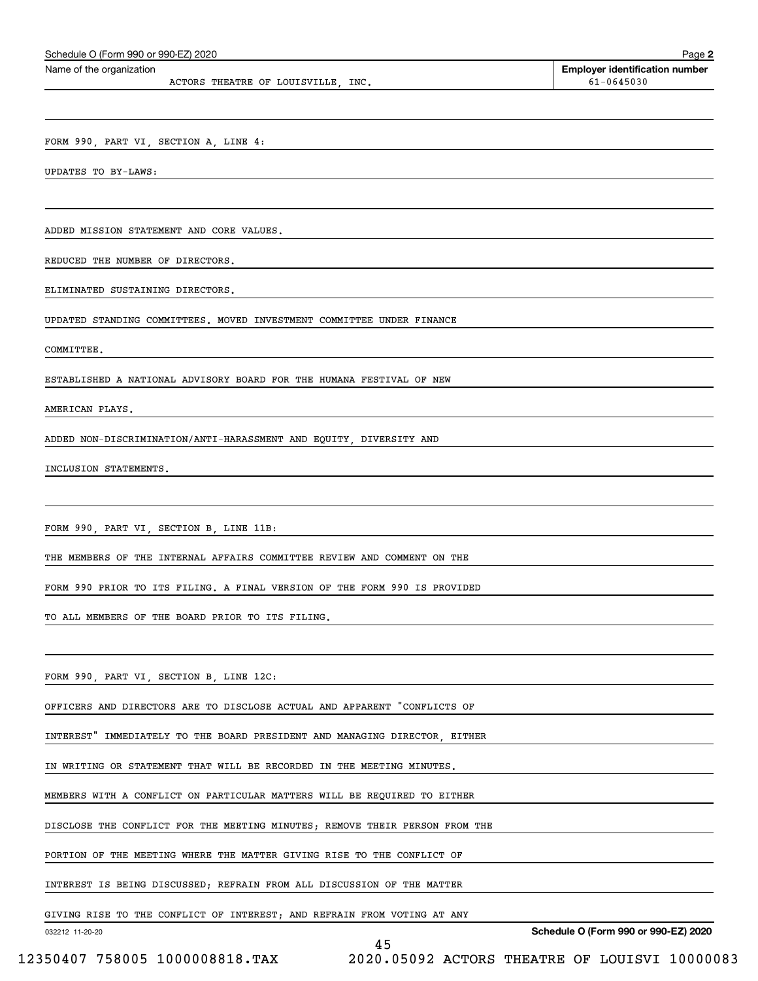| Schedule O (Form 990 or 990-EZ) 2020                                        | Page 2                                              |
|-----------------------------------------------------------------------------|-----------------------------------------------------|
| Name of the organization<br>ACTORS THEATRE OF LOUISVILLE, INC.              | <b>Employer identification number</b><br>61-0645030 |
|                                                                             |                                                     |
| FORM 990, PART VI, SECTION A, LINE 4:                                       |                                                     |
| UPDATES TO BY-LAWS:                                                         |                                                     |
|                                                                             |                                                     |
| ADDED MISSION STATEMENT AND CORE VALUES.                                    |                                                     |
| REDUCED THE NUMBER OF DIRECTORS.                                            |                                                     |
| ELIMINATED SUSTAINING DIRECTORS.                                            |                                                     |
| UPDATED STANDING COMMITTEES. MOVED INVESTMENT COMMITTEE UNDER FINANCE       |                                                     |
| COMMITTEE.                                                                  |                                                     |
| ESTABLISHED A NATIONAL ADVISORY BOARD FOR THE HUMANA FESTIVAL OF NEW        |                                                     |
| AMERICAN PLAYS.                                                             |                                                     |
| ADDED NON-DISCRIMINATION/ANTI-HARASSMENT AND EQUITY, DIVERSITY AND          |                                                     |
| INCLUSION STATEMENTS.                                                       |                                                     |
|                                                                             |                                                     |
| FORM 990, PART VI, SECTION B, LINE 11B:                                     |                                                     |
| THE MEMBERS OF THE INTERNAL AFFAIRS COMMITTEE REVIEW AND COMMENT ON THE     |                                                     |
| FORM 990 PRIOR TO ITS FILING. A FINAL VERSION OF THE FORM 990 IS PROVIDED   |                                                     |
| TO ALL MEMBERS OF THE BOARD PRIOR TO ITS FILING.                            |                                                     |
|                                                                             |                                                     |
| FORM 990, PART VI, SECTION B, LINE 12C:                                     |                                                     |
| OFFICERS AND DIRECTORS ARE TO DISCLOSE ACTUAL AND APPARENT "CONFLICTS OF    |                                                     |
| INTEREST" IMMEDIATELY TO THE BOARD PRESIDENT AND MANAGING DIRECTOR, EITHER  |                                                     |
| IN WRITING OR STATEMENT THAT WILL BE RECORDED IN THE MEETING MINUTES.       |                                                     |
| MEMBERS WITH A CONFLICT ON PARTICULAR MATTERS WILL BE REQUIRED TO EITHER    |                                                     |
| DISCLOSE THE CONFLICT FOR THE MEETING MINUTES; REMOVE THEIR PERSON FROM THE |                                                     |
| PORTION OF THE MEETING WHERE THE MATTER GIVING RISE TO THE CONFLICT OF      |                                                     |
| INTEREST IS BEING DISCUSSED; REFRAIN FROM ALL DISCUSSION OF THE MATTER      |                                                     |
| GIVING RISE TO THE CONFLICT OF INTEREST; AND REFRAIN FROM VOTING AT ANY     |                                                     |
| 032212 11-20-20<br>45                                                       | Schedule O (Form 990 or 990-EZ) 2020                |

 <sup>12350407 758005 1000008818.</sup>TAX 2020.05092 ACTORS THEATRE OF LOUISVI 10000083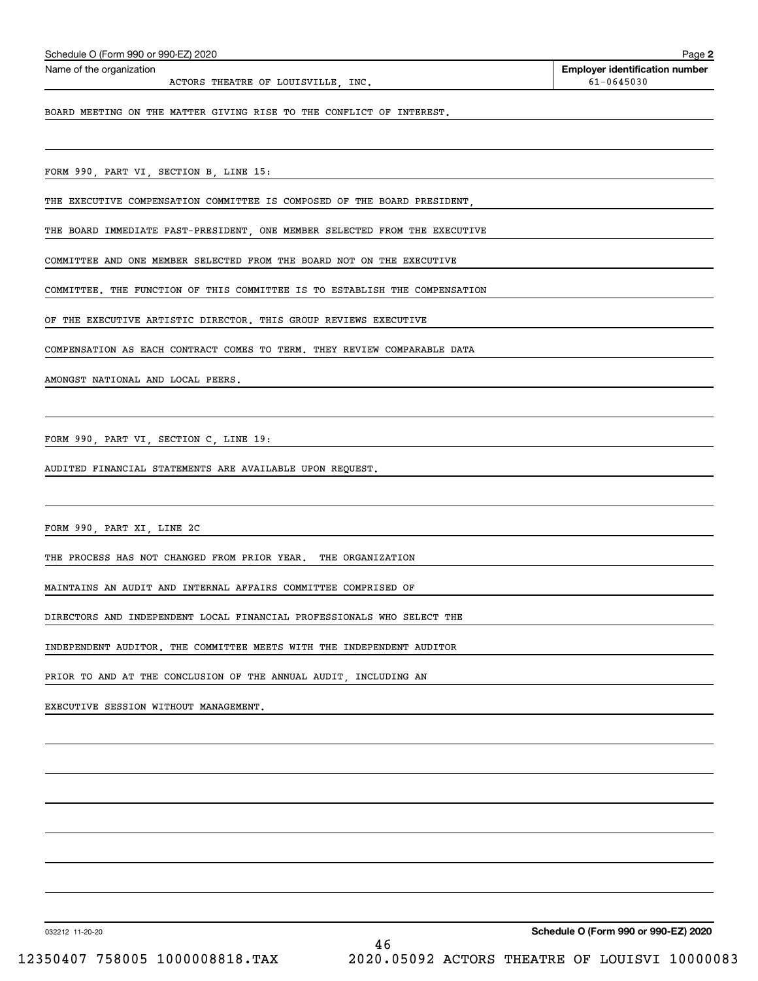| Schedule O (Form 990 or 990-EZ) 2020                                       | Page 2                                                  |
|----------------------------------------------------------------------------|---------------------------------------------------------|
| Name of the organization                                                   | <b>Employer identification number</b><br>$61 - 0645030$ |
| ACTORS THEATRE OF LOUISVILLE, INC.                                         |                                                         |
| BOARD MEETING ON THE MATTER GIVING RISE TO THE CONFLICT OF INTEREST.       |                                                         |
|                                                                            |                                                         |
| FORM 990, PART VI, SECTION B, LINE 15:                                     |                                                         |
| THE EXECUTIVE COMPENSATION COMMITTEE IS COMPOSED OF THE BOARD PRESIDENT,   |                                                         |
| THE BOARD IMMEDIATE PAST-PRESIDENT, ONE MEMBER SELECTED FROM THE EXECUTIVE |                                                         |
| COMMITTEE AND ONE MEMBER SELECTED FROM THE BOARD NOT ON THE EXECUTIVE      |                                                         |
| COMMITTEE. THE FUNCTION OF THIS COMMITTEE IS TO ESTABLISH THE COMPENSATION |                                                         |
| OF THE EXECUTIVE ARTISTIC DIRECTOR. THIS GROUP REVIEWS EXECUTIVE           |                                                         |
| COMPENSATION AS EACH CONTRACT COMES TO TERM. THEY REVIEW COMPARABLE DATA   |                                                         |
| AMONGST NATIONAL AND LOCAL PEERS.                                          |                                                         |
|                                                                            |                                                         |
| FORM 990, PART VI, SECTION C, LINE 19:                                     |                                                         |

AUDITED FINANCIAL STATEMENTS ARE AVAILABLE UPON REQUEST.

FORM 990, PART XI, LINE 2C

THE PROCESS HAS NOT CHANGED FROM PRIOR YEAR. THE ORGANIZATION

MAINTAINS AN AUDIT AND INTERNAL AFFAIRS COMMITTEE COMPRISED OF

DIRECTORS AND INDEPENDENT LOCAL FINANCIAL PROFESSIONALS WHO SELECT THE

INDEPENDENT AUDITOR. THE COMMITTEE MEETS WITH THE INDEPENDENT AUDITOR

PRIOR TO AND AT THE CONCLUSION OF THE ANNUAL AUDIT, INCLUDING AN

EXECUTIVE SESSION WITHOUT MANAGEMENT.

032212 11-20-20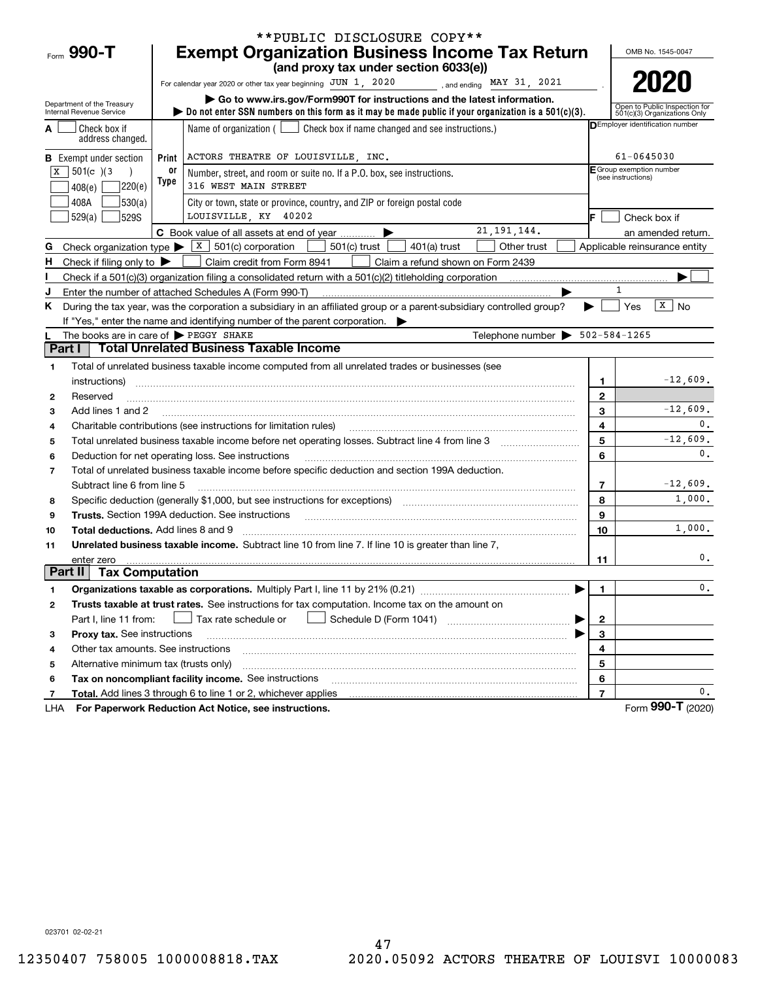|         |                                                            |       | **PUBLIC DISCLOSURE COPY**                                                                                                                                                                                                                                                                                                                                                                                                                                                      |                         |                                                               |  |
|---------|------------------------------------------------------------|-------|---------------------------------------------------------------------------------------------------------------------------------------------------------------------------------------------------------------------------------------------------------------------------------------------------------------------------------------------------------------------------------------------------------------------------------------------------------------------------------|-------------------------|---------------------------------------------------------------|--|
|         | Form 990-T                                                 |       | <b>Exempt Organization Business Income Tax Return</b>                                                                                                                                                                                                                                                                                                                                                                                                                           |                         | OMB No. 1545-0047                                             |  |
|         |                                                            |       | (and proxy tax under section 6033(e))                                                                                                                                                                                                                                                                                                                                                                                                                                           |                         |                                                               |  |
|         |                                                            |       | For calendar year 2020 or other tax year beginning JUN 1, 2020<br>, and ending $\texttt{MAX}$ 31, 2021                                                                                                                                                                                                                                                                                                                                                                          |                         | 2020                                                          |  |
|         | Department of the Treasury<br>Internal Revenue Service     |       | Go to www.irs.gov/Form990T for instructions and the latest information.<br>bo not enter SSN numbers on this form as it may be made public if your organization is a $501(c)(3)$ .                                                                                                                                                                                                                                                                                               |                         | Open to Public Inspection for<br>501(c)(3) Organizations Only |  |
|         | Check box if<br>address changed.                           |       | Name of organization ( $\Box$ Check box if name changed and see instructions.)                                                                                                                                                                                                                                                                                                                                                                                                  |                         | <b>DEmployer identification number</b>                        |  |
|         | <b>B</b> Exempt under section                              | Print | ACTORS THEATRE OF LOUISVILLE, INC.                                                                                                                                                                                                                                                                                                                                                                                                                                              |                         | $61 - 0645030$                                                |  |
| X       | 501(c) 3                                                   | 0r    | Number, street, and room or suite no. If a P.O. box, see instructions.                                                                                                                                                                                                                                                                                                                                                                                                          |                         | E Group exemption number<br>(see instructions)                |  |
|         | ]220(e)<br>408(e)                                          | Type  | 316 WEST MAIN STREET                                                                                                                                                                                                                                                                                                                                                                                                                                                            |                         |                                                               |  |
|         | 408A<br> 530(a)                                            |       | City or town, state or province, country, and ZIP or foreign postal code                                                                                                                                                                                                                                                                                                                                                                                                        |                         |                                                               |  |
|         | 529(a)<br><b>529S</b>                                      |       | LOUISVILLE, KY 40202                                                                                                                                                                                                                                                                                                                                                                                                                                                            |                         | Check box if                                                  |  |
|         |                                                            |       | 21, 191, 144.<br>C Book value of all assets at end of year                                                                                                                                                                                                                                                                                                                                                                                                                      |                         | an amended return.                                            |  |
| G       | Check organization type $\blacktriangleright$              |       | $\vert$ X $\vert$ 501(c) corporation<br>$501(c)$ trust<br>$401(a)$ trust<br>Other trust                                                                                                                                                                                                                                                                                                                                                                                         |                         | Applicable reinsurance entity                                 |  |
| н.      | Check if filing only to $\blacktriangleright$              |       | Claim credit from Form 8941<br>Claim a refund shown on Form 2439                                                                                                                                                                                                                                                                                                                                                                                                                |                         |                                                               |  |
|         |                                                            |       |                                                                                                                                                                                                                                                                                                                                                                                                                                                                                 |                         |                                                               |  |
| J       |                                                            |       | Enter the number of attached Schedules A (Form 990-T)                                                                                                                                                                                                                                                                                                                                                                                                                           |                         |                                                               |  |
| K.      |                                                            |       | During the tax year, was the corporation a subsidiary in an affiliated group or a parent-subsidiary controlled group?                                                                                                                                                                                                                                                                                                                                                           |                         | $\overline{X}$ No<br>Yes                                      |  |
|         |                                                            |       | If "Yes," enter the name and identifying number of the parent corporation.                                                                                                                                                                                                                                                                                                                                                                                                      |                         |                                                               |  |
|         | The books are in care of $\blacktriangleright$ PEGGY SHAKE |       | Telephone number $\triangleright$ 502-584-1265<br><b>Total Unrelated Business Taxable Income</b>                                                                                                                                                                                                                                                                                                                                                                                |                         |                                                               |  |
| Part I  |                                                            |       |                                                                                                                                                                                                                                                                                                                                                                                                                                                                                 |                         |                                                               |  |
| 1       |                                                            |       | Total of unrelated business taxable income computed from all unrelated trades or businesses (see                                                                                                                                                                                                                                                                                                                                                                                |                         |                                                               |  |
|         | instructions)                                              |       |                                                                                                                                                                                                                                                                                                                                                                                                                                                                                 | 1                       | $-12,609.$                                                    |  |
| 2       | Reserved                                                   |       |                                                                                                                                                                                                                                                                                                                                                                                                                                                                                 | $\mathbf{2}$<br>3       | $-12,609.$                                                    |  |
| 3       | Add lines 1 and 2                                          |       |                                                                                                                                                                                                                                                                                                                                                                                                                                                                                 | 4                       | 0.                                                            |  |
| 4       |                                                            |       | Charitable contributions (see instructions for limitation rules)                                                                                                                                                                                                                                                                                                                                                                                                                | 5                       | $-12,609.$                                                    |  |
| 5<br>6  |                                                            |       | Deduction for net operating loss. See instructions                                                                                                                                                                                                                                                                                                                                                                                                                              | 6                       | 0.                                                            |  |
| 7       |                                                            |       | Total of unrelated business taxable income before specific deduction and section 199A deduction.                                                                                                                                                                                                                                                                                                                                                                                |                         |                                                               |  |
|         | Subtract line 6 from line 5                                |       |                                                                                                                                                                                                                                                                                                                                                                                                                                                                                 | 7                       | $-12,609.$                                                    |  |
| 8       |                                                            |       | Specific deduction (generally \$1,000, but see instructions for exceptions) [11] [11] Specific deduction (generally \$1,000, but see instructions for exceptions) [11] [12] [12] [12] $\frac{1}{2}$                                                                                                                                                                                                                                                                             | 8                       | 1,000.                                                        |  |
| 9       |                                                            |       | Trusts. Section 199A deduction. See instructions<br>$\overline{a_1, \ldots, a_n, \ldots, a_n, \ldots, a_n, \ldots, a_n, \ldots, \ldots, a_n, \ldots, a_n, \ldots, a_n, \ldots, a_n, \ldots, a_n, \ldots, a_n, \ldots, a_n, \ldots, a_n, \ldots, a_n, \ldots, a_n, \ldots, a_n, \ldots, a_n, \ldots, a_n, \ldots, a_n, \ldots, a_n, \ldots, a_n, \ldots, a_n, \ldots, a_n, \ldots, a_n, \ldots, a_n, \ldots, a_n, \ldots, a_n, \ldots, a_n, \ldots, a_n, \ldots, a_n, \ldots, a$ | 9                       |                                                               |  |
| 10      | Total deductions. Add lines 8 and 9                        |       |                                                                                                                                                                                                                                                                                                                                                                                                                                                                                 | 10                      | 1,000.                                                        |  |
| 11      |                                                            |       | Unrelated business taxable income. Subtract line 10 from line 7. If line 10 is greater than line 7,                                                                                                                                                                                                                                                                                                                                                                             |                         |                                                               |  |
|         | enter zero                                                 |       |                                                                                                                                                                                                                                                                                                                                                                                                                                                                                 | 11                      | 0.                                                            |  |
| Part II | <b>Tax Computation</b>                                     |       |                                                                                                                                                                                                                                                                                                                                                                                                                                                                                 |                         |                                                               |  |
| 1       |                                                            |       |                                                                                                                                                                                                                                                                                                                                                                                                                                                                                 | 1                       | υ.                                                            |  |
| 2       |                                                            |       | Trusts taxable at trust rates. See instructions for tax computation. Income tax on the amount on                                                                                                                                                                                                                                                                                                                                                                                |                         |                                                               |  |
|         | Part I, line 11 from:                                      |       | Tax rate schedule or                                                                                                                                                                                                                                                                                                                                                                                                                                                            | $\mathbf 2$             |                                                               |  |
| з       | Proxy tax. See instructions                                |       |                                                                                                                                                                                                                                                                                                                                                                                                                                                                                 | 3                       |                                                               |  |
| 4       | Other tax amounts. See instructions                        |       |                                                                                                                                                                                                                                                                                                                                                                                                                                                                                 | 4                       |                                                               |  |
| 5       | Alternative minimum tax (trusts only)                      |       |                                                                                                                                                                                                                                                                                                                                                                                                                                                                                 | 5                       |                                                               |  |
| 6       |                                                            |       | Tax on noncompliant facility income. See instructions                                                                                                                                                                                                                                                                                                                                                                                                                           | 6                       |                                                               |  |
| 7       |                                                            |       | Total. Add lines 3 through 6 to line 1 or 2, whichever applies                                                                                                                                                                                                                                                                                                                                                                                                                  | $\overline{\mathbf{r}}$ | 0.                                                            |  |
| LHA     |                                                            |       | For Paperwork Reduction Act Notice, see instructions.                                                                                                                                                                                                                                                                                                                                                                                                                           |                         | Form 990-T (2020)                                             |  |

023701 02-02-21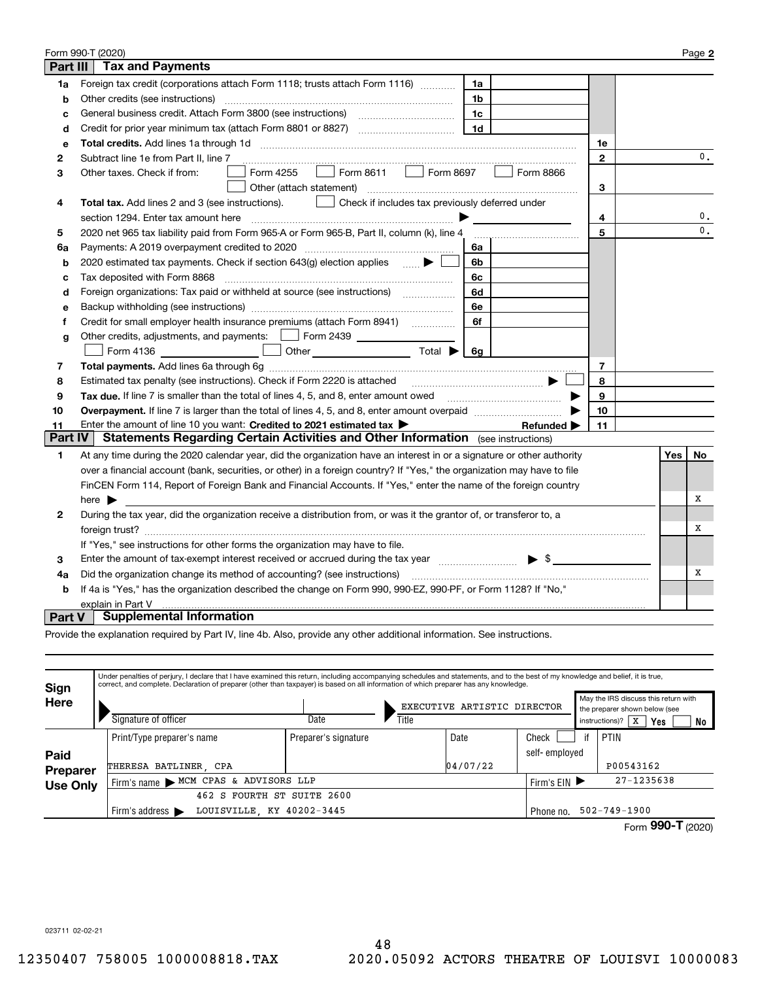|               | Form 990-T (2020)                                                                                                                          |                |     | Page 2        |
|---------------|--------------------------------------------------------------------------------------------------------------------------------------------|----------------|-----|---------------|
| Part III      | <b>Tax and Payments</b>                                                                                                                    |                |     |               |
| 1a            | Foreign tax credit (corporations attach Form 1118; trusts attach Form 1116)<br>1a                                                          |                |     |               |
| b             | Other credits (see instructions)<br>1b                                                                                                     |                |     |               |
| c             | 1c                                                                                                                                         |                |     |               |
| d             | 1d                                                                                                                                         |                |     |               |
| е             |                                                                                                                                            | 1е             |     |               |
| 2             | Subtract line 1e from Part II, line 7                                                                                                      | $\mathbf{2}$   |     | 0.            |
| 3             | Form 8611<br>Form 8697<br>Form 4255<br>Form 8866<br>Other taxes. Check if from:                                                            |                |     |               |
|               | Other (attach statement)                                                                                                                   | 3              |     |               |
| 4             | Check if includes tax previously deferred under<br>Total tax. Add lines 2 and 3 (see instructions).                                        |                |     |               |
|               | section 1294. Enter tax amount here                                                                                                        | 4              |     | 0.            |
| 5             | 2020 net 965 tax liability paid from Form 965-A or Form 965-B, Part II, column (k), line 4                                                 | 5              |     | $\mathbf 0$ . |
| 6a            | 6а                                                                                                                                         |                |     |               |
| b             | 2020 estimated tax payments. Check if section 643(g) election applies<br>6b                                                                |                |     |               |
| c             | Tax deposited with Form 8868<br>6с                                                                                                         |                |     |               |
| d             | Foreign organizations: Tax paid or withheld at source (see instructions) [<br>6d                                                           |                |     |               |
| е             | 6e                                                                                                                                         |                |     |               |
| f             | Credit for small employer health insurance premiums (attach Form 8941) [<br>6f                                                             |                |     |               |
| g             | Other credits, adjustments, and payments:   Form 2439                                                                                      |                |     |               |
|               | Other $\overline{\phantom{a}}$ Total $\overline{\phantom{a}}$<br>Form 4136<br>6q                                                           |                |     |               |
| 7             |                                                                                                                                            | $\overline{7}$ |     |               |
| 8             | Estimated tax penalty (see instructions). Check if Form 2220 is attached                                                                   | 8              |     |               |
| 9             | Tax due. If line 7 is smaller than the total of lines 4, 5, and 8, enter amount owed <i>manumenon conduction</i>                           | 9              |     |               |
| 10            |                                                                                                                                            | 10             |     |               |
| 11            | Enter the amount of line 10 you want: Credited to 2021 estimated tax ><br>Refunded $\blacktriangleright$                                   | 11             |     |               |
| Part IV       | Statements Regarding Certain Activities and Other Information (see instructions)                                                           |                |     |               |
| 1             | At any time during the 2020 calendar year, did the organization have an interest in or a signature or other authority                      |                | Yes | No            |
|               | over a financial account (bank, securities, or other) in a foreign country? If "Yes," the organization may have to file                    |                |     |               |
|               | FinCEN Form 114, Report of Foreign Bank and Financial Accounts. If "Yes," enter the name of the foreign country                            |                |     |               |
|               | here $\blacktriangleright$                                                                                                                 |                |     | х             |
| 2             | During the tax year, did the organization receive a distribution from, or was it the grantor of, or transferor to, a                       |                |     |               |
|               |                                                                                                                                            |                |     | х             |
|               | If "Yes," see instructions for other forms the organization may have to file.                                                              |                |     |               |
| 3             | $\blacktriangleright$ \$<br>Enter the amount of tax-exempt interest received or accrued during the tax year [11, 11, 11, 11, 11, 11, 11, 1 |                |     |               |
| 4a            | Did the organization change its method of accounting? (see instructions)                                                                   |                |     | Х             |
| b             | If 4a is "Yes," has the organization described the change on Form 990, 990-EZ, 990-PF, or Form 1128? If "No,"                              |                |     |               |
|               | explain in Part V                                                                                                                          |                |     |               |
| <b>Part V</b> | <b>Supplemental Information</b>                                                                                                            |                |     |               |

Provide the explanation required by Part IV, line 4b. Also, provide any other additional information. See instructions.

| <b>Sign</b>     | Under penalties of perjury, I declare that I have examined this return, including accompanying schedules and statements, and to the best of my knowledge and belief, it is true,<br>correct, and complete. Declaration of preparer (other than taxpayer) is based on all information of which preparer has any knowledge. |                      |       |                             |               |                                                                       |                                 |                 |  |
|-----------------|---------------------------------------------------------------------------------------------------------------------------------------------------------------------------------------------------------------------------------------------------------------------------------------------------------------------------|----------------------|-------|-----------------------------|---------------|-----------------------------------------------------------------------|---------------------------------|-----------------|--|
| Here            |                                                                                                                                                                                                                                                                                                                           |                      |       | EXECUTIVE ARTISTIC DIRECTOR |               | May the IRS discuss this return with<br>the preparer shown below (see |                                 |                 |  |
|                 | Signature of officer                                                                                                                                                                                                                                                                                                      | Date                 | Title |                             |               |                                                                       | instructions)?<br>X<br>Yes      | No              |  |
|                 | Print/Type preparer's name                                                                                                                                                                                                                                                                                                | Preparer's signature |       | Date                        | Check         |                                                                       | PTIN                            |                 |  |
| Paid            |                                                                                                                                                                                                                                                                                                                           |                      |       |                             | self-employed |                                                                       |                                 |                 |  |
| Preparer        | THERESA BATLINER, CPA                                                                                                                                                                                                                                                                                                     |                      |       | 04/07/22                    |               |                                                                       | P00543162                       |                 |  |
| <b>Use Only</b> | Firm's name MCM CPAS & ADVISORS LLP                                                                                                                                                                                                                                                                                       | Firm's $EIN$         |       | $27 - 1235638$              |               |                                                                       |                                 |                 |  |
|                 | 462 S FOURTH ST SUITE 2600                                                                                                                                                                                                                                                                                                |                      |       |                             |               |                                                                       |                                 |                 |  |
|                 | LOUISVILLE KY 40202-3445<br>Firm's address $\blacktriangleright$                                                                                                                                                                                                                                                          |                      |       |                             |               |                                                                       | $502 - 749 - 1900$<br>Phone no. |                 |  |
|                 |                                                                                                                                                                                                                                                                                                                           |                      |       |                             |               |                                                                       |                                 | $0.00 \pm 0.00$ |  |

Form (2020)  **990-T**

023711 02-02-21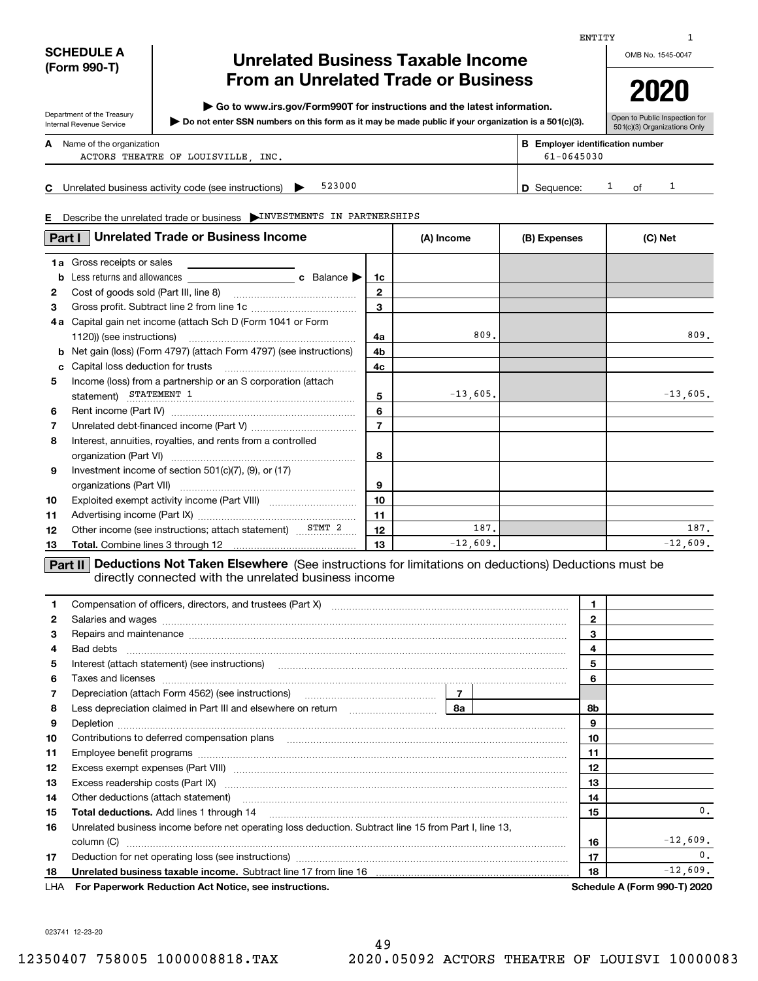| <b>SCHEDULE A</b> |  |  |
|-------------------|--|--|
| (Form 990-T)      |  |  |

Department of the Treasury Internal Revenue Service

# **Unrelated Business Taxable Income From an Unrelated Trade or Business**

**| Go to www.irs.gov/Form990T for instructions and the latest information.**

**Do not enter SSN numbers on this form as it may be made public if your organization is a 501(c)(3). |** 

OMB No. 1545-0047 **2020**

1

| Open to Public Inspection for |
|-------------------------------|
| 501(c)(3) Organizations Only  |

**A**

Name of the organization **mumber and the organization number contracts the organization number BEEnployer identification number** 

ACTORS THEATRE OF LOUISVILLE, INC.  $61-0645030$ 

**C**00 **D** Sequence:  $1$  of  $1$ Unrelated business activity code (see instructions)  $\triangleright$  523000  $\vert$  Sequence: 1 of 523000

**E**Describe the unrelated trade or business | INVESTMENTS IN PARTNERSHIPS

| Part I              | <b>Unrelated Trade or Business Income</b>                                                         |                | (A) Income  | (B) Expenses | (C) Net    |
|---------------------|---------------------------------------------------------------------------------------------------|----------------|-------------|--------------|------------|
| b                   | <b>1a</b> Gross receipts or sales                                                                 | 1c             |             |              |            |
| $\mathbf{2}$        |                                                                                                   | $\mathbf{2}$   |             |              |            |
| 3<br>4 a            | Capital gain net income (attach Sch D (Form 1041 or Form                                          | 3              | 809         |              | 809.       |
| b                   | Net gain (loss) (Form 4797) (attach Form 4797) (see instructions)                                 | 4a<br>4b       |             |              |            |
| c<br>5              | Capital loss deduction for trusts<br>Income (loss) from a partnership or an S corporation (attach | 4c             |             |              |            |
| 6                   | statement) STATEMENT 1                                                                            | 5<br>6         | $-13,605$ . |              | $-13,605.$ |
| $\overline{7}$<br>8 | Interest, annuities, royalties, and rents from a controlled                                       | $\overline{7}$ |             |              |            |
|                     |                                                                                                   | 8              |             |              |            |
| 9                   | Investment income of section $501(c)(7)$ , $(9)$ , or $(17)$                                      | 9              |             |              |            |
| 10<br>11            |                                                                                                   | 10<br>11       |             |              |            |
| 12                  | Other income (see instructions; attach statement)                                                 | 12             | 187.        |              | 187.       |
| 13                  |                                                                                                   | 13             | $-12,609.$  |              | $-12,609.$ |

**Part II Deductions Not Taken Elsewhere** (See instructions for limitations on deductions) Deductions must be directly connected with the unrelated business income

| 1.           | Compensation of officers, directors, and trustees (Part X) [11] manufactures and trustees (Part X) [11] manufactures and trustees (Part X) [11] manufactures and trustees (Part X) [11] manufactures and trustees and trustees |  |  | 1            |                                     |
|--------------|--------------------------------------------------------------------------------------------------------------------------------------------------------------------------------------------------------------------------------|--|--|--------------|-------------------------------------|
| $\mathbf{2}$ |                                                                                                                                                                                                                                |  |  | $\mathbf{2}$ |                                     |
| 3            | Repairs and maintenance material continuum contracts and maintenance material contracts and maintenance material contracts and maintenance material contracts and maintenance material contracts and an except and an except o |  |  | 3            |                                     |
| 4            |                                                                                                                                                                                                                                |  |  | 4            |                                     |
| 5            | Interest (attach statement) (see instructions) www.communicalisation.communicalisations.communicalisations.                                                                                                                    |  |  | 5            |                                     |
| 6            | Taxes and licenses <b>communications</b> and constructions are all the constructions and licenses <b>constructions</b>                                                                                                         |  |  | 6            |                                     |
| 7            | Depreciation (attach Form 4562) (see instructions)<br>Less depreciation claimed in Part III and elsewhere on return<br><b>8a</b>                                                                                               |  |  |              |                                     |
| 8            |                                                                                                                                                                                                                                |  |  | 8b           |                                     |
| 9            |                                                                                                                                                                                                                                |  |  | 9            |                                     |
| 10           | Contributions to deferred compensation plans                                                                                                                                                                                   |  |  | 10           |                                     |
| 11           |                                                                                                                                                                                                                                |  |  | 11           |                                     |
| 12           |                                                                                                                                                                                                                                |  |  | 12           |                                     |
| 13           | Excess readership costs (Part IX) [11] [2000] [2000] [3000] [3000] [3000] [3000] [3000] [3000] [3000] [3000] [                                                                                                                 |  |  | 13           |                                     |
| 14           | Other deductions (attach statement) material content and a statement of the statement of the content of the statement of the statement of the statement of the statement of the statement of the statement of the statement of |  |  | 14           |                                     |
| 15           |                                                                                                                                                                                                                                |  |  | 15           | 0.                                  |
| 16           | Unrelated business income before net operating loss deduction. Subtract line 15 from Part I, line 13,                                                                                                                          |  |  |              |                                     |
|              | column (C)                                                                                                                                                                                                                     |  |  | 16           | $-12,609.$                          |
| 17           | Deduction for net operating loss (see instructions) manufactions.com/manufactions.com/manufactions.com/manufactions.com/manufactions.com/manufactions.com/manufactions.com/manufactions.com/manufactions.com/manufactions.com/ |  |  | 17           | $\mathbf{0}$ .                      |
| 18           | Unrelated business taxable income. Subtract line 17 from line 16 [11] www.communities.communities taxable income.                                                                                                              |  |  | 18           | $-12,609.$                          |
|              | LHA For Paperwork Reduction Act Notice, see instructions.                                                                                                                                                                      |  |  |              | <b>Schedule A (Form 990-T) 2020</b> |

023741 12-23-20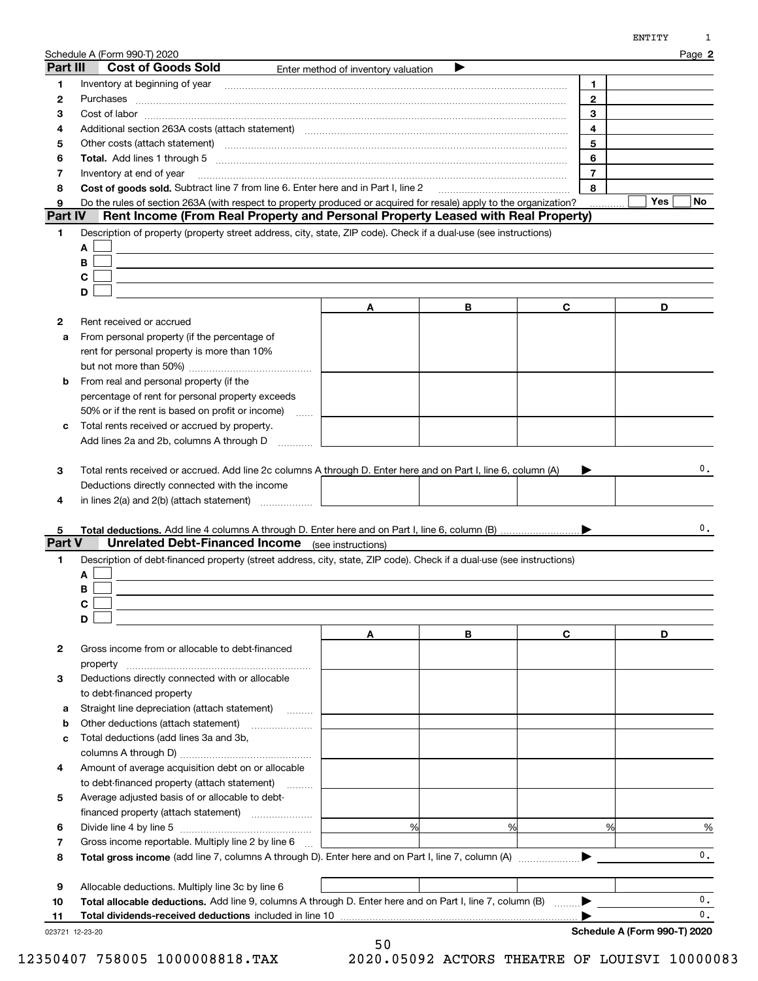|                | Schedule A (Form 990-T) 2020<br>Part III<br><b>Cost of Goods Sold</b>                                                                                                                                                          | Enter method of inventory valuation | ▶ |                | Page 2         |
|----------------|--------------------------------------------------------------------------------------------------------------------------------------------------------------------------------------------------------------------------------|-------------------------------------|---|----------------|----------------|
| 1              | Inventory at beginning of year                                                                                                                                                                                                 |                                     |   | 1              |                |
| $\mathbf{2}$   |                                                                                                                                                                                                                                |                                     |   | $\mathbf{2}$   |                |
| З              |                                                                                                                                                                                                                                |                                     |   | 3              |                |
| 4              | Additional section 263A costs (attach statement) material content content and according terms and according te                                                                                                                 |                                     |   | 4              |                |
| 5              | Other costs (attach statement) manufactured and contract and contract and contract and contract and contract and contract and contract and contract and contract and contract and contract and contract and contract and contr |                                     |   | 5              |                |
| 6              |                                                                                                                                                                                                                                |                                     |   | 6              |                |
| 7              | Inventory at end of year                                                                                                                                                                                                       |                                     |   | $\overline{7}$ |                |
| 8              | Cost of goods sold. Subtract line 7 from line 6. Enter here and in Part I, line 2                                                                                                                                              |                                     |   | 8              |                |
| 9              | Do the rules of section 263A (with respect to property produced or acquired for resale) apply to the organization?                                                                                                             |                                     |   |                | Yes<br>No      |
| <b>Part IV</b> | Rent Income (From Real Property and Personal Property Leased with Real Property)                                                                                                                                               |                                     |   |                |                |
| 1              | Description of property (property street address, city, state, ZIP code). Check if a dual-use (see instructions)                                                                                                               |                                     |   |                |                |
|                | A                                                                                                                                                                                                                              |                                     |   |                |                |
|                | В                                                                                                                                                                                                                              |                                     |   |                |                |
|                | $\mathbf c$                                                                                                                                                                                                                    |                                     |   |                |                |
|                | D                                                                                                                                                                                                                              |                                     |   |                |                |
|                |                                                                                                                                                                                                                                | A                                   | В | C              | D              |
| 2              | Rent received or accrued                                                                                                                                                                                                       |                                     |   |                |                |
| a              | From personal property (if the percentage of                                                                                                                                                                                   |                                     |   |                |                |
|                | rent for personal property is more than 10%                                                                                                                                                                                    |                                     |   |                |                |
|                |                                                                                                                                                                                                                                |                                     |   |                |                |
| b              | From real and personal property (if the                                                                                                                                                                                        |                                     |   |                |                |
|                | percentage of rent for personal property exceeds                                                                                                                                                                               |                                     |   |                |                |
|                | 50% or if the rent is based on profit or income)                                                                                                                                                                               |                                     |   |                |                |
| c              | Total rents received or accrued by property.                                                                                                                                                                                   |                                     |   |                |                |
|                | Add lines 2a and 2b, columns A through D                                                                                                                                                                                       |                                     |   |                |                |
| 4              | Deductions directly connected with the income                                                                                                                                                                                  |                                     |   |                |                |
| 5<br>1         | <b>Unrelated Debt-Financed Income</b><br>Description of debt-financed property (street address, city, state, ZIP code). Check if a dual-use (see instructions)<br>A<br>В                                                       | (see instructions)                  |   |                | 0.             |
|                | $\mathbf c$                                                                                                                                                                                                                    |                                     |   |                |                |
|                | D                                                                                                                                                                                                                              |                                     |   |                |                |
|                |                                                                                                                                                                                                                                | Α                                   | В | C              | D              |
| 2              | Gross income from or allocable to debt-financed                                                                                                                                                                                |                                     |   |                |                |
|                | property                                                                                                                                                                                                                       |                                     |   |                |                |
| Part V<br>З    | Deductions directly connected with or allocable                                                                                                                                                                                |                                     |   |                |                |
|                | to debt-financed property                                                                                                                                                                                                      |                                     |   |                |                |
| а              | Straight line depreciation (attach statement)                                                                                                                                                                                  |                                     |   |                |                |
| b              | Other deductions (attach statement)                                                                                                                                                                                            |                                     |   |                |                |
| с              | Total deductions (add lines 3a and 3b,                                                                                                                                                                                         |                                     |   |                |                |
|                |                                                                                                                                                                                                                                |                                     |   |                |                |
| 4              | Amount of average acquisition debt on or allocable                                                                                                                                                                             |                                     |   |                |                |
|                | to debt-financed property (attach statement)<br>.                                                                                                                                                                              |                                     |   |                |                |
| 5              | Average adjusted basis of or allocable to debt-                                                                                                                                                                                |                                     |   |                |                |
|                | financed property (attach statement)                                                                                                                                                                                           |                                     |   |                |                |
| 6              |                                                                                                                                                                                                                                | %                                   | % | %              | %              |
| 7<br>8         | Gross income reportable. Multiply line 2 by line 6                                                                                                                                                                             |                                     |   |                | $\mathbf{0}$ . |
|                |                                                                                                                                                                                                                                |                                     |   |                |                |
| 9              | Allocable deductions. Multiply line 3c by line 6                                                                                                                                                                               |                                     |   |                |                |
| 10             | Total allocable deductions. Add line 9, columns A through D. Enter here and on Part I, line 7, column (B)                                                                                                                      |                                     |   |                | 0.<br>0.       |

<sup>50</sup> 12350407 758005 1000008818.TAX 2020.05092 ACTORS THEATRE OF LOUISVI 10000083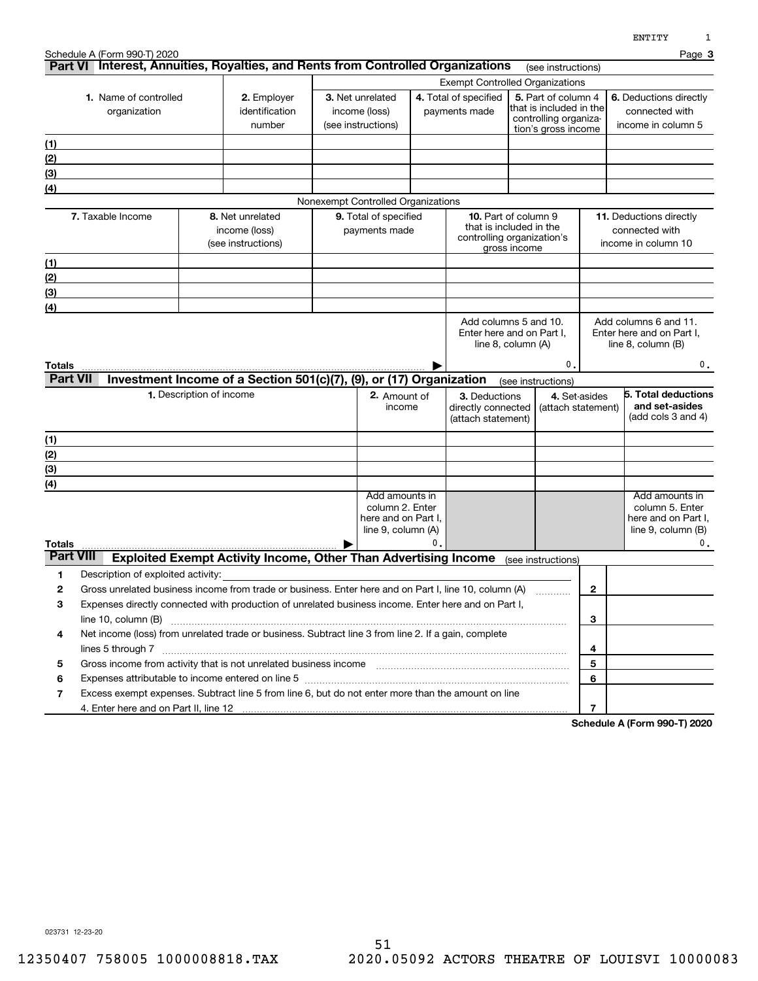|                            |                                              |                                                                                                                                                                                           |  |                                                                                |    |                                                                                      |                                          |                                                                                                |                                                                         | ᇊᇅᆠᆠᅶ                                                                               |  |
|----------------------------|----------------------------------------------|-------------------------------------------------------------------------------------------------------------------------------------------------------------------------------------------|--|--------------------------------------------------------------------------------|----|--------------------------------------------------------------------------------------|------------------------------------------|------------------------------------------------------------------------------------------------|-------------------------------------------------------------------------|-------------------------------------------------------------------------------------|--|
|                            | Schedule A (Form 990-T) 2020                 | Part VI Interest, Annuities, Royalties, and Rents from Controlled Organizations                                                                                                           |  |                                                                                |    |                                                                                      |                                          | (see instructions)                                                                             |                                                                         | Page 3                                                                              |  |
|                            |                                              |                                                                                                                                                                                           |  | <b>Exempt Controlled Organizations</b>                                         |    |                                                                                      |                                          |                                                                                                |                                                                         |                                                                                     |  |
|                            | <b>1.</b> Name of controlled<br>organization | 2. Employer<br>identification<br>number                                                                                                                                                   |  | 3. Net unrelated<br>income (loss)<br>(see instructions)                        |    | 4. Total of specified<br>payments made                                               |                                          | 5. Part of column 4<br>that is included in the<br>controlling organiza-<br>tion's gross income |                                                                         | 6. Deductions directly<br>connected with<br>income in column 5                      |  |
| <u>(1)</u>                 |                                              |                                                                                                                                                                                           |  |                                                                                |    |                                                                                      |                                          |                                                                                                |                                                                         |                                                                                     |  |
| (2)                        |                                              |                                                                                                                                                                                           |  |                                                                                |    |                                                                                      |                                          |                                                                                                |                                                                         |                                                                                     |  |
| (3)                        |                                              |                                                                                                                                                                                           |  |                                                                                |    |                                                                                      |                                          |                                                                                                |                                                                         |                                                                                     |  |
| (4)                        |                                              |                                                                                                                                                                                           |  |                                                                                |    |                                                                                      |                                          |                                                                                                |                                                                         |                                                                                     |  |
|                            |                                              |                                                                                                                                                                                           |  | Nonexempt Controlled Organizations                                             |    |                                                                                      |                                          |                                                                                                |                                                                         |                                                                                     |  |
|                            | 7. Taxable Income                            | 8. Net unrelated<br>income (loss)<br>(see instructions)                                                                                                                                   |  | 9. Total of specified<br>payments made                                         |    | <b>10.</b> Part of column 9<br>that is included in the<br>controlling organization's | gross income                             |                                                                                                | <b>11.</b> Deductions directly<br>connected with<br>income in column 10 |                                                                                     |  |
| (1)                        |                                              |                                                                                                                                                                                           |  |                                                                                |    |                                                                                      |                                          |                                                                                                |                                                                         |                                                                                     |  |
| (2)                        |                                              |                                                                                                                                                                                           |  |                                                                                |    |                                                                                      |                                          |                                                                                                |                                                                         |                                                                                     |  |
| (3)                        |                                              |                                                                                                                                                                                           |  |                                                                                |    |                                                                                      |                                          |                                                                                                |                                                                         |                                                                                     |  |
| (4)                        |                                              |                                                                                                                                                                                           |  |                                                                                |    |                                                                                      |                                          |                                                                                                |                                                                         |                                                                                     |  |
| Totals<br><b>Part VII</b>  |                                              | Investment Income of a Section 501(c)(7), (9), or (17) Organization                                                                                                                       |  |                                                                                |    |                                                                                      | line 8, column (A)<br>(see instructions) | 0.                                                                                             |                                                                         | line $8$ , column $(B)$<br>0.                                                       |  |
|                            |                                              | 1. Description of income                                                                                                                                                                  |  | 2. Amount of                                                                   |    | 3. Deductions                                                                        |                                          | 4. Set-asides                                                                                  |                                                                         | 5. Total deductions                                                                 |  |
|                            |                                              |                                                                                                                                                                                           |  | income                                                                         |    | directly connected<br>(attach statement)                                             |                                          |                                                                                                | (attach statement)                                                      | and set-asides<br>(add cols 3 and 4)                                                |  |
| (1)                        |                                              |                                                                                                                                                                                           |  |                                                                                |    |                                                                                      |                                          |                                                                                                |                                                                         |                                                                                     |  |
| (2)                        |                                              |                                                                                                                                                                                           |  |                                                                                |    |                                                                                      |                                          |                                                                                                |                                                                         |                                                                                     |  |
| (3)                        |                                              |                                                                                                                                                                                           |  |                                                                                |    |                                                                                      |                                          |                                                                                                |                                                                         |                                                                                     |  |
| (4)                        |                                              |                                                                                                                                                                                           |  |                                                                                |    |                                                                                      |                                          |                                                                                                |                                                                         |                                                                                     |  |
|                            |                                              |                                                                                                                                                                                           |  | Add amounts in<br>column 2. Enter<br>here and on Part I,<br>line 9, column (A) | 0. |                                                                                      |                                          |                                                                                                |                                                                         | Add amounts in<br>column 5. Enter<br>here and on Part I.<br>line $9$ , column $(B)$ |  |
| Totals<br><b>Part VIII</b> |                                              | <b>Exploited Exempt Activity Income, Other Than Advertising Income</b>                                                                                                                    |  |                                                                                |    |                                                                                      | (see instructions)                       |                                                                                                |                                                                         | 0.                                                                                  |  |
| 1                          | Description of exploited activity:           |                                                                                                                                                                                           |  |                                                                                |    |                                                                                      |                                          |                                                                                                |                                                                         |                                                                                     |  |
| 2                          |                                              | Gross unrelated business income from trade or business. Enter here and on Part I, line 10, column (A)                                                                                     |  |                                                                                |    |                                                                                      |                                          |                                                                                                | $\mathbf{2}$                                                            |                                                                                     |  |
| 3                          |                                              | Expenses directly connected with production of unrelated business income. Enter here and on Part I,                                                                                       |  |                                                                                |    |                                                                                      |                                          |                                                                                                |                                                                         |                                                                                     |  |
|                            | line 10, column (B)                          |                                                                                                                                                                                           |  |                                                                                |    |                                                                                      |                                          |                                                                                                | 3                                                                       |                                                                                     |  |
| 4                          |                                              | Net income (loss) from unrelated trade or business. Subtract line 3 from line 2. If a gain, complete                                                                                      |  |                                                                                |    |                                                                                      |                                          |                                                                                                |                                                                         |                                                                                     |  |
|                            |                                              |                                                                                                                                                                                           |  |                                                                                |    |                                                                                      |                                          |                                                                                                | 4                                                                       |                                                                                     |  |
| 5                          |                                              |                                                                                                                                                                                           |  |                                                                                |    |                                                                                      |                                          |                                                                                                | 5                                                                       |                                                                                     |  |
| 6                          |                                              | Expenses attributable to income entered on line 5 [111] [12] matter control and attributable to income entered on line 5 [11] matter control and attributable to income entered on line 5 |  |                                                                                |    |                                                                                      |                                          |                                                                                                | 6                                                                       |                                                                                     |  |
| 7                          |                                              | Excess exempt expenses. Subtract line 5 from line 6, but do not enter more than the amount on line                                                                                        |  |                                                                                |    |                                                                                      |                                          |                                                                                                |                                                                         |                                                                                     |  |
|                            |                                              |                                                                                                                                                                                           |  |                                                                                |    |                                                                                      |                                          |                                                                                                | 7                                                                       |                                                                                     |  |

**Schedule A (Form 990-T) 2020**

023731 12-23-20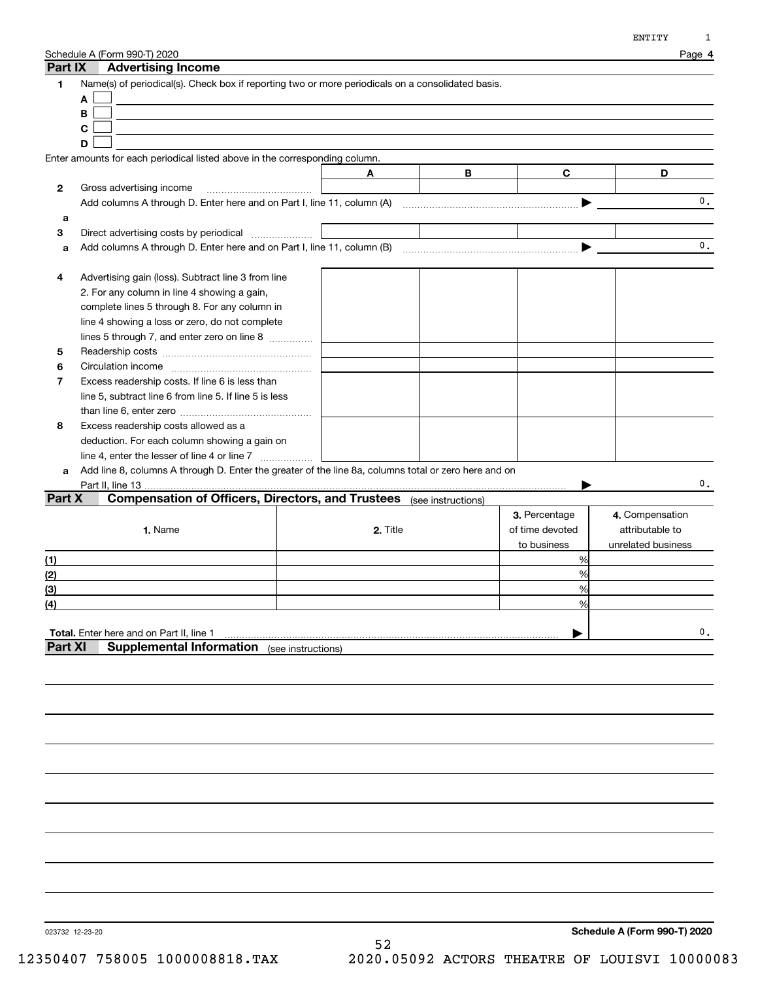| Part IX          | Schedule A (Form 990-T) 2020<br><b>Advertising Income</b>                                            |          |   |                 | Page 4             |
|------------------|------------------------------------------------------------------------------------------------------|----------|---|-----------------|--------------------|
| 1                | Name(s) of periodical(s). Check box if reporting two or more periodicals on a consolidated basis.    |          |   |                 |                    |
|                  | A                                                                                                    |          |   |                 |                    |
|                  | В                                                                                                    |          |   |                 |                    |
|                  | $\mathbf c$                                                                                          |          |   |                 |                    |
|                  | D                                                                                                    |          |   |                 |                    |
|                  | Enter amounts for each periodical listed above in the corresponding column.                          |          |   |                 |                    |
|                  |                                                                                                      | A        | В | $\mathbf{C}$    | D                  |
| 2                | Gross advertising income                                                                             |          |   |                 |                    |
|                  |                                                                                                      |          |   |                 | $\mathbf{0}$ .     |
| a                |                                                                                                      |          |   |                 |                    |
| 3                | Direct advertising costs by periodical                                                               |          |   |                 |                    |
| a                |                                                                                                      |          |   |                 | 0.                 |
|                  |                                                                                                      |          |   |                 |                    |
| 4                | Advertising gain (loss). Subtract line 3 from line                                                   |          |   |                 |                    |
|                  | 2. For any column in line 4 showing a gain,                                                          |          |   |                 |                    |
|                  | complete lines 5 through 8. For any column in                                                        |          |   |                 |                    |
|                  | line 4 showing a loss or zero, do not complete                                                       |          |   |                 |                    |
|                  | lines 5 through 7, and enter zero on line 8                                                          |          |   |                 |                    |
| 5                |                                                                                                      |          |   |                 |                    |
| 6                |                                                                                                      |          |   |                 |                    |
| 7                | Excess readership costs. If line 6 is less than                                                      |          |   |                 |                    |
|                  | line 5, subtract line 6 from line 5. If line 5 is less                                               |          |   |                 |                    |
|                  |                                                                                                      |          |   |                 |                    |
| 8                | Excess readership costs allowed as a                                                                 |          |   |                 |                    |
|                  | deduction. For each column showing a gain on                                                         |          |   |                 |                    |
|                  | line 4, enter the lesser of line 4 or line 7                                                         |          |   |                 |                    |
| a                | Add line 8, columns A through D. Enter the greater of the line 8a, columns total or zero here and on |          |   |                 |                    |
|                  |                                                                                                      |          |   |                 | 0.                 |
| Part X           | <b>Compensation of Officers, Directors, and Trustees</b> (see instructions)                          |          |   |                 |                    |
|                  |                                                                                                      |          |   | 3. Percentage   | 4. Compensation    |
|                  | 1. Name                                                                                              | 2. Title |   | of time devoted | attributable to    |
|                  |                                                                                                      |          |   | to business     | unrelated business |
| (1)              |                                                                                                      |          |   | %               |                    |
| (2)              |                                                                                                      |          |   | %               |                    |
| (3)              |                                                                                                      |          |   | %               |                    |
| $\left(4\right)$ |                                                                                                      |          |   | %               |                    |
|                  |                                                                                                      |          |   |                 |                    |
|                  | Total. Enter here and on Part II, line 1                                                             |          |   |                 | 0.                 |
| <b>Part XI</b>   | <b>Supplemental Information</b> (see instructions)                                                   |          |   |                 |                    |
|                  |                                                                                                      |          |   |                 |                    |
|                  |                                                                                                      |          |   |                 |                    |
|                  |                                                                                                      |          |   |                 |                    |
|                  |                                                                                                      |          |   |                 |                    |

023732 12-23-20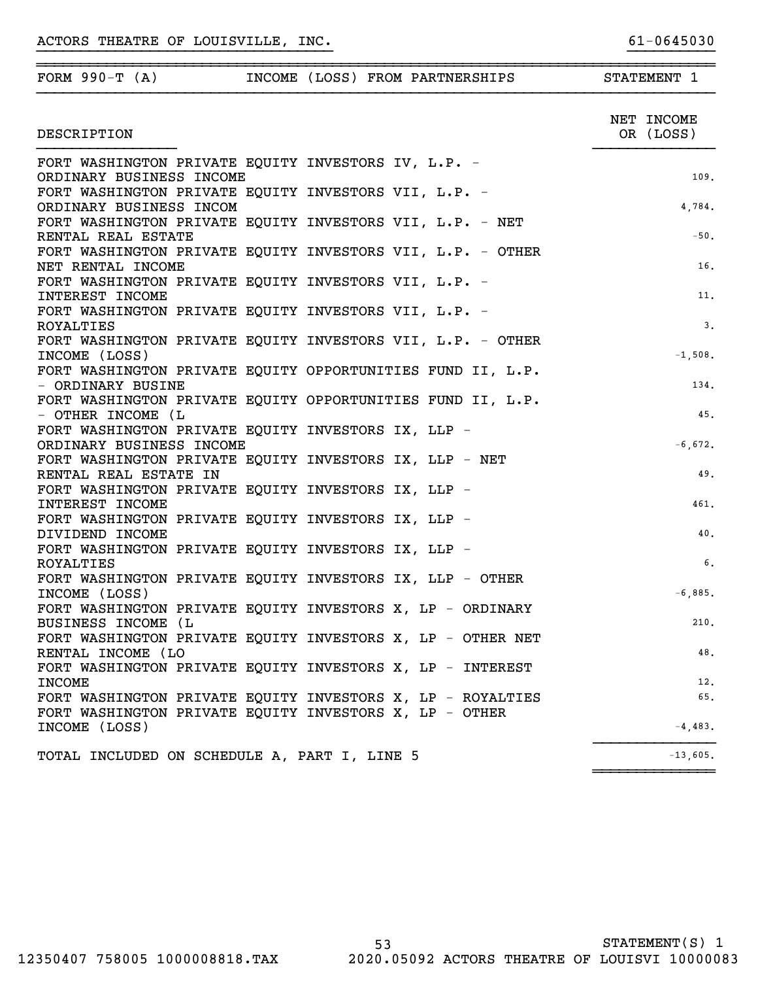| FORM $990-T (A)$                                                                    |  | INCOME (LOSS) FROM PARTNERSHIPS | STATEMENT 1             |
|-------------------------------------------------------------------------------------|--|---------------------------------|-------------------------|
| DESCRIPTION                                                                         |  |                                 | NET INCOME<br>OR (LOSS) |
| FORT WASHINGTON PRIVATE EQUITY INVESTORS IV, L.P. -                                 |  |                                 |                         |
| ORDINARY BUSINESS INCOME                                                            |  |                                 | 109.                    |
| FORT WASHINGTON PRIVATE EQUITY INVESTORS VII, L.P. -                                |  |                                 |                         |
| ORDINARY BUSINESS INCOM<br>FORT WASHINGTON PRIVATE EQUITY INVESTORS VII, L.P. - NET |  |                                 | 4,784.                  |
| RENTAL REAL ESTATE                                                                  |  |                                 | $-50.$                  |
| FORT WASHINGTON PRIVATE EQUITY INVESTORS VII, L.P. - OTHER                          |  |                                 |                         |
| NET RENTAL INCOME                                                                   |  |                                 | 16.                     |
| FORT WASHINGTON PRIVATE EQUITY INVESTORS VII, L.P. -                                |  |                                 |                         |
| INTEREST INCOME                                                                     |  |                                 | 11.                     |
| FORT WASHINGTON PRIVATE EQUITY INVESTORS VII, L.P. -                                |  |                                 |                         |
| <b>ROYALTIES</b>                                                                    |  |                                 | 3.                      |
| FORT WASHINGTON PRIVATE EQUITY INVESTORS VII, L.P. - OTHER                          |  |                                 |                         |
| INCOME (LOSS)                                                                       |  |                                 | $-1,508.$               |
| FORT WASHINGTON PRIVATE EQUITY OPPORTUNITIES FUND II, L.P.                          |  |                                 |                         |
| - ORDINARY BUSINE                                                                   |  |                                 | 134.                    |
| FORT WASHINGTON PRIVATE EQUITY OPPORTUNITIES FUND II, L.P.                          |  |                                 |                         |
| - OTHER INCOME (L                                                                   |  |                                 | 45.                     |
| FORT WASHINGTON PRIVATE EQUITY INVESTORS IX, LLP -<br>ORDINARY BUSINESS INCOME      |  |                                 | $-6,672.$               |
| FORT WASHINGTON PRIVATE EQUITY INVESTORS IX, LLP - NET                              |  |                                 |                         |
| RENTAL REAL ESTATE IN                                                               |  |                                 | 49.                     |
| FORT WASHINGTON PRIVATE EQUITY INVESTORS IX, LLP -                                  |  |                                 |                         |
| INTEREST INCOME                                                                     |  |                                 | 461.                    |
| FORT WASHINGTON PRIVATE EQUITY INVESTORS IX, LLP -                                  |  |                                 |                         |
| DIVIDEND INCOME                                                                     |  |                                 | 40.                     |
| FORT WASHINGTON PRIVATE EQUITY INVESTORS IX, LLP -                                  |  |                                 |                         |
| ROYALTIES                                                                           |  |                                 | 6.                      |
| FORT WASHINGTON PRIVATE EQUITY INVESTORS IX, LLP - OTHER                            |  |                                 |                         |
| INCOME (LOSS)                                                                       |  |                                 | $-6,885.$               |
| FORT WASHINGTON PRIVATE EQUITY INVESTORS X, LP - ORDINARY                           |  |                                 |                         |
| BUSINESS INCOME (L                                                                  |  |                                 | 210.                    |
| FORT WASHINGTON PRIVATE EQUITY INVESTORS X, LP - OTHER NET<br>RENTAL INCOME (LO     |  |                                 | 48.                     |
| FORT WASHINGTON PRIVATE EQUITY INVESTORS X, LP - INTEREST                           |  |                                 |                         |
| <b>INCOME</b>                                                                       |  |                                 | 12.                     |
| FORT WASHINGTON PRIVATE EQUITY INVESTORS X, LP - ROYALTIES                          |  |                                 | 65.                     |
| FORT WASHINGTON PRIVATE EQUITY INVESTORS X, LP - OTHER                              |  |                                 |                         |
| INCOME (LOSS)                                                                       |  |                                 | $-4,483.$               |
| TOTAL INCLUDED ON SCHEDULE A, PART I, LINE 5                                        |  |                                 | $-13,605.$              |

~~~~~~~~~~~~~~

}}}}}}}}}}}}}}}}}}}}}}}}}}}}}}}}}} }}}}}}}}}}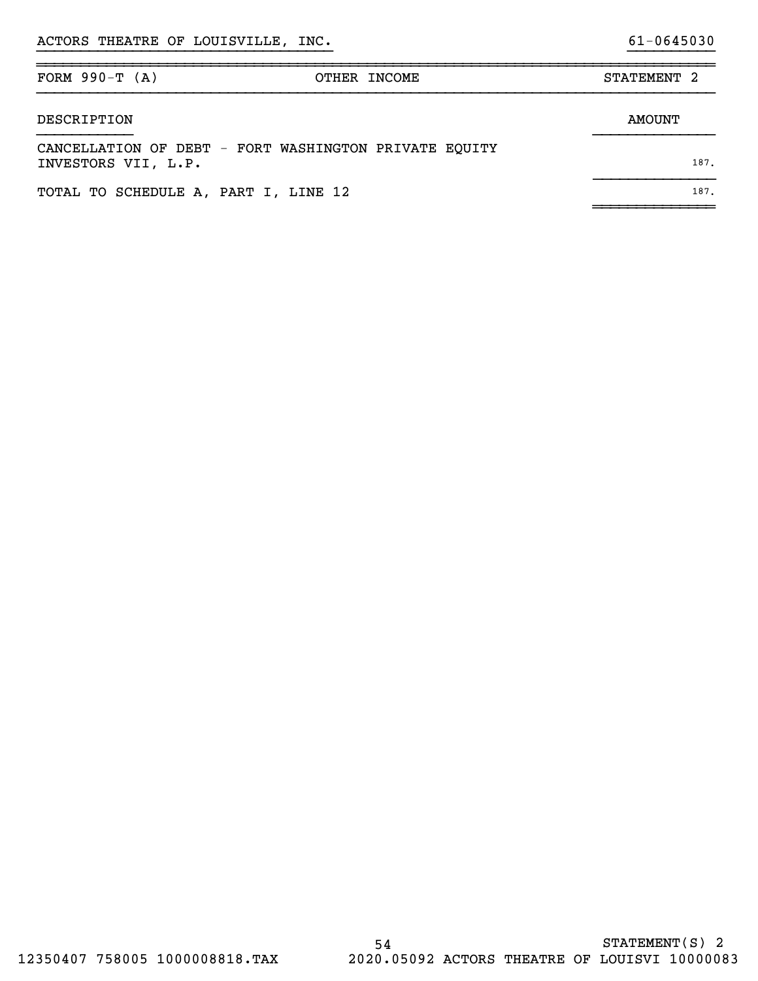| FORM $990-T (A)$                     | OTHER INCOME                                          | STATEMENT <sub>2</sub> |      |
|--------------------------------------|-------------------------------------------------------|------------------------|------|
| DESCRIPTION                          |                                                       | AMOUNT                 |      |
| INVESTORS VII, L.P.                  | CANCELLATION OF DEBT - FORT WASHINGTON PRIVATE EQUITY |                        | 187. |
| TOTAL TO SCHEDULE A, PART I, LINE 12 |                                                       |                        | 187. |

}}}}}}}}}}}}}}}}}}}}}}}}}}}}}}}}}} }}}}}}}}}}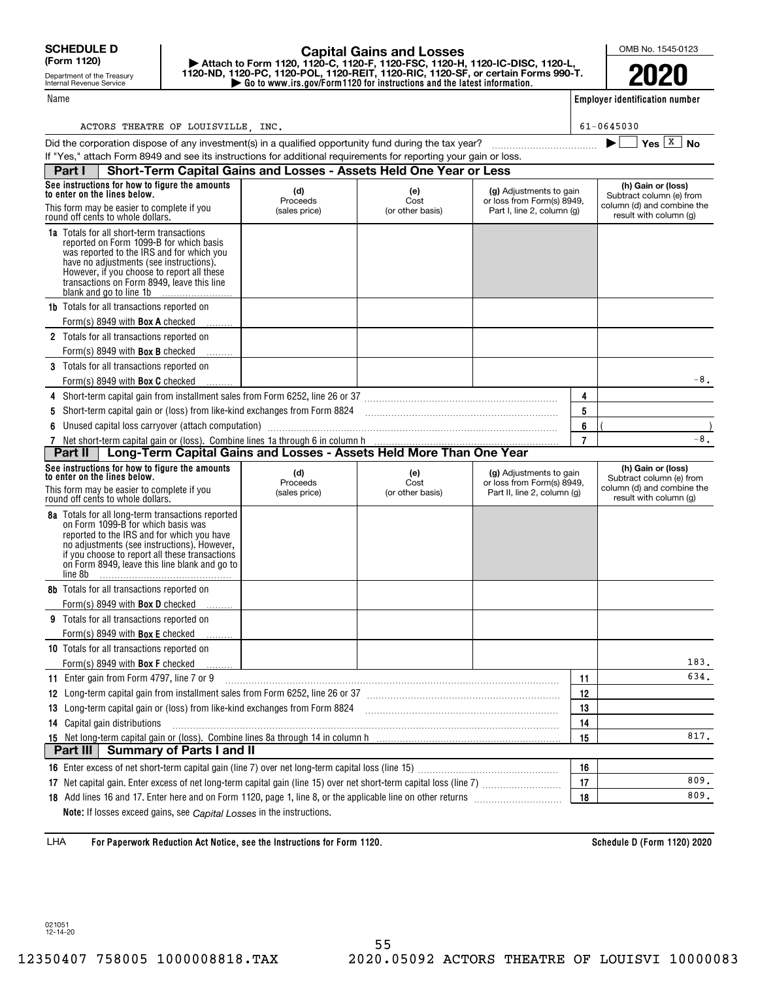Name

Department of the Treasury Internal Revenue Service

## **| Go to www.irs.gov/Form1120 for instructions and the latest information. | Attach to Form 1120, 1120-C, 1120-F, 1120-FSC, 1120-H, 1120-IC-DISC, 1120-L, 1120-ND, 1120-PC, 1120-POL, 1120-REIT, 1120-RIC, 1120-SF, or certain Forms 990-T. Capital Gains and Losses**

OMB No. 1545-0123

**2020**

**Employer identification number**

| ACTORS | THEATRE OF LOUISVILLE | <b>INC</b> | $-0645030$<br>61 |
|--------|-----------------------|------------|------------------|
|        |                       |            |                  |

| Did the corporation dispose of any investment(s) in a qualified opportunity fund during the tax year?                                                                                                                                                                                                      |                                  |                                 |                                                                                      |    | Yes $X$ No                                                                                             |  |  |  |
|------------------------------------------------------------------------------------------------------------------------------------------------------------------------------------------------------------------------------------------------------------------------------------------------------------|----------------------------------|---------------------------------|--------------------------------------------------------------------------------------|----|--------------------------------------------------------------------------------------------------------|--|--|--|
| If "Yes," attach Form 8949 and see its instructions for additional requirements for reporting your gain or loss.<br>Short-Term Capital Gains and Losses - Assets Held One Year or Less                                                                                                                     |                                  |                                 |                                                                                      |    |                                                                                                        |  |  |  |
| Part I                                                                                                                                                                                                                                                                                                     |                                  |                                 |                                                                                      |    |                                                                                                        |  |  |  |
| See instructions for how to figure the amounts<br>to enter on the lines below.                                                                                                                                                                                                                             | (d)                              | (e)                             | (g) Adjustments to gain                                                              |    | (h) Gain or (loss)<br>Subtract column (e) from                                                         |  |  |  |
| This form may be easier to complete if you<br>round off cents to whole dollars.                                                                                                                                                                                                                            | Proceeds<br>(sales price)        | Cost<br>(or other basis)        | or loss from Form(s) 8949.<br>Part I, line 2, column (g)                             |    | column (d) and combine the<br>result with column (g)                                                   |  |  |  |
| <b>1a</b> Totals for all short-term transactions<br>reported on Form 1099-B for which basis<br>was reported to the IRS and for which you<br>have no adjustments (see instructions).<br>However, if you choose to report all these<br>transactions on Form 8949, leave this line<br>blank and go to line 1b |                                  |                                 |                                                                                      |    |                                                                                                        |  |  |  |
| <b>1b</b> Totals for all transactions reported on                                                                                                                                                                                                                                                          |                                  |                                 |                                                                                      |    |                                                                                                        |  |  |  |
| Form(s) 8949 with <b>Box A</b> checked                                                                                                                                                                                                                                                                     |                                  |                                 |                                                                                      |    |                                                                                                        |  |  |  |
| 2 Totals for all transactions reported on                                                                                                                                                                                                                                                                  |                                  |                                 |                                                                                      |    |                                                                                                        |  |  |  |
| Form(s) 8949 with <b>Box B</b> checked                                                                                                                                                                                                                                                                     |                                  |                                 |                                                                                      |    |                                                                                                        |  |  |  |
| 3 Totals for all transactions reported on                                                                                                                                                                                                                                                                  |                                  |                                 |                                                                                      |    |                                                                                                        |  |  |  |
| Form(s) 8949 with <b>Box C</b> checked                                                                                                                                                                                                                                                                     |                                  |                                 |                                                                                      |    | $-8$ .                                                                                                 |  |  |  |
|                                                                                                                                                                                                                                                                                                            |                                  |                                 |                                                                                      | 4  |                                                                                                        |  |  |  |
| 5                                                                                                                                                                                                                                                                                                          |                                  |                                 |                                                                                      | 5  |                                                                                                        |  |  |  |
| Unused capital loss carryover (attach computation)                                                                                                                                                                                                                                                         |                                  |                                 |                                                                                      | 6  |                                                                                                        |  |  |  |
| 7 Net short-term capital gain or (loss). Combine lines 1a through 6 in column h<br><b>Part II</b>   Long-Term Capital Gains and Losses - Assets Held More Than One Year                                                                                                                                    |                                  |                                 |                                                                                      | 7  | $-8$ .                                                                                                 |  |  |  |
|                                                                                                                                                                                                                                                                                                            |                                  |                                 |                                                                                      |    |                                                                                                        |  |  |  |
| See instructions for how to figure the amounts<br>to enter on the lines below.<br>This form may be easier to complete if you<br>round off cents to whole dollars.                                                                                                                                          | (d)<br>Proceeds<br>(sales price) | (e)<br>Cost<br>(or other basis) | (g) Adjustments to gain<br>or loss from Form(s) 8949,<br>Part II, line 2, column (g) |    | (h) Gain or (loss)<br>Subtract column (e) from<br>column (d) and combine the<br>result with column (g) |  |  |  |
| <b>8a</b> Totals for all long-term transactions reported<br>on Form 1099-B for which basis was<br>reported to the IRS and for which you have<br>no adjustments (see instructions). However,<br>if you choose to report all these transactions<br>on Form 8949, leave this line blank and go to<br>line 8b  |                                  |                                 |                                                                                      |    |                                                                                                        |  |  |  |
| <b>8b</b> Totals for all transactions reported on<br>Form(s) 8949 with <b>Box D</b> checked                                                                                                                                                                                                                |                                  |                                 |                                                                                      |    |                                                                                                        |  |  |  |
| 9 Totals for all transactions reported on                                                                                                                                                                                                                                                                  |                                  |                                 |                                                                                      |    |                                                                                                        |  |  |  |
| Form(s) 8949 with <b>Box E</b> checked                                                                                                                                                                                                                                                                     |                                  |                                 |                                                                                      |    |                                                                                                        |  |  |  |
| 10 Totals for all transactions reported on                                                                                                                                                                                                                                                                 |                                  |                                 |                                                                                      |    |                                                                                                        |  |  |  |
| Form(s) 8949 with <b>Box F</b> checked                                                                                                                                                                                                                                                                     |                                  |                                 |                                                                                      |    | 183.                                                                                                   |  |  |  |
| 11 Enter gain from Form 4797, line 7 or 9                                                                                                                                                                                                                                                                  |                                  |                                 |                                                                                      | 11 | 634.                                                                                                   |  |  |  |
| 12 Long-term capital gain from installment sales from Form 6252, line 26 or 37                                                                                                                                                                                                                             |                                  |                                 |                                                                                      | 12 |                                                                                                        |  |  |  |
| 13 Long-term capital gain or (loss) from like-kind exchanges from Form 8824                                                                                                                                                                                                                                |                                  |                                 |                                                                                      | 13 |                                                                                                        |  |  |  |
| 14 Capital gain distributions                                                                                                                                                                                                                                                                              |                                  |                                 |                                                                                      | 14 |                                                                                                        |  |  |  |
| 15 Net long-term capital gain or (loss). Combine lines 8a through 14 in column h                                                                                                                                                                                                                           |                                  |                                 |                                                                                      | 15 | 817.                                                                                                   |  |  |  |
| <b>Summary of Parts I and II</b><br>Part III                                                                                                                                                                                                                                                               |                                  |                                 |                                                                                      |    |                                                                                                        |  |  |  |
|                                                                                                                                                                                                                                                                                                            |                                  |                                 |                                                                                      | 16 |                                                                                                        |  |  |  |
|                                                                                                                                                                                                                                                                                                            |                                  |                                 |                                                                                      | 17 | 809.                                                                                                   |  |  |  |
|                                                                                                                                                                                                                                                                                                            |                                  |                                 |                                                                                      | 18 | 809.                                                                                                   |  |  |  |
|                                                                                                                                                                                                                                                                                                            |                                  |                                 |                                                                                      |    |                                                                                                        |  |  |  |

**For Paperwork Reduction Act Notice, see the Instructions for Form 1120. Schedule D (Form 1120) 2020** LHA

**Note:** If losses exceed gains, see *Capital Losses* in the instructions.

021051 12-14-20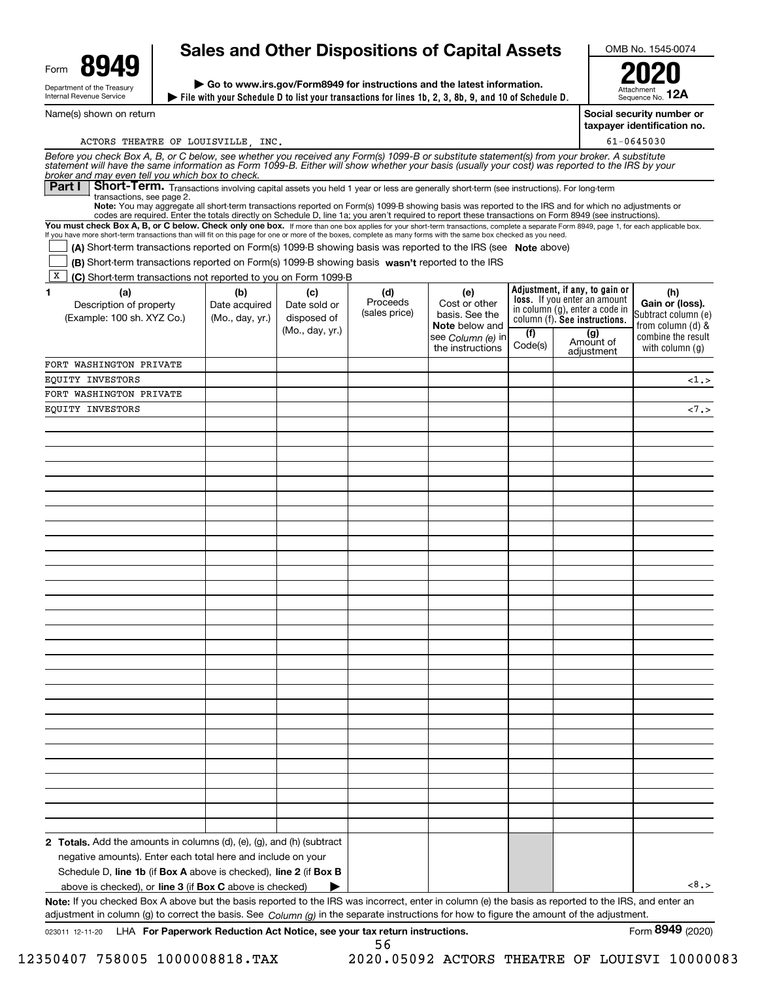| Form | 94                                                     |
|------|--------------------------------------------------------|
|      | Department of the Treasury<br>Internal Revenue Service |

Name(s) shown on return

# **Sales and Other Dispositions of Capital Assets**

**File with your Schedule D to list your transactions for lines 1b, 2, 3, 8b, 9, and 10 of Schedule D. | | Go to www.irs.gov/Form8949 for instructions and the latest information.**

OMB No. 1545-0074

Attachment Sequence No. **12A2020**

**Social security number or**

**taxpayer identification no.** 61-0645030

| ACTORS THEATRE OF LOUISVILLE, INC.                                                                                                                                                                                                                                                                                                                 |                 |                                |                 |                      |                |                                                                       | $61 - 0645030$                         |
|----------------------------------------------------------------------------------------------------------------------------------------------------------------------------------------------------------------------------------------------------------------------------------------------------------------------------------------------------|-----------------|--------------------------------|-----------------|----------------------|----------------|-----------------------------------------------------------------------|----------------------------------------|
| Before you check Box A, B, or C below, see whether you received any Form(s) 1099-B or substitute statement(s) from your broker. A substitute<br>statement will have the same information as Form 1099-B. Either will show whether                                                                                                                  |                 |                                |                 |                      |                |                                                                       |                                        |
| broker and may even tell you which box to check.<br>Short-Term. Transactions involving capital assets you held 1 year or less are generally short-term (see instructions). For long-term<br>Part I I                                                                                                                                               |                 |                                |                 |                      |                |                                                                       |                                        |
| transactions, see page 2.<br>Note: You may aggregate all short-term transactions reported on Form(s) 1099-B showing basis was reported to the IRS and for which no adjustments or                                                                                                                                                                  |                 |                                |                 |                      |                |                                                                       |                                        |
| codes are required. Enter the totals directly on Schedule D, line 1a; you aren't required to report these transactions on Form 8949 (see instructions).<br>You must check Box A, B, or C below. Check only one box. If more than one box applies for your short-term transactions, complete a separate Form 8949, page 1, for each applicable box. |                 |                                |                 |                      |                |                                                                       |                                        |
| If you have more short-term transactions than will fit on this page for one or more of the boxes, complete as many forms with the same box checked as you need.                                                                                                                                                                                    |                 |                                |                 |                      |                |                                                                       |                                        |
| (A) Short-term transactions reported on Form(s) 1099-B showing basis was reported to the IRS (see Note above)                                                                                                                                                                                                                                      |                 |                                |                 |                      |                |                                                                       |                                        |
| (B) Short-term transactions reported on Form(s) 1099-B showing basis wasn't reported to the IRS                                                                                                                                                                                                                                                    |                 |                                |                 |                      |                |                                                                       |                                        |
| X <br>(C) Short-term transactions not reported to you on Form 1099-B                                                                                                                                                                                                                                                                               |                 |                                |                 |                      |                |                                                                       |                                        |
| (a)<br>1.                                                                                                                                                                                                                                                                                                                                          | (b)             | (c)                            | (d)<br>Proceeds | (e)<br>Cost or other |                | Adjustment, if any, to gain or<br><b>loss.</b> If you enter an amount | (h)                                    |
| Description of property                                                                                                                                                                                                                                                                                                                            | Date acquired   | Date sold or                   | (sales price)   | basis. See the       |                | in column (g), enter a code in                                        | Gain or (loss).<br>Subtract column (e) |
| (Example: 100 sh. XYZ Co.)                                                                                                                                                                                                                                                                                                                         | (Mo., day, yr.) | disposed of<br>(Mo., day, yr.) |                 | Note below and       |                | column (f). See instructions.                                         | from column (d) &                      |
|                                                                                                                                                                                                                                                                                                                                                    |                 |                                |                 | see Column (e) in    | (f)<br>Code(s) | (g)<br>Amount of                                                      | combine the result                     |
|                                                                                                                                                                                                                                                                                                                                                    |                 |                                |                 | the instructions     |                | adjustment                                                            | with column $(q)$                      |
| FORT WASHINGTON PRIVATE                                                                                                                                                                                                                                                                                                                            |                 |                                |                 |                      |                |                                                                       |                                        |
| EQUITY INVESTORS                                                                                                                                                                                                                                                                                                                                   |                 |                                |                 |                      |                |                                                                       | <1.5                                   |
| FORT WASHINGTON PRIVATE                                                                                                                                                                                                                                                                                                                            |                 |                                |                 |                      |                |                                                                       |                                        |
| EQUITY INVESTORS                                                                                                                                                                                                                                                                                                                                   |                 |                                |                 |                      |                |                                                                       | $<7.5$                                 |
|                                                                                                                                                                                                                                                                                                                                                    |                 |                                |                 |                      |                |                                                                       |                                        |
|                                                                                                                                                                                                                                                                                                                                                    |                 |                                |                 |                      |                |                                                                       |                                        |
|                                                                                                                                                                                                                                                                                                                                                    |                 |                                |                 |                      |                |                                                                       |                                        |
|                                                                                                                                                                                                                                                                                                                                                    |                 |                                |                 |                      |                |                                                                       |                                        |
|                                                                                                                                                                                                                                                                                                                                                    |                 |                                |                 |                      |                |                                                                       |                                        |
|                                                                                                                                                                                                                                                                                                                                                    |                 |                                |                 |                      |                |                                                                       |                                        |
|                                                                                                                                                                                                                                                                                                                                                    |                 |                                |                 |                      |                |                                                                       |                                        |
|                                                                                                                                                                                                                                                                                                                                                    |                 |                                |                 |                      |                |                                                                       |                                        |
|                                                                                                                                                                                                                                                                                                                                                    |                 |                                |                 |                      |                |                                                                       |                                        |
|                                                                                                                                                                                                                                                                                                                                                    |                 |                                |                 |                      |                |                                                                       |                                        |
|                                                                                                                                                                                                                                                                                                                                                    |                 |                                |                 |                      |                |                                                                       |                                        |
|                                                                                                                                                                                                                                                                                                                                                    |                 |                                |                 |                      |                |                                                                       |                                        |
|                                                                                                                                                                                                                                                                                                                                                    |                 |                                |                 |                      |                |                                                                       |                                        |
|                                                                                                                                                                                                                                                                                                                                                    |                 |                                |                 |                      |                |                                                                       |                                        |
|                                                                                                                                                                                                                                                                                                                                                    |                 |                                |                 |                      |                |                                                                       |                                        |
|                                                                                                                                                                                                                                                                                                                                                    |                 |                                |                 |                      |                |                                                                       |                                        |
|                                                                                                                                                                                                                                                                                                                                                    |                 |                                |                 |                      |                |                                                                       |                                        |
|                                                                                                                                                                                                                                                                                                                                                    |                 |                                |                 |                      |                |                                                                       |                                        |
|                                                                                                                                                                                                                                                                                                                                                    |                 |                                |                 |                      |                |                                                                       |                                        |
|                                                                                                                                                                                                                                                                                                                                                    |                 |                                |                 |                      |                |                                                                       |                                        |
|                                                                                                                                                                                                                                                                                                                                                    |                 |                                |                 |                      |                |                                                                       |                                        |
|                                                                                                                                                                                                                                                                                                                                                    |                 |                                |                 |                      |                |                                                                       |                                        |
|                                                                                                                                                                                                                                                                                                                                                    |                 |                                |                 |                      |                |                                                                       |                                        |
|                                                                                                                                                                                                                                                                                                                                                    |                 |                                |                 |                      |                |                                                                       |                                        |
|                                                                                                                                                                                                                                                                                                                                                    |                 |                                |                 |                      |                |                                                                       |                                        |
|                                                                                                                                                                                                                                                                                                                                                    |                 |                                |                 |                      |                |                                                                       |                                        |
|                                                                                                                                                                                                                                                                                                                                                    |                 |                                |                 |                      |                |                                                                       |                                        |
|                                                                                                                                                                                                                                                                                                                                                    |                 |                                |                 |                      |                |                                                                       |                                        |
| <b>2 Totals.</b> Add the amounts in columns $(d)$ , $(e)$ , $(g)$ , and $(h)$ (subtract                                                                                                                                                                                                                                                            |                 |                                |                 |                      |                |                                                                       |                                        |
| negative amounts). Enter each total here and include on your                                                                                                                                                                                                                                                                                       |                 |                                |                 |                      |                |                                                                       |                                        |
| Schedule D, line 1b (if Box A above is checked), line 2 (if Box B                                                                                                                                                                                                                                                                                  |                 |                                |                 |                      |                |                                                                       |                                        |
| above is checked), or <b>line 3</b> (if <b>Box C</b> above is checked)                                                                                                                                                                                                                                                                             |                 |                                |                 |                      |                |                                                                       | 3.5                                    |
| Note: If you checked Box A above but the basis reported to the IRS was incorrect, enter in column (e) the basis as reported to the IRS, and enter an                                                                                                                                                                                               |                 |                                |                 |                      |                |                                                                       |                                        |
| adjustment in column (g) to correct the basis. See $Column(q)$ in the separate instructions for how to figure the amount of the adjustment.                                                                                                                                                                                                        |                 |                                |                 |                      |                |                                                                       |                                        |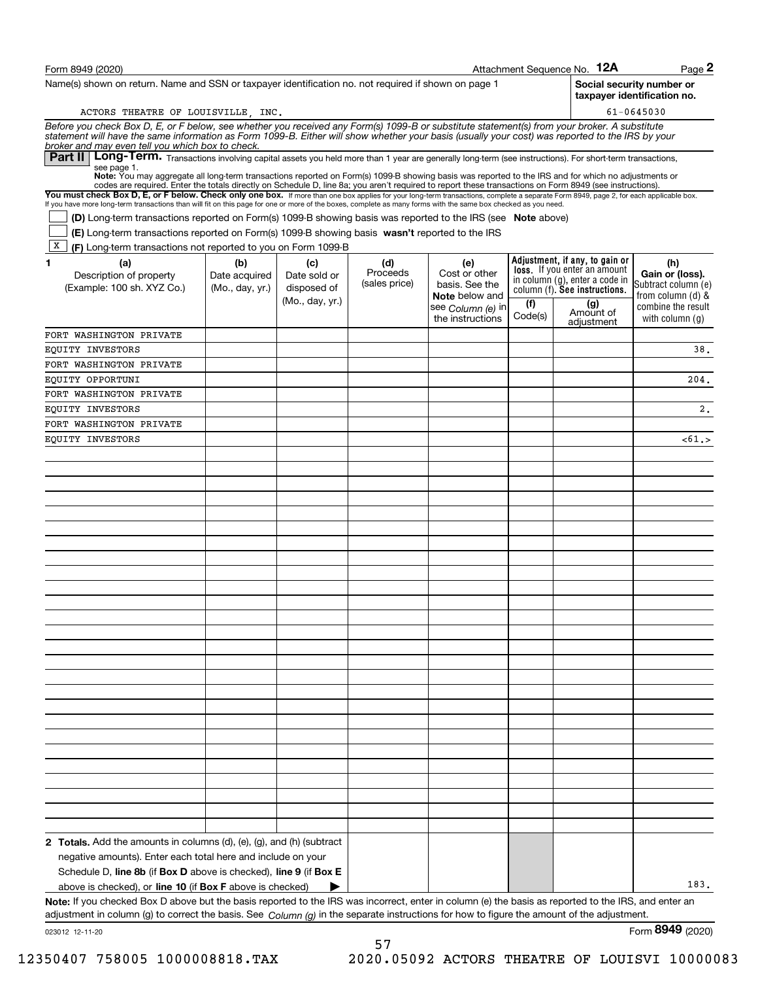| Form 8949 (2020)                                                                                                                                                                                                                                                                                                                                         |                 |                                |                           |                                       |         | Attachment Sequence No. 12A                                    | $Page$ 2                                |
|----------------------------------------------------------------------------------------------------------------------------------------------------------------------------------------------------------------------------------------------------------------------------------------------------------------------------------------------------------|-----------------|--------------------------------|---------------------------|---------------------------------------|---------|----------------------------------------------------------------|-----------------------------------------|
| Name(s) shown on return. Name and SSN or taxpayer identification no. not required if shown on page 1<br>Social security number or<br>taxpaver identification no.                                                                                                                                                                                         |                 |                                |                           |                                       |         |                                                                |                                         |
| $61 - 0645030$<br>ACTORS THEATRE OF LOUISVILLE, INC.                                                                                                                                                                                                                                                                                                     |                 |                                |                           |                                       |         |                                                                |                                         |
| Before you check Box D, E, or F below, see whether you received any Form(s) 1099-B or substitute statement(s) from your broker. A substitute<br>statement will have the same information as Form 1099-B. Either will show whether                                                                                                                        |                 |                                |                           |                                       |         |                                                                |                                         |
| broker and may even tell you which box to check.<br>Long-Term. Transactions involving capital assets you held more than 1 year are generally long-term (see instructions). For short-term transactions,<br>Part II I<br>see page 1.                                                                                                                      |                 |                                |                           |                                       |         |                                                                |                                         |
| Note: You may aggregate all long-term transactions reported on Form(s) 1099-B showing basis was reported to the IRS and for which no adjustments or<br>codes are required. Enter the totals directly on Schedule D, line 8a; you aren't required to report these transactions on Form 8949 (see instructions).                                           |                 |                                |                           |                                       |         |                                                                |                                         |
| You must check Box D, E, or F below. Check only one box. If more than one box applies for your long-term transactions, complete a separate Form 8949, page 2, for each applicable box.<br>If you have more long-term transactions than will fit on this page for one or more of the boxes, complete as many forms with the same box checked as you need. |                 |                                |                           |                                       |         |                                                                |                                         |
| (D) Long-term transactions reported on Form(s) 1099-B showing basis was reported to the IRS (see Note above)                                                                                                                                                                                                                                             |                 |                                |                           |                                       |         |                                                                |                                         |
| (E) Long-term transactions reported on Form(s) 1099-B showing basis wasn't reported to the IRS                                                                                                                                                                                                                                                           |                 |                                |                           |                                       |         |                                                                |                                         |
| х<br>(F) Long-term transactions not reported to you on Form 1099-B                                                                                                                                                                                                                                                                                       |                 |                                |                           |                                       |         |                                                                |                                         |
| (a)<br>1                                                                                                                                                                                                                                                                                                                                                 | (b)             | (c)                            | (d)                       | (e)                                   |         | Adjustment, if any, to gain or<br>loss. If you enter an amount | (h)                                     |
| Description of property                                                                                                                                                                                                                                                                                                                                  | Date acquired   | Date sold or                   | Proceeds<br>(sales price) | Cost or other<br>basis. See the       |         | in column (g), enter a code in                                 | Gain or (loss).<br>Subtract column (e)  |
| (Example: 100 sh. XYZ Co.)                                                                                                                                                                                                                                                                                                                               | (Mo., day, yr.) | disposed of<br>(Mo., day, yr.) |                           | <b>Note</b> below and                 | (f)     | column (f). See instructions.<br>(g)                           | from column (d) &                       |
|                                                                                                                                                                                                                                                                                                                                                          |                 |                                |                           | see Column (e) in<br>the instructions | Code(s) | Amount of                                                      | combine the result<br>with column $(q)$ |
| FORT WASHINGTON PRIVATE                                                                                                                                                                                                                                                                                                                                  |                 |                                |                           |                                       |         | adjustment                                                     |                                         |
| EQUITY INVESTORS                                                                                                                                                                                                                                                                                                                                         |                 |                                |                           |                                       |         |                                                                | 38.                                     |
| FORT WASHINGTON PRIVATE                                                                                                                                                                                                                                                                                                                                  |                 |                                |                           |                                       |         |                                                                |                                         |
| EQUITY OPPORTUNI                                                                                                                                                                                                                                                                                                                                         |                 |                                |                           |                                       |         |                                                                | 204.                                    |
| FORT WASHINGTON PRIVATE                                                                                                                                                                                                                                                                                                                                  |                 |                                |                           |                                       |         |                                                                |                                         |
| EQUITY INVESTORS                                                                                                                                                                                                                                                                                                                                         |                 |                                |                           |                                       |         |                                                                | 2.                                      |
| FORT WASHINGTON PRIVATE                                                                                                                                                                                                                                                                                                                                  |                 |                                |                           |                                       |         |                                                                |                                         |
| EQUITY INVESTORS                                                                                                                                                                                                                                                                                                                                         |                 |                                |                           |                                       |         |                                                                | $<$ 61.>                                |
|                                                                                                                                                                                                                                                                                                                                                          |                 |                                |                           |                                       |         |                                                                |                                         |
|                                                                                                                                                                                                                                                                                                                                                          |                 |                                |                           |                                       |         |                                                                |                                         |
|                                                                                                                                                                                                                                                                                                                                                          |                 |                                |                           |                                       |         |                                                                |                                         |
|                                                                                                                                                                                                                                                                                                                                                          |                 |                                |                           |                                       |         |                                                                |                                         |
|                                                                                                                                                                                                                                                                                                                                                          |                 |                                |                           |                                       |         |                                                                |                                         |
|                                                                                                                                                                                                                                                                                                                                                          |                 |                                |                           |                                       |         |                                                                |                                         |
|                                                                                                                                                                                                                                                                                                                                                          |                 |                                |                           |                                       |         |                                                                |                                         |
|                                                                                                                                                                                                                                                                                                                                                          |                 |                                |                           |                                       |         |                                                                |                                         |
|                                                                                                                                                                                                                                                                                                                                                          |                 |                                |                           |                                       |         |                                                                |                                         |
|                                                                                                                                                                                                                                                                                                                                                          |                 |                                |                           |                                       |         |                                                                |                                         |
|                                                                                                                                                                                                                                                                                                                                                          |                 |                                |                           |                                       |         |                                                                |                                         |
|                                                                                                                                                                                                                                                                                                                                                          |                 |                                |                           |                                       |         |                                                                |                                         |
|                                                                                                                                                                                                                                                                                                                                                          |                 |                                |                           |                                       |         |                                                                |                                         |
|                                                                                                                                                                                                                                                                                                                                                          |                 |                                |                           |                                       |         |                                                                |                                         |
|                                                                                                                                                                                                                                                                                                                                                          |                 |                                |                           |                                       |         |                                                                |                                         |
|                                                                                                                                                                                                                                                                                                                                                          |                 |                                |                           |                                       |         |                                                                |                                         |
|                                                                                                                                                                                                                                                                                                                                                          |                 |                                |                           |                                       |         |                                                                |                                         |
|                                                                                                                                                                                                                                                                                                                                                          |                 |                                |                           |                                       |         |                                                                |                                         |
|                                                                                                                                                                                                                                                                                                                                                          |                 |                                |                           |                                       |         |                                                                |                                         |
|                                                                                                                                                                                                                                                                                                                                                          |                 |                                |                           |                                       |         |                                                                |                                         |
|                                                                                                                                                                                                                                                                                                                                                          |                 |                                |                           |                                       |         |                                                                |                                         |
|                                                                                                                                                                                                                                                                                                                                                          |                 |                                |                           |                                       |         |                                                                |                                         |
|                                                                                                                                                                                                                                                                                                                                                          |                 |                                |                           |                                       |         |                                                                |                                         |
| <b>2 Totals.</b> Add the amounts in columns $(d)$ , $(e)$ , $(g)$ , and $(h)$ (subtract                                                                                                                                                                                                                                                                  |                 |                                |                           |                                       |         |                                                                |                                         |
| negative amounts). Enter each total here and include on your                                                                                                                                                                                                                                                                                             |                 |                                |                           |                                       |         |                                                                |                                         |
| Schedule D, line 8b (if Box D above is checked), line 9 (if Box E                                                                                                                                                                                                                                                                                        |                 |                                |                           |                                       |         |                                                                |                                         |
| above is checked), or <b>line 10</b> (if <b>Box F</b> above is checked)                                                                                                                                                                                                                                                                                  |                 |                                |                           |                                       |         |                                                                | 183.                                    |
| Note: If you checked Box D above but the basis reported to the IRS was incorrect, enter in column (e) the basis as reported to the IRS, and enter an                                                                                                                                                                                                     |                 |                                |                           |                                       |         |                                                                |                                         |
| adjustment in column (g) to correct the basis. See Column (g) in the separate instructions for how to figure the amount of the adjustment.                                                                                                                                                                                                               |                 |                                |                           |                                       |         |                                                                | 0010                                    |

57

023012 12-11-20

Form (2020) **8949**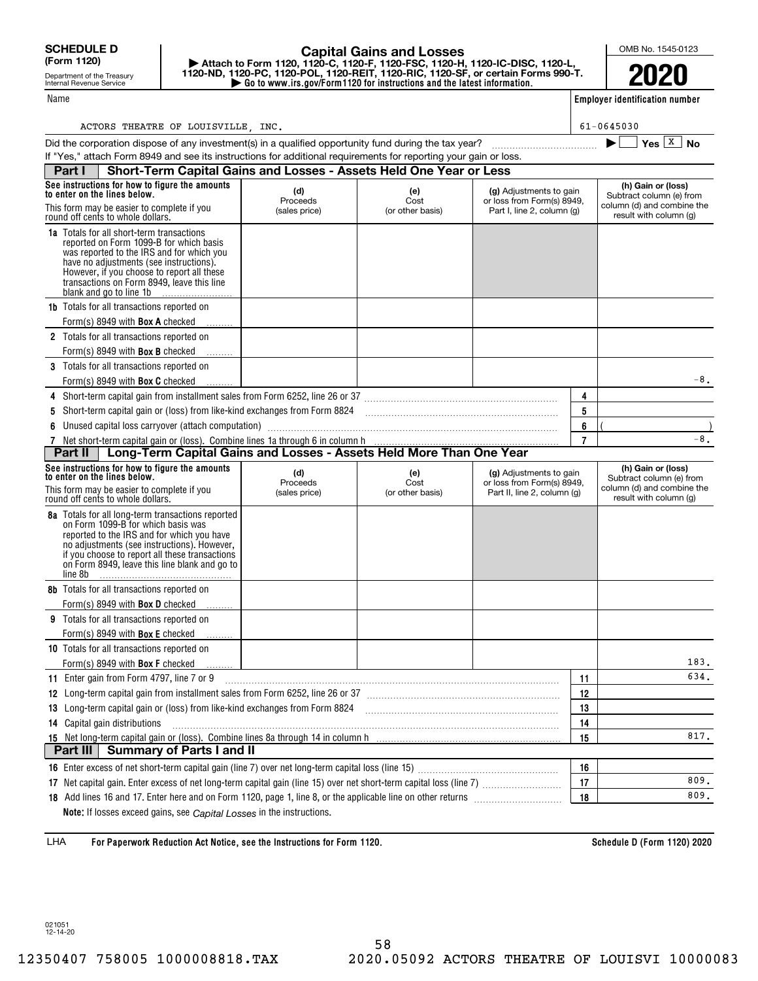Name

Department of the Treasury Internal Revenue Service

## **| Go to www.irs.gov/Form1120 for instructions and the latest information. | Attach to Form 1120, 1120-C, 1120-F, 1120-FSC, 1120-H, 1120-IC-DISC, 1120-L, 1120-ND, 1120-PC, 1120-POL, 1120-REIT, 1120-RIC, 1120-SF, or certain Forms 990-T. Capital Gains and Losses**

OMB No. 1545-0123

**2020**

**Employer identification number**

| ACTORS THEATRE OF LOUISVILLE | INC. | $-0645030$<br>n. |
|------------------------------|------|------------------|

|                                                                                                                                                                                                                                                                                                            |                                  |                                 |                                                                                      |                | Yes $\boxed{X}$<br>No                                                                                  |  |  |  |
|------------------------------------------------------------------------------------------------------------------------------------------------------------------------------------------------------------------------------------------------------------------------------------------------------------|----------------------------------|---------------------------------|--------------------------------------------------------------------------------------|----------------|--------------------------------------------------------------------------------------------------------|--|--|--|
| If "Yes," attach Form 8949 and see its instructions for additional requirements for reporting your gain or loss.<br>Short-Term Capital Gains and Losses - Assets Held One Year or Less                                                                                                                     |                                  |                                 |                                                                                      |                |                                                                                                        |  |  |  |
| Part I                                                                                                                                                                                                                                                                                                     |                                  |                                 |                                                                                      |                |                                                                                                        |  |  |  |
| See instructions for how to figure the amounts<br>to enter on the lines below.<br>This form may be easier to complete if you<br>round off cents to whole dollars.                                                                                                                                          | (d)<br>Proceeds<br>(sales price) | (e)<br>Cost<br>(or other basis) | (g) Adjustments to gain<br>or loss from Form(s) 8949.<br>Part I, line 2, column (g)  |                | (h) Gain or (loss)<br>Subtract column (e) from<br>column (d) and combine the<br>result with column (g) |  |  |  |
| <b>1a</b> Totals for all short-term transactions<br>reported on Form 1099-B for which basis<br>was reported to the IRS and for which you<br>have no adjustments (see instructions).<br>However, if you choose to report all these<br>transactions on Form 8949. leave this line<br>blank and go to line 1b |                                  |                                 |                                                                                      |                |                                                                                                        |  |  |  |
| <b>1b</b> Totals for all transactions reported on<br>Form(s) 8949 with <b>Box A</b> checked                                                                                                                                                                                                                |                                  |                                 |                                                                                      |                |                                                                                                        |  |  |  |
| 2 Totals for all transactions reported on<br>Form(s) 8949 with <b>Box B</b> checked<br>3 Totals for all transactions reported on                                                                                                                                                                           |                                  |                                 |                                                                                      |                |                                                                                                        |  |  |  |
| Form(s) 8949 with <b>Box C</b> checked                                                                                                                                                                                                                                                                     |                                  |                                 |                                                                                      |                | -8.                                                                                                    |  |  |  |
|                                                                                                                                                                                                                                                                                                            |                                  |                                 |                                                                                      | 4              |                                                                                                        |  |  |  |
| 5                                                                                                                                                                                                                                                                                                          |                                  |                                 |                                                                                      | 5              |                                                                                                        |  |  |  |
| Unused capital loss carryover (attach computation)<br>6                                                                                                                                                                                                                                                    |                                  |                                 |                                                                                      | 6              |                                                                                                        |  |  |  |
| 7                                                                                                                                                                                                                                                                                                          |                                  |                                 |                                                                                      | $\overline{7}$ | $-8.$                                                                                                  |  |  |  |
| Long-Term Capital Gains and Losses - Assets Held More Than One Year<br>Part II                                                                                                                                                                                                                             |                                  |                                 |                                                                                      |                |                                                                                                        |  |  |  |
| See instructions for how to figure the amounts<br>to enter on the lines below.<br>This form may be easier to complete if you<br>round off cents to whole dollars.                                                                                                                                          | (d)<br>Proceeds<br>(sales price) | (e)<br>Cost<br>(or other basis) | (g) Adjustments to gain<br>or loss from Form(s) 8949,<br>Part II, line 2, column (g) |                | (h) Gain or (loss)<br>Subtract column (e) from<br>column (d) and combine the<br>result with column (g) |  |  |  |
| 8a Totals for all long-term transactions reported<br>on Form 1099-B for which basis was<br>reported to the IRS and for which you have<br>no adjustments (see instructions). However,<br>if you choose to report all these transactions<br>on Form 8949, leave this line blank and go to<br>line 8b         |                                  |                                 |                                                                                      |                |                                                                                                        |  |  |  |
| 8b Totals for all transactions reported on<br>Form(s) 8949 with <b>Box D</b> checked                                                                                                                                                                                                                       |                                  |                                 |                                                                                      |                |                                                                                                        |  |  |  |
| 9 Totals for all transactions reported on                                                                                                                                                                                                                                                                  |                                  |                                 |                                                                                      |                |                                                                                                        |  |  |  |
| Form(s) 8949 with <b>Box E</b> checked                                                                                                                                                                                                                                                                     |                                  |                                 |                                                                                      |                |                                                                                                        |  |  |  |
| 10 Totals for all transactions reported on<br>Form(s) 8949 with <b>Box F</b> checked                                                                                                                                                                                                                       |                                  |                                 |                                                                                      |                | 183.                                                                                                   |  |  |  |
| 11 Enter gain from Form 4797, line 7 or 9                                                                                                                                                                                                                                                                  |                                  |                                 |                                                                                      | 11             | 634.                                                                                                   |  |  |  |
|                                                                                                                                                                                                                                                                                                            |                                  |                                 |                                                                                      | 12             |                                                                                                        |  |  |  |
| 13 Long-term capital gain or (loss) from like-kind exchanges from Form 8824                                                                                                                                                                                                                                | 13                               |                                 |                                                                                      |                |                                                                                                        |  |  |  |
| 14 Capital gain distributions                                                                                                                                                                                                                                                                              |                                  |                                 |                                                                                      | 14             |                                                                                                        |  |  |  |
|                                                                                                                                                                                                                                                                                                            |                                  |                                 |                                                                                      | 15             | 817.                                                                                                   |  |  |  |
| <b>Summary of Parts I and II</b><br>Part III                                                                                                                                                                                                                                                               |                                  |                                 |                                                                                      |                |                                                                                                        |  |  |  |
|                                                                                                                                                                                                                                                                                                            |                                  |                                 |                                                                                      | 16             |                                                                                                        |  |  |  |
|                                                                                                                                                                                                                                                                                                            |                                  |                                 |                                                                                      | 17             | 809.                                                                                                   |  |  |  |
|                                                                                                                                                                                                                                                                                                            |                                  |                                 |                                                                                      | 18             | 809.                                                                                                   |  |  |  |

**Note:** If losses exceed gains, see *Capital Losses* in the instructions.

**For Paperwork Reduction Act Notice, see the Instructions for Form 1120. Schedule D (Form 1120) 2020** LHA

021051 12-14-20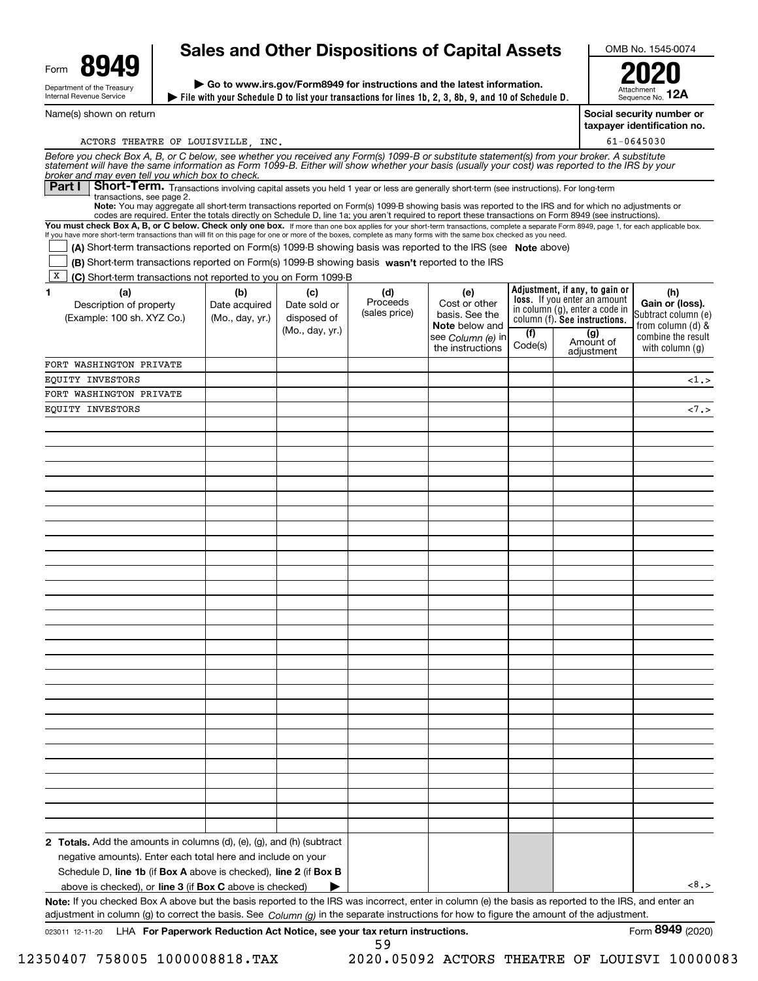| Form                                                   | 94 |  |  |  |  |  |  |
|--------------------------------------------------------|----|--|--|--|--|--|--|
| Department of the Treasury<br>Internal Revenue Service |    |  |  |  |  |  |  |

Name(s) shown on return

# **Sales and Other Dispositions of Capital Assets**

**File with your Schedule D to list your transactions for lines 1b, 2, 3, 8b, 9, and 10 of Schedule D. | | Go to www.irs.gov/Form8949 for instructions and the latest information.**

OMB No. 1545-0074

AttachmentSequence No. **12A2020**

**Social security number or**

**taxpayer identification no.**

| ACTORS THEATRE OF LOUISVILLE INC.                                                                                                                                                                                                                                                                                                                    |                 |                 |                           |                                 |         |                                                                       | 61-0645030                             |
|------------------------------------------------------------------------------------------------------------------------------------------------------------------------------------------------------------------------------------------------------------------------------------------------------------------------------------------------------|-----------------|-----------------|---------------------------|---------------------------------|---------|-----------------------------------------------------------------------|----------------------------------------|
| Before you check Box A, B, or C below, see whether you received any Form(s) 1099-B or substitute statement(s) from your broker. A substitute<br>statement will have the same information as Form 1099-B. Either will show whether your basis (usually your cost) was reported to the IRS by your<br>broker and may even tell you which box to check. |                 |                 |                           |                                 |         |                                                                       |                                        |
| Short-Term. Transactions involving capital assets you held 1 year or less are generally short-term (see instructions). For long-term<br><b>Part I</b>                                                                                                                                                                                                |                 |                 |                           |                                 |         |                                                                       |                                        |
| transactions, see page 2.                                                                                                                                                                                                                                                                                                                            |                 |                 |                           |                                 |         |                                                                       |                                        |
| Note: You may aggregate all short-term transactions reported on Form(s) 1099-B showing basis was reported to the IRS and for which no adjustments or<br>codes are required. Enter the totals directly on Schedule D, line 1a; you aren't required to report these transactions on Form 8949 (see instructions).                                      |                 |                 |                           |                                 |         |                                                                       |                                        |
| You must check Box A, B, or C below. Check only one box. If more than one box applies for your short-term transactions, complete a separate Form 8949, page 1, for each applicable box.                                                                                                                                                              |                 |                 |                           |                                 |         |                                                                       |                                        |
| If you have more short-term transactions than will fit on this page for one or more of the boxes, complete as many forms with the same box checked as you need.                                                                                                                                                                                      |                 |                 |                           |                                 |         |                                                                       |                                        |
| (A) Short-term transactions reported on Form(s) 1099-B showing basis was reported to the IRS (see Note above)                                                                                                                                                                                                                                        |                 |                 |                           |                                 |         |                                                                       |                                        |
| (B) Short-term transactions reported on Form(s) 1099-B showing basis wasn't reported to the IRS                                                                                                                                                                                                                                                      |                 |                 |                           |                                 |         |                                                                       |                                        |
| X<br>(C) Short-term transactions not reported to you on Form 1099-B                                                                                                                                                                                                                                                                                  |                 |                 |                           |                                 |         |                                                                       |                                        |
| 1<br>(a)                                                                                                                                                                                                                                                                                                                                             | (b)             | (c)             | (d)                       | (e)                             |         | Adjustment, if any, to gain or<br><b>loss.</b> If you enter an amount | (h)                                    |
| Description of property                                                                                                                                                                                                                                                                                                                              | Date acquired   | Date sold or    | Proceeds<br>(sales price) | Cost or other<br>basis. See the |         | in column (g), enter a code in                                        | Gain or (loss).<br>Subtract column (e) |
| (Example: 100 sh. XYZ Co.)                                                                                                                                                                                                                                                                                                                           | (Mo., day, yr.) | disposed of     |                           | <b>Note</b> below and           |         | column (f). See instructions.                                         | from column (d) &                      |
|                                                                                                                                                                                                                                                                                                                                                      |                 | (Mo., day, yr.) |                           | see Column (e) in               | (f)     | (g)<br>Amount of                                                      | combine the result                     |
|                                                                                                                                                                                                                                                                                                                                                      |                 |                 |                           | the instructions                | Code(s) | adiustment                                                            | with column $(q)$                      |
| FORT WASHINGTON PRIVATE                                                                                                                                                                                                                                                                                                                              |                 |                 |                           |                                 |         |                                                                       |                                        |
| EOUITY INVESTORS                                                                                                                                                                                                                                                                                                                                     |                 |                 |                           |                                 |         |                                                                       | $\langle 1, \rangle$                   |
| FORT WASHINGTON PRIVATE                                                                                                                                                                                                                                                                                                                              |                 |                 |                           |                                 |         |                                                                       |                                        |
| EOUITY INVESTORS                                                                                                                                                                                                                                                                                                                                     |                 |                 |                           |                                 |         |                                                                       | 1.5                                    |
|                                                                                                                                                                                                                                                                                                                                                      |                 |                 |                           |                                 |         |                                                                       |                                        |
|                                                                                                                                                                                                                                                                                                                                                      |                 |                 |                           |                                 |         |                                                                       |                                        |
|                                                                                                                                                                                                                                                                                                                                                      |                 |                 |                           |                                 |         |                                                                       |                                        |
|                                                                                                                                                                                                                                                                                                                                                      |                 |                 |                           |                                 |         |                                                                       |                                        |
|                                                                                                                                                                                                                                                                                                                                                      |                 |                 |                           |                                 |         |                                                                       |                                        |
|                                                                                                                                                                                                                                                                                                                                                      |                 |                 |                           |                                 |         |                                                                       |                                        |
|                                                                                                                                                                                                                                                                                                                                                      |                 |                 |                           |                                 |         |                                                                       |                                        |
|                                                                                                                                                                                                                                                                                                                                                      |                 |                 |                           |                                 |         |                                                                       |                                        |
|                                                                                                                                                                                                                                                                                                                                                      |                 |                 |                           |                                 |         |                                                                       |                                        |
|                                                                                                                                                                                                                                                                                                                                                      |                 |                 |                           |                                 |         |                                                                       |                                        |
|                                                                                                                                                                                                                                                                                                                                                      |                 |                 |                           |                                 |         |                                                                       |                                        |
|                                                                                                                                                                                                                                                                                                                                                      |                 |                 |                           |                                 |         |                                                                       |                                        |
|                                                                                                                                                                                                                                                                                                                                                      |                 |                 |                           |                                 |         |                                                                       |                                        |
|                                                                                                                                                                                                                                                                                                                                                      |                 |                 |                           |                                 |         |                                                                       |                                        |
|                                                                                                                                                                                                                                                                                                                                                      |                 |                 |                           |                                 |         |                                                                       |                                        |
|                                                                                                                                                                                                                                                                                                                                                      |                 |                 |                           |                                 |         |                                                                       |                                        |
|                                                                                                                                                                                                                                                                                                                                                      |                 |                 |                           |                                 |         |                                                                       |                                        |
|                                                                                                                                                                                                                                                                                                                                                      |                 |                 |                           |                                 |         |                                                                       |                                        |
|                                                                                                                                                                                                                                                                                                                                                      |                 |                 |                           |                                 |         |                                                                       |                                        |
|                                                                                                                                                                                                                                                                                                                                                      |                 |                 |                           |                                 |         |                                                                       |                                        |
|                                                                                                                                                                                                                                                                                                                                                      |                 |                 |                           |                                 |         |                                                                       |                                        |
|                                                                                                                                                                                                                                                                                                                                                      |                 |                 |                           |                                 |         |                                                                       |                                        |
|                                                                                                                                                                                                                                                                                                                                                      |                 |                 |                           |                                 |         |                                                                       |                                        |
|                                                                                                                                                                                                                                                                                                                                                      |                 |                 |                           |                                 |         |                                                                       |                                        |
|                                                                                                                                                                                                                                                                                                                                                      |                 |                 |                           |                                 |         |                                                                       |                                        |
|                                                                                                                                                                                                                                                                                                                                                      |                 |                 |                           |                                 |         |                                                                       |                                        |
|                                                                                                                                                                                                                                                                                                                                                      |                 |                 |                           |                                 |         |                                                                       |                                        |
|                                                                                                                                                                                                                                                                                                                                                      |                 |                 |                           |                                 |         |                                                                       |                                        |
|                                                                                                                                                                                                                                                                                                                                                      |                 |                 |                           |                                 |         |                                                                       |                                        |
|                                                                                                                                                                                                                                                                                                                                                      |                 |                 |                           |                                 |         |                                                                       |                                        |
| 2 Totals. Add the amounts in columns (d), (e), (g), and (h) (subtract                                                                                                                                                                                                                                                                                |                 |                 |                           |                                 |         |                                                                       |                                        |
| negative amounts). Enter each total here and include on your                                                                                                                                                                                                                                                                                         |                 |                 |                           |                                 |         |                                                                       |                                        |
| Schedule D, line 1b (if Box A above is checked), line 2 (if Box B                                                                                                                                                                                                                                                                                    |                 |                 |                           |                                 |         |                                                                       |                                        |
| above is checked), or line 3 (if Box C above is checked)                                                                                                                                                                                                                                                                                             |                 |                 |                           |                                 |         |                                                                       | < 8.>                                  |
| Note: If you checked Box A above but the basis reported to the IRS was incorrect, enter in column (e) the basis as reported to the IRS, and enter an                                                                                                                                                                                                 |                 |                 |                           |                                 |         |                                                                       |                                        |
| adjustment in column (g) to correct the basis. See Column (g) in the separate instructions for how to figure the amount of the adjustment.                                                                                                                                                                                                           |                 |                 |                           |                                 |         |                                                                       |                                        |

59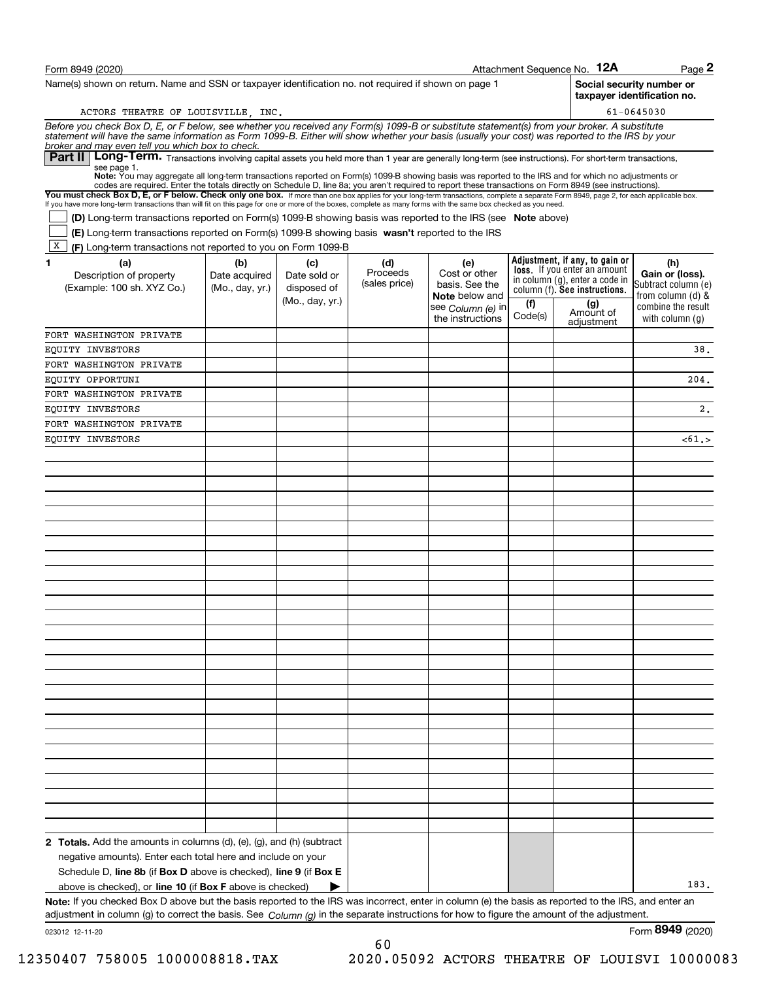| Form 8949 (2020)                                                                                                                                                                                                                                                                                                                                                                                                                                                                                         |                 |                 |               |                                       |                | Attachment Sequence No. 12A                                           | $Page$ 2                                                 |
|----------------------------------------------------------------------------------------------------------------------------------------------------------------------------------------------------------------------------------------------------------------------------------------------------------------------------------------------------------------------------------------------------------------------------------------------------------------------------------------------------------|-----------------|-----------------|---------------|---------------------------------------|----------------|-----------------------------------------------------------------------|----------------------------------------------------------|
| Name(s) shown on return. Name and SSN or taxpayer identification no. not required if shown on page 1                                                                                                                                                                                                                                                                                                                                                                                                     |                 |                 |               |                                       |                |                                                                       | Social security number or<br>taxpayer identification no. |
| ACTORS THEATRE OF LOUISVILLE, INC.                                                                                                                                                                                                                                                                                                                                                                                                                                                                       |                 |                 |               |                                       |                |                                                                       | 61-0645030                                               |
| Before you check Box D, E, or F below, see whether you received any Form(s) 1099-B or substitute statement(s) from your broker. A substitute<br>statement will have the same information as Form 1099-B. Either will show whether                                                                                                                                                                                                                                                                        |                 |                 |               |                                       |                |                                                                       |                                                          |
| broker and may even tell you which box to check.<br>Long-Term. Transactions involving capital assets you held more than 1 year are generally long-term (see instructions). For short-term transactions,<br>Part II I<br>see page 1.                                                                                                                                                                                                                                                                      |                 |                 |               |                                       |                |                                                                       |                                                          |
| Note: You may aggregate all long-term transactions reported on Form(s) 1099-B showing basis was reported to the IRS and for which no adjustments or<br>codes are required. Enter the totals directly on Schedule D, line 8a; you aren't required to report these transactions on Form 8949 (see instructions).<br>You must check Box D, E, or F below. Check only one box. If more than one box applies for your long-term transactions, complete a separate Form 8949, page 2, for each applicable box. |                 |                 |               |                                       |                |                                                                       |                                                          |
| If you have more long-term transactions than will fit on this page for one or more of the boxes, complete as many forms with the same box checked as you need.                                                                                                                                                                                                                                                                                                                                           |                 |                 |               |                                       |                |                                                                       |                                                          |
| (D) Long-term transactions reported on Form(s) 1099-B showing basis was reported to the IRS (see Note above)<br>(E) Long-term transactions reported on Form(s) 1099-B showing basis wasn't reported to the IRS                                                                                                                                                                                                                                                                                           |                 |                 |               |                                       |                |                                                                       |                                                          |
| X<br>(F) Long-term transactions not reported to you on Form 1099-B                                                                                                                                                                                                                                                                                                                                                                                                                                       |                 |                 |               |                                       |                |                                                                       |                                                          |
| (a)<br>1.                                                                                                                                                                                                                                                                                                                                                                                                                                                                                                | (b)             | (c)             | (d)           | (e)                                   |                | Adjustment, if any, to gain or                                        | (h)                                                      |
| Description of property                                                                                                                                                                                                                                                                                                                                                                                                                                                                                  | Date acquired   | Date sold or    | Proceeds      | Cost or other                         |                | <b>loss.</b> If you enter an amount<br>in column (g), enter a code in | Gain or (loss).                                          |
| (Example: 100 sh. XYZ Co.)                                                                                                                                                                                                                                                                                                                                                                                                                                                                               | (Mo., day, yr.) | disposed of     | (sales price) | basis. See the<br>Note below and      |                | column (f). See instructions.                                         | Subtract column (e)<br>from column $(d)$ &               |
|                                                                                                                                                                                                                                                                                                                                                                                                                                                                                                          |                 | (Mo., day, yr.) |               | see Column (e) in<br>the instructions | (f)<br>Code(s) | (g)<br>Amount of<br>adjustment                                        | combine the result<br>with column $(q)$                  |
| FORT WASHINGTON PRIVATE                                                                                                                                                                                                                                                                                                                                                                                                                                                                                  |                 |                 |               |                                       |                |                                                                       |                                                          |
| EQUITY INVESTORS                                                                                                                                                                                                                                                                                                                                                                                                                                                                                         |                 |                 |               |                                       |                |                                                                       | 38.                                                      |
| FORT WASHINGTON PRIVATE                                                                                                                                                                                                                                                                                                                                                                                                                                                                                  |                 |                 |               |                                       |                |                                                                       |                                                          |
| EOUITY OPPORTUNI                                                                                                                                                                                                                                                                                                                                                                                                                                                                                         |                 |                 |               |                                       |                |                                                                       | 204.                                                     |
| FORT WASHINGTON PRIVATE                                                                                                                                                                                                                                                                                                                                                                                                                                                                                  |                 |                 |               |                                       |                |                                                                       |                                                          |
| EQUITY INVESTORS                                                                                                                                                                                                                                                                                                                                                                                                                                                                                         |                 |                 |               |                                       |                |                                                                       | 2.                                                       |
| FORT WASHINGTON PRIVATE                                                                                                                                                                                                                                                                                                                                                                                                                                                                                  |                 |                 |               |                                       |                |                                                                       |                                                          |
| EQUITY INVESTORS                                                                                                                                                                                                                                                                                                                                                                                                                                                                                         |                 |                 |               |                                       |                |                                                                       | $<$ 61.>                                                 |
|                                                                                                                                                                                                                                                                                                                                                                                                                                                                                                          |                 |                 |               |                                       |                |                                                                       |                                                          |
|                                                                                                                                                                                                                                                                                                                                                                                                                                                                                                          |                 |                 |               |                                       |                |                                                                       |                                                          |
|                                                                                                                                                                                                                                                                                                                                                                                                                                                                                                          |                 |                 |               |                                       |                |                                                                       |                                                          |
|                                                                                                                                                                                                                                                                                                                                                                                                                                                                                                          |                 |                 |               |                                       |                |                                                                       |                                                          |
|                                                                                                                                                                                                                                                                                                                                                                                                                                                                                                          |                 |                 |               |                                       |                |                                                                       |                                                          |
|                                                                                                                                                                                                                                                                                                                                                                                                                                                                                                          |                 |                 |               |                                       |                |                                                                       |                                                          |
|                                                                                                                                                                                                                                                                                                                                                                                                                                                                                                          |                 |                 |               |                                       |                |                                                                       |                                                          |
|                                                                                                                                                                                                                                                                                                                                                                                                                                                                                                          |                 |                 |               |                                       |                |                                                                       |                                                          |
|                                                                                                                                                                                                                                                                                                                                                                                                                                                                                                          |                 |                 |               |                                       |                |                                                                       |                                                          |
|                                                                                                                                                                                                                                                                                                                                                                                                                                                                                                          |                 |                 |               |                                       |                |                                                                       |                                                          |
|                                                                                                                                                                                                                                                                                                                                                                                                                                                                                                          |                 |                 |               |                                       |                |                                                                       |                                                          |
|                                                                                                                                                                                                                                                                                                                                                                                                                                                                                                          |                 |                 |               |                                       |                |                                                                       |                                                          |
|                                                                                                                                                                                                                                                                                                                                                                                                                                                                                                          |                 |                 |               |                                       |                |                                                                       |                                                          |
|                                                                                                                                                                                                                                                                                                                                                                                                                                                                                                          |                 |                 |               |                                       |                |                                                                       |                                                          |
|                                                                                                                                                                                                                                                                                                                                                                                                                                                                                                          |                 |                 |               |                                       |                |                                                                       |                                                          |
|                                                                                                                                                                                                                                                                                                                                                                                                                                                                                                          |                 |                 |               |                                       |                |                                                                       |                                                          |
|                                                                                                                                                                                                                                                                                                                                                                                                                                                                                                          |                 |                 |               |                                       |                |                                                                       |                                                          |
|                                                                                                                                                                                                                                                                                                                                                                                                                                                                                                          |                 |                 |               |                                       |                |                                                                       |                                                          |
|                                                                                                                                                                                                                                                                                                                                                                                                                                                                                                          |                 |                 |               |                                       |                |                                                                       |                                                          |
|                                                                                                                                                                                                                                                                                                                                                                                                                                                                                                          |                 |                 |               |                                       |                |                                                                       |                                                          |
|                                                                                                                                                                                                                                                                                                                                                                                                                                                                                                          |                 |                 |               |                                       |                |                                                                       |                                                          |
|                                                                                                                                                                                                                                                                                                                                                                                                                                                                                                          |                 |                 |               |                                       |                |                                                                       |                                                          |
|                                                                                                                                                                                                                                                                                                                                                                                                                                                                                                          |                 |                 |               |                                       |                |                                                                       |                                                          |
|                                                                                                                                                                                                                                                                                                                                                                                                                                                                                                          |                 |                 |               |                                       |                |                                                                       |                                                          |
|                                                                                                                                                                                                                                                                                                                                                                                                                                                                                                          |                 |                 |               |                                       |                |                                                                       |                                                          |
| <b>2 Totals.</b> Add the amounts in columns $(d)$ , $(e)$ , $(g)$ , and $(h)$ (subtract                                                                                                                                                                                                                                                                                                                                                                                                                  |                 |                 |               |                                       |                |                                                                       |                                                          |
| negative amounts). Enter each total here and include on your<br>Schedule D, line 8b (if Box D above is checked), line 9 (if Box E                                                                                                                                                                                                                                                                                                                                                                        |                 |                 |               |                                       |                |                                                                       |                                                          |
| above is checked), or <b>line 10</b> (if <b>Box F</b> above is checked)                                                                                                                                                                                                                                                                                                                                                                                                                                  |                 |                 |               |                                       |                |                                                                       | 183.                                                     |
| Note: If you checked Box D above but the basis reported to the IRS was incorrect, enter in column (e) the basis as reported to the IRS, and enter an                                                                                                                                                                                                                                                                                                                                                     |                 |                 |               |                                       |                |                                                                       |                                                          |
| adjustment in column (g) to correct the basis. See $Column(q)$ in the separate instructions for how to figure the amount of the adjustment.                                                                                                                                                                                                                                                                                                                                                              |                 |                 |               |                                       |                |                                                                       |                                                          |

60

023012 12-11-20

Form (2020) **8949**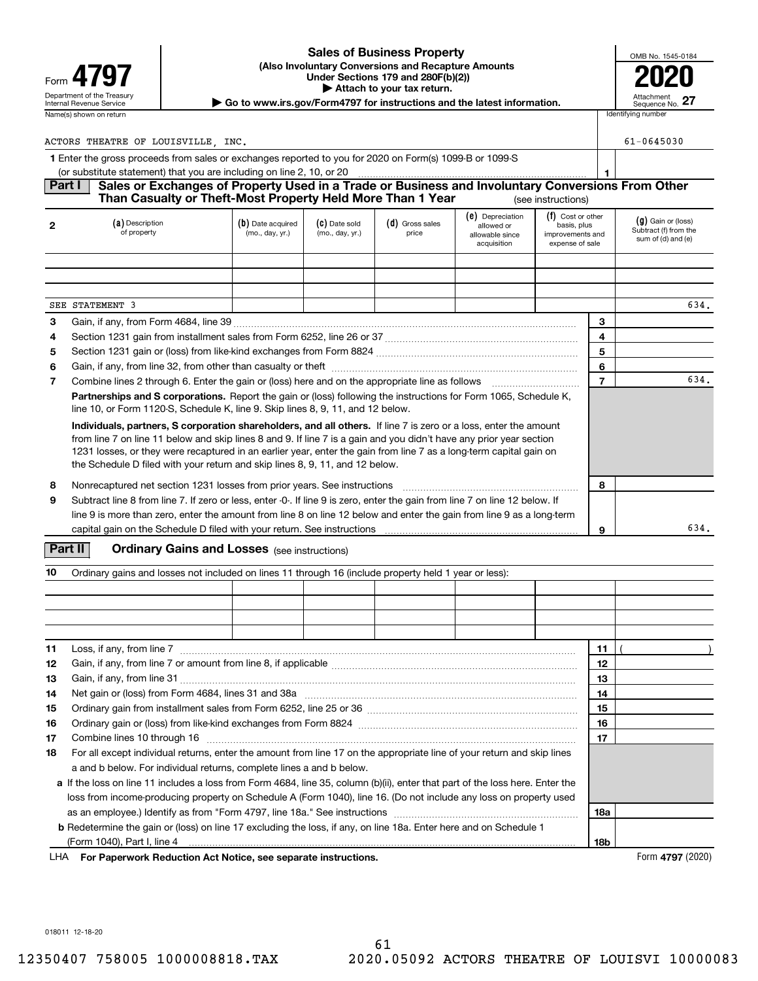### **(Also Involuntary Conversions and Recapture Amounts Under Sections 179 and 280F(b)(2)) 4797 2020 | Attach to your tax return. Sales of Business Property**

| OMB No. 1545-0184             |
|-------------------------------|
|                               |
|                               |
| Attachment<br>Sequence No. 27 |

Department of the Treasury **Number of the Treasury Attachment**<br>Internal Revenue Service **Sequence No.**<br>Dequence No.

| ACTORS THEATRE OF LOUISVILLE INC.                                                                                                                                                               |                                | $61 - 0645030$                       |                                  |                          |                                                                  |                                                                         |                                                                     |
|-------------------------------------------------------------------------------------------------------------------------------------------------------------------------------------------------|--------------------------------|--------------------------------------|----------------------------------|--------------------------|------------------------------------------------------------------|-------------------------------------------------------------------------|---------------------------------------------------------------------|
| 1 Enter the gross proceeds from sales or exchanges reported to you for 2020 on Form(s) 1099-B or 1099-S<br>(or substitute statement) that you are including on line 2, 10, or 20                |                                |                                      |                                  |                          |                                                                  |                                                                         |                                                                     |
| Part I<br>Sales or Exchanges of Property Used in a Trade or Business and Involuntary Conversions From Other<br>Than Casualty or Theft-Most Property Held More Than 1 Year<br>(see instructions) |                                |                                      |                                  |                          |                                                                  |                                                                         |                                                                     |
| $\overline{2}$                                                                                                                                                                                  | (a) Description<br>of property | (b) Date acquired<br>(mo., day, yr.) | (C) Date sold<br>(mo., day, yr.) | (d) Gross sales<br>price | (e) Depreciation<br>allowed or<br>allowable since<br>acquisition | (f) Cost or other<br>basis, plus<br>improvements and<br>expense of sale | $(g)$ Gain or (loss)<br>Subtract (f) from the<br>sum of (d) and (e) |
|                                                                                                                                                                                                 |                                |                                      |                                  |                          |                                                                  |                                                                         |                                                                     |

|   | SEE STATEMENT 3                                                                                                                                                                                                                                                                                                                                                                                                                                                                                                                                                                                                                                             |  |  |  |  |  |   | 634. |
|---|-------------------------------------------------------------------------------------------------------------------------------------------------------------------------------------------------------------------------------------------------------------------------------------------------------------------------------------------------------------------------------------------------------------------------------------------------------------------------------------------------------------------------------------------------------------------------------------------------------------------------------------------------------------|--|--|--|--|--|---|------|
| 3 |                                                                                                                                                                                                                                                                                                                                                                                                                                                                                                                                                                                                                                                             |  |  |  |  |  | 3 |      |
| 4 |                                                                                                                                                                                                                                                                                                                                                                                                                                                                                                                                                                                                                                                             |  |  |  |  |  | 4 |      |
| 5 |                                                                                                                                                                                                                                                                                                                                                                                                                                                                                                                                                                                                                                                             |  |  |  |  |  | 5 |      |
| 6 |                                                                                                                                                                                                                                                                                                                                                                                                                                                                                                                                                                                                                                                             |  |  |  |  |  | 6 |      |
| 7 |                                                                                                                                                                                                                                                                                                                                                                                                                                                                                                                                                                                                                                                             |  |  |  |  |  |   | 634. |
|   | <b>Partnerships and S corporations.</b> Report the gain or (loss) following the instructions for Form 1065, Schedule K,<br>line 10, or Form 1120-S, Schedule K, line 9. Skip lines 8, 9, 11, and 12 below.<br>Individuals, partners, S corporation shareholders, and all others. If line 7 is zero or a loss, enter the amount<br>from line 7 on line 11 below and skip lines 8 and 9. If line 7 is a gain and you didn't have any prior year section<br>1231 losses, or they were recaptured in an earlier year, enter the gain from line 7 as a long-term capital gain on<br>the Schedule D filed with your return and skip lines 8, 9, 11, and 12 below. |  |  |  |  |  |   |      |
|   |                                                                                                                                                                                                                                                                                                                                                                                                                                                                                                                                                                                                                                                             |  |  |  |  |  |   |      |
| 8 | Nonrecaptured net section 1231 losses from prior years. See instructions                                                                                                                                                                                                                                                                                                                                                                                                                                                                                                                                                                                    |  |  |  |  |  | 8 |      |
| 9 | Subtract line 8 from line 7. If zero or less, enter -0-. If line 9 is zero, enter the gain from line 7 on line 12 below. If<br>line 9 is more than zero, enter the amount from line 8 on line 12 below and enter the gain from line 9 as a long-term<br>capital gain on the Schedule D filed with your return. See instructions                                                                                                                                                                                                                                                                                                                             |  |  |  |  |  | 9 | 634. |

## **Part II** | Crdinary Gains and Losses (see instructions)

| 10<br>Ordinary gains and losses not included on lines 11 through 16 (include property held 1 year or less): |                                                                                                                               |  |  |  |  |  |     |  |  |
|-------------------------------------------------------------------------------------------------------------|-------------------------------------------------------------------------------------------------------------------------------|--|--|--|--|--|-----|--|--|
|                                                                                                             |                                                                                                                               |  |  |  |  |  |     |  |  |
|                                                                                                             |                                                                                                                               |  |  |  |  |  |     |  |  |
|                                                                                                             |                                                                                                                               |  |  |  |  |  |     |  |  |
|                                                                                                             |                                                                                                                               |  |  |  |  |  |     |  |  |
| 11                                                                                                          | Loss, if any, from line 7                                                                                                     |  |  |  |  |  | 11  |  |  |
| 12                                                                                                          |                                                                                                                               |  |  |  |  |  | 12  |  |  |
| 13                                                                                                          | Gain, if any, from line 31                                                                                                    |  |  |  |  |  | 13  |  |  |
| 14                                                                                                          |                                                                                                                               |  |  |  |  |  | 14  |  |  |
| 15                                                                                                          |                                                                                                                               |  |  |  |  |  | 15  |  |  |
| 16                                                                                                          |                                                                                                                               |  |  |  |  |  | 16  |  |  |
| 17                                                                                                          |                                                                                                                               |  |  |  |  |  | 17  |  |  |
| 18                                                                                                          | For all except individual returns, enter the amount from line 17 on the appropriate line of your return and skip lines        |  |  |  |  |  |     |  |  |
|                                                                                                             | a and b below. For individual returns, complete lines a and b below.                                                          |  |  |  |  |  |     |  |  |
|                                                                                                             | a If the loss on line 11 includes a loss from Form 4684, line 35, column (b)(ii), enter that part of the loss here. Enter the |  |  |  |  |  |     |  |  |
|                                                                                                             | loss from income-producing property on Schedule A (Form 1040), line 16. (Do not include any loss on property used             |  |  |  |  |  |     |  |  |
|                                                                                                             |                                                                                                                               |  |  |  |  |  | 18a |  |  |
|                                                                                                             | <b>b</b> Redetermine the gain or (loss) on line 17 excluding the loss, if any, on line 18a. Enter here and on Schedule 1      |  |  |  |  |  |     |  |  |
|                                                                                                             |                                                                                                                               |  |  |  |  |  | 18b |  |  |

**For Paperwork Reduction Act Notice, see separate instructions.** Form **4797** (2020) LHA

018011 12-18-20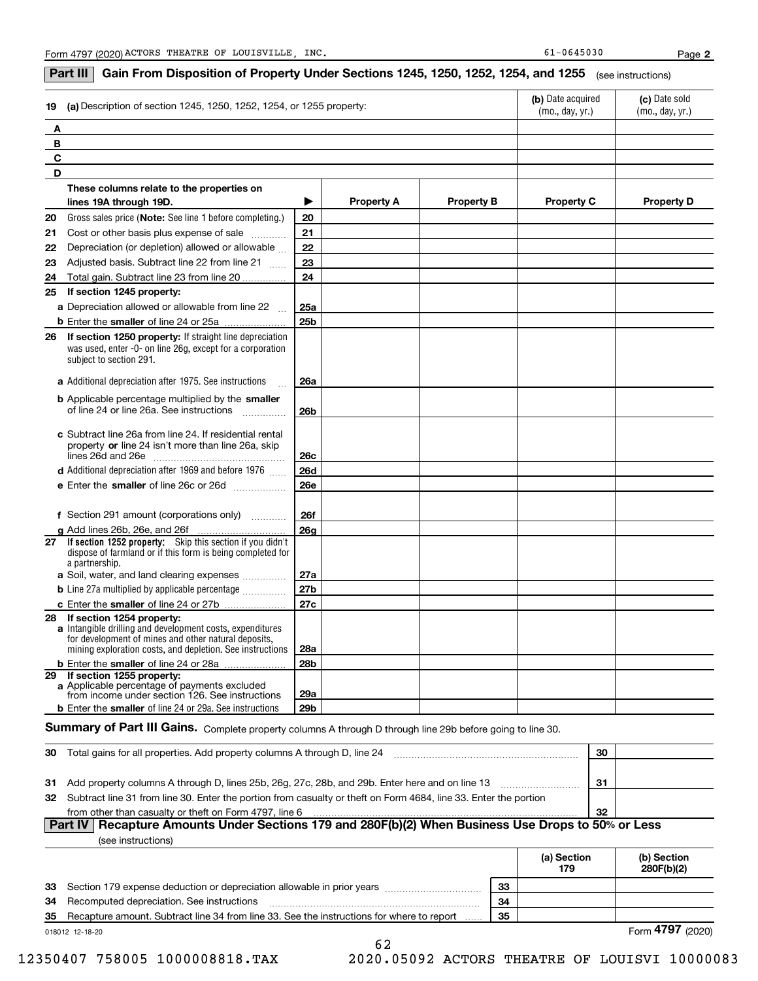### **If section 1252 property:** Skip this section if you didn't **(b)** Date acquired **dec (c)** Date sold **19 (a)** Description of section 1245, 1250, 1252, 1254, or 1255 property: **ABCDThese columns relate to the properties on lines 19A through 19D. Property A Property B Property C Property D 20212223**Gross sales price (**Note:** See line 1 before completing.)  $\,$  | **20 2122232425a25b26a 26b26c26d26e26f26g27a27b27c28a28b29a29b2425 If section 1245 property: a** Depreciation allowed or allowable from line 22 **b** Enter the smaller of line 24 or 25a **2626 If section 1250 property:** If straight line depreciation **a**Additional depreciation after 1975. See instructions <sup>~</sup> **b** Applicable percentage multiplied by the smaller **c**Subtract line 26a from line 24. If residential rental property or line 24 isn't more than line 26a, skip ~~~~~~~~~~~~~~~ lines 26d and 26e **d** Additional depreciation after 1969 and before 1976  $^{76}$ **e** Enter the **smaller** of line 26c or 26d ................... **f** Section 291 amount (corporations only) **g**Add lines 26b, 26e, and 26f **27a** Soil, water, and land clearing expenses .............. **b** Line 27a multiplied by applicable percentage  $_{\ldots\ldots\ldots\ldots\ldots}$ **c** Enter the smaller of line 24 or 27b **28 If section 1254 property: a** Intangible drilling and development costs, expenditures **b** Enter the smaller of line 24 or 28a **29 If section 1255 property: a**Applicable percentage of payments excluded **b** Enter the **smaller** of line 24 or 29a. See instructions (mo., day, yr.) (mo., day, yr.) Adjusted basis. Subtract line 22 from line 21  $\,\,...\,$ was used, enter -0- on line 26g, except for a corporation subject to section 291. dispose of farmland or if this form is being completed for a partnership. for development of mines and other natural deposits, mining exploration costs, and depletion. See instructions **Part III**  $\mid$  **Gain From Disposition of Property Under Sections 1245, 1250, 1252, 1254, and 1255**  $\mid$  $_{\rm (see\, instructions)}$ Cost or other basis plus expense of sale Depreciation (or depletion) allowed or allowable Total gain. Subtract line 23 from line 20 of line 24 or line 26a. See instructions from income under section 126. See instructions  $S$ ummary of Part III Gains. Complete property columns A through D through line 29b before going to line 30. 9

| Total gains for all properties. Add property columns A through D. line 24<br>-30                                    | 30 |  |
|---------------------------------------------------------------------------------------------------------------------|----|--|
|                                                                                                                     |    |  |
| 31 Add property columns A through D, lines 25b, 26g, 27c, 28b, and 29b. Enter here and on line 13                   | 31 |  |
| 32 Subtract line 31 from line 30. Enter the portion from casualty or theft on Form 4684, line 33. Enter the portion |    |  |
| from other than casualty or theft on Form 4797, line 6                                                              | 32 |  |
| Part IV   Recapture Amounts Under Sections 179 and 280F(b)(2) When Business Use Drops to 50% or Less                |    |  |

|  | (see instructions) |
|--|--------------------|
|--|--------------------|

|    |                                                                                           |    | (a) Section<br>179 | (b) Section<br>280F(b)(2) |
|----|-------------------------------------------------------------------------------------------|----|--------------------|---------------------------|
|    | 33 Section 179 expense deduction or depreciation allowable in prior years                 | 33 |                    |                           |
| 34 | Recomputed depreciation. See instructions                                                 | 34 |                    |                           |
| 35 | Recapture amount. Subtract line 34 from line 33. See the instructions for where to report | 35 |                    |                           |
|    | 018012 12-18-20                                                                           |    |                    | Form 4797 (2020)          |

12350407 758005 1000008818.TAX 2020.05092 ACTORS THEATRE OF LOUISVI 10000083

62

Form **4797** (2020)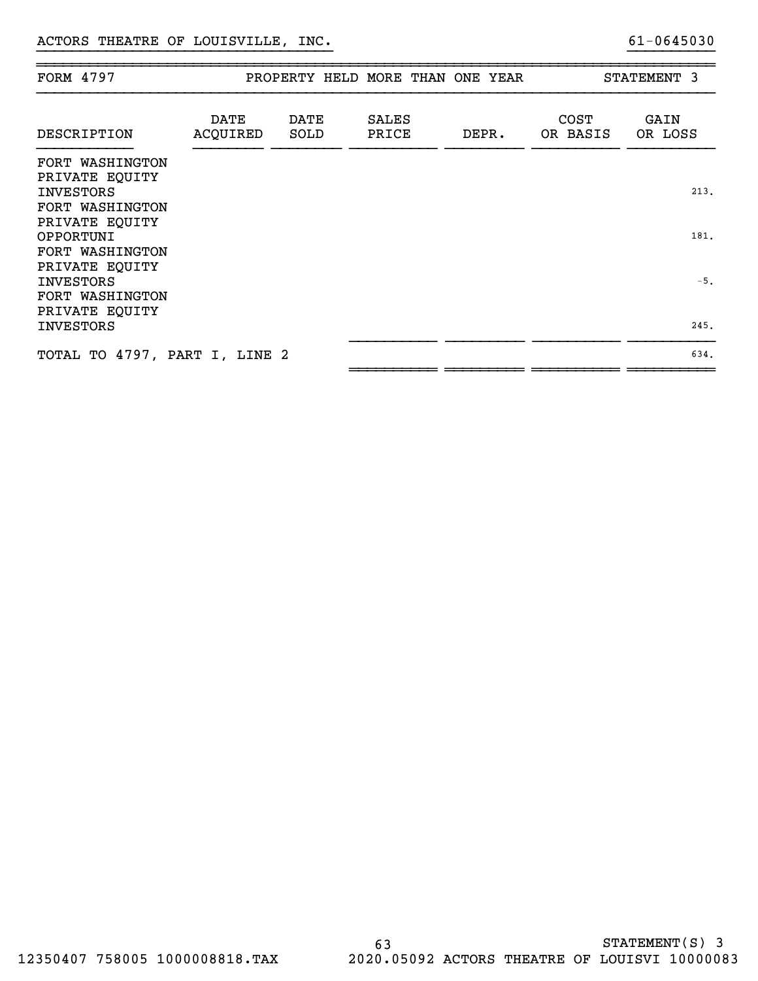| FORM 4797                                                                |                         |              |                       | PROPERTY HELD MORE THAN ONE YEAR |                         | STATEMENT 3     |
|--------------------------------------------------------------------------|-------------------------|--------------|-----------------------|----------------------------------|-------------------------|-----------------|
| DESCRIPTION                                                              | <b>DATE</b><br>ACQUIRED | DATE<br>SOLD | <b>SALES</b><br>PRICE | DEPR.                            | <b>COST</b><br>OR BASIS | GAIN<br>OR LOSS |
| FORT WASHINGTON<br>PRIVATE EQUITY<br><b>INVESTORS</b><br>FORT WASHINGTON |                         |              |                       |                                  |                         | 213.            |
| PRIVATE EQUITY<br>OPPORTUNI<br>FORT WASHINGTON                           |                         |              |                       |                                  |                         | 181.            |
| PRIVATE EQUITY<br><b>INVESTORS</b><br>FORT WASHINGTON                    |                         |              |                       |                                  |                         | $-5.$           |
| PRIVATE EQUITY<br><b>INVESTORS</b>                                       |                         |              |                       |                                  |                         | 245.            |
| TOTAL TO 4797, PART I, LINE 2                                            |                         |              |                       |                                  |                         | 634.            |

}}}}}}}}}}}}}}}}}}}}}}}}}}}}}}}}}} }}}}}}}}}}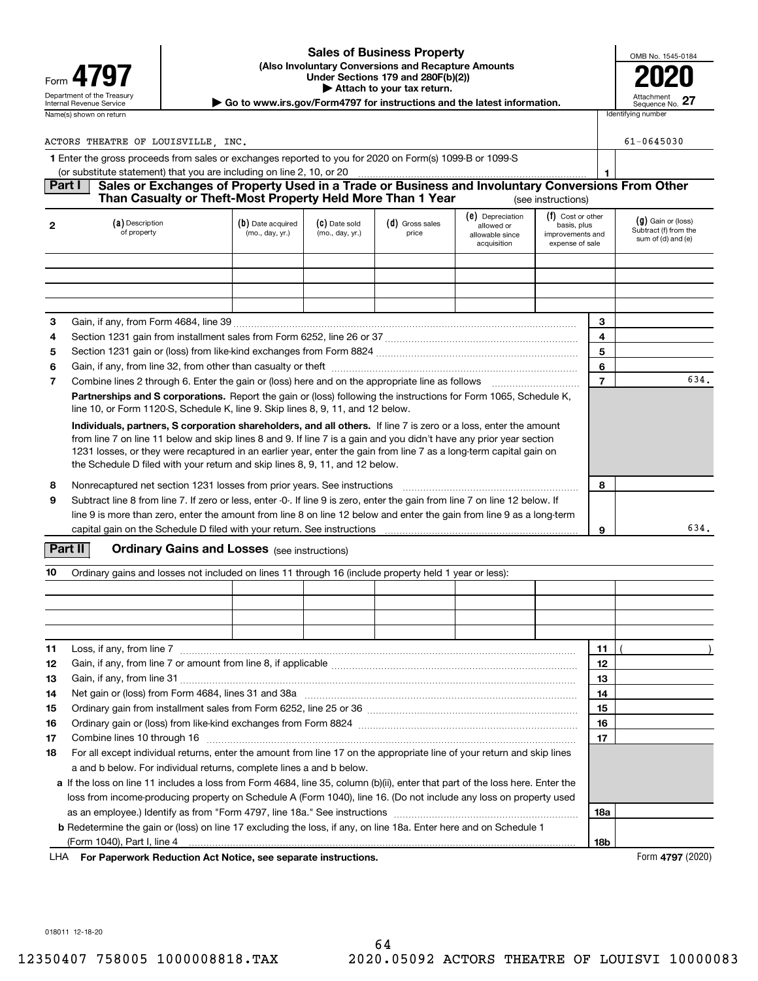### **(Also Involuntary Conversions and Recapture Amounts Under Sections 179 and 280F(b)(2)) 4797 2020 | Attach to your tax return. Sales of Business Property**

| OMB No. 1545-0184             |
|-------------------------------|
|                               |
|                               |
| Attachment<br>Sequence No. 27 |

Department of the Treasury **Number of the Treasury Attachment**<br>Internal Revenue Service **Sequence No.**<br>Dequence No.

| ACTORS THEATRE OF LOUISVILLE<br>INC.                                                                                                                                                            |                                                                       |                                                                                                                                                                              |  |                                                                         |                                                                     |  | 61-0645030 |
|-------------------------------------------------------------------------------------------------------------------------------------------------------------------------------------------------|-----------------------------------------------------------------------|------------------------------------------------------------------------------------------------------------------------------------------------------------------------------|--|-------------------------------------------------------------------------|---------------------------------------------------------------------|--|------------|
| 1 Enter the gross proceeds from sales or exchanges reported to you for 2020 on Form(s) 1099-B or 1099-S                                                                                         |                                                                       |                                                                                                                                                                              |  |                                                                         |                                                                     |  |            |
|                                                                                                                                                                                                 | (or substitute statement) that you are including on line 2, 10, or 20 |                                                                                                                                                                              |  |                                                                         |                                                                     |  |            |
| Sales or Exchanges of Property Used in a Trade or Business and Involuntary Conversions From Other<br>Part I<br>Than Casualty or Theft-Most Property Held More Than 1 Year<br>(see instructions) |                                                                       |                                                                                                                                                                              |  |                                                                         |                                                                     |  |            |
|                                                                                                                                                                                                 | (a) Description<br>of property                                        | (e) Depreciation<br>$(c)$ Date sold<br>$(d)$ Gross sales<br>(b) Date acquired<br>allowed or<br>(mo., day, yr.)<br>(mo., day, yr.)<br>price<br>allowable since<br>acquisition |  | (f) Cost or other<br>basis, plus<br>improvements and<br>expense of sale | $(g)$ Gain or (loss)<br>Subtract (f) from the<br>sum of (d) and (e) |  |            |
|                                                                                                                                                                                                 |                                                                       |                                                                                                                                                                              |  |                                                                         |                                                                     |  |            |

|  |  |  |                                                                                                                                                                                                                                            | 3                                                                                                                                                                                                                                                                                                                                                                                                                                                                                                                                                                                                                                                                                                                                                                                                                                                                                                                               |   |      |
|--|--|--|--------------------------------------------------------------------------------------------------------------------------------------------------------------------------------------------------------------------------------------------|---------------------------------------------------------------------------------------------------------------------------------------------------------------------------------------------------------------------------------------------------------------------------------------------------------------------------------------------------------------------------------------------------------------------------------------------------------------------------------------------------------------------------------------------------------------------------------------------------------------------------------------------------------------------------------------------------------------------------------------------------------------------------------------------------------------------------------------------------------------------------------------------------------------------------------|---|------|
|  |  |  |                                                                                                                                                                                                                                            | 4                                                                                                                                                                                                                                                                                                                                                                                                                                                                                                                                                                                                                                                                                                                                                                                                                                                                                                                               |   |      |
|  |  |  |                                                                                                                                                                                                                                            | 5                                                                                                                                                                                                                                                                                                                                                                                                                                                                                                                                                                                                                                                                                                                                                                                                                                                                                                                               |   |      |
|  |  |  |                                                                                                                                                                                                                                            | 6                                                                                                                                                                                                                                                                                                                                                                                                                                                                                                                                                                                                                                                                                                                                                                                                                                                                                                                               |   |      |
|  |  |  |                                                                                                                                                                                                                                            |                                                                                                                                                                                                                                                                                                                                                                                                                                                                                                                                                                                                                                                                                                                                                                                                                                                                                                                                 |   | 634. |
|  |  |  |                                                                                                                                                                                                                                            |                                                                                                                                                                                                                                                                                                                                                                                                                                                                                                                                                                                                                                                                                                                                                                                                                                                                                                                                 |   |      |
|  |  |  |                                                                                                                                                                                                                                            |                                                                                                                                                                                                                                                                                                                                                                                                                                                                                                                                                                                                                                                                                                                                                                                                                                                                                                                                 |   |      |
|  |  |  |                                                                                                                                                                                                                                            | 8                                                                                                                                                                                                                                                                                                                                                                                                                                                                                                                                                                                                                                                                                                                                                                                                                                                                                                                               |   |      |
|  |  |  |                                                                                                                                                                                                                                            |                                                                                                                                                                                                                                                                                                                                                                                                                                                                                                                                                                                                                                                                                                                                                                                                                                                                                                                                 |   | 634. |
|  |  |  | line 10, or Form 1120-S, Schedule K, line 9. Skip lines 8, 9, 11, and 12 below.<br>the Schedule D filed with your return and skip lines 8, 9, 11, and 12 below.<br>capital gain on the Schedule D filed with your return. See instructions | Combine lines 2 through 6. Enter the gain or (loss) here and on the appropriate line as follows<br><b>Partnerships and S corporations.</b> Report the gain or (loss) following the instructions for Form 1065, Schedule K,<br>Individuals, partners, S corporation shareholders, and all others. If line 7 is zero or a loss, enter the amount<br>from line 7 on line 11 below and skip lines 8 and 9. If line 7 is a gain and you didn't have any prior year section<br>1231 losses, or they were recaptured in an earlier year, enter the gain from line 7 as a long-term capital gain on<br>Nonrecaptured net section 1231 losses from prior years. See instructions<br>Subtract line 8 from line 7. If zero or less, enter -0-. If line 9 is zero, enter the gain from line 7 on line 12 below. If<br>line 9 is more than zero, enter the amount from line 8 on line 12 below and enter the gain from line 9 as a long-term | 9 |      |

## **Part II** | Crdinary Gains and Losses (see instructions)

| 10 | Ordinary gains and losses not included on lines 11 through 16 (include property held 1 year or less):                         |     |  |
|----|-------------------------------------------------------------------------------------------------------------------------------|-----|--|
|    |                                                                                                                               |     |  |
|    |                                                                                                                               |     |  |
|    |                                                                                                                               |     |  |
|    |                                                                                                                               |     |  |
| 11 | Loss, if any, from line 7                                                                                                     | 11  |  |
| 12 |                                                                                                                               | 12  |  |
| 13 |                                                                                                                               | 13  |  |
| 14 | Net gain or (loss) from Form 4684, lines 31 and 38a manufactured contains and starting manufactured with the s                | 14  |  |
| 15 |                                                                                                                               | 15  |  |
| 16 |                                                                                                                               | 16  |  |
| 17 |                                                                                                                               | 17  |  |
| 18 | For all except individual returns, enter the amount from line 17 on the appropriate line of your return and skip lines        |     |  |
|    | a and b below. For individual returns, complete lines a and b below.                                                          |     |  |
|    | a If the loss on line 11 includes a loss from Form 4684, line 35, column (b)(ii), enter that part of the loss here. Enter the |     |  |
|    | loss from income producing property on Schedule A (Form 1040), line 16. (Do not include any loss on property used             |     |  |
|    | as an employee.) Identify as from "Form 4797, line 18a." See instructions <i>manumeral contentions</i> and the tempora        | 18а |  |
|    | <b>b</b> Redetermine the gain or (loss) on line 17 excluding the loss, if any, on line 18a. Enter here and on Schedule 1      |     |  |
|    |                                                                                                                               | 18b |  |

**For Paperwork Reduction Act Notice, see separate instructions.** Form **4797** (2020) LHA

018011 12-18-20